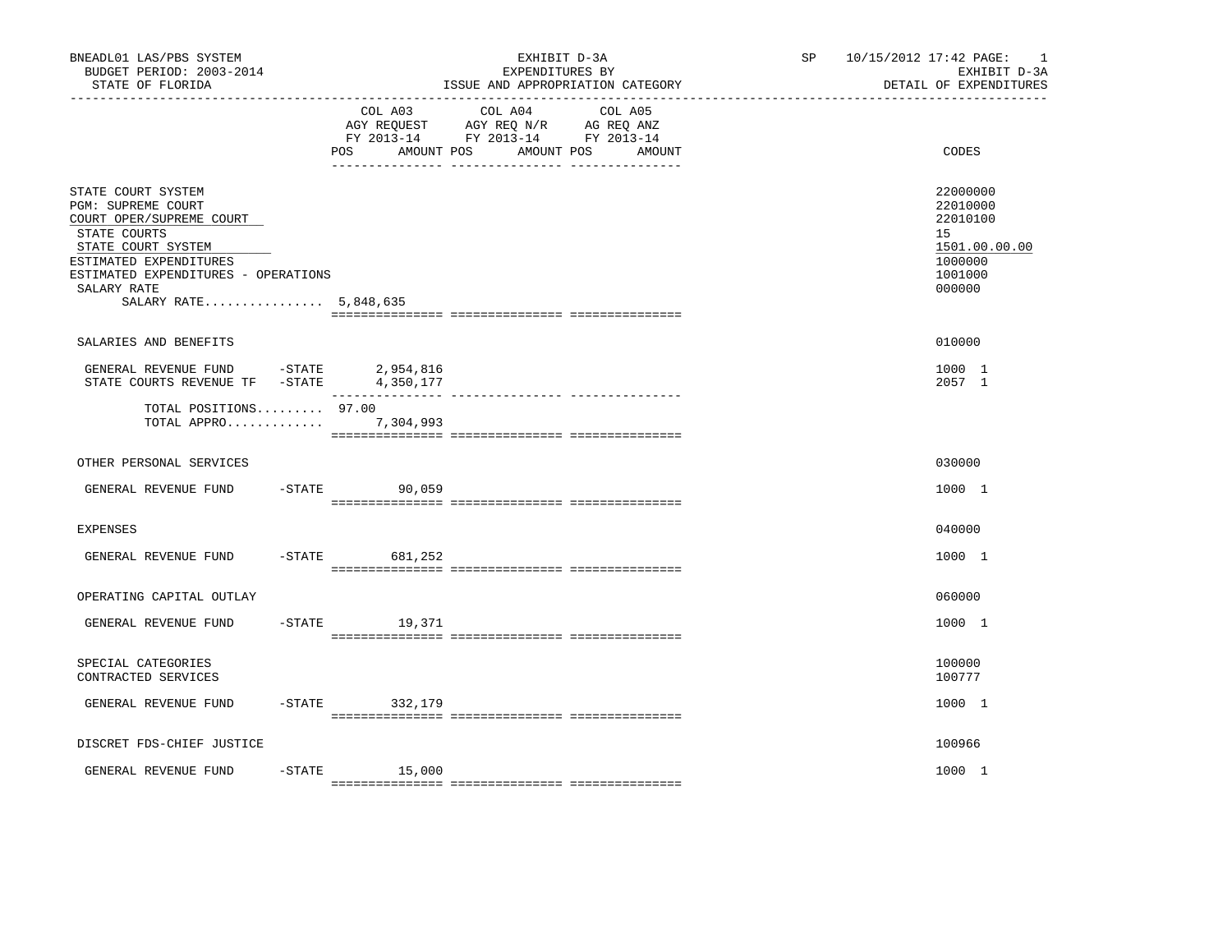| BNEADL01 LAS/PBS SYSTEM<br>BUDGET PERIOD: 2003-2014<br>STATE OF FLORIDA                                                                                                                                                                                                                                                                                 |                      | EXHIBIT D-3A<br>EXPENDITURES BY<br>ISSUE AND APPROPRIATION CATEGORY                                                             | SP <sub>2</sub> | 10/15/2012 17:42 PAGE:<br>$\overline{\phantom{0}}$<br>EXHIBIT D-3A<br>DETAIL OF EXPENDITURES |
|---------------------------------------------------------------------------------------------------------------------------------------------------------------------------------------------------------------------------------------------------------------------------------------------------------------------------------------------------------|----------------------|---------------------------------------------------------------------------------------------------------------------------------|-----------------|----------------------------------------------------------------------------------------------|
|                                                                                                                                                                                                                                                                                                                                                         | COL A03<br>POS       | COL A04 COL A05<br>AGY REQUEST AGY REQ N/R AG REQ ANZ<br>FY 2013-14 FY 2013-14 FY 2013-14<br>AMOUNT POS<br>AMOUNT POS<br>AMOUNT |                 | CODES                                                                                        |
| STATE COURT SYSTEM<br>PGM: SUPREME COURT<br>COURT OPER/SUPREME COURT<br>STATE COURTS<br>STATE COURT SYSTEM<br>ESTIMATED EXPENDITURES<br>ESTIMATED EXPENDITURES - OPERATIONS<br>SALARY RATE<br>SALARY RATE 5,848,635                                                                                                                                     |                      |                                                                                                                                 |                 | 22000000<br>22010000<br>22010100<br>15<br>1501.00.00.00<br>1000000<br>1001000<br>000000      |
| SALARIES AND BENEFITS                                                                                                                                                                                                                                                                                                                                   |                      |                                                                                                                                 |                 | 010000                                                                                       |
| $\begin{tabular}{lllllllllll} \multicolumn{4}{c}{\textbf{GENERAL}} & \textbf{REVENUE} & \multicolumn{4}{c}{\textbf{FUND}} & -\textbf{STATE} & \multicolumn{4}{c}{\textbf{2,954,816}} \\ \multicolumn{4}{c}{\textbf{STATE}} & \textbf{COURTS} & \textbf{REVENUE} & \textbf{TF} & -\textbf{STATE} & \multicolumn{4}{c}{\textbf{4,350,177}} \end{tabular}$ |                      |                                                                                                                                 |                 | 1000 1<br>2057 1                                                                             |
| TOTAL POSITIONS 97.00<br>TOTAL APPRO 7,304,993                                                                                                                                                                                                                                                                                                          |                      |                                                                                                                                 |                 |                                                                                              |
| OTHER PERSONAL SERVICES                                                                                                                                                                                                                                                                                                                                 |                      |                                                                                                                                 |                 | 030000                                                                                       |
| GENERAL REVENUE FUND                                                                                                                                                                                                                                                                                                                                    | $-STATE$ 90,059      |                                                                                                                                 |                 | 1000 1                                                                                       |
| <b>EXPENSES</b>                                                                                                                                                                                                                                                                                                                                         |                      |                                                                                                                                 |                 | 040000                                                                                       |
| GENERAL REVENUE FUND                                                                                                                                                                                                                                                                                                                                    | $-$ STATE<br>681,252 |                                                                                                                                 |                 | 1000 1                                                                                       |
| OPERATING CAPITAL OUTLAY                                                                                                                                                                                                                                                                                                                                |                      |                                                                                                                                 |                 | 060000                                                                                       |
| GENERAL REVENUE FUND                                                                                                                                                                                                                                                                                                                                    | $-$ STATE 19,371     |                                                                                                                                 |                 | 1000 1                                                                                       |
| SPECIAL CATEGORIES<br>CONTRACTED SERVICES                                                                                                                                                                                                                                                                                                               |                      |                                                                                                                                 |                 | 100000<br>100777                                                                             |
| GENERAL REVENUE FUND                                                                                                                                                                                                                                                                                                                                    | -STATE 332,179       |                                                                                                                                 |                 | 1000 1                                                                                       |
| DISCRET FDS-CHIEF JUSTICE                                                                                                                                                                                                                                                                                                                               |                      |                                                                                                                                 |                 | 100966                                                                                       |
| GENERAL REVENUE FUND                                                                                                                                                                                                                                                                                                                                    | $-STATE$ 15,000      |                                                                                                                                 |                 | 1000 1                                                                                       |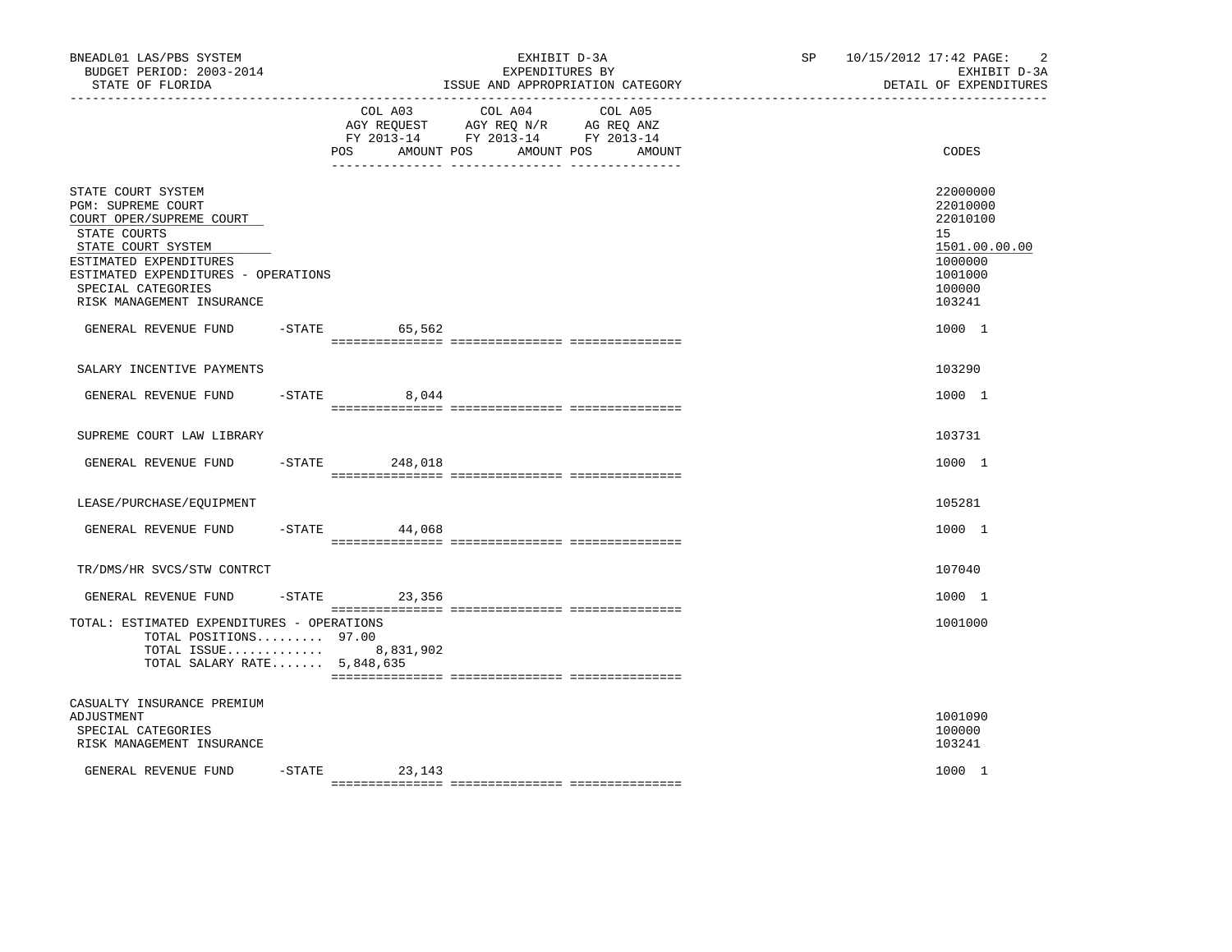| BNEADL01 LAS/PBS SYSTEM<br>BUDGET PERIOD: 2003-2014<br>STATE OF FLORIDA<br>-------------------                                                                                                                                 |           |                              | EXHIBIT D-3A<br>EXPENDITURES BY<br>ISSUE AND APPROPRIATION CATEGORY                                                  | SP <sub>2</sub> | $\overline{c}$<br>10/15/2012 17:42 PAGE:<br>EXHIBIT D-3A<br>DETAIL OF EXPENDITURES                |
|--------------------------------------------------------------------------------------------------------------------------------------------------------------------------------------------------------------------------------|-----------|------------------------------|----------------------------------------------------------------------------------------------------------------------|-----------------|---------------------------------------------------------------------------------------------------|
|                                                                                                                                                                                                                                |           | COL A03<br>AMOUNT POS<br>POS | COL A04<br>COL A05<br>AGY REQUEST AGY REQ N/R AG REQ ANZ<br>FY 2013-14 FY 2013-14 FY 2013-14<br>AMOUNT POS<br>AMOUNT |                 | CODES                                                                                             |
| STATE COURT SYSTEM<br>PGM: SUPREME COURT<br>COURT OPER/SUPREME COURT<br>STATE COURTS<br>STATE COURT SYSTEM<br>ESTIMATED EXPENDITURES<br>ESTIMATED EXPENDITURES - OPERATIONS<br>SPECIAL CATEGORIES<br>RISK MANAGEMENT INSURANCE |           |                              |                                                                                                                      |                 | 22000000<br>22010000<br>22010100<br>15<br>1501.00.00.00<br>1000000<br>1001000<br>100000<br>103241 |
| GENERAL REVENUE FUND                                                                                                                                                                                                           |           | $-STATE$<br>65,562           |                                                                                                                      |                 | 1000 1                                                                                            |
| SALARY INCENTIVE PAYMENTS                                                                                                                                                                                                      |           |                              |                                                                                                                      |                 | 103290                                                                                            |
| GENERAL REVENUE FUND                                                                                                                                                                                                           |           | $-STATE$<br>8,044            |                                                                                                                      |                 | 1000 1                                                                                            |
| SUPREME COURT LAW LIBRARY                                                                                                                                                                                                      |           |                              |                                                                                                                      |                 | 103731                                                                                            |
| GENERAL REVENUE FUND                                                                                                                                                                                                           |           | $-STATE$<br>248,018          |                                                                                                                      |                 | 1000 1                                                                                            |
| LEASE/PURCHASE/EQUIPMENT                                                                                                                                                                                                       |           |                              |                                                                                                                      |                 | 105281                                                                                            |
| GENERAL REVENUE FUND                                                                                                                                                                                                           |           | $-STATE$<br>44,068           |                                                                                                                      |                 | 1000 1                                                                                            |
| TR/DMS/HR SVCS/STW CONTRCT                                                                                                                                                                                                     |           |                              |                                                                                                                      |                 | 107040                                                                                            |
| GENERAL REVENUE FUND                                                                                                                                                                                                           |           | $-STATE$ 23,356              |                                                                                                                      |                 | 1000 1                                                                                            |
| TOTAL: ESTIMATED EXPENDITURES - OPERATIONS<br>TOTAL POSITIONS 97.00<br>TOTAL ISSUE 8,831,902<br>TOTAL SALARY RATE 5,848,635                                                                                                    |           |                              |                                                                                                                      |                 | 1001000                                                                                           |
| CASUALTY INSURANCE PREMIUM<br>ADJUSTMENT<br>SPECIAL CATEGORIES<br>RISK MANAGEMENT INSURANCE                                                                                                                                    |           |                              |                                                                                                                      |                 | 1001090<br>100000<br>103241                                                                       |
| GENERAL REVENUE FUND                                                                                                                                                                                                           | $-$ STATE | 23, 143                      |                                                                                                                      |                 | 1000 1                                                                                            |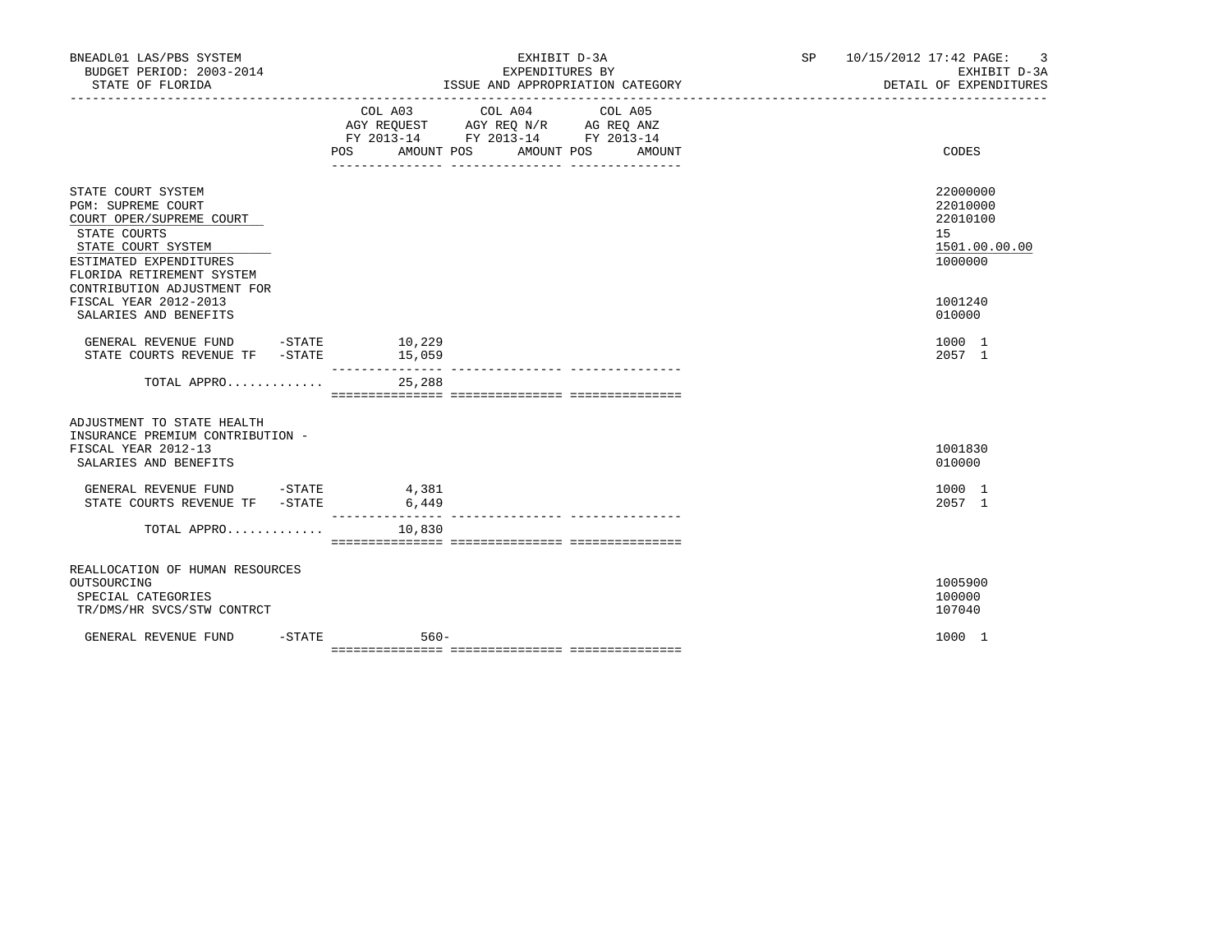| BNEADL01 LAS/PBS SYSTEM<br>BUDGET PERIOD: 2003-2014<br>STATE OF FLORIDA                                                                                                                                 |          |                                                                                                                | ISSUE AND APPROPRIATION CATEGORY | EXHIBIT D-3A<br>EXPENDITURES BY |         |        | SP <sub>2</sub> | 10/15/2012 17:42 PAGE: 3<br>EXHIBIT D-3A<br>DETAIL OF EXPENDITURES |
|---------------------------------------------------------------------------------------------------------------------------------------------------------------------------------------------------------|----------|----------------------------------------------------------------------------------------------------------------|----------------------------------|---------------------------------|---------|--------|-----------------|--------------------------------------------------------------------|
|                                                                                                                                                                                                         |          | COL A03 COL A04<br>AGY REQUEST AGY REQ N/R AG REQ ANZ<br>FY 2013-14 FY 2013-14 FY 2013-14<br>AMOUNT POS<br>POS |                                  | AMOUNT POS                      | COL A05 | AMOUNT |                 | CODES                                                              |
| STATE COURT SYSTEM<br><b>PGM: SUPREME COURT</b><br>COURT OPER/SUPREME COURT<br>STATE COURTS<br>STATE COURT SYSTEM<br>ESTIMATED EXPENDITURES<br>FLORIDA RETIREMENT SYSTEM<br>CONTRIBUTION ADJUSTMENT FOR |          |                                                                                                                |                                  |                                 |         |        |                 | 22000000<br>22010000<br>22010100<br>15<br>1501.00.00.00<br>1000000 |
| FISCAL YEAR 2012-2013<br>SALARIES AND BENEFITS                                                                                                                                                          |          |                                                                                                                |                                  |                                 |         |        |                 | 1001240<br>010000                                                  |
| GENERAL REVENUE FUND<br>STATE COURTS REVENUE TF - STATE                                                                                                                                                 |          | $-$ STATE $10, 229$<br>15,059<br>_______________                                                               |                                  |                                 |         |        |                 | 1000 1<br>2057 1                                                   |
| TOTAL APPRO                                                                                                                                                                                             |          | 25,288                                                                                                         |                                  |                                 |         |        |                 |                                                                    |
| ADJUSTMENT TO STATE HEALTH<br>INSURANCE PREMIUM CONTRIBUTION -<br>FISCAL YEAR 2012-13<br>SALARIES AND BENEFITS                                                                                          |          |                                                                                                                |                                  |                                 |         |        |                 | 1001830<br>010000                                                  |
| GENERAL REVENUE FUND -STATE 4,381<br>STATE COURTS REVENUE TF - STATE                                                                                                                                    |          | 6,449<br>________________                                                                                      |                                  |                                 |         |        |                 | 1000 1<br>2057 1                                                   |
| TOTAL APPRO                                                                                                                                                                                             |          | 10,830                                                                                                         |                                  |                                 |         |        |                 |                                                                    |
| REALLOCATION OF HUMAN RESOURCES<br>OUTSOURCING<br>SPECIAL CATEGORIES<br>TR/DMS/HR SVCS/STW CONTRCT                                                                                                      |          |                                                                                                                |                                  |                                 |         |        |                 | 1005900<br>100000<br>107040                                        |
| GENERAL REVENUE FUND                                                                                                                                                                                    | $-STATE$ | $560 -$                                                                                                        |                                  |                                 |         |        |                 | 1000 1                                                             |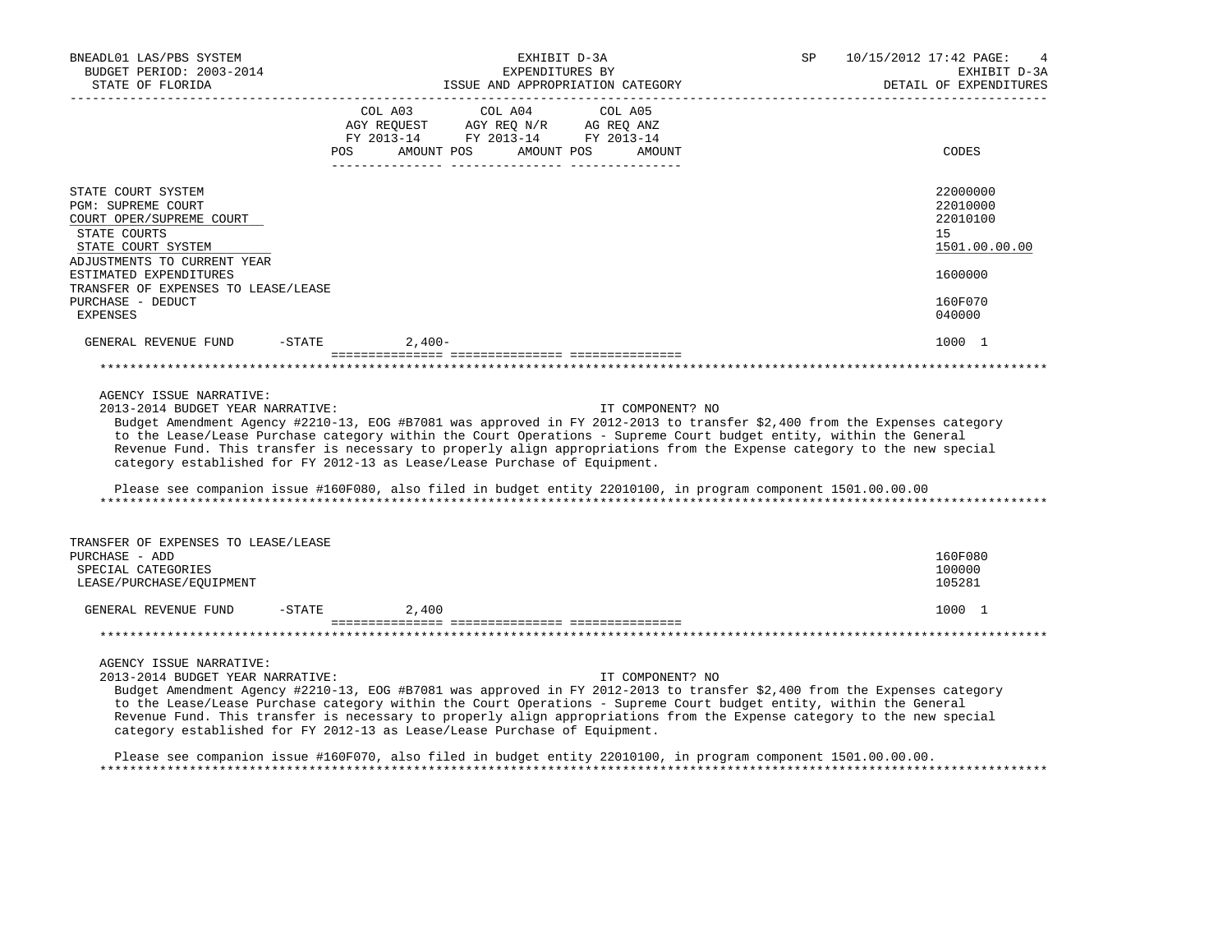| BNEADL01 LAS/PBS SYSTEM<br>BUDGET PERIOD: 2003-2014<br>STATE OF FLORIDA                                                                   |            | EXHIBIT D-3A<br>EXPENDITURES BY<br>ISSUE AND APPROPRIATION CATEGORY                                                                                                                                                                                                                                                                                                                                                                                                                                                                                                    |                   | 10/15/2012 17:42 PAGE:<br>SP<br>EXHIBIT D-3A<br>DETAIL OF EXPENDITURES |
|-------------------------------------------------------------------------------------------------------------------------------------------|------------|------------------------------------------------------------------------------------------------------------------------------------------------------------------------------------------------------------------------------------------------------------------------------------------------------------------------------------------------------------------------------------------------------------------------------------------------------------------------------------------------------------------------------------------------------------------------|-------------------|------------------------------------------------------------------------|
|                                                                                                                                           | <b>POS</b> | COL A03<br>COL A04<br>AGY REQUEST AGY REQ N/R AG REQ ANZ<br>FY 2013-14 FY 2013-14 FY 2013-14<br>AMOUNT POS<br>AMOUNT POS                                                                                                                                                                                                                                                                                                                                                                                                                                               | COL A05<br>AMOUNT | CODES                                                                  |
| STATE COURT SYSTEM<br>PGM: SUPREME COURT<br>COURT OPER/SUPREME COURT<br>STATE COURTS<br>STATE COURT SYSTEM<br>ADJUSTMENTS TO CURRENT YEAR |            |                                                                                                                                                                                                                                                                                                                                                                                                                                                                                                                                                                        |                   | 22000000<br>22010000<br>22010100<br>15<br>1501.00.00.00                |
| ESTIMATED EXPENDITURES<br>TRANSFER OF EXPENSES TO LEASE/LEASE<br>PURCHASE - DEDUCT<br><b>EXPENSES</b>                                     |            |                                                                                                                                                                                                                                                                                                                                                                                                                                                                                                                                                                        |                   | 1600000<br>160F070<br>040000                                           |
| GENERAL REVENUE FUND                                                                                                                      | $-$ STATE  | $2.400-$                                                                                                                                                                                                                                                                                                                                                                                                                                                                                                                                                               |                   | 1000 1                                                                 |
|                                                                                                                                           |            |                                                                                                                                                                                                                                                                                                                                                                                                                                                                                                                                                                        |                   |                                                                        |
| AGENCY ISSUE NARRATIVE:<br>2013-2014 BUDGET YEAR NARRATIVE:                                                                               |            | Budget Amendment Agency #2210-13, EOG #B7081 was approved in FY 2012-2013 to transfer \$2,400 from the Expenses category<br>to the Lease/Lease Purchase category within the Court Operations - Supreme Court budget entity, within the General<br>Revenue Fund. This transfer is necessary to properly align appropriations from the Expense category to the new special<br>category established for FY 2012-13 as Lease/Lease Purchase of Equipment.<br>Please see companion issue #160F080, also filed in budget entity 22010100, in program component 1501.00.00.00 | IT COMPONENT? NO  |                                                                        |
| TRANSFER OF EXPENSES TO LEASE/LEASE<br>PURCHASE - ADD<br>SPECIAL CATEGORIES<br>LEASE/PURCHASE/EQUIPMENT                                   |            |                                                                                                                                                                                                                                                                                                                                                                                                                                                                                                                                                                        |                   | 160F080<br>100000<br>105281                                            |
| GENERAL REVENUE FUND                                                                                                                      | $-$ STATE  | 2,400                                                                                                                                                                                                                                                                                                                                                                                                                                                                                                                                                                  |                   | 1000 1                                                                 |
|                                                                                                                                           |            |                                                                                                                                                                                                                                                                                                                                                                                                                                                                                                                                                                        |                   |                                                                        |
| AGENCY ISSUE NARRATIVE:<br>2013-2014 BUDGET YEAR NARRATIVE:                                                                               |            | Budget Amendment Agency #2210-13, EOG #B7081 was approved in FY 2012-2013 to transfer \$2,400 from the Expenses category<br>to the Lease/Lease Purchase category within the Court Operations - Supreme Court budget entity, within the General<br>Revenue Fund. This transfer is necessary to properly align appropriations from the Expense category to the new special<br>category established for FY 2012-13 as Lease/Lease Purchase of Equipment.                                                                                                                  | IT COMPONENT? NO  |                                                                        |
|                                                                                                                                           |            | Please see companion issue #160F070, also filed in budget entity 22010100, in program component 1501.00.00.00.                                                                                                                                                                                                                                                                                                                                                                                                                                                         |                   |                                                                        |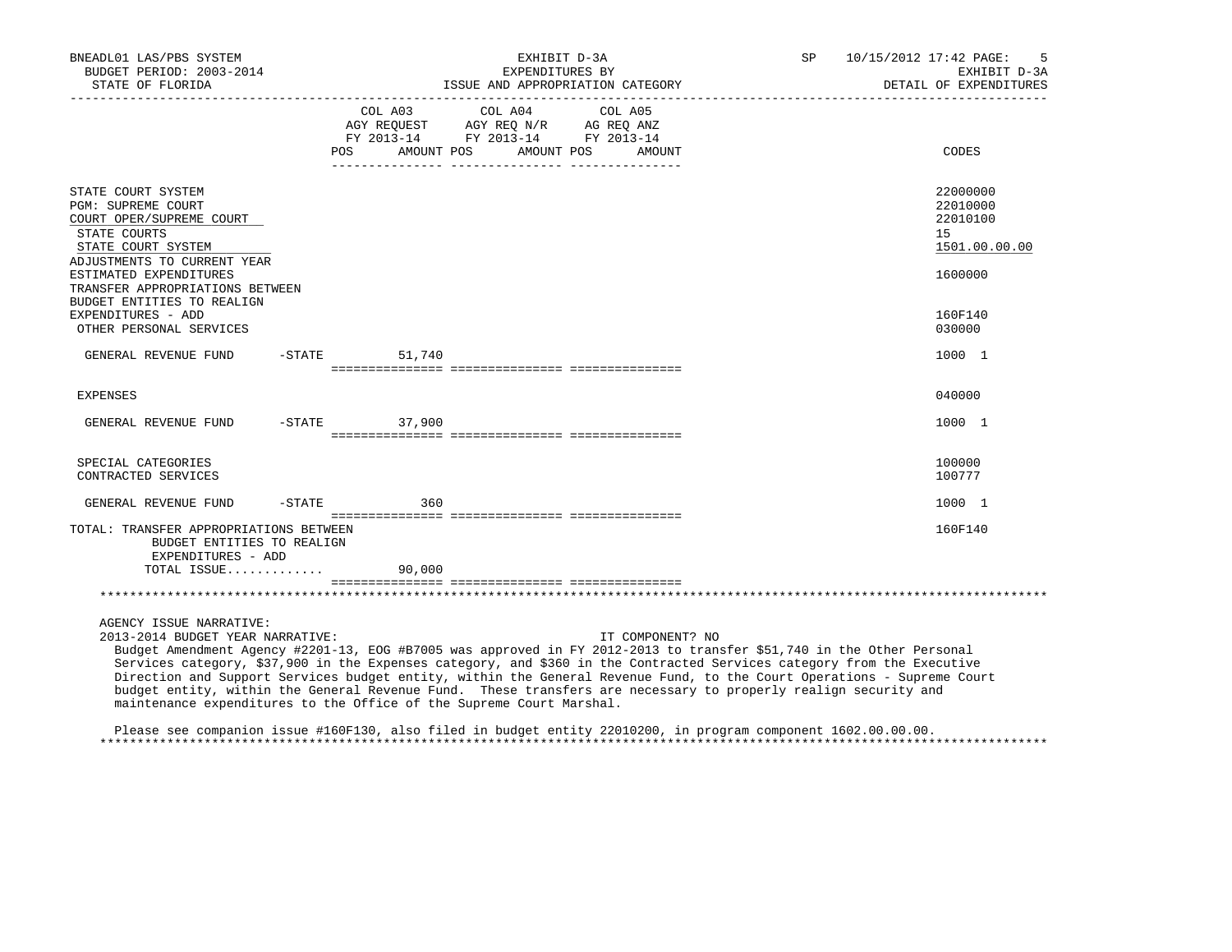| BNEADL01 LAS/PBS SYSTEM<br>BUDGET PERIOD: 2003-2014<br>STATE OF FLORIDA                                                                                                                                                                                                                                                                                                                                                                 |           |                    | EXHIBIT D-3A<br>EXPENDITURES BY                                                                                 | ISSUE AND APPROPRIATION CATEGORY | SP 10/15/2012 17:42 PAGE: | -5<br>EXHIBIT D-3A<br>DETAIL OF EXPENDITURES            |
|-----------------------------------------------------------------------------------------------------------------------------------------------------------------------------------------------------------------------------------------------------------------------------------------------------------------------------------------------------------------------------------------------------------------------------------------|-----------|--------------------|-----------------------------------------------------------------------------------------------------------------|----------------------------------|---------------------------|---------------------------------------------------------|
|                                                                                                                                                                                                                                                                                                                                                                                                                                         |           | POS<br>AMOUNT POS  | COL A03 COL A04 COL A05<br>AGY REQUEST AGY REQ N/R AG REQ ANZ<br>FY 2013-14 FY 2013-14 FY 2013-14<br>AMOUNT POS | AMOUNT                           |                           | CODES                                                   |
| STATE COURT SYSTEM<br>PGM: SUPREME COURT<br>COURT OPER/SUPREME COURT<br>STATE COURTS<br>STATE COURT SYSTEM<br>ADJUSTMENTS TO CURRENT YEAR                                                                                                                                                                                                                                                                                               |           |                    |                                                                                                                 |                                  |                           | 22000000<br>22010000<br>22010100<br>15<br>1501.00.00.00 |
| ESTIMATED EXPENDITURES<br>TRANSFER APPROPRIATIONS BETWEEN<br>BUDGET ENTITIES TO REALIGN<br>EXPENDITURES - ADD<br>OTHER PERSONAL SERVICES                                                                                                                                                                                                                                                                                                |           |                    |                                                                                                                 |                                  |                           | 1600000<br>160F140<br>030000                            |
| GENERAL REVENUE FUND                                                                                                                                                                                                                                                                                                                                                                                                                    |           | $-$ STATE 51,740   |                                                                                                                 |                                  |                           | 1000 1                                                  |
| <b>EXPENSES</b>                                                                                                                                                                                                                                                                                                                                                                                                                         |           |                    |                                                                                                                 |                                  |                           | 040000                                                  |
| GENERAL REVENUE FUND                                                                                                                                                                                                                                                                                                                                                                                                                    |           | $-STATE$<br>37,900 |                                                                                                                 |                                  |                           | 1000 1                                                  |
| SPECIAL CATEGORIES<br>CONTRACTED SERVICES                                                                                                                                                                                                                                                                                                                                                                                               |           |                    |                                                                                                                 |                                  |                           | 100000<br>100777                                        |
| GENERAL REVENUE FUND                                                                                                                                                                                                                                                                                                                                                                                                                    | $-$ STATE | 360                |                                                                                                                 |                                  |                           | 1000 1                                                  |
| TOTAL: TRANSFER APPROPRIATIONS BETWEEN<br>BUDGET ENTITIES TO REALIGN<br>EXPENDITURES - ADD                                                                                                                                                                                                                                                                                                                                              |           |                    |                                                                                                                 |                                  |                           | 160F140                                                 |
| TOTAL ISSUE                                                                                                                                                                                                                                                                                                                                                                                                                             |           | 90,000             |                                                                                                                 |                                  |                           |                                                         |
|                                                                                                                                                                                                                                                                                                                                                                                                                                         |           |                    |                                                                                                                 |                                  |                           |                                                         |
| AGENCY ISSUE NARRATIVE:<br>2013-2014 BUDGET YEAR NARRATIVE:<br>Budget Amendment Agency #2201-13, EOG #B7005 was approved in FY 2012-2013 to transfer \$51,740 in the Other Personal<br>Services category, \$37,900 in the Expenses category, and \$360 in the Contracted Services category from the Executive<br>Direction and Support Services budget entity, within the General Revenue Fund, to the Court Operations - Supreme Court |           |                    |                                                                                                                 | IT COMPONENT? NO                 |                           |                                                         |

 Please see companion issue #160F130, also filed in budget entity 22010200, in program component 1602.00.00.00. \*\*\*\*\*\*\*\*\*\*\*\*\*\*\*\*\*\*\*\*\*\*\*\*\*\*\*\*\*\*\*\*\*\*\*\*\*\*\*\*\*\*\*\*\*\*\*\*\*\*\*\*\*\*\*\*\*\*\*\*\*\*\*\*\*\*\*\*\*\*\*\*\*\*\*\*\*\*\*\*\*\*\*\*\*\*\*\*\*\*\*\*\*\*\*\*\*\*\*\*\*\*\*\*\*\*\*\*\*\*\*\*\*\*\*\*\*\*\*\*\*\*\*\*\*\*\*

budget entity, within the General Revenue Fund. These transfers are necessary to properly realign security and

maintenance expenditures to the Office of the Supreme Court Marshal.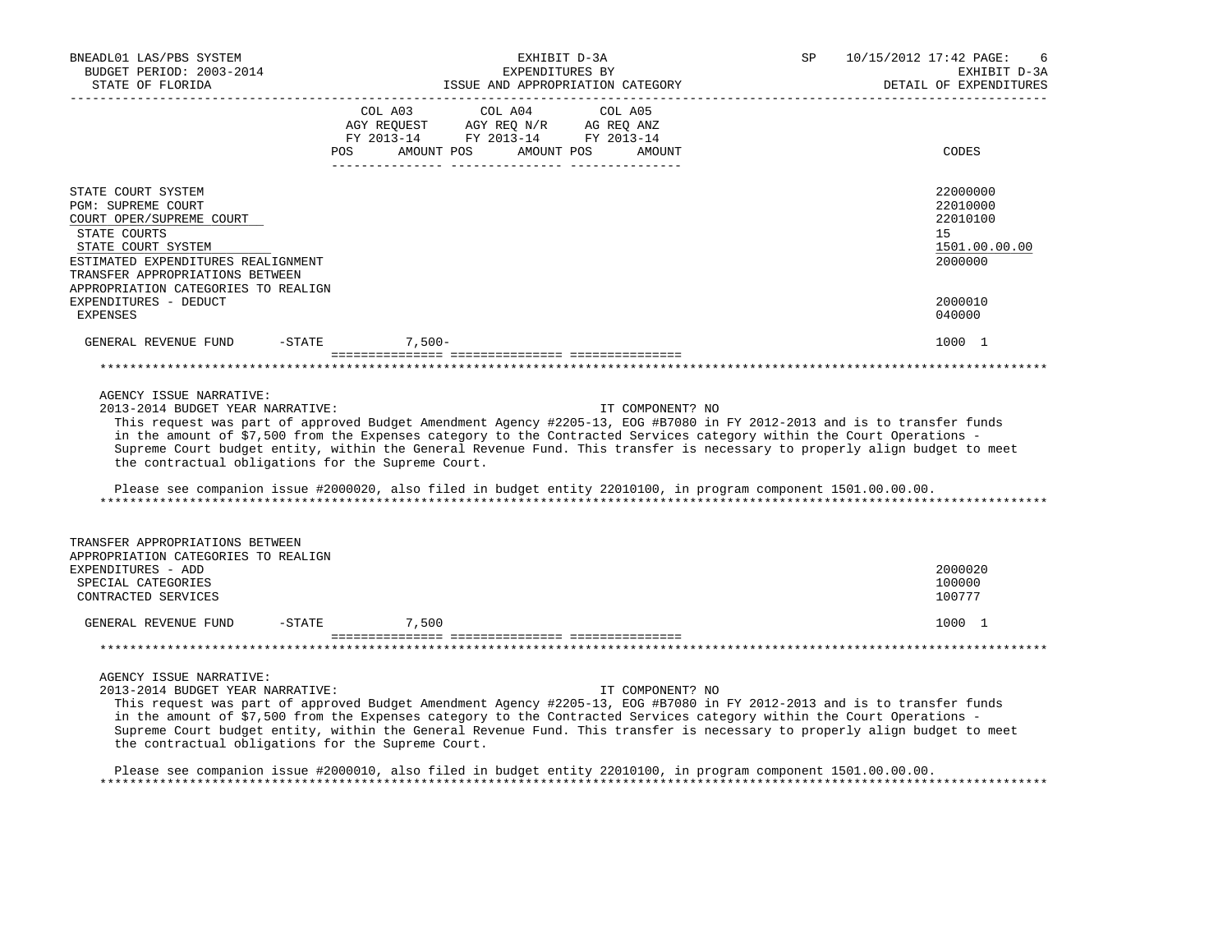| BNEADL01 LAS/PBS SYSTEM<br>BUDGET PERIOD: 2003-2014<br>STATE OF FLORIDA<br>______________________                                                                                                                          |                                                                                                                                                                                        | EXHIBIT D-3A<br>EXPENDITURES BY<br>ISSUE AND APPROPRIATION CATEGORY                                                                                                                                                                                                                                                                                                                                                                                                                                                 | SP | 10/15/2012 17:42 PAGE:<br>6<br>EXHIBIT D-3A<br>DETAIL OF EXPENDITURES |
|----------------------------------------------------------------------------------------------------------------------------------------------------------------------------------------------------------------------------|----------------------------------------------------------------------------------------------------------------------------------------------------------------------------------------|---------------------------------------------------------------------------------------------------------------------------------------------------------------------------------------------------------------------------------------------------------------------------------------------------------------------------------------------------------------------------------------------------------------------------------------------------------------------------------------------------------------------|----|-----------------------------------------------------------------------|
|                                                                                                                                                                                                                            | $\begin{tabular}{lcccc} CDL A03 & CDL A04 & CDL A05 \\ AGY REQUEST & AGY REQ N/R & AG REQ ANZ \\ FY & 2013-14 & FY & 2013-14 & FY & 2013-14 \end{tabular}$<br>AMOUNT POS<br><b>POS</b> | AMOUNT POS<br>AMOUNT                                                                                                                                                                                                                                                                                                                                                                                                                                                                                                |    | CODES                                                                 |
| STATE COURT SYSTEM<br>PGM: SUPREME COURT<br>COURT OPER/SUPREME COURT<br>STATE COURTS<br>STATE COURT SYSTEM<br>ESTIMATED EXPENDITURES REALIGNMENT<br>TRANSFER APPROPRIATIONS BETWEEN<br>APPROPRIATION CATEGORIES TO REALIGN |                                                                                                                                                                                        |                                                                                                                                                                                                                                                                                                                                                                                                                                                                                                                     |    | 22000000<br>22010000<br>22010100<br>15<br>1501.00.00.00<br>2000000    |
| EXPENDITURES - DEDUCT<br>EXPENSES                                                                                                                                                                                          |                                                                                                                                                                                        |                                                                                                                                                                                                                                                                                                                                                                                                                                                                                                                     |    | 2000010<br>040000                                                     |
| GENERAL REVENUE FUND -STATE                                                                                                                                                                                                | $7,500-$                                                                                                                                                                               |                                                                                                                                                                                                                                                                                                                                                                                                                                                                                                                     |    | 1000 1                                                                |
|                                                                                                                                                                                                                            |                                                                                                                                                                                        |                                                                                                                                                                                                                                                                                                                                                                                                                                                                                                                     |    |                                                                       |
| AGENCY ISSUE NARRATIVE:<br>2013-2014 BUDGET YEAR NARRATIVE:<br>the contractual obligations for the Supreme Court.                                                                                                          |                                                                                                                                                                                        | IT COMPONENT? NO<br>This request was part of approved Budget Amendment Agency #2205-13, EOG #B7080 in FY 2012-2013 and is to transfer funds<br>in the amount of \$7,500 from the Expenses category to the Contracted Services category within the Court Operations -<br>Supreme Court budget entity, within the General Revenue Fund. This transfer is necessary to properly align budget to meet<br>Please see companion issue #2000020, also filed in budget entity 22010100, in program component 1501.00.00.00. |    |                                                                       |
| TRANSFER APPROPRIATIONS BETWEEN<br>APPROPRIATION CATEGORIES TO REALIGN                                                                                                                                                     |                                                                                                                                                                                        |                                                                                                                                                                                                                                                                                                                                                                                                                                                                                                                     |    |                                                                       |
| EXPENDITURES - ADD<br>SPECIAL CATEGORIES<br>CONTRACTED SERVICES                                                                                                                                                            |                                                                                                                                                                                        |                                                                                                                                                                                                                                                                                                                                                                                                                                                                                                                     |    | 2000020<br>100000<br>100777                                           |
| GENERAL REVENUE FUND                                                                                                                                                                                                       | $-STATE$<br>7,500                                                                                                                                                                      |                                                                                                                                                                                                                                                                                                                                                                                                                                                                                                                     |    | 1000 1                                                                |
|                                                                                                                                                                                                                            |                                                                                                                                                                                        |                                                                                                                                                                                                                                                                                                                                                                                                                                                                                                                     |    |                                                                       |
| AGENCY ISSUE NARRATIVE:<br>2013-2014 BUDGET YEAR NARRATIVE:<br>the contractual obligations for the Supreme Court.                                                                                                          |                                                                                                                                                                                        | IT COMPONENT? NO<br>This request was part of approved Budget Amendment Agency #2205-13, EOG #B7080 in FY 2012-2013 and is to transfer funds<br>in the amount of \$7,500 from the Expenses category to the Contracted Services category within the Court Operations -<br>Supreme Court budget entity, within the General Revenue Fund. This transfer is necessary to properly align budget to meet                                                                                                                   |    |                                                                       |

 Please see companion issue #2000010, also filed in budget entity 22010100, in program component 1501.00.00.00. \*\*\*\*\*\*\*\*\*\*\*\*\*\*\*\*\*\*\*\*\*\*\*\*\*\*\*\*\*\*\*\*\*\*\*\*\*\*\*\*\*\*\*\*\*\*\*\*\*\*\*\*\*\*\*\*\*\*\*\*\*\*\*\*\*\*\*\*\*\*\*\*\*\*\*\*\*\*\*\*\*\*\*\*\*\*\*\*\*\*\*\*\*\*\*\*\*\*\*\*\*\*\*\*\*\*\*\*\*\*\*\*\*\*\*\*\*\*\*\*\*\*\*\*\*\*\*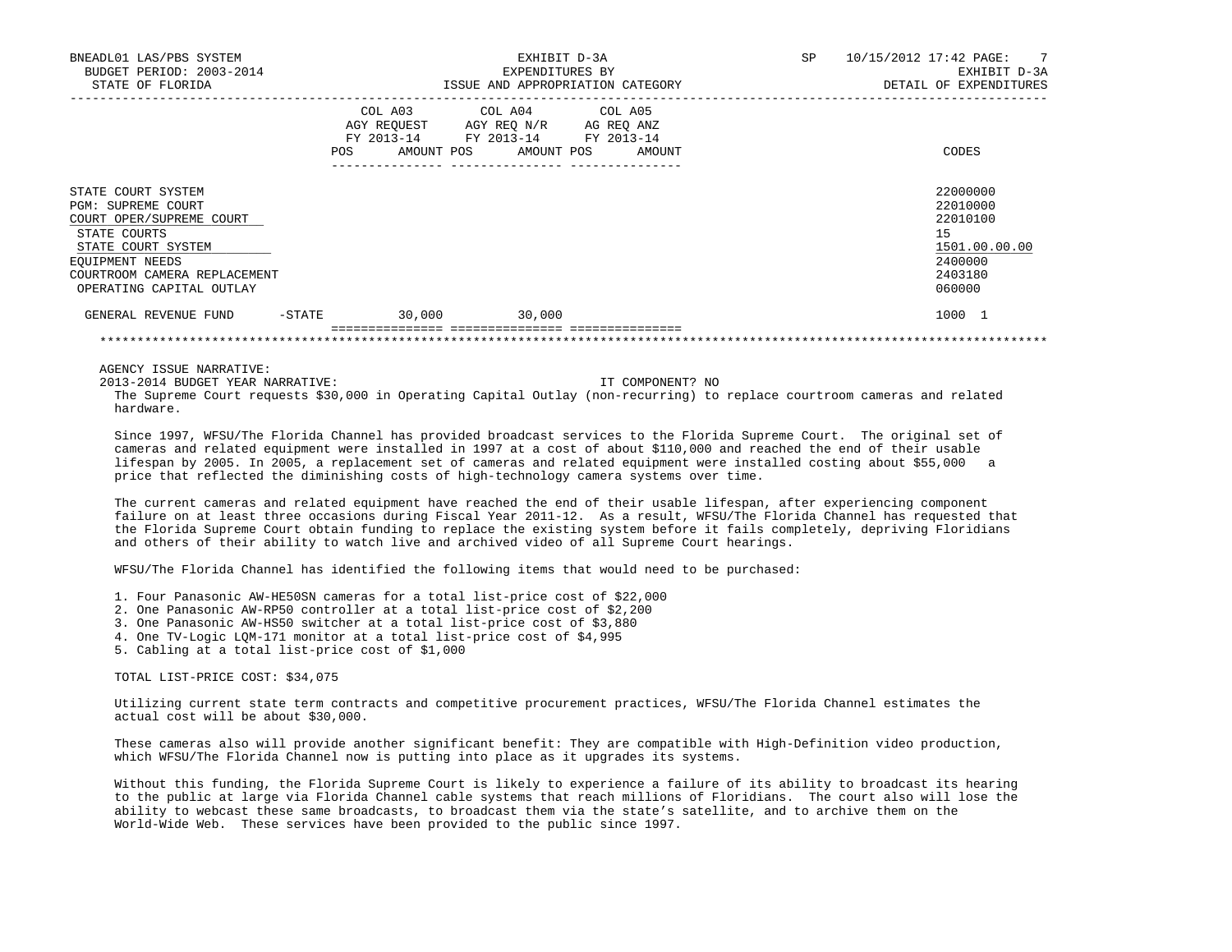| BNEADL01 LAS/PBS SYSTEM<br>BUDGET PERIOD: 2003-2014<br>STATE OF FLORIDA                                                                                                                   | EXHIBIT D-3A<br>EXPENDITURES BY<br>ISSUE AND APPROPRIATION CATEGORY |  |                                                                                                                                                                             |  | SP | 10/15/2012 17:42 PAGE: 7<br>EXHIBIT D-3A<br>DETAIL OF EXPENDITURES                      |
|-------------------------------------------------------------------------------------------------------------------------------------------------------------------------------------------|---------------------------------------------------------------------|--|-----------------------------------------------------------------------------------------------------------------------------------------------------------------------------|--|----|-----------------------------------------------------------------------------------------|
|                                                                                                                                                                                           |                                                                     |  | COL A03 COL A04 COL A05<br>AGY REQUEST AGY REQ N/R AG REQ ANZ<br>FY 2013-14 FY 2013-14 FY 2013-14<br>POS AMOUNT POS AMOUNT POS AMOUNT<br>__________________________________ |  |    | CODES                                                                                   |
| STATE COURT SYSTEM<br>PGM: SUPREME COURT<br>COURT OPER/SUPREME COURT<br>STATE COURTS<br>STATE COURT SYSTEM<br>EOUIPMENT NEEDS<br>COURTROOM CAMERA REPLACEMENT<br>OPERATING CAPITAL OUTLAY |                                                                     |  |                                                                                                                                                                             |  |    | 22000000<br>22010000<br>22010100<br>15<br>1501.00.00.00<br>2400000<br>2403180<br>060000 |
| GENERAL REVENUE FUND -STATE 30,000 30,000                                                                                                                                                 |                                                                     |  |                                                                                                                                                                             |  |    | 1000 1                                                                                  |
| AGENCY ISSUE NARRATIVE:                                                                                                                                                                   |                                                                     |  |                                                                                                                                                                             |  |    |                                                                                         |

 2013-2014 BUDGET YEAR NARRATIVE: IT COMPONENT? NO The Supreme Court requests \$30,000 in Operating Capital Outlay (non-recurring) to replace courtroom cameras and related hardware.

 Since 1997, WFSU/The Florida Channel has provided broadcast services to the Florida Supreme Court. The original set of cameras and related equipment were installed in 1997 at a cost of about \$110,000 and reached the end of their usable lifespan by 2005. In 2005, a replacement set of cameras and related equipment were installed costing about \$55,000 a price that reflected the diminishing costs of high-technology camera systems over time.

 The current cameras and related equipment have reached the end of their usable lifespan, after experiencing component failure on at least three occasions during Fiscal Year 2011-12. As a result, WFSU/The Florida Channel has requested that the Florida Supreme Court obtain funding to replace the existing system before it fails completely, depriving Floridians and others of their ability to watch live and archived video of all Supreme Court hearings.

WFSU/The Florida Channel has identified the following items that would need to be purchased:

- 1. Four Panasonic AW-HE50SN cameras for a total list-price cost of \$22,000
- 2. One Panasonic AW-RP50 controller at a total list-price cost of \$2,200
- 3. One Panasonic AW-HS50 switcher at a total list-price cost of \$3,880
- 4. One TV-Logic LQM-171 monitor at a total list-price cost of \$4,995
- 5. Cabling at a total list-price cost of \$1,000

# TOTAL LIST-PRICE COST: \$34,075

 Utilizing current state term contracts and competitive procurement practices, WFSU/The Florida Channel estimates the actual cost will be about \$30,000.

 These cameras also will provide another significant benefit: They are compatible with High-Definition video production, which WFSU/The Florida Channel now is putting into place as it upgrades its systems.

 Without this funding, the Florida Supreme Court is likely to experience a failure of its ability to broadcast its hearing to the public at large via Florida Channel cable systems that reach millions of Floridians. The court also will lose the ability to webcast these same broadcasts, to broadcast them via the state's satellite, and to archive them on the World-Wide Web. These services have been provided to the public since 1997.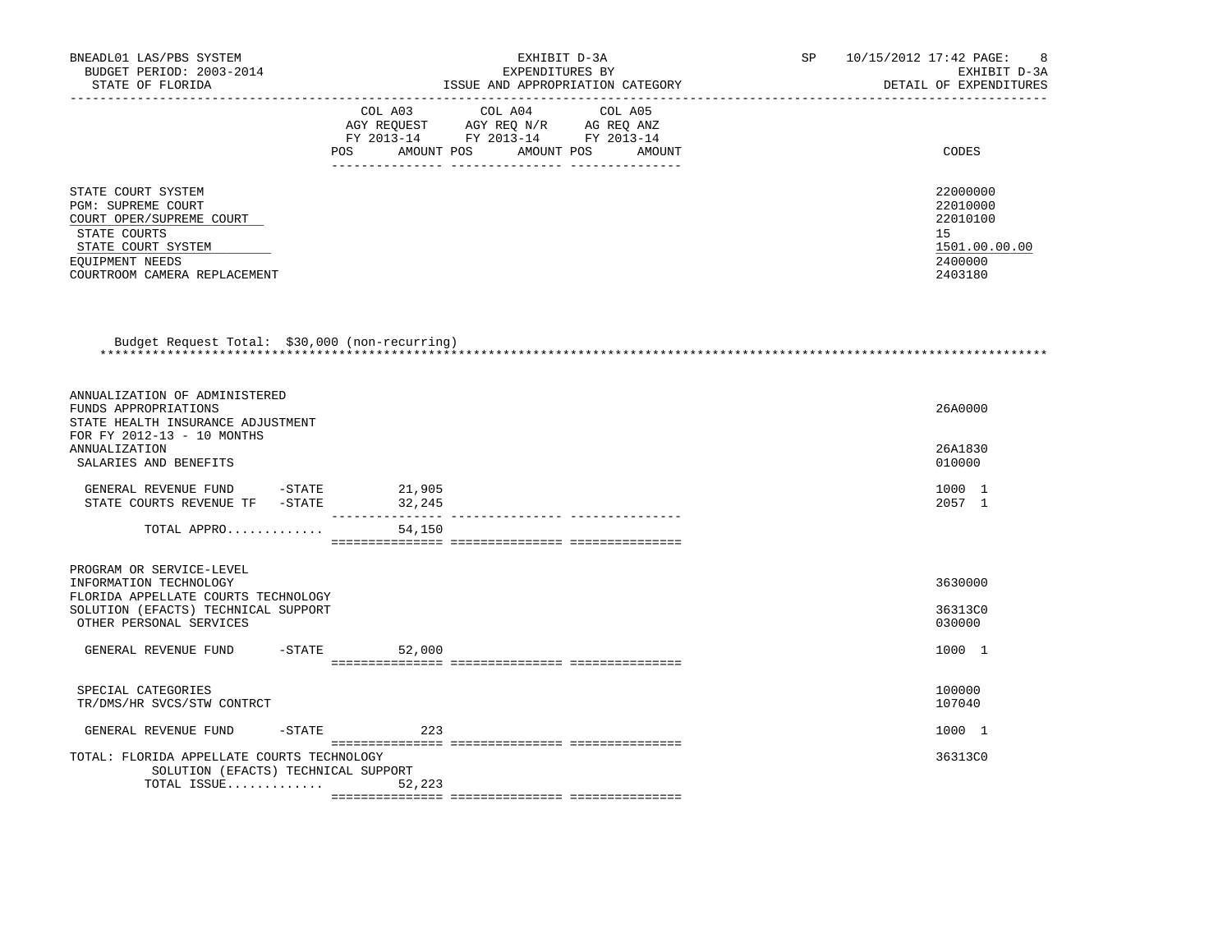| BNEADL01 LAS/PBS SYSTEM<br>BUDGET PERIOD: 2003-2014                                                                                                                  |         | EXHIBIT D-3A<br>EXPENDITURES BY                                                                                          |                                  | 10/15/2012 17:42 PAGE:<br>SP<br>EXHIBIT D-3A |                                                                               |  |
|----------------------------------------------------------------------------------------------------------------------------------------------------------------------|---------|--------------------------------------------------------------------------------------------------------------------------|----------------------------------|----------------------------------------------|-------------------------------------------------------------------------------|--|
| STATE OF FLORIDA                                                                                                                                                     |         |                                                                                                                          | ISSUE AND APPROPRIATION CATEGORY |                                              | DETAIL OF EXPENDITURES                                                        |  |
|                                                                                                                                                                      | COL A03 | COL A04<br>CO AGY REQUEST AGY REQ N/R AG REQ ANZ<br>FY 2013-14 FY 2013-14 FY 2013-14<br>POS AMOUNT POS AMOUNT POS AMOUNT | COL A05                          |                                              | CODES                                                                         |  |
| STATE COURT SYSTEM<br><b>PGM: SUPREME COURT</b><br>COURT OPER/SUPREME COURT<br>STATE COURTS<br>STATE COURT SYSTEM<br>EQUIPMENT NEEDS<br>COURTROOM CAMERA REPLACEMENT |         |                                                                                                                          |                                  |                                              | 22000000<br>22010000<br>22010100<br>15<br>1501.00.00.00<br>2400000<br>2403180 |  |
| Budget Request Total: \$30,000 (non-recurring)                                                                                                                       |         |                                                                                                                          |                                  |                                              |                                                                               |  |
| ANNUALIZATION OF ADMINISTERED<br>FUNDS APPROPRIATIONS<br>STATE HEALTH INSURANCE ADJUSTMENT<br>FOR FY 2012-13 - 10 MONTHS                                             |         |                                                                                                                          |                                  |                                              | 26A0000                                                                       |  |
| ANNUALIZATION<br>SALARIES AND BENEFITS                                                                                                                               |         |                                                                                                                          |                                  |                                              | 26A1830<br>010000                                                             |  |
| GENERAL REVENUE FUND -STATE 21,905<br>STATE COURTS REVENUE TF - STATE                                                                                                | 32,245  |                                                                                                                          |                                  |                                              | 1000 1<br>2057 1                                                              |  |
| TOTAL APPRO                                                                                                                                                          | 54,150  |                                                                                                                          |                                  |                                              |                                                                               |  |
| PROGRAM OR SERVICE-LEVEL<br>INFORMATION TECHNOLOGY<br>FLORIDA APPELLATE COURTS TECHNOLOGY<br>SOLUTION (EFACTS) TECHNICAL SUPPORT<br>OTHER PERSONAL SERVICES          |         |                                                                                                                          |                                  |                                              | 3630000<br>36313C0<br>030000                                                  |  |
| GENERAL REVENUE FUND -STATE                                                                                                                                          | 52,000  |                                                                                                                          |                                  |                                              | 1000 1                                                                        |  |
| SPECIAL CATEGORIES<br>TR/DMS/HR SVCS/STW CONTRCT                                                                                                                     |         |                                                                                                                          |                                  |                                              | 100000<br>107040                                                              |  |
| $-$ STATE<br>GENERAL REVENUE FUND                                                                                                                                    | 223     |                                                                                                                          |                                  |                                              | 1000 1                                                                        |  |
| TOTAL: FLORIDA APPELLATE COURTS TECHNOLOGY<br>SOLUTION (EFACTS) TECHNICAL SUPPORT<br>TOTAL ISSUE $52,223$                                                            |         |                                                                                                                          |                                  |                                              | 36313C0                                                                       |  |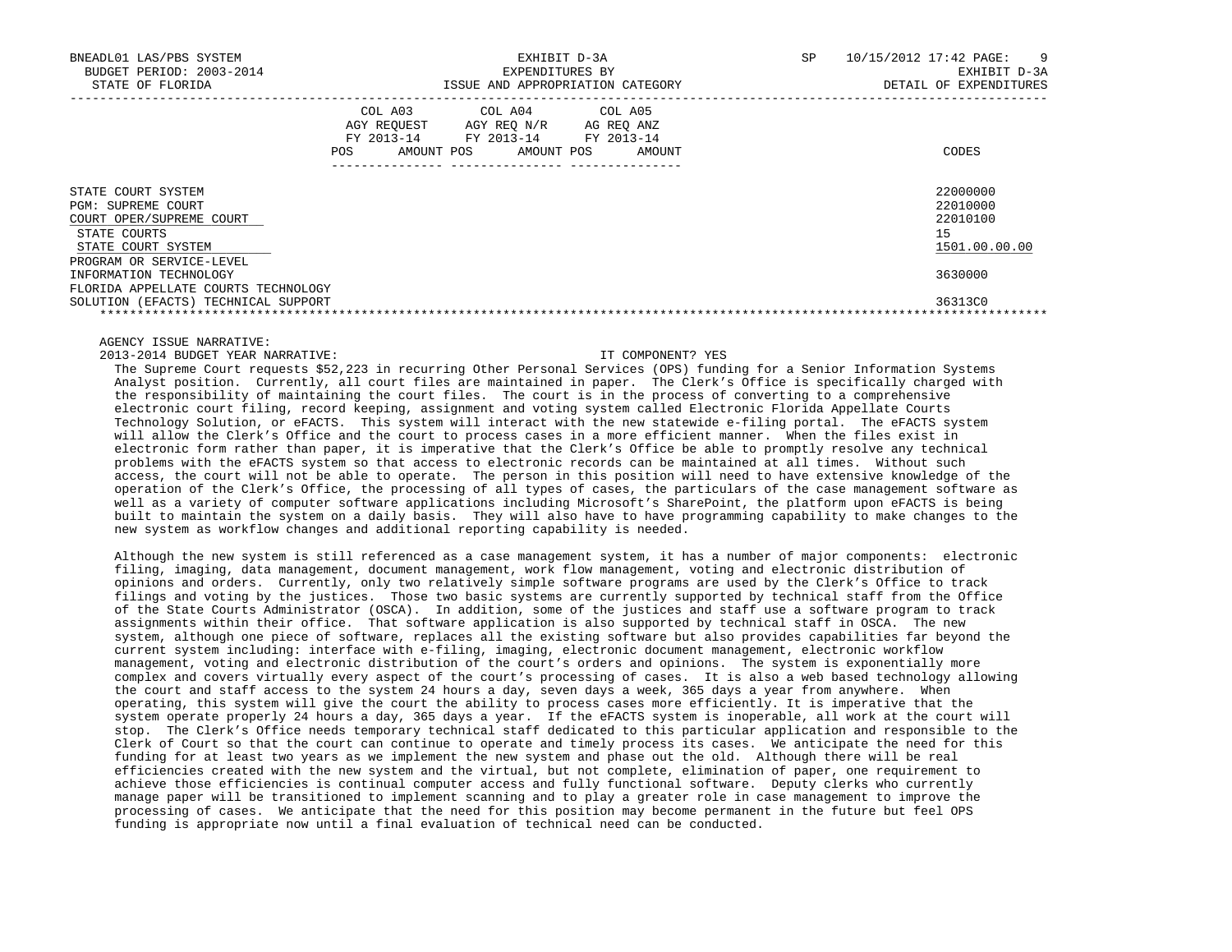| BNEADL01 LAS/PBS SYSTEM<br>BUDGET PERIOD: 2003-2014<br>STATE OF FLORIDA                                                          | EXHIBIT D-3A<br>EXPENDITURES BY<br>ISSUE AND APPROPRIATION CATEGORY |                                                                                     |                      | 10/15/2012 17:42 PAGE:<br>SP. | - 9<br>EXHIBIT D-3A<br>DETAIL OF EXPENDITURES     |
|----------------------------------------------------------------------------------------------------------------------------------|---------------------------------------------------------------------|-------------------------------------------------------------------------------------|----------------------|-------------------------------|---------------------------------------------------|
|                                                                                                                                  | COL A03<br>AGY REOUEST<br>FY 2013-14<br>POS                         | COL A04 COL A05<br>AGY REO N/R<br>FY 2013-14 FY 2013-14<br>AMOUNT POS<br>AMOUNT POS | AG REO ANZ<br>AMOUNT |                               | CODES                                             |
| STATE COURT SYSTEM<br>PGM: SUPREME COURT<br>COURT OPER/SUPREME COURT<br>STATE COURTS<br>STATE COURT SYSTEM                       |                                                                     |                                                                                     |                      | 15                            | 22000000<br>22010000<br>22010100<br>1501.00.00.00 |
| PROGRAM OR SERVICE-LEVEL<br>INFORMATION TECHNOLOGY<br>FLORIDA APPELLATE COURTS TECHNOLOGY<br>SOLUTION (EFACTS) TECHNICAL SUPPORT |                                                                     |                                                                                     |                      |                               | 3630000<br>36313C0                                |

2013-2014 BUDGET YEAR NARRATIVE: IT COMPONENT? YES

 The Supreme Court requests \$52,223 in recurring Other Personal Services (OPS) funding for a Senior Information Systems Analyst position. Currently, all court files are maintained in paper. The Clerk's Office is specifically charged with the responsibility of maintaining the court files. The court is in the process of converting to a comprehensive electronic court filing, record keeping, assignment and voting system called Electronic Florida Appellate Courts Technology Solution, or eFACTS. This system will interact with the new statewide e-filing portal. The eFACTS system will allow the Clerk's Office and the court to process cases in a more efficient manner. When the files exist in electronic form rather than paper, it is imperative that the Clerk's Office be able to promptly resolve any technical problems with the eFACTS system so that access to electronic records can be maintained at all times. Without such access, the court will not be able to operate. The person in this position will need to have extensive knowledge of the operation of the Clerk's Office, the processing of all types of cases, the particulars of the case management software as well as a variety of computer software applications including Microsoft's SharePoint, the platform upon eFACTS is being built to maintain the system on a daily basis. They will also have to have programming capability to make changes to the new system as workflow changes and additional reporting capability is needed.

 Although the new system is still referenced as a case management system, it has a number of major components: electronic filing, imaging, data management, document management, work flow management, voting and electronic distribution of opinions and orders. Currently, only two relatively simple software programs are used by the Clerk's Office to track filings and voting by the justices. Those two basic systems are currently supported by technical staff from the Office of the State Courts Administrator (OSCA). In addition, some of the justices and staff use a software program to track assignments within their office. That software application is also supported by technical staff in OSCA. The new system, although one piece of software, replaces all the existing software but also provides capabilities far beyond the current system including: interface with e-filing, imaging, electronic document management, electronic workflow management, voting and electronic distribution of the court's orders and opinions. The system is exponentially more complex and covers virtually every aspect of the court's processing of cases. It is also a web based technology allowing the court and staff access to the system 24 hours a day, seven days a week, 365 days a year from anywhere. When operating, this system will give the court the ability to process cases more efficiently. It is imperative that the system operate properly 24 hours a day, 365 days a year. If the eFACTS system is inoperable, all work at the court will stop. The Clerk's Office needs temporary technical staff dedicated to this particular application and responsible to the Clerk of Court so that the court can continue to operate and timely process its cases. We anticipate the need for this funding for at least two years as we implement the new system and phase out the old. Although there will be real efficiencies created with the new system and the virtual, but not complete, elimination of paper, one requirement to achieve those efficiencies is continual computer access and fully functional software. Deputy clerks who currently manage paper will be transitioned to implement scanning and to play a greater role in case management to improve the processing of cases. We anticipate that the need for this position may become permanent in the future but feel OPS funding is appropriate now until a final evaluation of technical need can be conducted.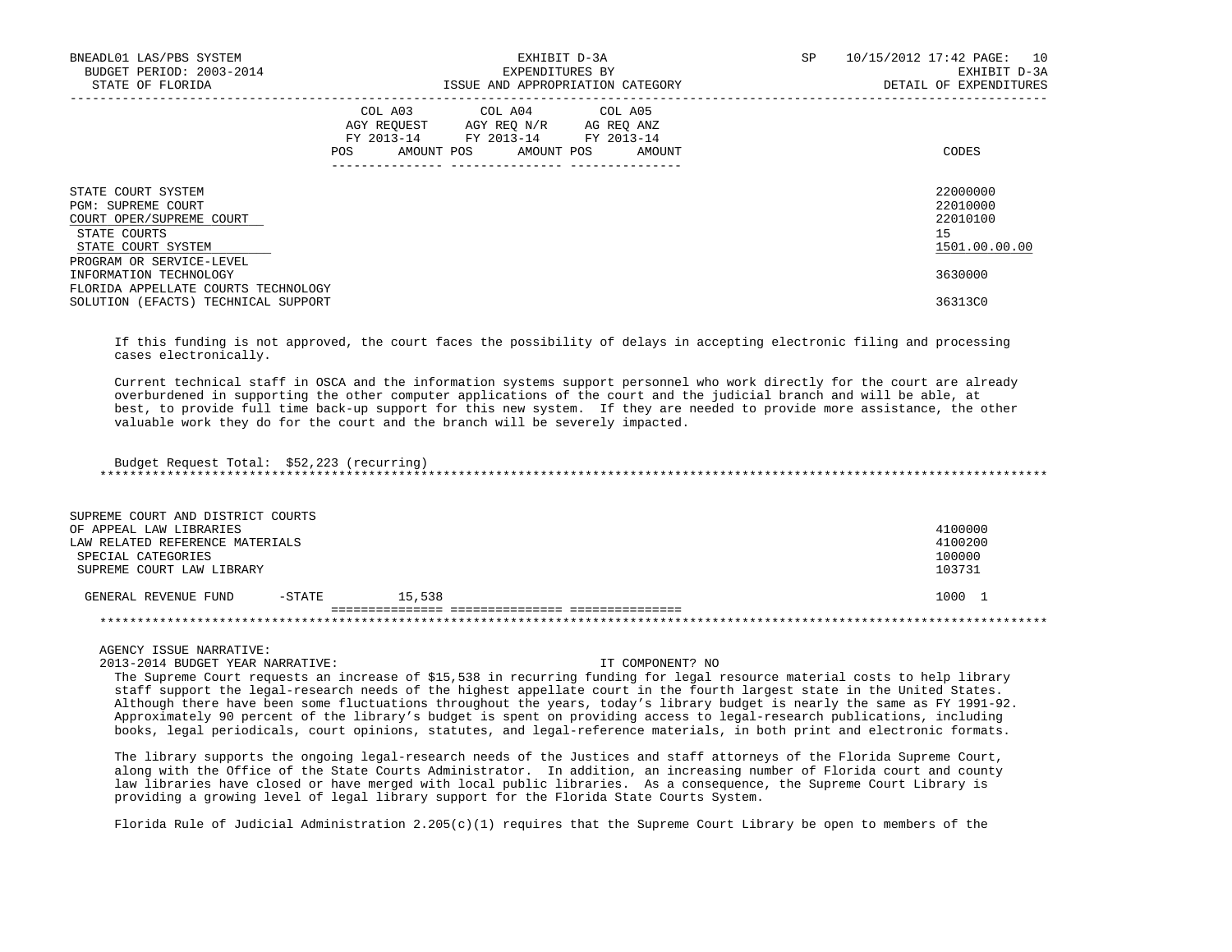| BNEADL01 LAS/PBS SYSTEM<br>BUDGET PERIOD: 2003-2014<br>STATE OF FLORIDA                                    | EXHIBIT D-3A<br>EXPENDITURES BY<br>ISSUE AND APPROPRIATION CATEGORY                                                                   | SP | 10/15/2012 17:42 PAGE: 10<br>EXHIBIT D-3A<br>DETAIL OF EXPENDITURES |
|------------------------------------------------------------------------------------------------------------|---------------------------------------------------------------------------------------------------------------------------------------|----|---------------------------------------------------------------------|
|                                                                                                            | COL A03 COL A04 COL A05<br>AGY REQUEST AGY REQ N/R AG REQ ANZ<br>FY 2013-14 FY 2013-14 FY 2013-14<br>POS AMOUNT POS AMOUNT POS AMOUNT |    | CODES                                                               |
| STATE COURT SYSTEM<br>PGM: SUPREME COURT<br>COURT OPER/SUPREME COURT<br>STATE COURTS<br>STATE COURT SYSTEM |                                                                                                                                       |    | 22000000<br>22010000<br>22010100<br>15<br>1501.00.00.00             |
| PROGRAM OR SERVICE-LEVEL<br>INFORMATION TECHNOLOGY<br>FLORIDA APPELLATE COURTS TECHNOLOGY                  |                                                                                                                                       |    | 3630000                                                             |
| SOLUTION (EFACTS) TECHNICAL SUPPORT                                                                        |                                                                                                                                       |    | 36313C0                                                             |

 If this funding is not approved, the court faces the possibility of delays in accepting electronic filing and processing cases electronically.

 Current technical staff in OSCA and the information systems support personnel who work directly for the court are already overburdened in supporting the other computer applications of the court and the judicial branch and will be able, at best, to provide full time back-up support for this new system. If they are needed to provide more assistance, the other valuable work they do for the court and the branch will be severely impacted.

 Budget Request Total: \$52,223 (recurring) \*\*\*\*\*\*\*\*\*\*\*\*\*\*\*\*\*\*\*\*\*\*\*\*\*\*\*\*\*\*\*\*\*\*\*\*\*\*\*\*\*\*\*\*\*\*\*\*\*\*\*\*\*\*\*\*\*\*\*\*\*\*\*\*\*\*\*\*\*\*\*\*\*\*\*\*\*\*\*\*\*\*\*\*\*\*\*\*\*\*\*\*\*\*\*\*\*\*\*\*\*\*\*\*\*\*\*\*\*\*\*\*\*\*\*\*\*\*\*\*\*\*\*\*\*\*\*

| SUPREME COURT AND DISTRICT COURTS |        |        |         |
|-----------------------------------|--------|--------|---------|
| OF APPEAL LAW LIBRARIES           |        |        | 4100000 |
| LAW RELATED REFERENCE MATERIALS   |        |        | 4100200 |
| SPECIAL CATEGORIES                |        |        | 100000  |
| SUPREME COURT LAW LIBRARY         |        |        | 103731  |
| GENERAL REVENUE FUND              | -STATE | 15.538 | 1000 1  |
|                                   |        |        |         |
|                                   |        |        |         |

AGENCY ISSUE NARRATIVE:

2013-2014 BUDGET YEAR NARRATIVE: IT COMPONENT? NO

 The Supreme Court requests an increase of \$15,538 in recurring funding for legal resource material costs to help library staff support the legal-research needs of the highest appellate court in the fourth largest state in the United States. Although there have been some fluctuations throughout the years, today's library budget is nearly the same as FY 1991-92. Approximately 90 percent of the library's budget is spent on providing access to legal-research publications, including books, legal periodicals, court opinions, statutes, and legal-reference materials, in both print and electronic formats.

 The library supports the ongoing legal-research needs of the Justices and staff attorneys of the Florida Supreme Court, along with the Office of the State Courts Administrator. In addition, an increasing number of Florida court and county law libraries have closed or have merged with local public libraries. As a consequence, the Supreme Court Library is providing a growing level of legal library support for the Florida State Courts System.

Florida Rule of Judicial Administration  $2.205(c)(1)$  requires that the Supreme Court Library be open to members of the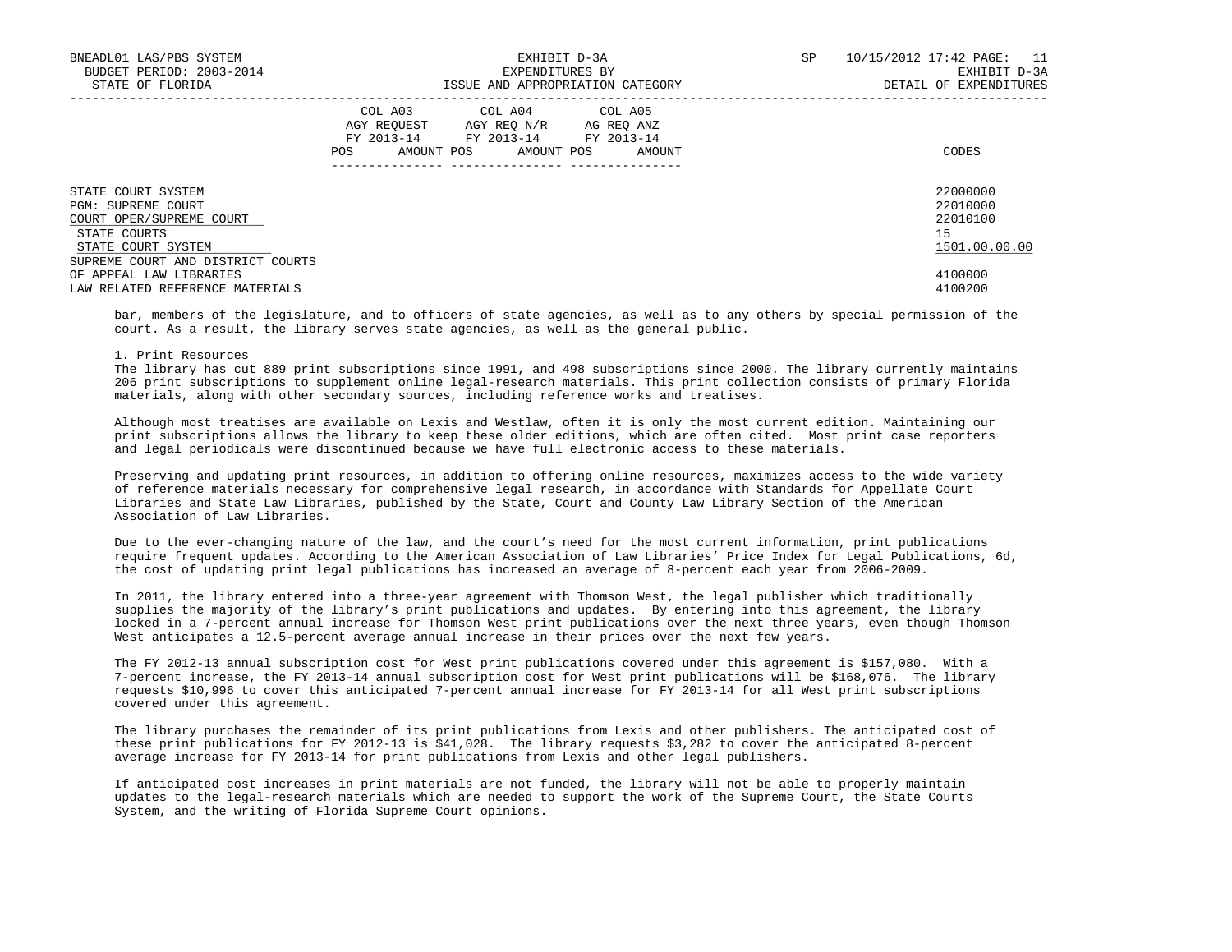| BNEADL01 LAS/PBS SYSTEM<br>BUDGET PERIOD: 2003-2014<br>STATE OF FLORIDA                                                                         | EXHIBIT D-3A<br>EXPENDITURES BY<br>ISSUE AND APPROPRIATION CATEGORY                                                                            | SP<br>10/15/2012 17:42 PAGE: 11<br>EXHIBIT D-3A<br>DETAIL OF EXPENDITURES |
|-------------------------------------------------------------------------------------------------------------------------------------------------|------------------------------------------------------------------------------------------------------------------------------------------------|---------------------------------------------------------------------------|
|                                                                                                                                                 | COL A03 COL A04 COL A05<br>AGY REOUEST<br>AGY REO N/R AG REO ANZ<br>FY 2013-14 FY 2013-14 FY 2013-14<br>AMOUNT POS AMOUNT POS<br>AMOUNT<br>POS | CODES                                                                     |
| STATE COURT SYSTEM<br>PGM: SUPREME COURT<br>COURT OPER/SUPREME COURT<br>STATE COURTS<br>STATE COURT SYSTEM<br>SUPREME COURT AND DISTRICT COURTS |                                                                                                                                                | 22000000<br>22010000<br>22010100<br>15<br>1501.00.00.00                   |
| OF APPEAL LAW LIBRARIES<br>LAW RELATED REFERENCE MATERIALS                                                                                      |                                                                                                                                                | 4100000<br>4100200                                                        |

 bar, members of the legislature, and to officers of state agencies, as well as to any others by special permission of the court. As a result, the library serves state agencies, as well as the general public.

### 1. Print Resources

 The library has cut 889 print subscriptions since 1991, and 498 subscriptions since 2000. The library currently maintains 206 print subscriptions to supplement online legal-research materials. This print collection consists of primary Florida materials, along with other secondary sources, including reference works and treatises.

 Although most treatises are available on Lexis and Westlaw, often it is only the most current edition. Maintaining our print subscriptions allows the library to keep these older editions, which are often cited. Most print case reporters and legal periodicals were discontinued because we have full electronic access to these materials.

 Preserving and updating print resources, in addition to offering online resources, maximizes access to the wide variety of reference materials necessary for comprehensive legal research, in accordance with Standards for Appellate Court Libraries and State Law Libraries, published by the State, Court and County Law Library Section of the American Association of Law Libraries.

 Due to the ever-changing nature of the law, and the court's need for the most current information, print publications require frequent updates. According to the American Association of Law Libraries' Price Index for Legal Publications, 6d, the cost of updating print legal publications has increased an average of 8-percent each year from 2006-2009.

 In 2011, the library entered into a three-year agreement with Thomson West, the legal publisher which traditionally supplies the majority of the library's print publications and updates. By entering into this agreement, the library locked in a 7-percent annual increase for Thomson West print publications over the next three years, even though Thomson West anticipates a 12.5-percent average annual increase in their prices over the next few years.

 The FY 2012-13 annual subscription cost for West print publications covered under this agreement is \$157,080. With a 7-percent increase, the FY 2013-14 annual subscription cost for West print publications will be \$168,076. The library requests \$10,996 to cover this anticipated 7-percent annual increase for FY 2013-14 for all West print subscriptions covered under this agreement.

 The library purchases the remainder of its print publications from Lexis and other publishers. The anticipated cost of these print publications for FY 2012-13 is \$41,028. The library requests \$3,282 to cover the anticipated 8-percent average increase for FY 2013-14 for print publications from Lexis and other legal publishers.

 If anticipated cost increases in print materials are not funded, the library will not be able to properly maintain updates to the legal-research materials which are needed to support the work of the Supreme Court, the State Courts System, and the writing of Florida Supreme Court opinions.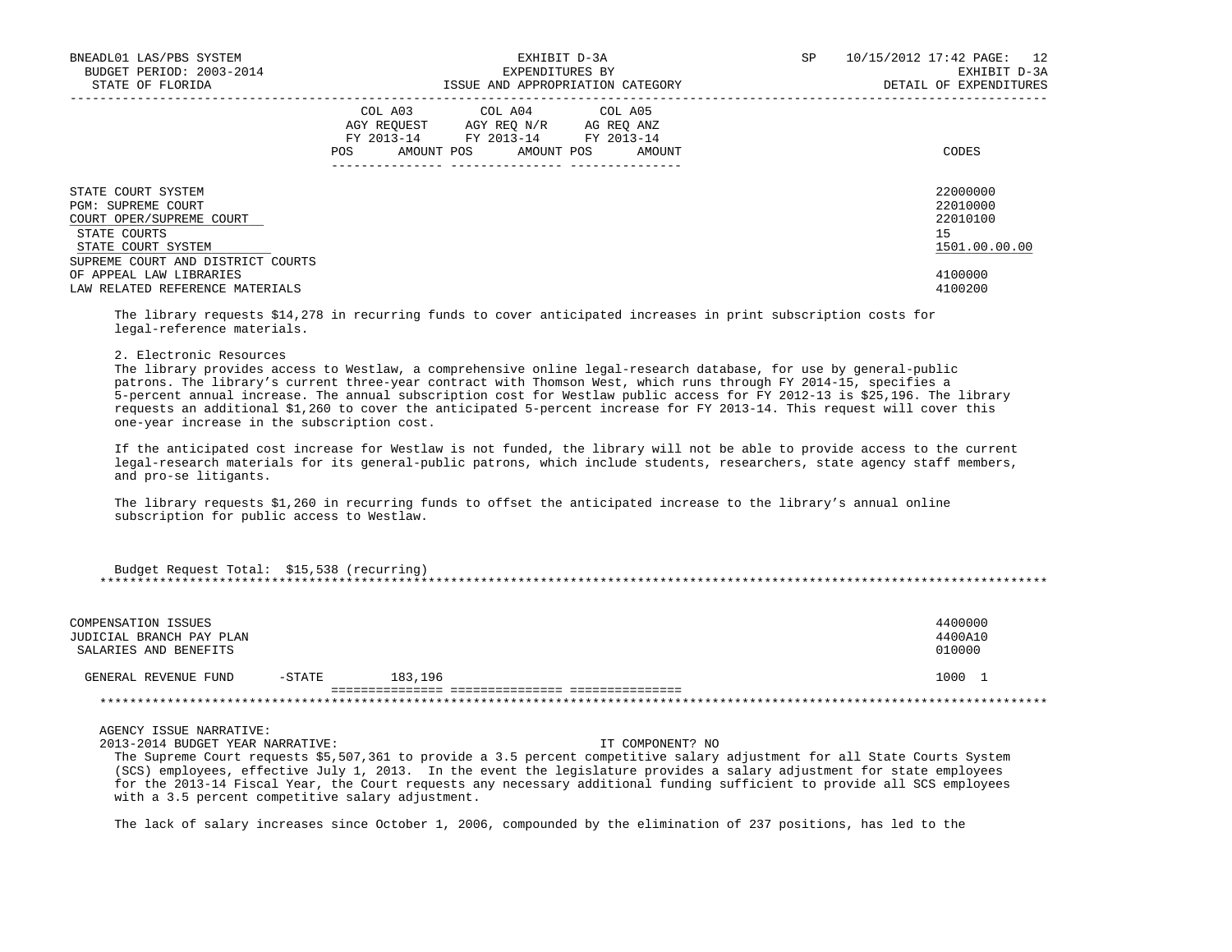| BNEADL01 LAS/PBS SYSTEM<br>BUDGET PERIOD: 2003-2014<br>STATE OF FLORIDA                                    | EXHIBIT D-3A<br>EXPENDITURES BY<br>ISSUE AND APPROPRIATION CATEGORY                                                               | SP<br>10/15/2012 17:42 PAGE: 12<br>EXHIBIT D-3A<br>DETAIL OF EXPENDITURES |
|------------------------------------------------------------------------------------------------------------|-----------------------------------------------------------------------------------------------------------------------------------|---------------------------------------------------------------------------|
|                                                                                                            | COL A03 COL A04 COL A05<br>AGY REQUEST AGY REQ N/R AG REQ ANZ<br>FY 2013-14 FY 2013-14 FY 2013-14<br>AMOUNT POS AMOUNT POS<br>POS | CODES<br>AMOUNT                                                           |
| STATE COURT SYSTEM<br>PGM: SUPREME COURT<br>COURT OPER/SUPREME COURT<br>STATE COURTS<br>STATE COURT SYSTEM |                                                                                                                                   | 22000000<br>22010000<br>22010100<br>15<br>1501.00.00.00                   |
| SUPREME COURT AND DISTRICT COURTS<br>OF APPEAL LAW LIBRARIES<br>LAW RELATED REFERENCE MATERIALS            |                                                                                                                                   | 4100000<br>4100200                                                        |

 The library requests \$14,278 in recurring funds to cover anticipated increases in print subscription costs for legal-reference materials.

## 2. Electronic Resources

 The library provides access to Westlaw, a comprehensive online legal-research database, for use by general-public patrons. The library's current three-year contract with Thomson West, which runs through FY 2014-15, specifies a 5-percent annual increase. The annual subscription cost for Westlaw public access for FY 2012-13 is \$25,196. The library requests an additional \$1,260 to cover the anticipated 5-percent increase for FY 2013-14. This request will cover this one-year increase in the subscription cost.

 If the anticipated cost increase for Westlaw is not funded, the library will not be able to provide access to the current legal-research materials for its general-public patrons, which include students, researchers, state agency staff members, and pro-se litigants.

 The library requests \$1,260 in recurring funds to offset the anticipated increase to the library's annual online subscription for public access to Westlaw.

| Budget Request Total: \$15,538 (recurring) |  |
|--------------------------------------------|--|
|                                            |  |
|                                            |  |
|                                            |  |

| COMPENSATION ISSUES<br>JUDICIAL BRANCH PAY PLAN<br>SALARIES AND BENEFITS |           |         | 4400000<br>4400A10<br>010000 |
|--------------------------------------------------------------------------|-----------|---------|------------------------------|
| GENERAL REVENUE FUND                                                     | $-$ STATE | 183,196 | 1000                         |
|                                                                          |           |         |                              |

AGENCY ISSUE NARRATIVE:

2013-2014 BUDGET YEAR NARRATIVE: IT COMPONENT? NO

 The Supreme Court requests \$5,507,361 to provide a 3.5 percent competitive salary adjustment for all State Courts System (SCS) employees, effective July 1, 2013. In the event the legislature provides a salary adjustment for state employees for the 2013-14 Fiscal Year, the Court requests any necessary additional funding sufficient to provide all SCS employees with a 3.5 percent competitive salary adjustment.

The lack of salary increases since October 1, 2006, compounded by the elimination of 237 positions, has led to the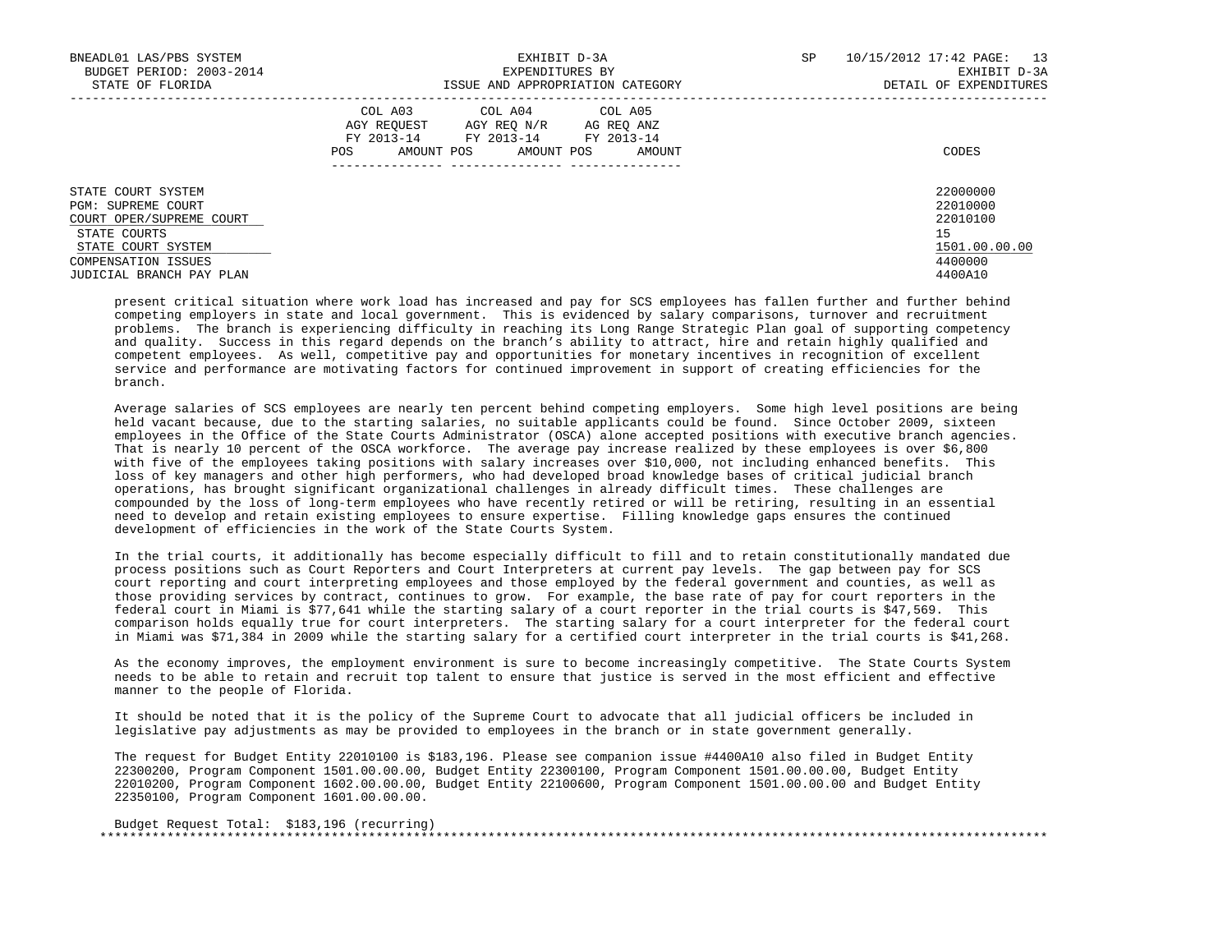| BNEADL01 LAS/PBS SYSTEM<br>BUDGET PERIOD: 2003-2014<br>STATE OF FLORIDA                                                                                       | EXHIBIT D-3A<br>EXPENDITURES BY<br>ISSUE AND APPROPRIATION CATEGORY                                                                                  | SP<br>10/15/2012 17:42 PAGE: 13<br>EXHIBIT D-3A<br>DETAIL OF EXPENDITURES       |
|---------------------------------------------------------------------------------------------------------------------------------------------------------------|------------------------------------------------------------------------------------------------------------------------------------------------------|---------------------------------------------------------------------------------|
|                                                                                                                                                               | COL A03 COL A04 COL A05<br>AGY REOUEST<br>AGY REO N/R<br>AG REO ANZ<br>FY 2013-14 FY 2013-14 FY 2013-14<br>AMOUNT POS<br>AMOUNT POS<br>AMOUNT<br>POS | CODES                                                                           |
| STATE COURT SYSTEM<br>PGM: SUPREME COURT<br>COURT OPER/SUPREME COURT<br>STATE COURTS<br>STATE COURT SYSTEM<br>COMPENSATION ISSUES<br>JUDICIAL BRANCH PAY PLAN |                                                                                                                                                      | 22000000<br>22010000<br>22010100<br>15<br>1501.00.00.00<br>4400000<br>4400 A 10 |

 present critical situation where work load has increased and pay for SCS employees has fallen further and further behind competing employers in state and local government. This is evidenced by salary comparisons, turnover and recruitment problems. The branch is experiencing difficulty in reaching its Long Range Strategic Plan goal of supporting competency and quality. Success in this regard depends on the branch's ability to attract, hire and retain highly qualified and competent employees. As well, competitive pay and opportunities for monetary incentives in recognition of excellent service and performance are motivating factors for continued improvement in support of creating efficiencies for the branch.

 Average salaries of SCS employees are nearly ten percent behind competing employers. Some high level positions are being held vacant because, due to the starting salaries, no suitable applicants could be found. Since October 2009, sixteen employees in the Office of the State Courts Administrator (OSCA) alone accepted positions with executive branch agencies. That is nearly 10 percent of the OSCA workforce. The average pay increase realized by these employees is over \$6,800 with five of the employees taking positions with salary increases over \$10,000, not including enhanced benefits. This loss of key managers and other high performers, who had developed broad knowledge bases of critical judicial branch operations, has brought significant organizational challenges in already difficult times. These challenges are compounded by the loss of long-term employees who have recently retired or will be retiring, resulting in an essential need to develop and retain existing employees to ensure expertise. Filling knowledge gaps ensures the continued development of efficiencies in the work of the State Courts System.

 In the trial courts, it additionally has become especially difficult to fill and to retain constitutionally mandated due process positions such as Court Reporters and Court Interpreters at current pay levels. The gap between pay for SCS court reporting and court interpreting employees and those employed by the federal government and counties, as well as those providing services by contract, continues to grow. For example, the base rate of pay for court reporters in the federal court in Miami is \$77,641 while the starting salary of a court reporter in the trial courts is \$47,569. This comparison holds equally true for court interpreters. The starting salary for a court interpreter for the federal court in Miami was \$71,384 in 2009 while the starting salary for a certified court interpreter in the trial courts is \$41,268.

 As the economy improves, the employment environment is sure to become increasingly competitive. The State Courts System needs to be able to retain and recruit top talent to ensure that justice is served in the most efficient and effective manner to the people of Florida.

 It should be noted that it is the policy of the Supreme Court to advocate that all judicial officers be included in legislative pay adjustments as may be provided to employees in the branch or in state government generally.

 The request for Budget Entity 22010100 is \$183,196. Please see companion issue #4400A10 also filed in Budget Entity 22300200, Program Component 1501.00.00.00, Budget Entity 22300100, Program Component 1501.00.00.00, Budget Entity 22010200, Program Component 1602.00.00.00, Budget Entity 22100600, Program Component 1501.00.00.00 and Budget Entity 22350100, Program Component 1601.00.00.00.

| Budget Request Total: \$183,196 (recurring) |  |
|---------------------------------------------|--|
|                                             |  |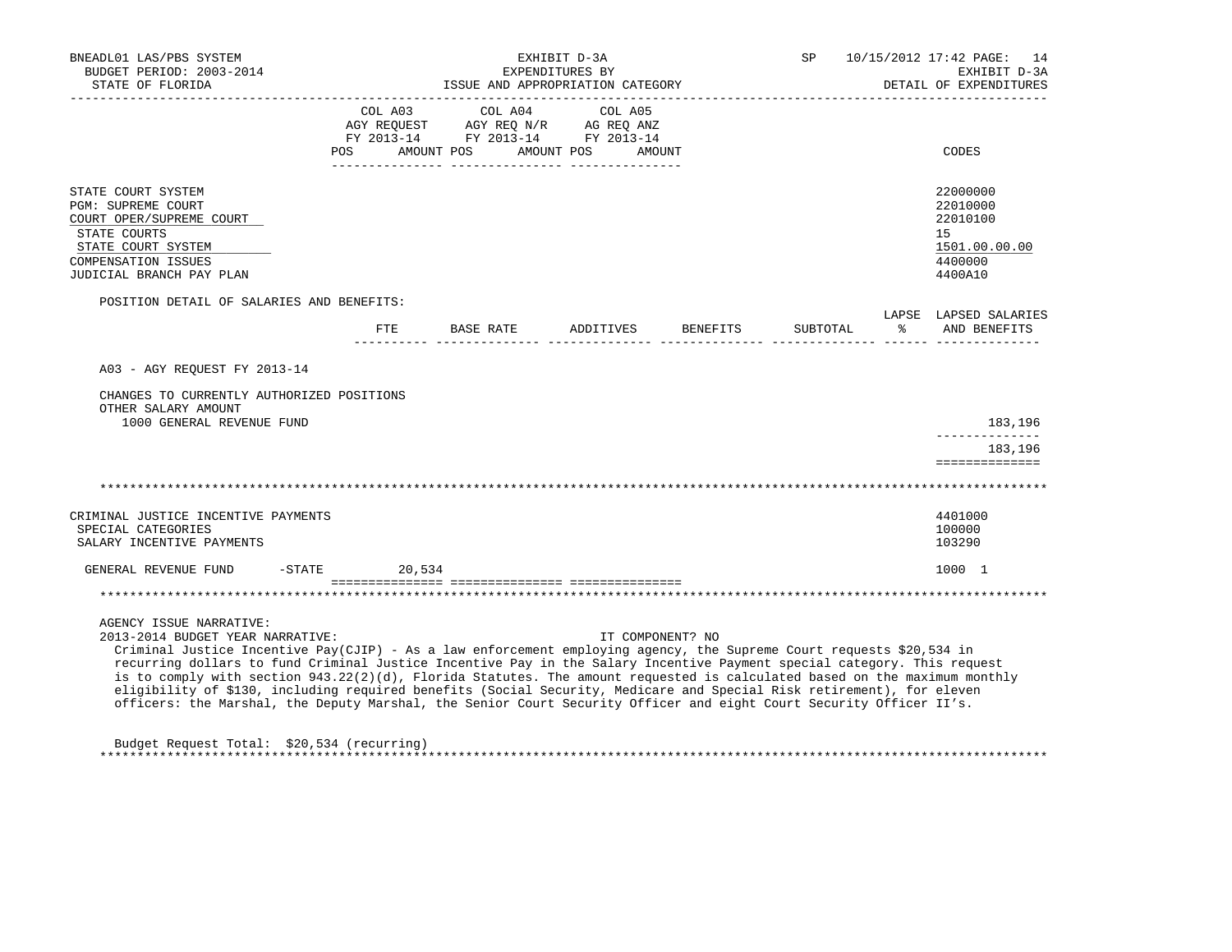| BNEADL01 LAS/PBS SYSTEM<br>BUDGET PERIOD: 2003-2014<br>STATE OF FLORIDA                                                                                                                                                                                                                                                                                                                                                                                                                                                                                                                                                                                                                        |              |                                                                                                                                                                                                                                         | EXHIBIT D-3A<br>EXPENDITURES BY<br>ISSUE AND APPROPRIATION CATEGORY |                  | SP                                              |           | 10/15/2012 17:42 PAGE: 14<br>EXHIBIT D-3A<br>DETAIL OF EXPENDITURES           |
|------------------------------------------------------------------------------------------------------------------------------------------------------------------------------------------------------------------------------------------------------------------------------------------------------------------------------------------------------------------------------------------------------------------------------------------------------------------------------------------------------------------------------------------------------------------------------------------------------------------------------------------------------------------------------------------------|--------------|-----------------------------------------------------------------------------------------------------------------------------------------------------------------------------------------------------------------------------------------|---------------------------------------------------------------------|------------------|-------------------------------------------------|-----------|-------------------------------------------------------------------------------|
|                                                                                                                                                                                                                                                                                                                                                                                                                                                                                                                                                                                                                                                                                                | POS          | COL A03 COL A04<br>$\begin{tabular}{lllllllll} \bf AGY \,\,\, REQUEST \,\,\, & \bf AGY \,\, REQ \,\, N/R & \,\, AC \,\, REQ \,\, ANZ \\ \bf FY \,\, 2013-14 & \bf FY \,\, 2013-14 & \bf FY \,\, 2013-14 \\ \end{tabular}$<br>AMOUNT POS | COL A05<br>AMOUNT POS<br>AMOUNT                                     |                  |                                                 |           | CODES                                                                         |
| STATE COURT SYSTEM<br><b>PGM: SUPREME COURT</b><br>COURT OPER/SUPREME COURT<br>STATE COURTS<br>STATE COURT SYSTEM<br><b>COMPENSATION ISSUES</b><br>JUDICIAL BRANCH PAY PLAN                                                                                                                                                                                                                                                                                                                                                                                                                                                                                                                    |              |                                                                                                                                                                                                                                         |                                                                     |                  |                                                 |           | 22000000<br>22010000<br>22010100<br>15<br>1501.00.00.00<br>4400000<br>4400A10 |
| POSITION DETAIL OF SALARIES AND BENEFITS:                                                                                                                                                                                                                                                                                                                                                                                                                                                                                                                                                                                                                                                      |              |                                                                                                                                                                                                                                         |                                                                     |                  |                                                 |           | LAPSE LAPSED SALARIES                                                         |
|                                                                                                                                                                                                                                                                                                                                                                                                                                                                                                                                                                                                                                                                                                | $_{\rm FTE}$ | BASE RATE                                                                                                                                                                                                                               | ADDITIVES                                                           | BENEFITS         | SUBTOTAL<br>_____ _______________ ______ ______ | $\approx$ | AND BENEFITS                                                                  |
| A03 - AGY REOUEST FY 2013-14                                                                                                                                                                                                                                                                                                                                                                                                                                                                                                                                                                                                                                                                   |              |                                                                                                                                                                                                                                         |                                                                     |                  |                                                 |           |                                                                               |
| CHANGES TO CURRENTLY AUTHORIZED POSITIONS<br>OTHER SALARY AMOUNT<br>1000 GENERAL REVENUE FUND                                                                                                                                                                                                                                                                                                                                                                                                                                                                                                                                                                                                  |              |                                                                                                                                                                                                                                         |                                                                     |                  |                                                 |           | 183,196<br>___________<br>183,196<br>==============                           |
| CRIMINAL JUSTICE INCENTIVE PAYMENTS                                                                                                                                                                                                                                                                                                                                                                                                                                                                                                                                                                                                                                                            |              |                                                                                                                                                                                                                                         |                                                                     |                  |                                                 |           | 4401000                                                                       |
| SPECIAL CATEGORIES<br>SALARY INCENTIVE PAYMENTS                                                                                                                                                                                                                                                                                                                                                                                                                                                                                                                                                                                                                                                |              |                                                                                                                                                                                                                                         |                                                                     |                  |                                                 |           | 100000<br>103290                                                              |
| GENERAL REVENUE FUND -STATE 20,534                                                                                                                                                                                                                                                                                                                                                                                                                                                                                                                                                                                                                                                             |              |                                                                                                                                                                                                                                         |                                                                     |                  |                                                 |           | 1000 1                                                                        |
|                                                                                                                                                                                                                                                                                                                                                                                                                                                                                                                                                                                                                                                                                                |              |                                                                                                                                                                                                                                         |                                                                     |                  |                                                 |           |                                                                               |
| AGENCY ISSUE NARRATIVE:<br>2013-2014 BUDGET YEAR NARRATIVE:<br>Criminal Justice Incentive Pay(CJIP) - As a law enforcement employing agency, the Supreme Court requests \$20,534 in<br>recurring dollars to fund Criminal Justice Incentive Pay in the Salary Incentive Payment special category. This request<br>is to comply with section $943.22(2)(d)$ , Florida Statutes. The amount requested is calculated based on the maximum monthly<br>eligibility of \$130, including required benefits (Social Security, Medicare and Special Risk retirement), for eleven<br>officers: the Marshal, the Deputy Marshal, the Senior Court Security Officer and eight Court Security Officer II's. |              |                                                                                                                                                                                                                                         |                                                                     | IT COMPONENT? NO |                                                 |           |                                                                               |
| Budget Request Total: \$20,534 (recurring)                                                                                                                                                                                                                                                                                                                                                                                                                                                                                                                                                                                                                                                     |              |                                                                                                                                                                                                                                         |                                                                     |                  |                                                 |           |                                                                               |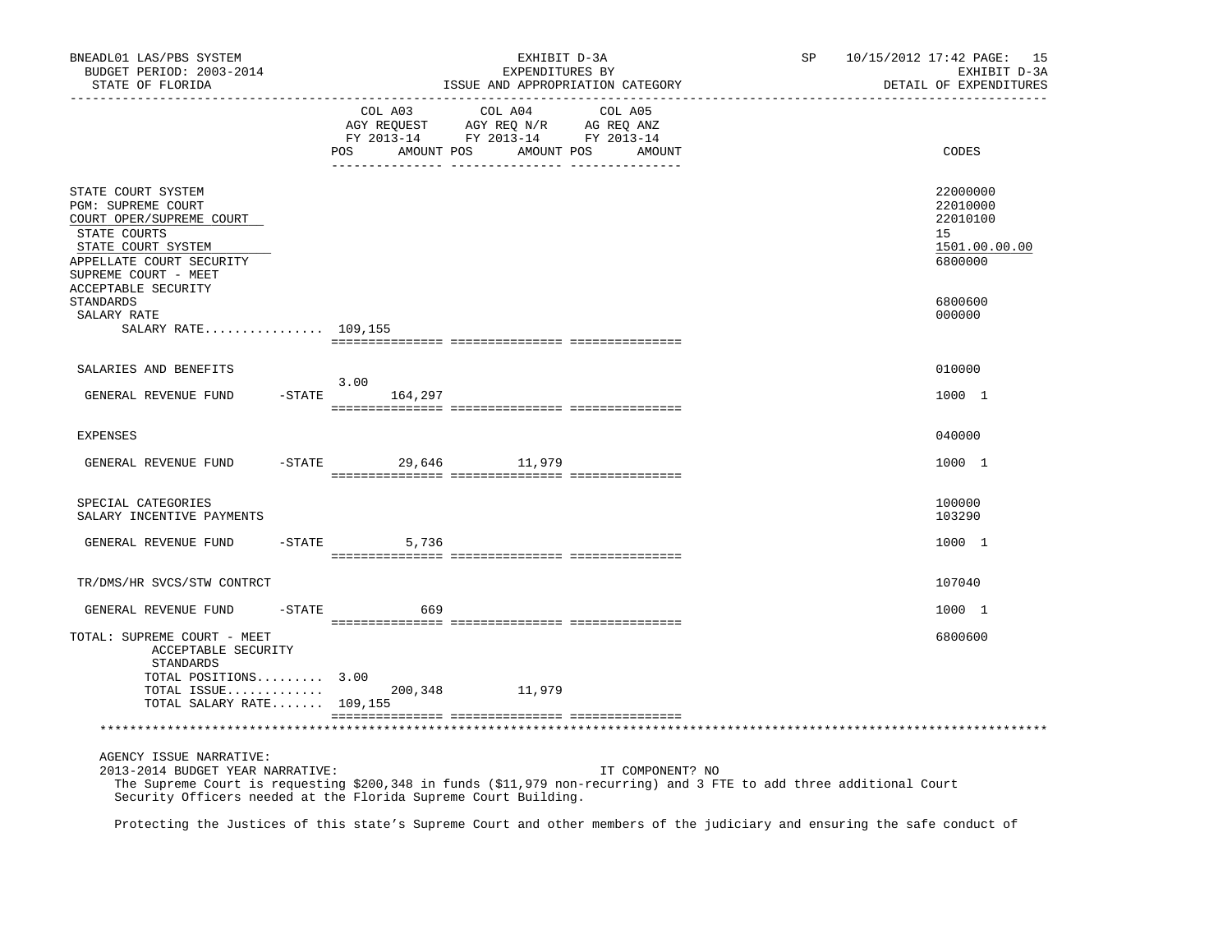| BNEADL01 LAS/PBS SYSTEM<br>BUDGET PERIOD: 2003-2014<br>STATE OF FLORIDA                                                                                        |                |                              | EXHIBIT D-3A<br>EXPENDITURES BY<br>ISSUE AND APPROPRIATION CATEGORY                             |                   | SP | 10/15/2012 17:42 PAGE: 15<br>EXHIBIT D-3A<br>DETAIL OF EXPENDITURES |
|----------------------------------------------------------------------------------------------------------------------------------------------------------------|----------------|------------------------------|-------------------------------------------------------------------------------------------------|-------------------|----|---------------------------------------------------------------------|
|                                                                                                                                                                | -------------- |                              |                                                                                                 |                   |    |                                                                     |
|                                                                                                                                                                |                | COL A03<br>POS<br>AMOUNT POS | COL A04<br>AGY REQUEST AGY REQ N/R AG REQ ANZ<br>FY 2013-14 FY 2013-14 FY 2013-14<br>AMOUNT POS | COL A05<br>AMOUNT |    | CODES                                                               |
| STATE COURT SYSTEM<br>PGM: SUPREME COURT<br>COURT OPER/SUPREME COURT<br>STATE COURTS<br>STATE COURT SYSTEM<br>APPELLATE COURT SECURITY<br>SUPREME COURT - MEET |                |                              |                                                                                                 |                   |    | 22000000<br>22010000<br>22010100<br>15<br>1501.00.00.00<br>6800000  |
| <b>ACCEPTABLE SECURITY</b><br>STANDARDS<br>SALARY RATE<br>SALARY RATE 109,155                                                                                  |                |                              |                                                                                                 |                   |    | 6800600<br>000000                                                   |
|                                                                                                                                                                |                |                              |                                                                                                 |                   |    |                                                                     |
| SALARIES AND BENEFITS                                                                                                                                          |                | 3.00                         |                                                                                                 |                   |    | 010000                                                              |
| GENERAL REVENUE FUND                                                                                                                                           |                | $-$ STATE 164, 297           |                                                                                                 |                   |    | 1000 1                                                              |
| EXPENSES                                                                                                                                                       |                |                              |                                                                                                 |                   |    | 040000                                                              |
| GENERAL REVENUE FUND                                                                                                                                           |                | -STATE 29,646 11,979         |                                                                                                 |                   |    | 1000 1                                                              |
| SPECIAL CATEGORIES<br>SALARY INCENTIVE PAYMENTS                                                                                                                |                |                              |                                                                                                 |                   |    | 100000<br>103290                                                    |
| GENERAL REVENUE FUND                                                                                                                                           |                | $-$ STATE<br>5,736           |                                                                                                 |                   |    | 1000 1                                                              |
| TR/DMS/HR SVCS/STW CONTRCT                                                                                                                                     |                |                              |                                                                                                 |                   |    | 107040                                                              |
| GENERAL REVENUE FUND                                                                                                                                           |                | $-STATE$<br>669              |                                                                                                 |                   |    | 1000 1                                                              |
| TOTAL: SUPREME COURT - MEET<br>ACCEPTABLE SECURITY<br>STANDARDS                                                                                                |                |                              |                                                                                                 |                   |    | 6800600                                                             |
| TOTAL POSITIONS 3.00<br>TOTAL ISSUE<br>TOTAL SALARY RATE 109,155                                                                                               |                | 200,348                      | 11,979                                                                                          |                   |    |                                                                     |
|                                                                                                                                                                |                |                              |                                                                                                 |                   |    |                                                                     |
|                                                                                                                                                                |                |                              |                                                                                                 |                   |    |                                                                     |
| AGENCY ISSUE NARRATIVE:<br>2013-2014 BUDGET YEAR NARRATIVE:                                                                                                    |                |                              |                                                                                                 | IT COMPONENT? NO  |    |                                                                     |

 The Supreme Court is requesting \$200,348 in funds (\$11,979 non-recurring) and 3 FTE to add three additional Court Security Officers needed at the Florida Supreme Court Building.

Protecting the Justices of this state's Supreme Court and other members of the judiciary and ensuring the safe conduct of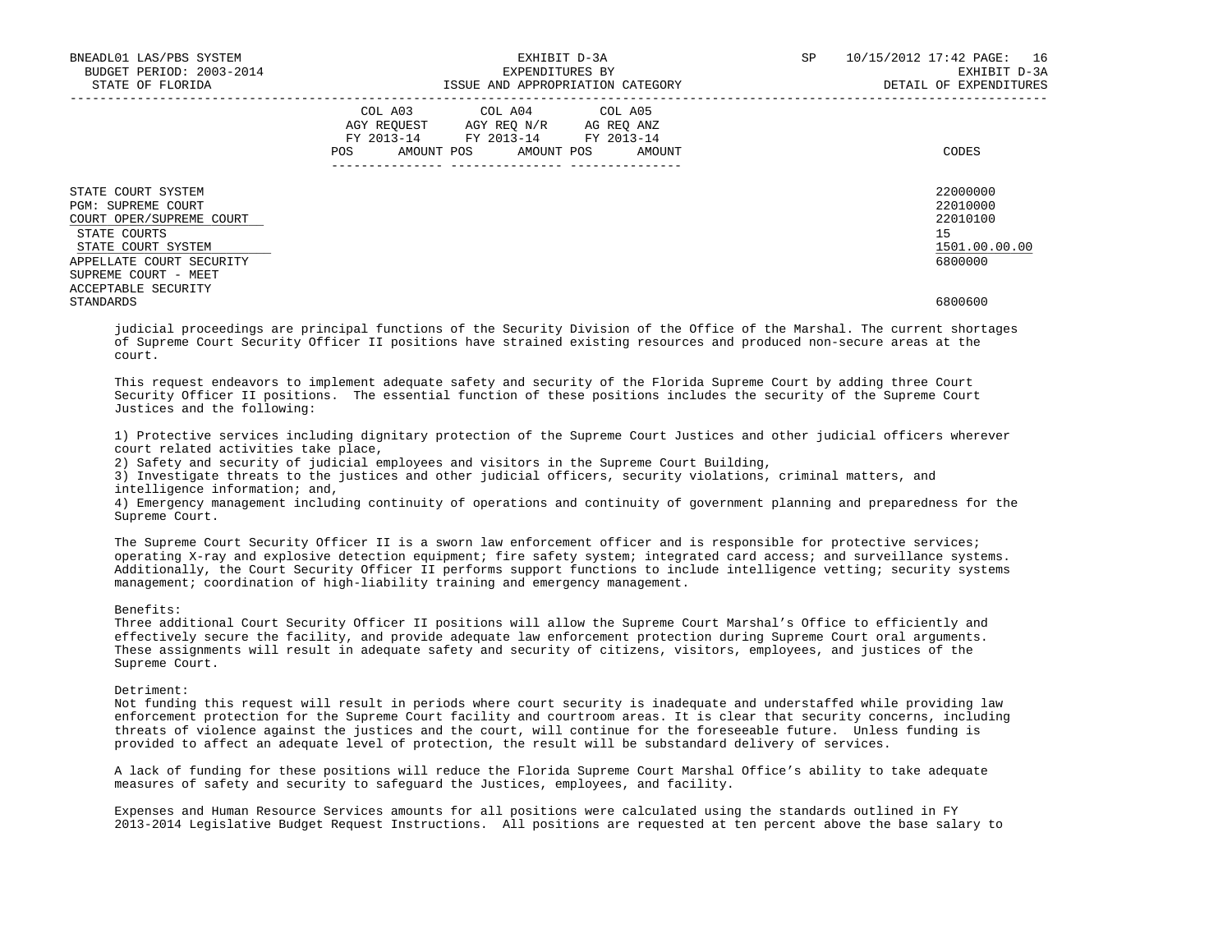| BNEADL01 LAS/PBS SYSTEM<br>BUDGET PERIOD: 2003-2014<br>STATE OF FLORIDA                                                                                        | EXHIBIT D-3A<br>EXPENDITURES BY<br>ISSUE AND APPROPRIATION CATEGORY                                                                   | SP<br>10/15/2012 17:42 PAGE:<br>16<br>EXHIBIT D-3A<br>DETAIL OF EXPENDITURES |
|----------------------------------------------------------------------------------------------------------------------------------------------------------------|---------------------------------------------------------------------------------------------------------------------------------------|------------------------------------------------------------------------------|
|                                                                                                                                                                | COL A03 COL A04 COL A05<br>AGY REQUEST AGY REQ N/R AG REQ ANZ<br>FY 2013-14 FY 2013-14 FY 2013-14<br>POS AMOUNT POS AMOUNT POS AMOUNT | CODES                                                                        |
| STATE COURT SYSTEM<br>PGM: SUPREME COURT<br>COURT OPER/SUPREME COURT<br>STATE COURTS<br>STATE COURT SYSTEM<br>APPELLATE COURT SECURITY<br>SUPREME COURT - MEET |                                                                                                                                       | 22000000<br>22010000<br>22010100<br>15<br>1501.00.00.00<br>6800000           |
| ACCEPTABLE SECURITY<br>STANDARDS                                                                                                                               |                                                                                                                                       | 6800600                                                                      |

 judicial proceedings are principal functions of the Security Division of the Office of the Marshal. The current shortages of Supreme Court Security Officer II positions have strained existing resources and produced non-secure areas at the court.

 This request endeavors to implement adequate safety and security of the Florida Supreme Court by adding three Court Security Officer II positions. The essential function of these positions includes the security of the Supreme Court Justices and the following:

 1) Protective services including dignitary protection of the Supreme Court Justices and other judicial officers wherever court related activities take place,

2) Safety and security of judicial employees and visitors in the Supreme Court Building,

 3) Investigate threats to the justices and other judicial officers, security violations, criminal matters, and intelligence information; and,

 4) Emergency management including continuity of operations and continuity of government planning and preparedness for the Supreme Court.

 The Supreme Court Security Officer II is a sworn law enforcement officer and is responsible for protective services; operating X-ray and explosive detection equipment; fire safety system; integrated card access; and surveillance systems. Additionally, the Court Security Officer II performs support functions to include intelligence vetting; security systems management; coordination of high-liability training and emergency management.

### Benefits:

 Three additional Court Security Officer II positions will allow the Supreme Court Marshal's Office to efficiently and effectively secure the facility, and provide adequate law enforcement protection during Supreme Court oral arguments. These assignments will result in adequate safety and security of citizens, visitors, employees, and justices of the Supreme Court.

Detriment:

 Not funding this request will result in periods where court security is inadequate and understaffed while providing law enforcement protection for the Supreme Court facility and courtroom areas. It is clear that security concerns, including threats of violence against the justices and the court, will continue for the foreseeable future. Unless funding is provided to affect an adequate level of protection, the result will be substandard delivery of services.

 A lack of funding for these positions will reduce the Florida Supreme Court Marshal Office's ability to take adequate measures of safety and security to safeguard the Justices, employees, and facility.

 Expenses and Human Resource Services amounts for all positions were calculated using the standards outlined in FY 2013-2014 Legislative Budget Request Instructions. All positions are requested at ten percent above the base salary to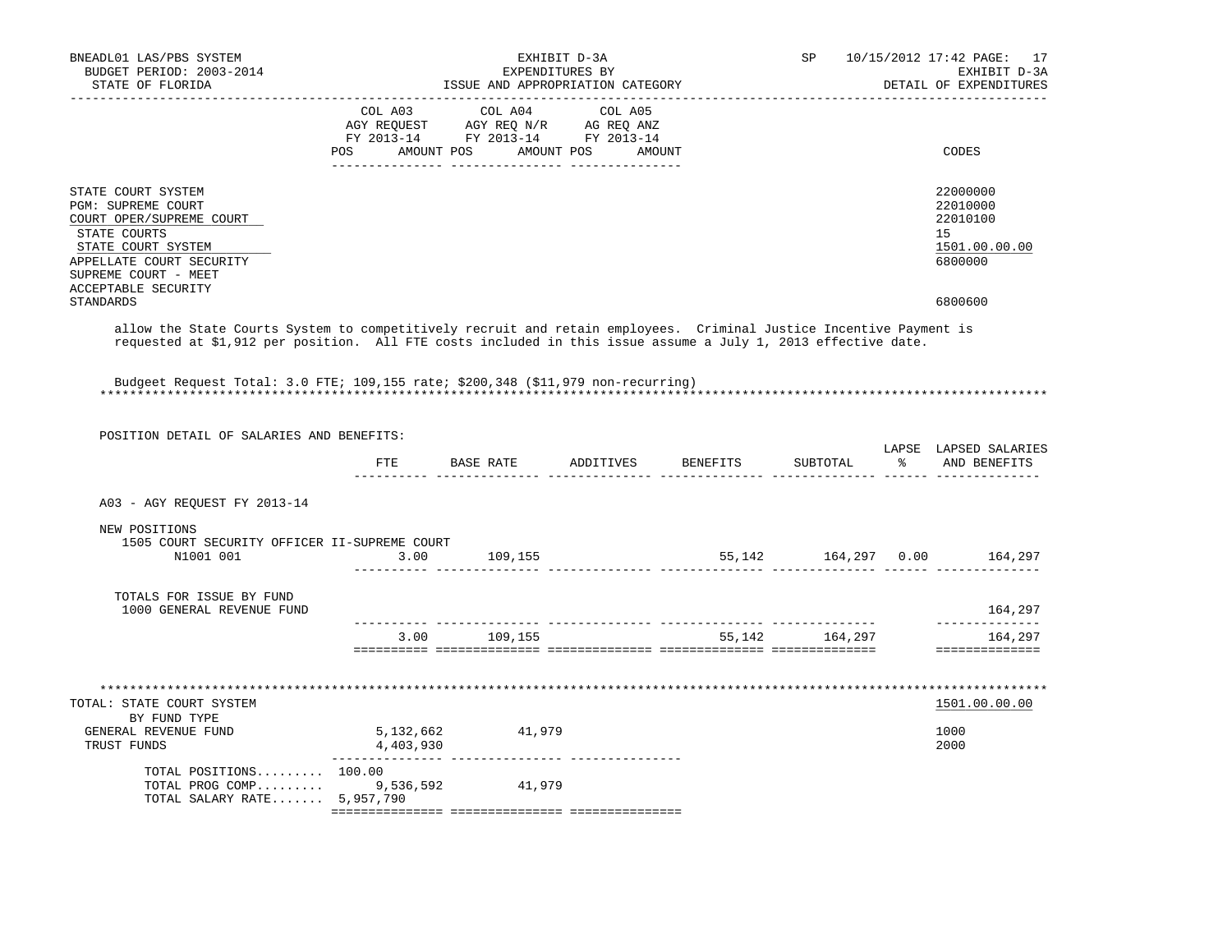| STATE COURT SYSTEM                                                                                                                                                                                                                                                                                                      | _____________________________ |                                  |                                                                                                                                                            |                                                                     |                  | DETAIL OF EXPENDITURES                                             |
|-------------------------------------------------------------------------------------------------------------------------------------------------------------------------------------------------------------------------------------------------------------------------------------------------------------------------|-------------------------------|----------------------------------|------------------------------------------------------------------------------------------------------------------------------------------------------------|---------------------------------------------------------------------|------------------|--------------------------------------------------------------------|
|                                                                                                                                                                                                                                                                                                                         |                               | POS AMOUNT POS AMOUNT POS AMOUNT | $\begin{tabular}{lcccc} COL A03 & COL A04 & COL A05 \\ AGY REQUEST & AGY REQ N/R & AG REQ ANZ \\ FY & 2013-14 & FY & 2013-14 & FY & 2013-14 \end{tabular}$ |                                                                     |                  | CODES                                                              |
| PGM: SUPREME COURT<br>COURT OPER/SUPREME COURT<br>STATE COURTS<br>STATE COURT SYSTEM<br>APPELLATE COURT SECURITY<br>SUPREME COURT - MEET<br><b>ACCEPTABLE SECURITY</b>                                                                                                                                                  |                               |                                  |                                                                                                                                                            |                                                                     |                  | 22000000<br>22010000<br>22010100<br>15<br>1501.00.00.00<br>6800000 |
| STANDARDS                                                                                                                                                                                                                                                                                                               |                               |                                  |                                                                                                                                                            |                                                                     |                  | 6800600                                                            |
| allow the State Courts System to competitively recruit and retain employees. Criminal Justice Incentive Payment is<br>requested at \$1,912 per position. All FTE costs included in this issue assume a July 1, 2013 effective date.<br>Budgeet Request Total: 3.0 FTE; 109,155 rate; \$200,348 (\$11,979 non-recurring) |                               |                                  |                                                                                                                                                            |                                                                     |                  |                                                                    |
|                                                                                                                                                                                                                                                                                                                         |                               |                                  |                                                                                                                                                            |                                                                     |                  |                                                                    |
| POSITION DETAIL OF SALARIES AND BENEFITS:                                                                                                                                                                                                                                                                               |                               |                                  |                                                                                                                                                            |                                                                     |                  |                                                                    |
|                                                                                                                                                                                                                                                                                                                         |                               | __________________________       |                                                                                                                                                            | FTE BASE RATE ADDITIVES BENEFITS SUBTOTAL <sup>2</sup> AND BENEFITS |                  | LAPSE LAPSED SALARIES                                              |
| A03 - AGY REQUEST FY 2013-14                                                                                                                                                                                                                                                                                            |                               |                                  |                                                                                                                                                            |                                                                     |                  |                                                                    |
| NEW POSITIONS<br>1505 COURT SECURITY OFFICER II-SUPREME COURT<br>N1001 001                                                                                                                                                                                                                                              | 3.00                          | 109,155                          |                                                                                                                                                            |                                                                     |                  |                                                                    |
| TOTALS FOR ISSUE BY FUND<br>1000 GENERAL REVENUE FUND                                                                                                                                                                                                                                                                   |                               |                                  |                                                                                                                                                            |                                                                     |                  | 164,297                                                            |
|                                                                                                                                                                                                                                                                                                                         |                               | 3.00 109,155                     |                                                                                                                                                            |                                                                     | 55, 142 164, 297 | --------------<br>164,297<br>==============                        |
| TOTAL: STATE COURT SYSTEM<br>BY FUND TYPE<br>GENERAL REVENUE FUND<br>TRUST FUNDS<br>TOTAL POSITIONS 100.00                                                                                                                                                                                                              | 5, 132, 662<br>4,403,930      | 41,979                           |                                                                                                                                                            |                                                                     |                  | 1501.00.00.00<br>1000<br>2000                                      |
| TOTAL PROG COMP 9,536,592 41,979<br>TOTAL SALARY RATE 5,957,790                                                                                                                                                                                                                                                         |                               |                                  |                                                                                                                                                            |                                                                     |                  |                                                                    |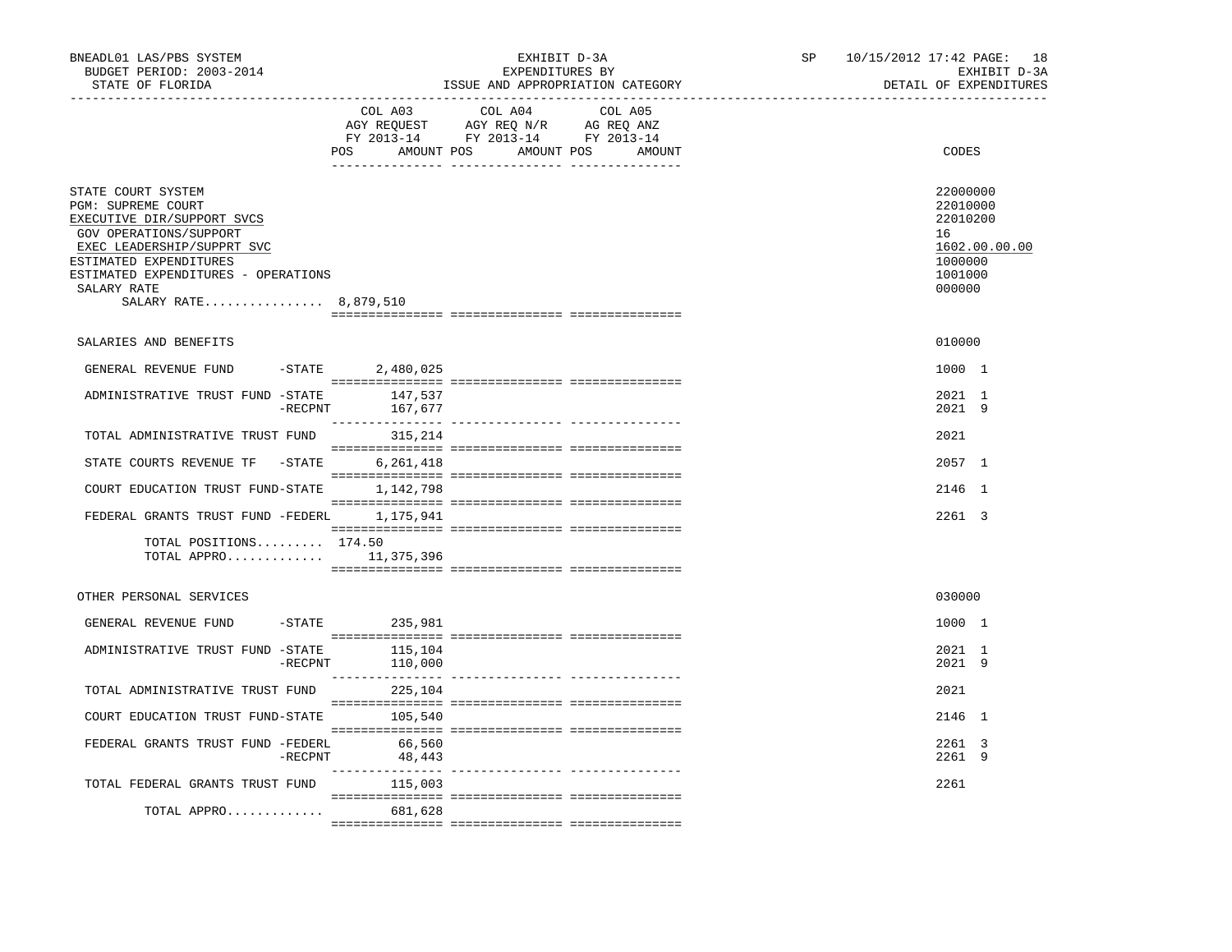| BNEADL01 LAS/PBS SYSTEM<br>BUDGET PERIOD: 2003-2014<br>STATE OF FLORIDA                                                                                                                                                                 |            | EXHIBIT D-3A<br>EXPENDITURES BY<br>ISSUE AND APPROPRIATION CATEGORY |                                                                                                                       |         |  |  | 10/15/2012 17:42 PAGE: 18<br>EXHIBIT D-3A<br>DETAIL OF EXPENDITURES    |               |
|-----------------------------------------------------------------------------------------------------------------------------------------------------------------------------------------------------------------------------------------|------------|---------------------------------------------------------------------|-----------------------------------------------------------------------------------------------------------------------|---------|--|--|------------------------------------------------------------------------|---------------|
|                                                                                                                                                                                                                                         |            | COL A03                                                             | COL A04<br>AGY REQUEST AGY REQ N/R AG REQ ANZ<br>FY 2013-14 FY 2013-14 FY 2013-14<br>POS AMOUNT POS AMOUNT POS AMOUNT | COL A05 |  |  | CODES                                                                  |               |
| STATE COURT SYSTEM<br>PGM: SUPREME COURT<br>EXECUTIVE DIR/SUPPORT SVCS<br>GOV OPERATIONS/SUPPORT<br>EXEC LEADERSHIP/SUPPRT SVC<br>ESTIMATED EXPENDITURES<br>ESTIMATED EXPENDITURES - OPERATIONS<br>SALARY RATE<br>SALARY RATE 8,879,510 |            |                                                                     |                                                                                                                       |         |  |  | 22000000<br>22010000<br>22010200<br>16<br>1000000<br>1001000<br>000000 | 1602.00.00.00 |
| SALARIES AND BENEFITS                                                                                                                                                                                                                   |            |                                                                     |                                                                                                                       |         |  |  | 010000                                                                 |               |
| GENERAL REVENUE FUND                                                                                                                                                                                                                    |            | -STATE 2,480,025                                                    |                                                                                                                       |         |  |  | 1000 1                                                                 |               |
| ADMINISTRATIVE TRUST FUND -STATE                                                                                                                                                                                                        | $-$ RECPNT | 147,537<br>167,677                                                  |                                                                                                                       |         |  |  | 2021 1<br>2021 9                                                       |               |
| TOTAL ADMINISTRATIVE TRUST FUND                                                                                                                                                                                                         |            | 315,214                                                             |                                                                                                                       |         |  |  | 2021                                                                   |               |
| STATE COURTS REVENUE TF                                                                                                                                                                                                                 | $-$ STATE  | 6,261,418                                                           |                                                                                                                       |         |  |  | 2057 1                                                                 |               |
| COURT EDUCATION TRUST FUND-STATE 1,142,798                                                                                                                                                                                              |            |                                                                     |                                                                                                                       |         |  |  | 2146 1                                                                 |               |
| FEDERAL GRANTS TRUST FUND -FEDERL 1,175,941                                                                                                                                                                                             |            |                                                                     |                                                                                                                       |         |  |  | 2261 3                                                                 |               |
| TOTAL POSITIONS 174.50<br>TOTAL APPRO $11,375,396$                                                                                                                                                                                      |            |                                                                     |                                                                                                                       |         |  |  |                                                                        |               |
| OTHER PERSONAL SERVICES                                                                                                                                                                                                                 |            |                                                                     |                                                                                                                       |         |  |  | 030000                                                                 |               |
| GENERAL REVENUE FUND                                                                                                                                                                                                                    |            | $-STATE$ 235,981                                                    |                                                                                                                       |         |  |  | 1000 1                                                                 |               |
| ADMINISTRATIVE TRUST FUND -STATE                                                                                                                                                                                                        | -RECPNT    | 115,104<br>110,000                                                  |                                                                                                                       |         |  |  | 2021 1<br>2021 9                                                       |               |
| TOTAL ADMINISTRATIVE TRUST FUND                                                                                                                                                                                                         |            | 225,104                                                             |                                                                                                                       |         |  |  | 2021                                                                   |               |
| COURT EDUCATION TRUST FUND-STATE                                                                                                                                                                                                        |            | 105,540                                                             |                                                                                                                       |         |  |  | 2146 1                                                                 |               |
| FEDERAL GRANTS TRUST FUND -FEDERL                                                                                                                                                                                                       | -RECPNT    | 66,560<br>48,443                                                    |                                                                                                                       |         |  |  | 2261 3<br>2261 9                                                       |               |
| TOTAL FEDERAL GRANTS TRUST FUND                                                                                                                                                                                                         |            | 115,003                                                             |                                                                                                                       |         |  |  | 2261                                                                   |               |
| TOTAL APPRO                                                                                                                                                                                                                             |            | 681,628                                                             |                                                                                                                       |         |  |  |                                                                        |               |
|                                                                                                                                                                                                                                         |            |                                                                     |                                                                                                                       |         |  |  |                                                                        |               |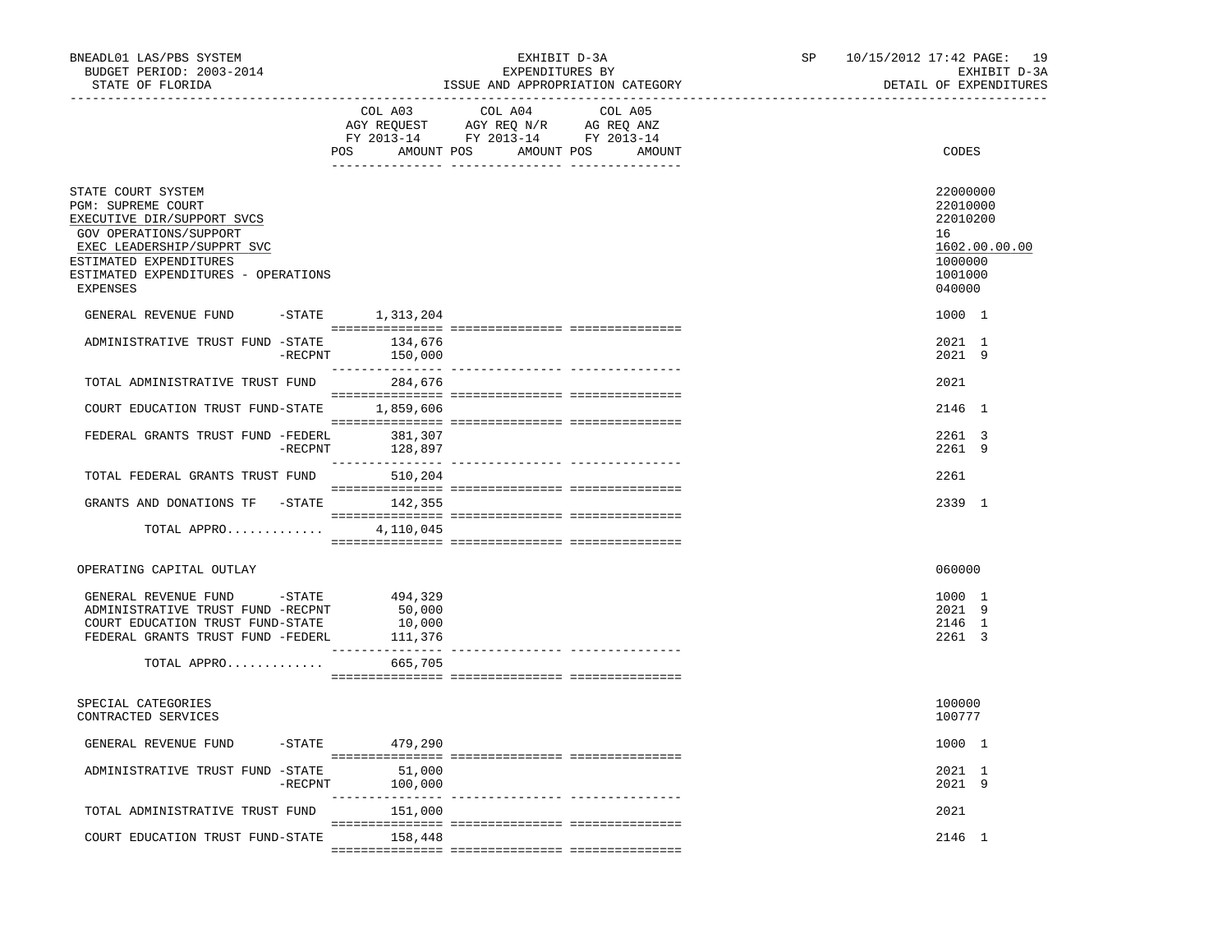| BNEADL01 LAS/PBS SYSTEM<br>BUDGET PERIOD: 2003-2014<br>STATE OF FLORIDA                                                                                                                                     |                                  | EXHIBIT D-3A<br>EXPENDITURES BY<br>ISSUE AND APPROPRIATION CATEGORY                                                |                               | SP and the set of the set of the set of the set of the set of the set of the set of the set of the set of the set of the set of the set of the set of the set of the set of the set of the set of the set of the set of the se | 10/15/2012 17:42 PAGE: 19<br>EXHIBIT D-3A<br>DETAIL OF EXPENDITURES                     |
|-------------------------------------------------------------------------------------------------------------------------------------------------------------------------------------------------------------|----------------------------------|--------------------------------------------------------------------------------------------------------------------|-------------------------------|--------------------------------------------------------------------------------------------------------------------------------------------------------------------------------------------------------------------------------|-----------------------------------------------------------------------------------------|
|                                                                                                                                                                                                             | POS                              | COL A03 COL A04<br>AGY REQUEST AGY REQ N/R AG REQ ANZ<br>FY 2013-14 FY 2013-14 FY 2013-14<br>AMOUNT POS AMOUNT POS | COL A05<br>AMOUNT             |                                                                                                                                                                                                                                | CODES                                                                                   |
| STATE COURT SYSTEM<br>PGM: SUPREME COURT<br>EXECUTIVE DIR/SUPPORT SVCS<br>GOV OPERATIONS/SUPPORT<br>EXEC LEADERSHIP/SUPPRT SVC<br>ESTIMATED EXPENDITURES<br>ESTIMATED EXPENDITURES - OPERATIONS<br>EXPENSES |                                  |                                                                                                                    |                               |                                                                                                                                                                                                                                | 22000000<br>22010000<br>22010200<br>16<br>1602.00.00.00<br>1000000<br>1001000<br>040000 |
| GENERAL REVENUE FUND -STATE 1,313,204<br>ADMINISTRATIVE TRUST FUND -STATE 134,676                                                                                                                           |                                  |                                                                                                                    |                               |                                                                                                                                                                                                                                | 1000 1<br>2021 1                                                                        |
|                                                                                                                                                                                                             | $-$ RECPNT<br>150,000            |                                                                                                                    |                               |                                                                                                                                                                                                                                | 2021 9                                                                                  |
| TOTAL ADMINISTRATIVE TRUST FUND<br>COURT EDUCATION TRUST FUND-STATE 1,859,606                                                                                                                               | 284,676                          |                                                                                                                    |                               |                                                                                                                                                                                                                                | 2021<br>2146 1                                                                          |
|                                                                                                                                                                                                             |                                  |                                                                                                                    |                               |                                                                                                                                                                                                                                |                                                                                         |
| FEDERAL GRANTS TRUST FUND -FEDERL                                                                                                                                                                           | 381,307<br>$-$ RECPNT<br>128,897 |                                                                                                                    |                               |                                                                                                                                                                                                                                | 2261 3<br>2261 9                                                                        |
| TOTAL FEDERAL GRANTS TRUST FUND 510,204                                                                                                                                                                     |                                  |                                                                                                                    |                               |                                                                                                                                                                                                                                | 2261                                                                                    |
| GRANTS AND DONATIONS TF - STATE 142,355                                                                                                                                                                     |                                  |                                                                                                                    |                               |                                                                                                                                                                                                                                | 2339 1                                                                                  |
| TOTAL APPRO                                                                                                                                                                                                 | 4,110,045                        |                                                                                                                    |                               |                                                                                                                                                                                                                                |                                                                                         |
| OPERATING CAPITAL OUTLAY                                                                                                                                                                                    |                                  |                                                                                                                    |                               |                                                                                                                                                                                                                                | 060000                                                                                  |
| GENERAL REVENUE FUND -STATE 494,329<br>ADMINISTRATIVE TRUST FUND -RECPNT<br>COURT EDUCATION TRUST FUND-STATE<br>FEDERAL GRANTS TRUST FUND -FEDERL                                                           | 50,000<br>10,000<br>111,376      |                                                                                                                    |                               |                                                                                                                                                                                                                                | 1000 1<br>2021 9<br>2146 1<br>2261 3                                                    |
| TOTAL APPRO 665,705                                                                                                                                                                                         |                                  |                                                                                                                    |                               |                                                                                                                                                                                                                                |                                                                                         |
| SPECIAL CATEGORIES<br>CONTRACTED SERVICES                                                                                                                                                                   |                                  |                                                                                                                    |                               |                                                                                                                                                                                                                                | 100000<br>100777                                                                        |
| GENERAL REVENUE FUND -STATE 479,290                                                                                                                                                                         |                                  |                                                                                                                    |                               |                                                                                                                                                                                                                                | 1000 1                                                                                  |
| ADMINISTRATIVE TRUST FUND -STATE<br>$-$ RECPNT                                                                                                                                                              | 51,000<br>100,000                |                                                                                                                    |                               |                                                                                                                                                                                                                                | 2021 1<br>2021 9                                                                        |
| TOTAL ADMINISTRATIVE TRUST FUND                                                                                                                                                                             | ---------------<br>151,000       |                                                                                                                    | ------------- --------------- |                                                                                                                                                                                                                                | 2021                                                                                    |
| COURT EDUCATION TRUST FUND-STATE                                                                                                                                                                            | 158,448                          |                                                                                                                    |                               |                                                                                                                                                                                                                                | 2146 1                                                                                  |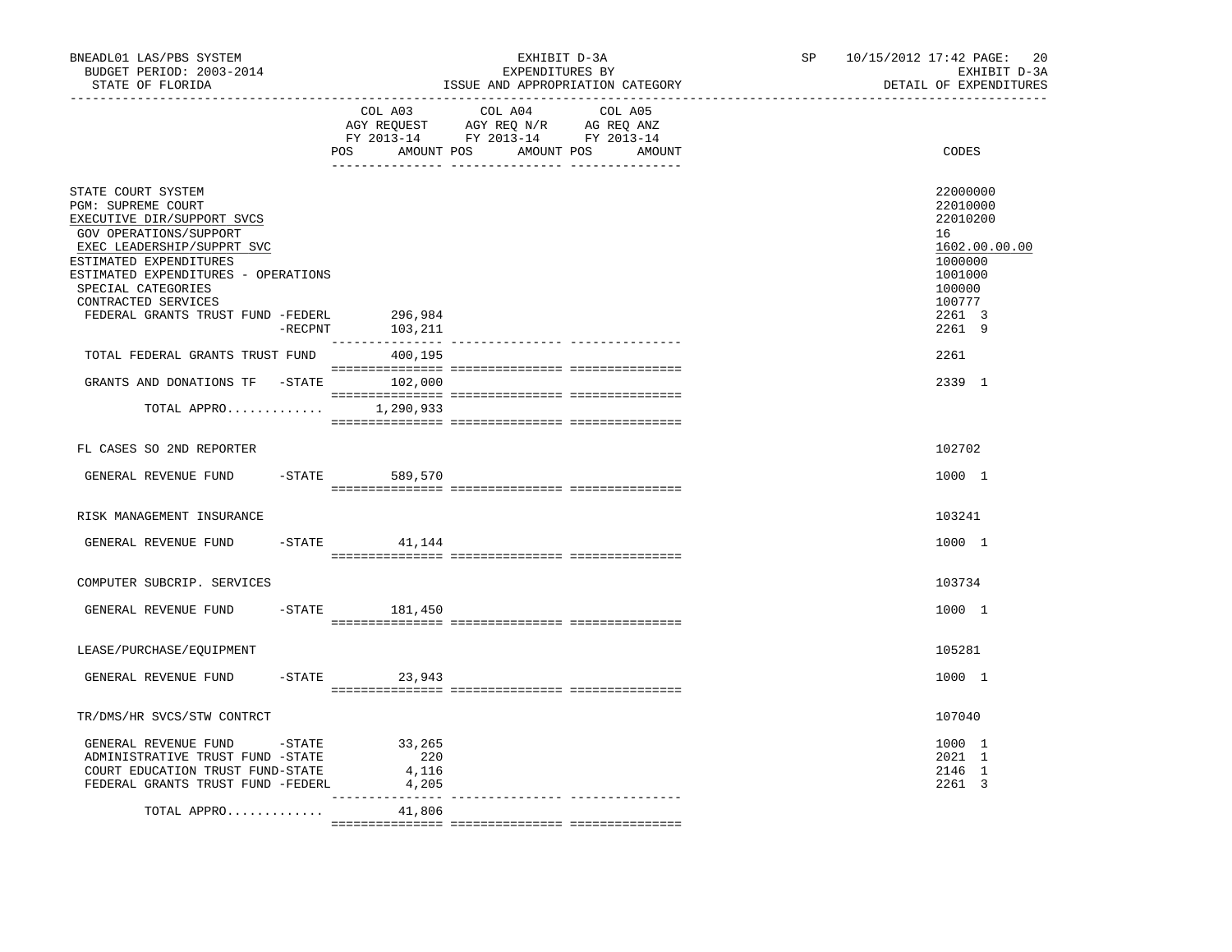| BNEADL01 LAS/PBS SYSTEM<br>BUDGET PERIOD: 2003-2014<br>STATE OF FLORIDA<br>-------------------                                                                                                                                                                                    |           |                       | EXHIBIT D-3A<br>EXPENDITURES BY<br>ISSUE AND APPROPRIATION CATEGORY |        | SP and the set of the set of the set of the set of the set of the set of the set of the set of the set of the set of the set of the set of the set of the set of the set of the set of the set of the set of the set of the se | 10/15/2012 17:42 PAGE:<br>20<br>EXHIBIT D-3A<br>DETAIL OF EXPENDITURES                                      |
|-----------------------------------------------------------------------------------------------------------------------------------------------------------------------------------------------------------------------------------------------------------------------------------|-----------|-----------------------|---------------------------------------------------------------------|--------|--------------------------------------------------------------------------------------------------------------------------------------------------------------------------------------------------------------------------------|-------------------------------------------------------------------------------------------------------------|
|                                                                                                                                                                                                                                                                                   |           | COL A03<br>POS        | COL A04 COL A05<br>AMOUNT POS AMOUNT POS                            | AMOUNT |                                                                                                                                                                                                                                | CODES                                                                                                       |
| STATE COURT SYSTEM<br>PGM: SUPREME COURT<br>EXECUTIVE DIR/SUPPORT SVCS<br>GOV OPERATIONS/SUPPORT<br>EXEC LEADERSHIP/SUPPRT SVC<br>ESTIMATED EXPENDITURES<br>ESTIMATED EXPENDITURES - OPERATIONS<br>SPECIAL CATEGORIES<br>CONTRACTED SERVICES<br>FEDERAL GRANTS TRUST FUND -FEDERL |           | 296,984               |                                                                     |        |                                                                                                                                                                                                                                | 22000000<br>22010000<br>22010200<br>16<br>1602.00.00.00<br>1000000<br>1001000<br>100000<br>100777<br>2261 3 |
|                                                                                                                                                                                                                                                                                   | -RECPNT   | 103,211               |                                                                     |        |                                                                                                                                                                                                                                | 2261 9                                                                                                      |
| TOTAL FEDERAL GRANTS TRUST FUND                                                                                                                                                                                                                                                   |           | 400,195               |                                                                     |        |                                                                                                                                                                                                                                | 2261                                                                                                        |
| GRANTS AND DONATIONS TF -STATE 102,000                                                                                                                                                                                                                                            |           |                       |                                                                     |        |                                                                                                                                                                                                                                | 2339 1                                                                                                      |
| TOTAL APPRO $1,290,933$                                                                                                                                                                                                                                                           |           |                       |                                                                     |        |                                                                                                                                                                                                                                |                                                                                                             |
| FL CASES SO 2ND REPORTER                                                                                                                                                                                                                                                          |           |                       |                                                                     |        |                                                                                                                                                                                                                                | 102702                                                                                                      |
| GENERAL REVENUE FUND                                                                                                                                                                                                                                                              | $-$ STATE | 589,570               |                                                                     |        |                                                                                                                                                                                                                                | 1000 1                                                                                                      |
| RISK MANAGEMENT INSURANCE                                                                                                                                                                                                                                                         |           |                       |                                                                     |        |                                                                                                                                                                                                                                | 103241                                                                                                      |
| GENERAL REVENUE FUND                                                                                                                                                                                                                                                              |           | $-STATE$<br>41,144    |                                                                     |        |                                                                                                                                                                                                                                | 1000 1                                                                                                      |
| COMPUTER SUBCRIP. SERVICES                                                                                                                                                                                                                                                        |           |                       |                                                                     |        |                                                                                                                                                                                                                                | 103734                                                                                                      |
| GENERAL REVENUE FUND                                                                                                                                                                                                                                                              |           | $-STATE$ 181,450      |                                                                     |        |                                                                                                                                                                                                                                | 1000 1                                                                                                      |
| LEASE/PURCHASE/EOUIPMENT                                                                                                                                                                                                                                                          |           |                       |                                                                     |        |                                                                                                                                                                                                                                | 105281                                                                                                      |
| GENERAL REVENUE FUND                                                                                                                                                                                                                                                              |           | $-STATE$ 23,943       |                                                                     |        |                                                                                                                                                                                                                                | 1000 1                                                                                                      |
| TR/DMS/HR SVCS/STW CONTRCT                                                                                                                                                                                                                                                        |           |                       |                                                                     |        |                                                                                                                                                                                                                                | 107040                                                                                                      |
| GENERAL REVENUE FUND -STATE 33,265<br>ADMINISTRATIVE TRUST FUND -STATE<br>COURT EDUCATION TRUST FUND-STATE<br>FEDERAL GRANTS TRUST FUND -FEDERL                                                                                                                                   |           | 220<br>4,116<br>4,205 |                                                                     |        |                                                                                                                                                                                                                                | 1000 1<br>2021 1<br>2146 1<br>2261 3                                                                        |
| TOTAL APPRO                                                                                                                                                                                                                                                                       |           | 41,806                |                                                                     |        |                                                                                                                                                                                                                                |                                                                                                             |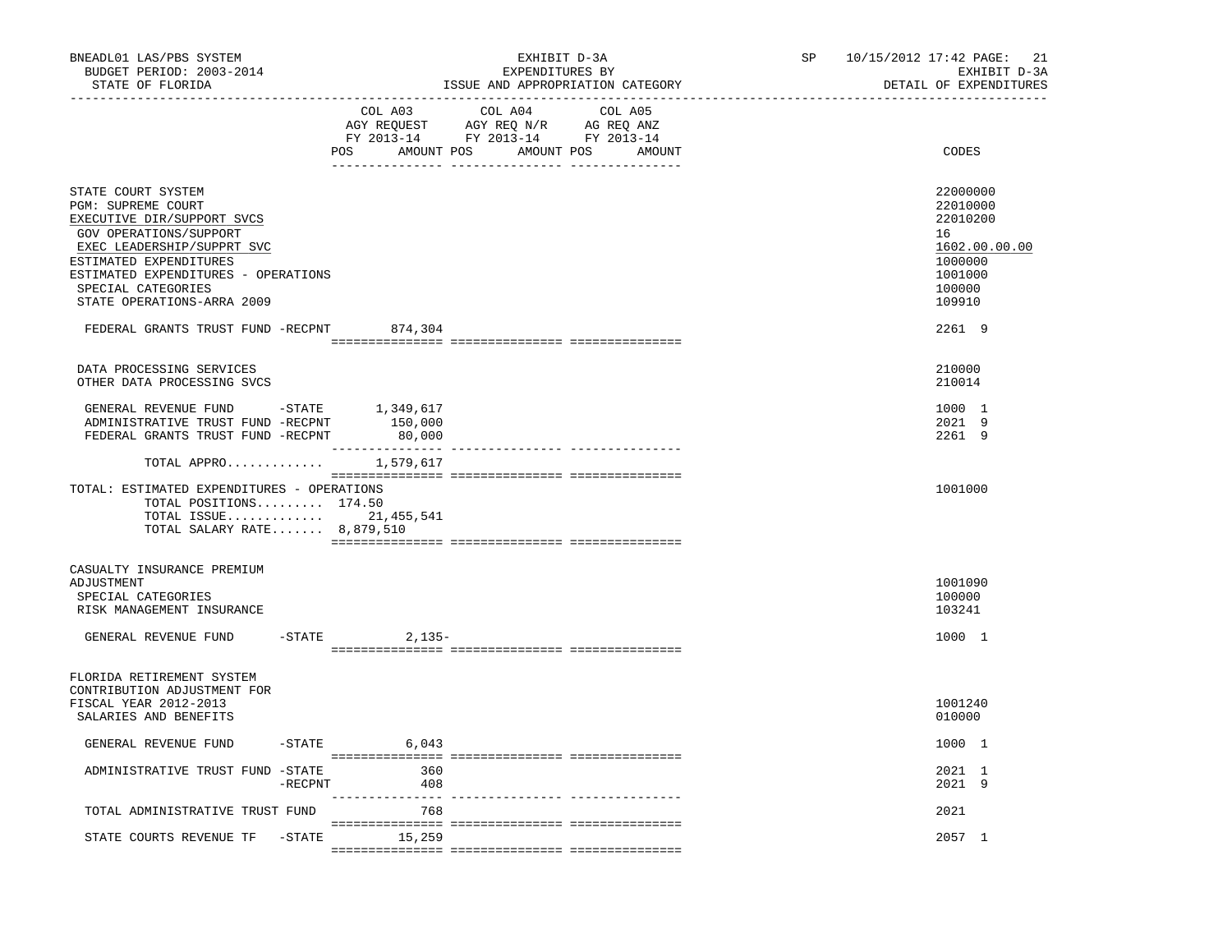| ---------------------------------<br>COL A03<br>COL A04<br>COL A05<br>AGY REQUEST AGY REQ N/R AG REQ ANZ<br>FY 2013-14 FY 2013-14 FY 2013-14<br>POS AMOUNT POS AMOUNT POS AMOUNT<br>CODES<br>STATE COURT SYSTEM<br>22000000<br>PGM: SUPREME COURT<br>22010000<br>22010200<br>EXECUTIVE DIR/SUPPORT SVCS<br>GOV OPERATIONS/SUPPORT<br>16<br>1602.00.00.00<br>EXEC LEADERSHIP/SUPPRT SVC<br>ESTIMATED EXPENDITURES<br>1000000<br>ESTIMATED EXPENDITURES - OPERATIONS<br>1001000<br>SPECIAL CATEGORIES<br>100000<br>STATE OPERATIONS-ARRA 2009<br>109910<br>FEDERAL GRANTS TRUST FUND -RECPNT<br>2261 9<br>874,304<br>DATA PROCESSING SERVICES<br>210000<br>210014<br>OTHER DATA PROCESSING SVCS<br>GENERAL REVENUE FUND -STATE<br>1000 1<br>1,349,617<br>2021 9<br>ADMINISTRATIVE TRUST FUND -RECPNT<br>150,000<br>2261 9<br>FEDERAL GRANTS TRUST FUND -RECPNT<br>80,000<br>TOTAL APPRO 1,579,617<br>TOTAL: ESTIMATED EXPENDITURES - OPERATIONS<br>1001000<br>TOTAL POSITIONS $174.50$<br>TOTAL ISSUE 21,455,541<br>TOTAL SALARY RATE 8,879,510<br>CASUALTY INSURANCE PREMIUM<br>1001090<br>ADJUSTMENT<br>100000<br>SPECIAL CATEGORIES<br>RISK MANAGEMENT INSURANCE<br>103241<br>$-$ STATE 2, 135 -<br>1000 1<br>GENERAL REVENUE FUND<br>FLORIDA RETIREMENT SYSTEM<br>CONTRIBUTION ADJUSTMENT FOR<br>FISCAL YEAR 2012-2013<br>1001240<br>SALARIES AND BENEFITS<br>010000<br>GENERAL REVENUE FUND<br>$-STATE$ 6,043<br>1000 1<br>360<br>2021 1<br>ADMINISTRATIVE TRUST FUND -STATE<br>2021 9<br>$-$ RECPNT<br>408<br>TOTAL ADMINISTRATIVE TRUST FUND<br>768<br>2021<br>STATE COURTS REVENUE TF - STATE 15,259<br>2057 1 | BNEADL01 LAS/PBS SYSTEM<br>BUDGET PERIOD: 2003-2014<br>STATE OF FLORIDA<br>--------------- |  | EXHIBIT D-3A<br>EXPENDITURES BY | ISSUE AND APPROPRIATION CATEGORY | SP | 10/15/2012 17:42 PAGE:<br>21<br>EXHIBIT D-3A<br>DETAIL OF EXPENDITURES |
|----------------------------------------------------------------------------------------------------------------------------------------------------------------------------------------------------------------------------------------------------------------------------------------------------------------------------------------------------------------------------------------------------------------------------------------------------------------------------------------------------------------------------------------------------------------------------------------------------------------------------------------------------------------------------------------------------------------------------------------------------------------------------------------------------------------------------------------------------------------------------------------------------------------------------------------------------------------------------------------------------------------------------------------------------------------------------------------------------------------------------------------------------------------------------------------------------------------------------------------------------------------------------------------------------------------------------------------------------------------------------------------------------------------------------------------------------------------------------------------------------------------------------------------------------------------------------------------------------------------------|--------------------------------------------------------------------------------------------|--|---------------------------------|----------------------------------|----|------------------------------------------------------------------------|
|                                                                                                                                                                                                                                                                                                                                                                                                                                                                                                                                                                                                                                                                                                                                                                                                                                                                                                                                                                                                                                                                                                                                                                                                                                                                                                                                                                                                                                                                                                                                                                                                                      |                                                                                            |  |                                 |                                  |    |                                                                        |
|                                                                                                                                                                                                                                                                                                                                                                                                                                                                                                                                                                                                                                                                                                                                                                                                                                                                                                                                                                                                                                                                                                                                                                                                                                                                                                                                                                                                                                                                                                                                                                                                                      |                                                                                            |  |                                 |                                  |    |                                                                        |
|                                                                                                                                                                                                                                                                                                                                                                                                                                                                                                                                                                                                                                                                                                                                                                                                                                                                                                                                                                                                                                                                                                                                                                                                                                                                                                                                                                                                                                                                                                                                                                                                                      |                                                                                            |  |                                 |                                  |    |                                                                        |
|                                                                                                                                                                                                                                                                                                                                                                                                                                                                                                                                                                                                                                                                                                                                                                                                                                                                                                                                                                                                                                                                                                                                                                                                                                                                                                                                                                                                                                                                                                                                                                                                                      |                                                                                            |  |                                 |                                  |    |                                                                        |
|                                                                                                                                                                                                                                                                                                                                                                                                                                                                                                                                                                                                                                                                                                                                                                                                                                                                                                                                                                                                                                                                                                                                                                                                                                                                                                                                                                                                                                                                                                                                                                                                                      |                                                                                            |  |                                 |                                  |    |                                                                        |
|                                                                                                                                                                                                                                                                                                                                                                                                                                                                                                                                                                                                                                                                                                                                                                                                                                                                                                                                                                                                                                                                                                                                                                                                                                                                                                                                                                                                                                                                                                                                                                                                                      |                                                                                            |  |                                 |                                  |    |                                                                        |
|                                                                                                                                                                                                                                                                                                                                                                                                                                                                                                                                                                                                                                                                                                                                                                                                                                                                                                                                                                                                                                                                                                                                                                                                                                                                                                                                                                                                                                                                                                                                                                                                                      |                                                                                            |  |                                 |                                  |    |                                                                        |
|                                                                                                                                                                                                                                                                                                                                                                                                                                                                                                                                                                                                                                                                                                                                                                                                                                                                                                                                                                                                                                                                                                                                                                                                                                                                                                                                                                                                                                                                                                                                                                                                                      |                                                                                            |  |                                 |                                  |    |                                                                        |
|                                                                                                                                                                                                                                                                                                                                                                                                                                                                                                                                                                                                                                                                                                                                                                                                                                                                                                                                                                                                                                                                                                                                                                                                                                                                                                                                                                                                                                                                                                                                                                                                                      |                                                                                            |  |                                 |                                  |    |                                                                        |
|                                                                                                                                                                                                                                                                                                                                                                                                                                                                                                                                                                                                                                                                                                                                                                                                                                                                                                                                                                                                                                                                                                                                                                                                                                                                                                                                                                                                                                                                                                                                                                                                                      |                                                                                            |  |                                 |                                  |    |                                                                        |
|                                                                                                                                                                                                                                                                                                                                                                                                                                                                                                                                                                                                                                                                                                                                                                                                                                                                                                                                                                                                                                                                                                                                                                                                                                                                                                                                                                                                                                                                                                                                                                                                                      |                                                                                            |  |                                 |                                  |    |                                                                        |
|                                                                                                                                                                                                                                                                                                                                                                                                                                                                                                                                                                                                                                                                                                                                                                                                                                                                                                                                                                                                                                                                                                                                                                                                                                                                                                                                                                                                                                                                                                                                                                                                                      |                                                                                            |  |                                 |                                  |    |                                                                        |
|                                                                                                                                                                                                                                                                                                                                                                                                                                                                                                                                                                                                                                                                                                                                                                                                                                                                                                                                                                                                                                                                                                                                                                                                                                                                                                                                                                                                                                                                                                                                                                                                                      |                                                                                            |  |                                 |                                  |    |                                                                        |
|                                                                                                                                                                                                                                                                                                                                                                                                                                                                                                                                                                                                                                                                                                                                                                                                                                                                                                                                                                                                                                                                                                                                                                                                                                                                                                                                                                                                                                                                                                                                                                                                                      |                                                                                            |  |                                 |                                  |    |                                                                        |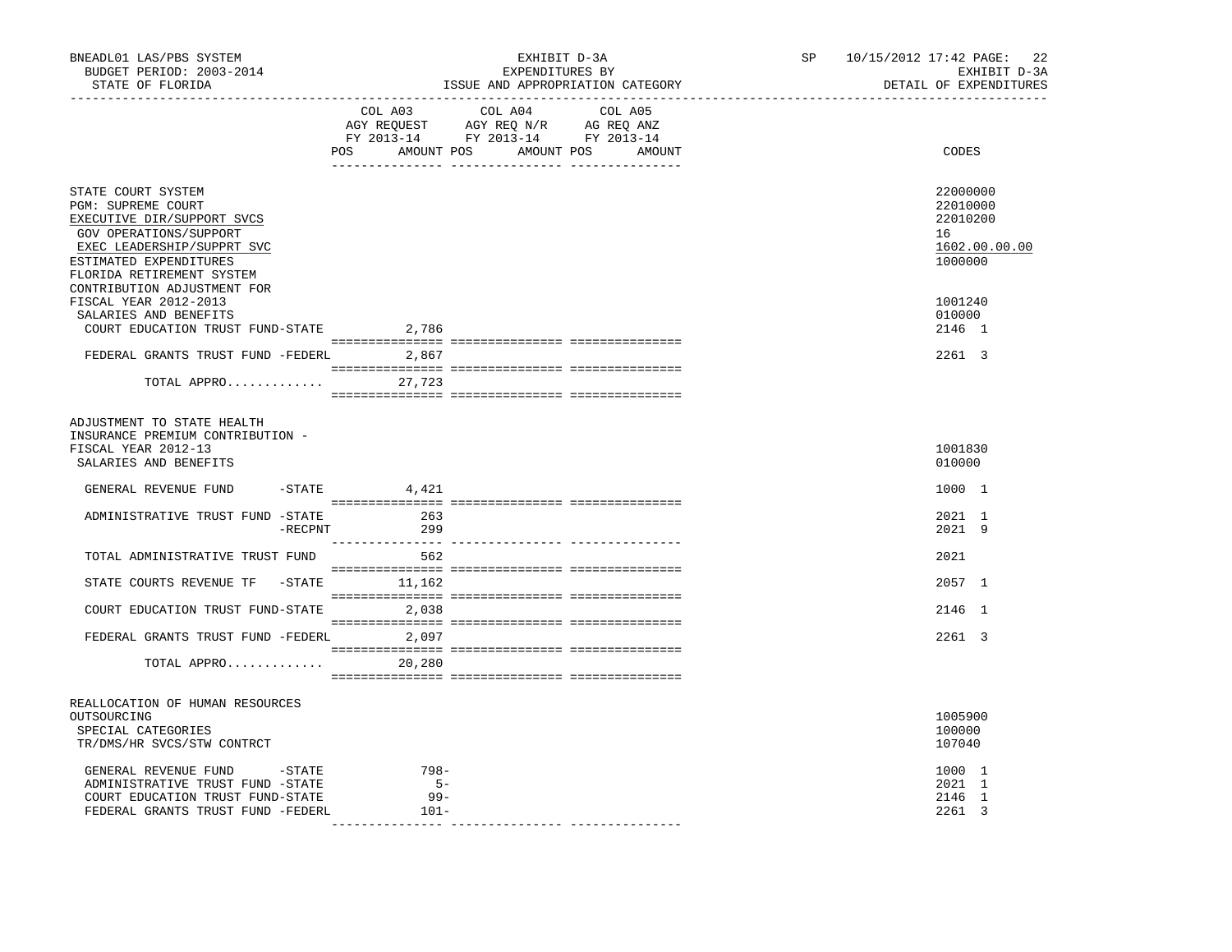| BNEADL01 LAS/PBS SYSTEM<br>BUDGET PERIOD: 2003-2014<br>STATE OF FLORIDA                                                                                                                      | EXHIBIT D-3A<br>EXPENDITURES BY<br>ISSUE AND APPROPRIATION CATEGORY<br>________________________________                                                                                                                                                                   | 10/15/2012 17:42 PAGE: 22<br>SP<br>EXHIBIT D-3A<br>DETAIL OF EXPENDITURES<br>______________________________ |
|----------------------------------------------------------------------------------------------------------------------------------------------------------------------------------------------|---------------------------------------------------------------------------------------------------------------------------------------------------------------------------------------------------------------------------------------------------------------------------|-------------------------------------------------------------------------------------------------------------|
|                                                                                                                                                                                              | COL A03<br>COL A04<br>COL A05<br>$\begin{tabular}{lllllllll} \bf AGY & \bf REQUEST & \bf AGY & \bf REQ & \bf N/R & \bf AG & \bf REQ & \bf ANZ \\ \bf FY & \tt 2013-14 & \bf FY & \tt 2013-14 & \bf FY & \tt 2013-14 \\ \end{tabular}$<br>POS AMOUNT POS AMOUNT POS AMOUNT | CODES                                                                                                       |
| STATE COURT SYSTEM<br><b>PGM: SUPREME COURT</b><br>EXECUTIVE DIR/SUPPORT SVCS<br>GOV OPERATIONS/SUPPORT<br>EXEC LEADERSHIP/SUPPRT SVC<br>ESTIMATED EXPENDITURES<br>FLORIDA RETIREMENT SYSTEM |                                                                                                                                                                                                                                                                           | 22000000<br>22010000<br>22010200<br>16<br>1602.00.00.00<br>1000000                                          |
| CONTRIBUTION ADJUSTMENT FOR<br>FISCAL YEAR 2012-2013<br>SALARIES AND BENEFITS<br>COURT EDUCATION TRUST FUND-STATE                                                                            | 2,786                                                                                                                                                                                                                                                                     | 1001240<br>010000<br>2146 1                                                                                 |
| FEDERAL GRANTS TRUST FUND -FEDERL 2,867<br>TOTAL APPRO 27,723                                                                                                                                |                                                                                                                                                                                                                                                                           | 2261 3                                                                                                      |
| ADJUSTMENT TO STATE HEALTH<br>INSURANCE PREMIUM CONTRIBUTION -<br>FISCAL YEAR 2012-13<br>SALARIES AND BENEFITS                                                                               |                                                                                                                                                                                                                                                                           | 1001830<br>010000                                                                                           |
| GENERAL REVENUE FUND                                                                                                                                                                         | $-$ STATE 4,421                                                                                                                                                                                                                                                           | 1000 1                                                                                                      |
| ADMINISTRATIVE TRUST FUND -STATE<br>-RECPNT                                                                                                                                                  | 263<br>299                                                                                                                                                                                                                                                                | 2021 1<br>2021 9                                                                                            |
| TOTAL ADMINISTRATIVE TRUST FUND                                                                                                                                                              | 562                                                                                                                                                                                                                                                                       | 2021                                                                                                        |
| STATE COURTS REVENUE TF -STATE                                                                                                                                                               | 11,162                                                                                                                                                                                                                                                                    | 2057 1                                                                                                      |
| COURT EDUCATION TRUST FUND-STATE 2,038                                                                                                                                                       |                                                                                                                                                                                                                                                                           | 2146 1                                                                                                      |
| FEDERAL GRANTS TRUST FUND -FEDERL 2,097                                                                                                                                                      |                                                                                                                                                                                                                                                                           | 2261 3                                                                                                      |
| TOTAL APPRO                                                                                                                                                                                  | 20,280                                                                                                                                                                                                                                                                    |                                                                                                             |
| REALLOCATION OF HUMAN RESOURCES<br>OUTSOURCING<br>SPECIAL CATEGORIES<br>TR/DMS/HR SVCS/STW CONTRCT                                                                                           |                                                                                                                                                                                                                                                                           | 1005900<br>100000<br>107040                                                                                 |
| GENERAL REVENUE FUND -STATE<br>ADMINISTRATIVE TRUST FUND -STATE<br>COURT EDUCATION TRUST FUND-STATE<br>FEDERAL GRANTS TRUST FUND -FEDERL                                                     | 798-<br>$5 -$<br>$99 -$<br>$101-$                                                                                                                                                                                                                                         | 1000 1<br>2021 1<br>2146 1<br>2261 3                                                                        |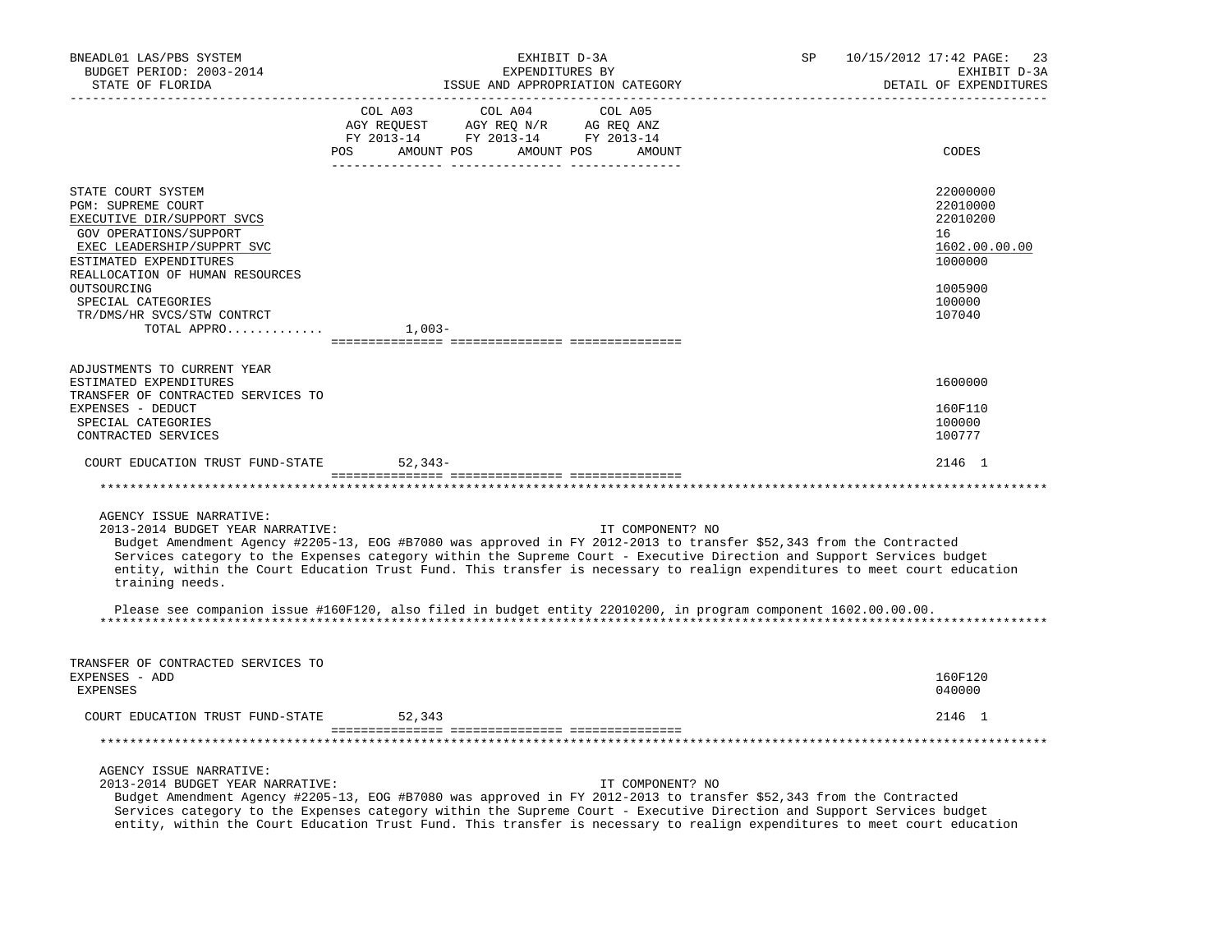| BNEADL01 LAS/PBS SYSTEM<br>BUDGET PERIOD: 2003-2014<br>STATE OF FLORIDA                                                                                  | EXHIBIT D-3A<br>EXPENDITURES BY<br>ISSUE AND APPROPRIATION CATEGORY                                                                                                                                                                                                                                                                                                                                      | SP<br>10/15/2012 17:42 PAGE:<br>23<br>EXHIBIT D-3A<br>DETAIL OF EXPENDITURES |
|----------------------------------------------------------------------------------------------------------------------------------------------------------|----------------------------------------------------------------------------------------------------------------------------------------------------------------------------------------------------------------------------------------------------------------------------------------------------------------------------------------------------------------------------------------------------------|------------------------------------------------------------------------------|
|                                                                                                                                                          | COL A03<br>COL A04<br>COL A05<br>$\begin{array}{ccccccccc} \text{COL} & \text{AUI} & \text{CUL} & \text{AUI} & \text{CUL} & \text{AUI} \\ \text{AGY} & \text{REQUEST} & \text{AGY} & \text{REQ} & \text{N}/\text{R} & \text{AG} & \text{EEQ} & \text{ANZ} \\ \text{FY} & 2013\text{--}14 & \text{FY} & 2013\text{--}14 & \text{FY} & 2013\text{--}14 \\ \end{array}$<br>POS AMOUNT POS AMOUNT POS AMOUNT | CODES                                                                        |
| STATE COURT SYSTEM<br>PGM: SUPREME COURT<br>EXECUTIVE DIR/SUPPORT SVCS<br>GOV OPERATIONS/SUPPORT<br>EXEC LEADERSHIP/SUPPRT SVC<br>ESTIMATED EXPENDITURES |                                                                                                                                                                                                                                                                                                                                                                                                          | 22000000<br>22010000<br>22010200<br>16<br>1602.00.00.00<br>1000000           |
| REALLOCATION OF HUMAN RESOURCES<br>OUTSOURCING<br>SPECIAL CATEGORIES<br>TR/DMS/HR SVCS/STW CONTRCT<br>TOTAL APPRO                                        | $1,003-$                                                                                                                                                                                                                                                                                                                                                                                                 | 1005900<br>100000<br>107040                                                  |
|                                                                                                                                                          |                                                                                                                                                                                                                                                                                                                                                                                                          |                                                                              |
| ADJUSTMENTS TO CURRENT YEAR<br>ESTIMATED EXPENDITURES                                                                                                    |                                                                                                                                                                                                                                                                                                                                                                                                          | 1600000                                                                      |
| TRANSFER OF CONTRACTED SERVICES TO<br>EXPENSES - DEDUCT<br>SPECIAL CATEGORIES<br>CONTRACTED SERVICES                                                     |                                                                                                                                                                                                                                                                                                                                                                                                          | 160F110<br>100000<br>100777                                                  |
| COURT EDUCATION TRUST FUND-STATE                                                                                                                         | 52,343-                                                                                                                                                                                                                                                                                                                                                                                                  | 2146 1                                                                       |
|                                                                                                                                                          |                                                                                                                                                                                                                                                                                                                                                                                                          |                                                                              |
| AGENCY ISSUE NARRATIVE:<br>2013-2014 BUDGET YEAR NARRATIVE:<br>training needs.                                                                           | IT COMPONENT? NO<br>Budget Amendment Agency #2205-13, EOG #B7080 was approved in FY 2012-2013 to transfer \$52,343 from the Contracted<br>Services category to the Expenses category within the Supreme Court - Executive Direction and Support Services budget<br>entity, within the Court Education Trust Fund. This transfer is necessary to realign expenditures to meet court education             |                                                                              |
|                                                                                                                                                          | Please see companion issue #160F120, also filed in budget entity 22010200, in program component 1602.00.00.00.                                                                                                                                                                                                                                                                                           |                                                                              |
| TRANSFER OF CONTRACTED SERVICES TO<br>EXPENSES - ADD<br>EXPENSES                                                                                         |                                                                                                                                                                                                                                                                                                                                                                                                          | 160F120<br>040000                                                            |
| COURT EDUCATION TRUST FUND-STATE                                                                                                                         | 52,343                                                                                                                                                                                                                                                                                                                                                                                                   | 2146 1                                                                       |
|                                                                                                                                                          |                                                                                                                                                                                                                                                                                                                                                                                                          |                                                                              |
| AGENCY ISSUE NARRATIVE:<br>2013-2014 BUDGET YEAR NARRATIVE:                                                                                              | IT COMPONENT? NO<br>Budget Amendment Agency #2205-13, EOG #B7080 was approved in FY 2012-2013 to transfer \$52,343 from the Contracted<br>Services category to the Expenses category within the Supreme Court - Executive Direction and Support Services budget<br>entity, within the Court Education Trust Fund. This transfer is necessary to realign expenditures to meet court education             |                                                                              |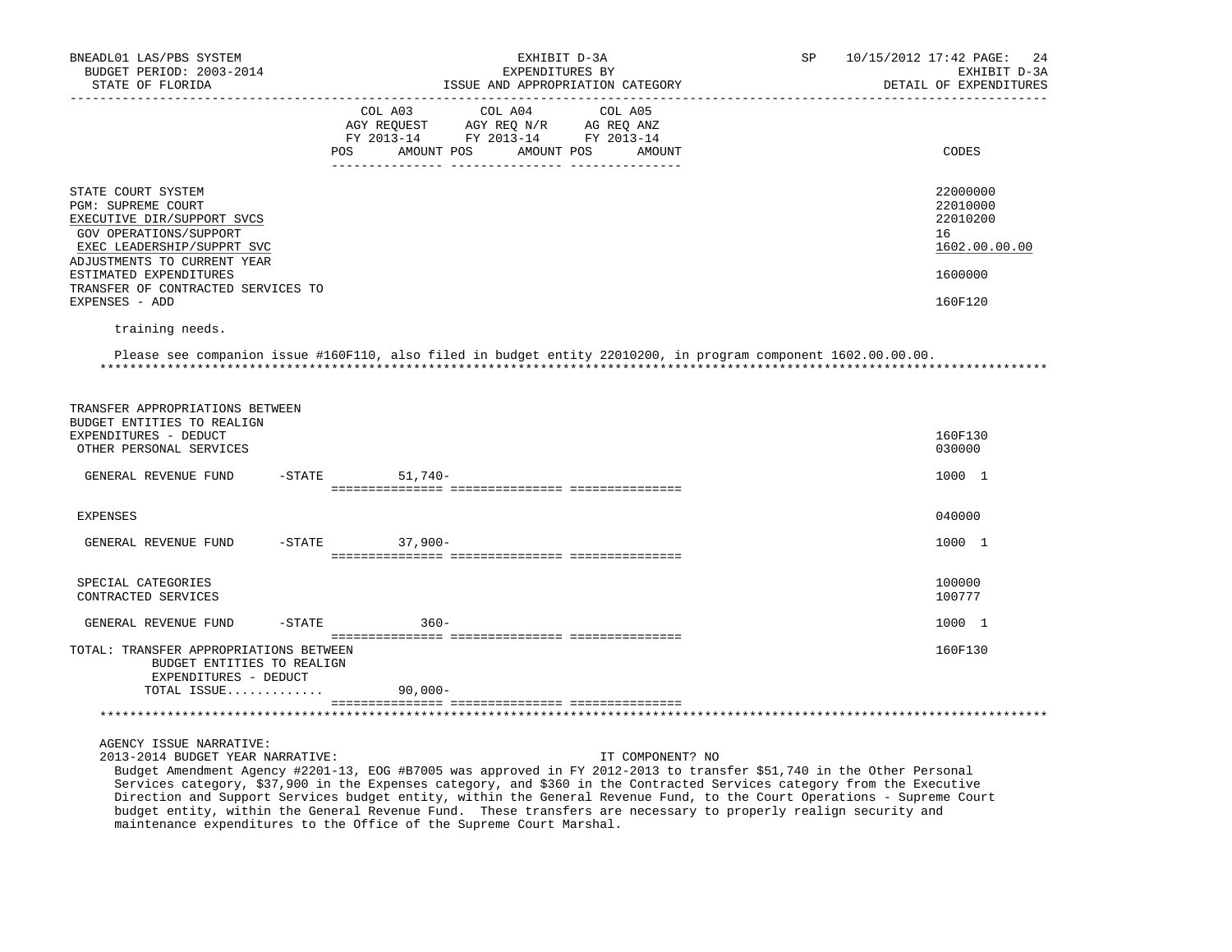| BNEADL01 LAS/PBS SYSTEM<br>BUDGET PERIOD: 2003-2014<br>STATE OF FLORIDA                                                                                       | EXHIBIT D-3A<br>EXPENDITURES BY<br>ISSUE AND APPROPRIATION CATEGORY<br>---------------------------------                                                    | SP | 10/15/2012 17:42 PAGE:<br>2.4<br>EXHIBIT D-3A<br>DETAIL OF EXPENDITURES |
|---------------------------------------------------------------------------------------------------------------------------------------------------------------|-------------------------------------------------------------------------------------------------------------------------------------------------------------|----|-------------------------------------------------------------------------|
|                                                                                                                                                               | COL A03<br>COL A04<br>COL A05<br>AGY REQUEST AGY REQ N/R AG REQ ANZ<br>FY 2013-14 FY 2013-14 FY 2013-14<br>POS<br>AMOUNT POS<br>AMOUNT POS<br><b>AMOUNT</b> |    | CODES                                                                   |
| STATE COURT SYSTEM<br>PGM: SUPREME COURT<br>EXECUTIVE DIR/SUPPORT SVCS<br>GOV OPERATIONS/SUPPORT<br>EXEC LEADERSHIP/SUPPRT SVC<br>ADJUSTMENTS TO CURRENT YEAR |                                                                                                                                                             |    | 22000000<br>22010000<br>22010200<br>16<br>1602.00.00.00                 |
| ESTIMATED EXPENDITURES                                                                                                                                        |                                                                                                                                                             |    | 1600000                                                                 |
| TRANSFER OF CONTRACTED SERVICES TO<br>EXPENSES - ADD                                                                                                          |                                                                                                                                                             |    | 160F120                                                                 |
| training needs.                                                                                                                                               |                                                                                                                                                             |    |                                                                         |
|                                                                                                                                                               | Please see companion issue #160F110, also filed in budget entity 22010200, in program component 1602.00.00.00.                                              |    |                                                                         |
| TRANSFER APPROPRIATIONS BETWEEN<br>BUDGET ENTITIES TO REALIGN<br>EXPENDITURES - DEDUCT<br>OTHER PERSONAL SERVICES                                             |                                                                                                                                                             |    | 160F130<br>030000                                                       |
| GENERAL REVENUE FUND                                                                                                                                          | $51,740-$<br>$-$ STATE                                                                                                                                      |    | 1000 1                                                                  |
| <b>EXPENSES</b>                                                                                                                                               |                                                                                                                                                             |    | 040000                                                                  |
|                                                                                                                                                               |                                                                                                                                                             |    |                                                                         |
| GENERAL REVENUE FUND                                                                                                                                          | $37,900-$<br>$-$ STATE                                                                                                                                      |    | 1000 1                                                                  |
| SPECIAL CATEGORIES<br>CONTRACTED SERVICES                                                                                                                     |                                                                                                                                                             |    | 100000<br>100777                                                        |
| GENERAL REVENUE FUND<br>$-STATE$                                                                                                                              | $360 -$                                                                                                                                                     |    | 1000 1                                                                  |
| TOTAL: TRANSFER APPROPRIATIONS BETWEEN<br>BUDGET ENTITIES TO REALIGN                                                                                          |                                                                                                                                                             |    | 160F130                                                                 |

 TOTAL ISSUE............. 90,000- =============== =============== ===============

\*\*\*\*\*\*\*\*\*\*\*\*\*\*\*\*\*\*\*\*\*\*\*\*\*\*\*\*\*\*\*\*\*\*\*\*\*\*\*\*\*\*\*\*\*\*\*\*\*\*\*\*\*\*\*\*\*\*\*\*\*\*\*\*\*\*\*\*\*\*\*\*\*\*\*\*\*\*\*\*\*\*\*\*\*\*\*\*\*\*\*\*\*\*\*\*\*\*\*\*\*\*\*\*\*\*\*\*\*\*\*\*\*\*\*\*\*\*\*\*\*\*\*\*\*\*\*

AGENCY ISSUE NARRATIVE:

EXPENDITURES - DEDUCT

 2013-2014 BUDGET YEAR NARRATIVE: IT COMPONENT? NO Budget Amendment Agency #2201-13, EOG #B7005 was approved in FY 2012-2013 to transfer \$51,740 in the Other Personal Services category, \$37,900 in the Expenses category, and \$360 in the Contracted Services category from the Executive Direction and Support Services budget entity, within the General Revenue Fund, to the Court Operations - Supreme Court budget entity, within the General Revenue Fund. These transfers are necessary to properly realign security and maintenance expenditures to the Office of the Supreme Court Marshal.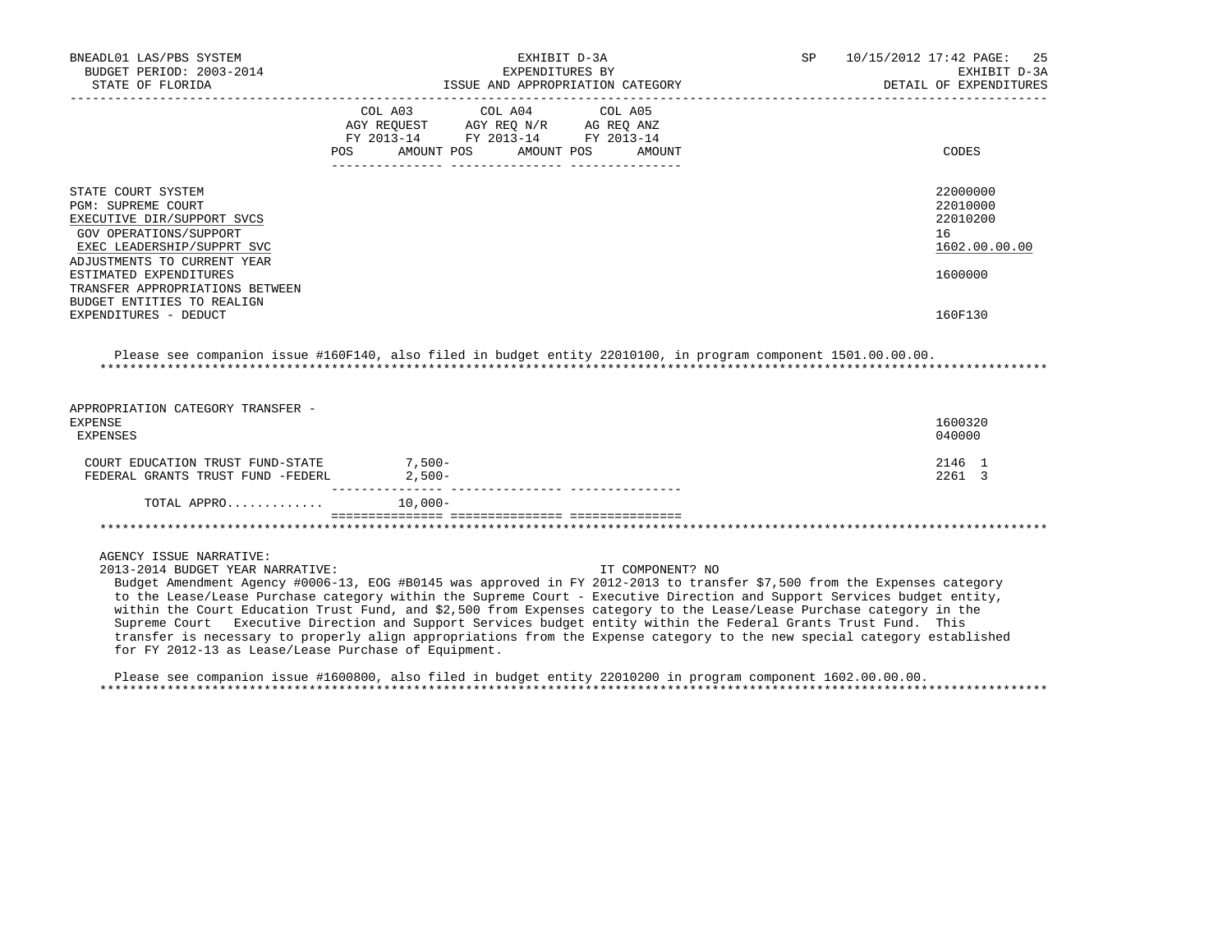| BNEADL01 LAS/PBS SYSTEM<br>BUDGET PERIOD: 2003-2014<br>STATE OF FLORIDA                                                                                       | EXHIBIT D-3A<br>EXPENDITURES BY<br>ISSUE AND APPROPRIATION CATEGORY                                                                                                                                                                                 | 10/15/2012 17:42 PAGE: 25<br>SP<br>EXHIBIT D-3A<br>DETAIL OF EXPENDITURES |
|---------------------------------------------------------------------------------------------------------------------------------------------------------------|-----------------------------------------------------------------------------------------------------------------------------------------------------------------------------------------------------------------------------------------------------|---------------------------------------------------------------------------|
|                                                                                                                                                               | COL A03 COL A04 COL A05<br>AGY REQUEST AGY REO N/R AG REO ANZ<br>FY 2013-14 FY 2013-14 FY 2013-14<br>AMOUNT POS AMOUNT POS AMOUNT<br>POS FOR THE POST OF THE POST OF THE POST OF THE POST OF THE POST OF THE POST OF THE POST OF THE POST OF THE PO | CODES                                                                     |
| STATE COURT SYSTEM<br>PGM: SUPREME COURT<br>EXECUTIVE DIR/SUPPORT SVCS<br>GOV OPERATIONS/SUPPORT<br>EXEC LEADERSHIP/SUPPRT SVC<br>ADJUSTMENTS TO CURRENT YEAR |                                                                                                                                                                                                                                                     | 22000000<br>22010000<br>22010200<br>16<br>1602.00.00.00                   |
| ESTIMATED EXPENDITURES<br>TRANSFER APPROPRIATIONS BETWEEN<br>BUDGET ENTITIES TO REALIGN<br>EXPENDITURES - DEDUCT                                              |                                                                                                                                                                                                                                                     | 1600000<br>160F130                                                        |

 Please see companion issue #160F140, also filed in budget entity 22010100, in program component 1501.00.00.00. \*\*\*\*\*\*\*\*\*\*\*\*\*\*\*\*\*\*\*\*\*\*\*\*\*\*\*\*\*\*\*\*\*\*\*\*\*\*\*\*\*\*\*\*\*\*\*\*\*\*\*\*\*\*\*\*\*\*\*\*\*\*\*\*\*\*\*\*\*\*\*\*\*\*\*\*\*\*\*\*\*\*\*\*\*\*\*\*\*\*\*\*\*\*\*\*\*\*\*\*\*\*\*\*\*\*\*\*\*\*\*\*\*\*\*\*\*\*\*\*\*\*\*\*\*\*\*

| APPROPRIATION CATEGORY TRANSFER -<br>EXPENSE<br>EXPENSES              |                        | 1600320<br>040000 |
|-----------------------------------------------------------------------|------------------------|-------------------|
| COURT EDUCATION TRUST FUND-STATE<br>FEDERAL GRANTS TRUST FUND -FEDERL | $7.500 -$<br>$2.500 -$ | 2146 1<br>2261 3  |
| TOTAL APPRO                                                           | $10.000 -$             |                   |
|                                                                       |                        |                   |

# AGENCY ISSUE NARRATIVE:

2013-2014 BUDGET YEAR NARRATIVE: IT COMPONENT? NO

 Budget Amendment Agency #0006-13, EOG #B0145 was approved in FY 2012-2013 to transfer \$7,500 from the Expenses category to the Lease/Lease Purchase category within the Supreme Court - Executive Direction and Support Services budget entity, within the Court Education Trust Fund, and \$2,500 from Expenses category to the Lease/Lease Purchase category in the Supreme Court Executive Direction and Support Services budget entity within the Federal Grants Trust Fund. This transfer is necessary to properly align appropriations from the Expense category to the new special category established for FY 2012-13 as Lease/Lease Purchase of Equipment.

 Please see companion issue #1600800, also filed in budget entity 22010200 in program component 1602.00.00.00. \*\*\*\*\*\*\*\*\*\*\*\*\*\*\*\*\*\*\*\*\*\*\*\*\*\*\*\*\*\*\*\*\*\*\*\*\*\*\*\*\*\*\*\*\*\*\*\*\*\*\*\*\*\*\*\*\*\*\*\*\*\*\*\*\*\*\*\*\*\*\*\*\*\*\*\*\*\*\*\*\*\*\*\*\*\*\*\*\*\*\*\*\*\*\*\*\*\*\*\*\*\*\*\*\*\*\*\*\*\*\*\*\*\*\*\*\*\*\*\*\*\*\*\*\*\*\*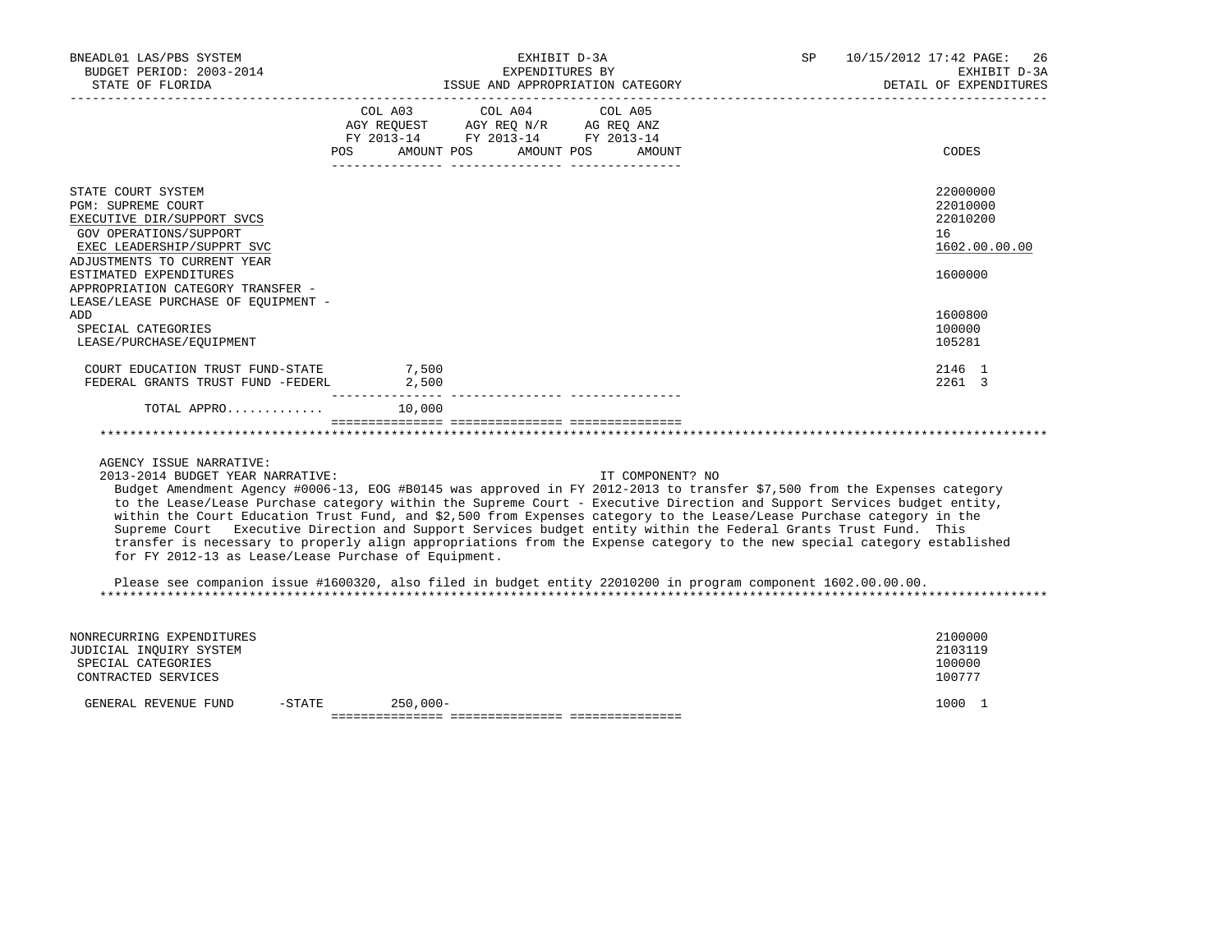| BNEADL01 LAS/PBS SYSTEM<br>BUDGET PERIOD: 2003-2014<br>STATE OF FLORIDA                                                                                                                                                                                                    | EXHIBIT D-3A<br>EXPENDITURES BY<br>ISSUE AND APPROPRIATION CATEGORY                                                                      | SP 10/15/2012 17:42 PAGE: 26<br>EXHIBIT D-3A<br>DETAIL OF EXPENDITURES |
|----------------------------------------------------------------------------------------------------------------------------------------------------------------------------------------------------------------------------------------------------------------------------|------------------------------------------------------------------------------------------------------------------------------------------|------------------------------------------------------------------------|
|                                                                                                                                                                                                                                                                            | COL A03 COL A04 COL A05<br>AGY REQUEST AGY REQ N/R AG REQ ANZ<br>FY 2013-14 FY 2013-14 FY 2013-14<br>AMOUNT POS AMOUNT POS AMOUNT<br>POS | CODES                                                                  |
| STATE COURT SYSTEM<br><b>PGM: SUPREME COURT</b><br>EXECUTIVE DIR/SUPPORT SVCS<br>GOV OPERATIONS/SUPPORT<br>EXEC LEADERSHIP/SUPPRT SVC<br>ADJUSTMENTS TO CURRENT YEAR<br>ESTIMATED EXPENDITURES<br>APPROPRIATION CATEGORY TRANSFER -<br>LEASE/LEASE PURCHASE OF EOUIPMENT - |                                                                                                                                          | 22000000<br>22010000<br>22010200<br>16<br>1602.00.00.00<br>1600000     |
| ADD<br>SPECIAL CATEGORIES<br>LEASE/PURCHASE/EOUIPMENT                                                                                                                                                                                                                      |                                                                                                                                          | 1600800<br>100000<br>105281                                            |
| COURT EDUCATION TRUST FUND-STATE<br>FEDERAL GRANTS TRUST FUND -FEDERL                                                                                                                                                                                                      | 7,500<br>2,500                                                                                                                           | 2146 1<br>2261 3                                                       |
| TOTAL APPRO $10,000$                                                                                                                                                                                                                                                       |                                                                                                                                          |                                                                        |
|                                                                                                                                                                                                                                                                            |                                                                                                                                          |                                                                        |

2013-2014 BUDGET YEAR NARRATIVE: IT COMPONENT? NO

 Budget Amendment Agency #0006-13, EOG #B0145 was approved in FY 2012-2013 to transfer \$7,500 from the Expenses category to the Lease/Lease Purchase category within the Supreme Court - Executive Direction and Support Services budget entity, within the Court Education Trust Fund, and \$2,500 from Expenses category to the Lease/Lease Purchase category in the Supreme Court Executive Direction and Support Services budget entity within the Federal Grants Trust Fund. This transfer is necessary to properly align appropriations from the Expense category to the new special category established for FY 2012-13 as Lease/Lease Purchase of Equipment.

 Please see companion issue #1600320, also filed in budget entity 22010200 in program component 1602.00.00.00. \*\*\*\*\*\*\*\*\*\*\*\*\*\*\*\*\*\*\*\*\*\*\*\*\*\*\*\*\*\*\*\*\*\*\*\*\*\*\*\*\*\*\*\*\*\*\*\*\*\*\*\*\*\*\*\*\*\*\*\*\*\*\*\*\*\*\*\*\*\*\*\*\*\*\*\*\*\*\*\*\*\*\*\*\*\*\*\*\*\*\*\*\*\*\*\*\*\*\*\*\*\*\*\*\*\*\*\*\*\*\*\*\*\*\*\*\*\*\*\*\*\*\*\*\*\*\*

| NONRECURRING EXPENDITURES<br>JUDICIAL INQUIRY SYSTEM<br>SPECIAL CATEGORIES<br>CONTRACTED SERVICES |           |             |  | 2100000<br>2103119<br>100000<br>100777 |
|---------------------------------------------------------------------------------------------------|-----------|-------------|--|----------------------------------------|
| GENERAL REVENUE FUND                                                                              | $-$ STATE | $250.000 -$ |  | 1000                                   |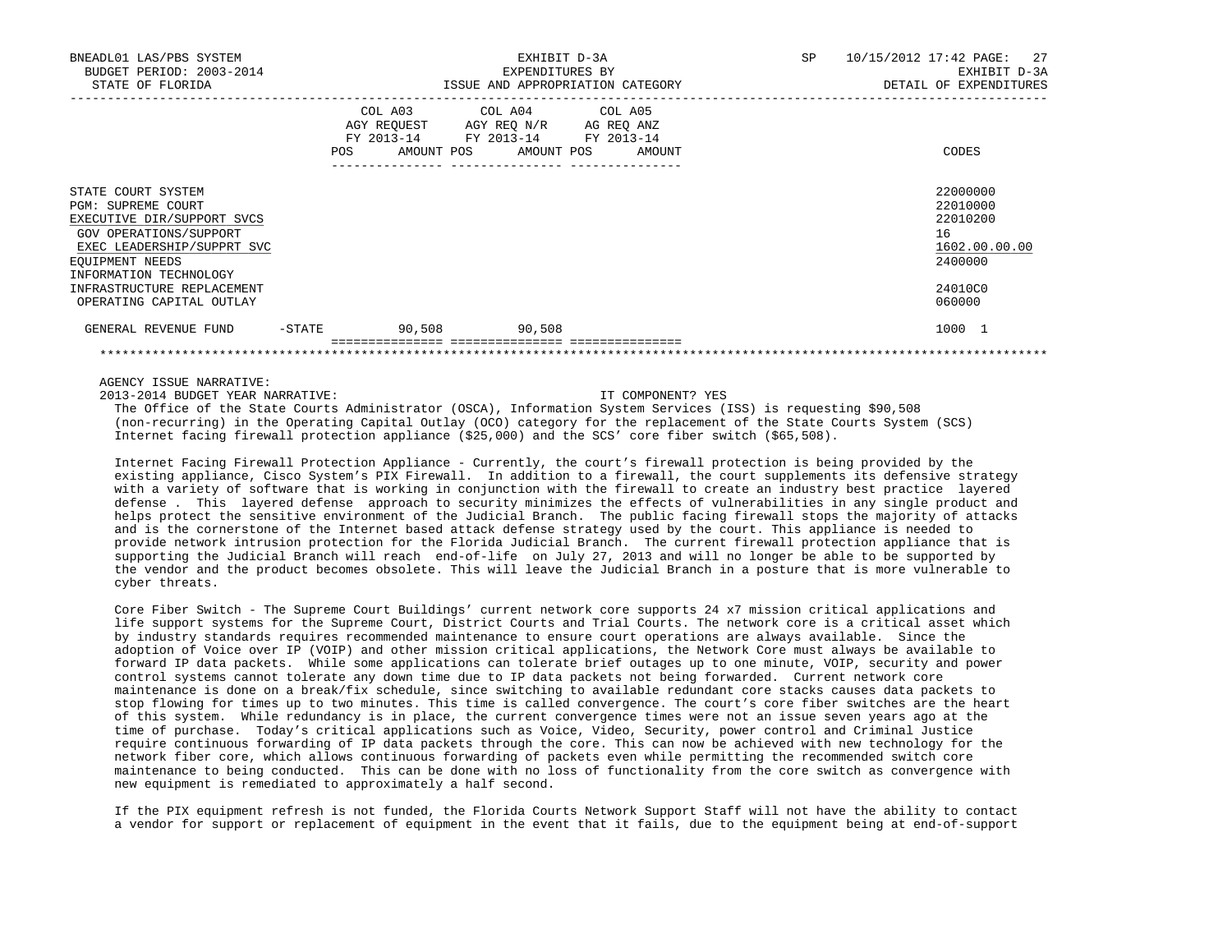| GENERAL REVENUE FUND                                                                                | -STATE | 90,508                                                                                            | 90,508 |                                  |                                           | 1000 1                          |
|-----------------------------------------------------------------------------------------------------|--------|---------------------------------------------------------------------------------------------------|--------|----------------------------------|-------------------------------------------|---------------------------------|
| EOUIPMENT NEEDS<br>INFORMATION TECHNOLOGY<br>INFRASTRUCTURE REPLACEMENT<br>OPERATING CAPITAL OUTLAY |        |                                                                                                   |        |                                  |                                           | 2400000<br>24010C0<br>060000    |
| EXECUTIVE DIR/SUPPORT SVCS<br>GOV OPERATIONS/SUPPORT<br>EXEC LEADERSHIP/SUPPRT SVC                  |        |                                                                                                   |        |                                  |                                           | 22010200<br>16<br>1602.00.00.00 |
| STATE COURT SYSTEM<br>PGM: SUPREME COURT                                                            |        |                                                                                                   |        |                                  |                                           | 22000000<br>22010000            |
|                                                                                                     | POS    | COL A03 COL A04 COL A05<br>AGY REQUEST AGY REQ N/R AG REQ ANZ<br>FY 2013-14 FY 2013-14 FY 2013-14 |        | AMOUNT POS AMOUNT POS AMOUNT     |                                           | CODES                           |
| STATE OF FLORIDA                                                                                    |        |                                                                                                   |        | ISSUE AND APPROPRIATION CATEGORY |                                           | DETAIL OF EXPENDITURES          |
| BNEADL01 LAS/PBS SYSTEM<br>BUDGET PERIOD: 2003-2014                                                 |        | EXHIBIT D-3A<br>EXPENDITURES BY                                                                   |        | <b>SP</b>                        | 10/15/2012 17:42 PAGE: 27<br>EXHIBIT D-3A |                                 |

2013-2014 BUDGET YEAR NARRATIVE: IT COMPONENT? YES

 The Office of the State Courts Administrator (OSCA), Information System Services (ISS) is requesting \$90,508 (non-recurring) in the Operating Capital Outlay (OCO) category for the replacement of the State Courts System (SCS) Internet facing firewall protection appliance (\$25,000) and the SCS' core fiber switch (\$65,508).

\*\*\*\*\*\*\*\*\*\*\*\*\*\*\*\*\*\*\*\*\*\*\*\*\*\*\*\*\*\*\*\*\*\*\*\*\*\*\*\*\*\*\*\*\*\*\*\*\*\*\*\*\*\*\*\*\*\*\*\*\*\*\*\*\*\*\*\*\*\*\*\*\*\*\*\*\*\*\*\*\*\*\*\*\*\*\*\*\*\*\*\*\*\*\*\*\*\*\*\*\*\*\*\*\*\*\*\*\*\*\*\*\*\*\*\*\*\*\*\*\*\*\*\*\*\*\*

 Internet Facing Firewall Protection Appliance - Currently, the court's firewall protection is being provided by the existing appliance, Cisco System's PIX Firewall. In addition to a firewall, the court supplements its defensive strategy with a variety of software that is working in conjunction with the firewall to create an industry best practice layered defense . This layered defense approach to security minimizes the effects of vulnerabilities in any single product and helps protect the sensitive environment of the Judicial Branch. The public facing firewall stops the majority of attacks and is the cornerstone of the Internet based attack defense strategy used by the court. This appliance is needed to provide network intrusion protection for the Florida Judicial Branch. The current firewall protection appliance that is supporting the Judicial Branch will reach end-of-life on July 27, 2013 and will no longer be able to be supported by the vendor and the product becomes obsolete. This will leave the Judicial Branch in a posture that is more vulnerable to cyber threats.

 Core Fiber Switch - The Supreme Court Buildings' current network core supports 24 x7 mission critical applications and life support systems for the Supreme Court, District Courts and Trial Courts. The network core is a critical asset which by industry standards requires recommended maintenance to ensure court operations are always available. Since the adoption of Voice over IP (VOIP) and other mission critical applications, the Network Core must always be available to forward IP data packets. While some applications can tolerate brief outages up to one minute, VOIP, security and power control systems cannot tolerate any down time due to IP data packets not being forwarded. Current network core maintenance is done on a break/fix schedule, since switching to available redundant core stacks causes data packets to stop flowing for times up to two minutes. This time is called convergence. The court's core fiber switches are the heart of this system. While redundancy is in place, the current convergence times were not an issue seven years ago at the time of purchase. Today's critical applications such as Voice, Video, Security, power control and Criminal Justice require continuous forwarding of IP data packets through the core. This can now be achieved with new technology for the network fiber core, which allows continuous forwarding of packets even while permitting the recommended switch core maintenance to being conducted. This can be done with no loss of functionality from the core switch as convergence with new equipment is remediated to approximately a half second.

 If the PIX equipment refresh is not funded, the Florida Courts Network Support Staff will not have the ability to contact a vendor for support or replacement of equipment in the event that it fails, due to the equipment being at end-of-support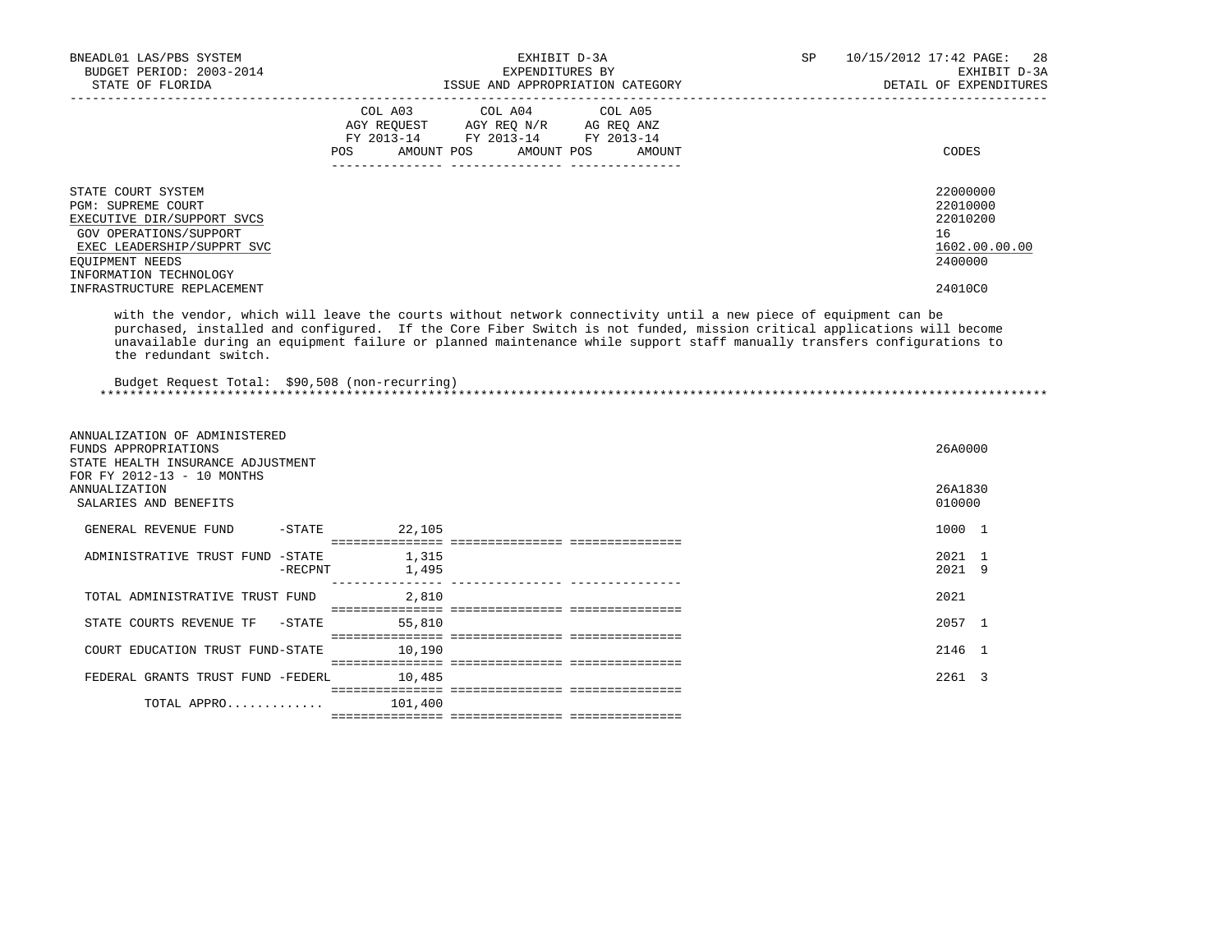| BNEADL01 LAS/PBS SYSTEM<br>BUDGET PERIOD: 2003-2014<br>STATE OF FLORIDA                                                                                                            |            |                    | EXHIBIT D-3A<br>EXPENDITURES BY<br>ISSUE AND APPROPRIATION CATEGORY                                                                                                                                                                                                                                                                                                  | SP | 10/15/2012 17:42 PAGE:<br>28<br>EXHIBIT D-3A<br>DETAIL OF EXPENDITURES |
|------------------------------------------------------------------------------------------------------------------------------------------------------------------------------------|------------|--------------------|----------------------------------------------------------------------------------------------------------------------------------------------------------------------------------------------------------------------------------------------------------------------------------------------------------------------------------------------------------------------|----|------------------------------------------------------------------------|
|                                                                                                                                                                                    |            | COL A03<br>POS FOR | COL A04<br>COL A05<br>AGY REQUEST AGY REQ N/R AG REQ ANZ<br>FY 2013-14 FY 2013-14 FY 2013-14<br>AMOUNT POS<br>AMOUNT POS<br>AMOUNT                                                                                                                                                                                                                                   |    | CODES                                                                  |
| STATE COURT SYSTEM<br>PGM: SUPREME COURT<br>EXECUTIVE DIR/SUPPORT SVCS<br><b>GOV OPERATIONS/SUPPORT</b><br>EXEC LEADERSHIP/SUPPRT SVC<br>EOUIPMENT NEEDS<br>INFORMATION TECHNOLOGY |            |                    |                                                                                                                                                                                                                                                                                                                                                                      |    | 22000000<br>22010000<br>22010200<br>16<br>1602.00.00.00<br>2400000     |
| INFRASTRUCTURE REPLACEMENT<br>the redundant switch.<br>Budget Request Total: \$90,508 (non-recurring)                                                                              |            |                    | with the vendor, which will leave the courts without network connectivity until a new piece of equipment can be<br>purchased, installed and configured. If the Core Fiber Switch is not funded, mission critical applications will become<br>unavailable during an equipment failure or planned maintenance while support staff manually transfers configurations to |    | 24010C0                                                                |
| ANNUALIZATION OF ADMINISTERED<br>FUNDS APPROPRIATIONS<br>STATE HEALTH INSURANCE ADJUSTMENT                                                                                         |            |                    |                                                                                                                                                                                                                                                                                                                                                                      |    | 26A0000                                                                |
| FOR FY 2012-13 - 10 MONTHS<br><b>ANNUALIZATION</b><br>SALARIES AND BENEFITS                                                                                                        |            |                    |                                                                                                                                                                                                                                                                                                                                                                      |    | 26A1830<br>010000                                                      |
| GENERAL REVENUE FUND                                                                                                                                                               | $-STATE$   | 22,105             |                                                                                                                                                                                                                                                                                                                                                                      |    | 1000 1                                                                 |
| ADMINISTRATIVE TRUST FUND -STATE                                                                                                                                                   | $-$ RECPNT | 1,315<br>1,495     |                                                                                                                                                                                                                                                                                                                                                                      |    | 2021 1<br>2021 9                                                       |
| TOTAL ADMINISTRATIVE TRUST FUND                                                                                                                                                    |            | 2,810              |                                                                                                                                                                                                                                                                                                                                                                      |    | 2021                                                                   |
| STATE COURTS REVENUE TF                                                                                                                                                            | $-STATE$   | 55,810             |                                                                                                                                                                                                                                                                                                                                                                      |    | 2057 1                                                                 |
| COURT EDUCATION TRUST FUND-STATE                                                                                                                                                   |            | 10.190             |                                                                                                                                                                                                                                                                                                                                                                      |    | 2146 1                                                                 |
| FEDERAL GRANTS TRUST FUND -FEDERL                                                                                                                                                  |            | 10,485             |                                                                                                                                                                                                                                                                                                                                                                      |    | 2261 3                                                                 |
| TOTAL APPRO                                                                                                                                                                        |            | 101.400            |                                                                                                                                                                                                                                                                                                                                                                      |    |                                                                        |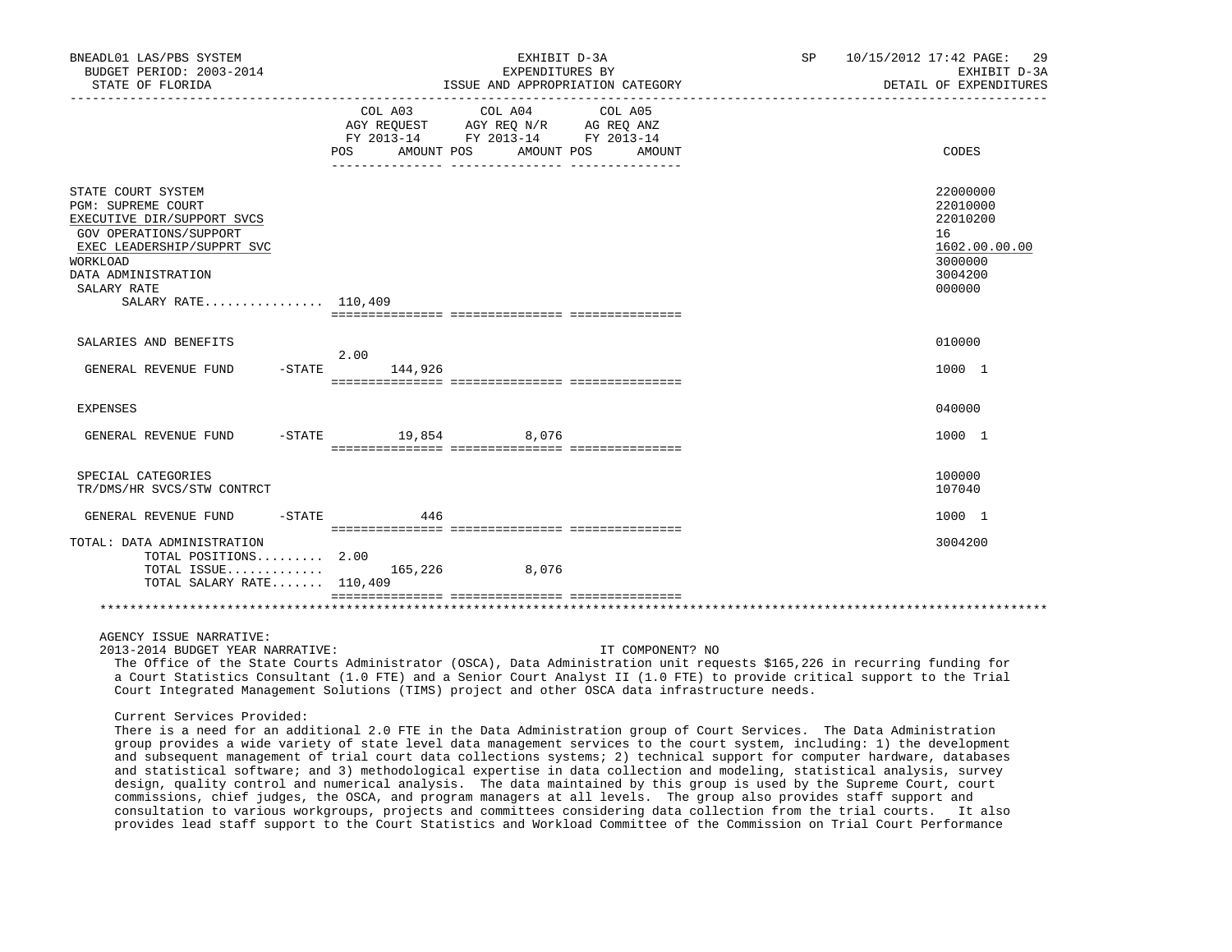| BNEADL01 LAS/PBS SYSTEM<br>BUDGET PERIOD: 2003-2014<br>STATE OF FLORIDA                                                                                                                                        |                                                                                                                             | EXHIBIT D-3A<br>EXPENDITURES BY<br>ISSUE AND APPROPRIATION CATEGORY<br>------------------------------ | SP | 10/15/2012 17:42 PAGE: 29<br>EXHIBIT D-3A<br>DETAIL OF EXPENDITURES                     |
|----------------------------------------------------------------------------------------------------------------------------------------------------------------------------------------------------------------|-----------------------------------------------------------------------------------------------------------------------------|-------------------------------------------------------------------------------------------------------|----|-----------------------------------------------------------------------------------------|
|                                                                                                                                                                                                                | COL A03<br>COL A04<br>AGY REOUEST AGY REO N/R AG REO ANZ<br>FY 2013-14 FY 2013-14<br>FY 2013-14<br><b>POS</b><br>AMOUNT POS | COL A05<br>AMOUNT POS<br>AMOUNT                                                                       |    | CODES                                                                                   |
| STATE COURT SYSTEM<br><b>PGM: SUPREME COURT</b><br>EXECUTIVE DIR/SUPPORT SVCS<br>GOV OPERATIONS/SUPPORT<br>EXEC LEADERSHIP/SUPPRT SVC<br>WORKLOAD<br>DATA ADMINISTRATION<br>SALARY RATE<br>SALARY RATE 110,409 |                                                                                                                             |                                                                                                       |    | 22000000<br>22010000<br>22010200<br>16<br>1602.00.00.00<br>3000000<br>3004200<br>000000 |
| SALARIES AND BENEFITS                                                                                                                                                                                          |                                                                                                                             |                                                                                                       |    | 010000                                                                                  |
| GENERAL REVENUE FUND<br>– STATE                                                                                                                                                                                | 2.00<br>144,926                                                                                                             |                                                                                                       |    | 1000 1                                                                                  |
| <b>EXPENSES</b>                                                                                                                                                                                                |                                                                                                                             |                                                                                                       |    | 040000                                                                                  |
| GENERAL REVENUE FUND                                                                                                                                                                                           | -STATE 19,854 8,076                                                                                                         |                                                                                                       |    | 1000 1                                                                                  |
| SPECIAL CATEGORIES<br>TR/DMS/HR SVCS/STW CONTRCT                                                                                                                                                               |                                                                                                                             |                                                                                                       |    | 100000<br>107040                                                                        |
| GENERAL REVENUE FUND                                                                                                                                                                                           | $-$ STATE 446                                                                                                               |                                                                                                       |    | 1000 1                                                                                  |
| TOTAL: DATA ADMINISTRATION<br>TOTAL POSITIONS 2.00<br>TOTAL ISSUE<br>TOTAL SALARY RATE 110,409                                                                                                                 | 165,226<br>8,076                                                                                                            |                                                                                                       |    | 3004200                                                                                 |
|                                                                                                                                                                                                                |                                                                                                                             |                                                                                                       |    |                                                                                         |

2013-2014 BUDGET YEAR NARRATIVE: IT COMPONENT? NO

 The Office of the State Courts Administrator (OSCA), Data Administration unit requests \$165,226 in recurring funding for a Court Statistics Consultant (1.0 FTE) and a Senior Court Analyst II (1.0 FTE) to provide critical support to the Trial Court Integrated Management Solutions (TIMS) project and other OSCA data infrastructure needs.

Current Services Provided:

 There is a need for an additional 2.0 FTE in the Data Administration group of Court Services. The Data Administration group provides a wide variety of state level data management services to the court system, including: 1) the development and subsequent management of trial court data collections systems; 2) technical support for computer hardware, databases and statistical software; and 3) methodological expertise in data collection and modeling, statistical analysis, survey design, quality control and numerical analysis. The data maintained by this group is used by the Supreme Court, court commissions, chief judges, the OSCA, and program managers at all levels. The group also provides staff support and consultation to various workgroups, projects and committees considering data collection from the trial courts. It also provides lead staff support to the Court Statistics and Workload Committee of the Commission on Trial Court Performance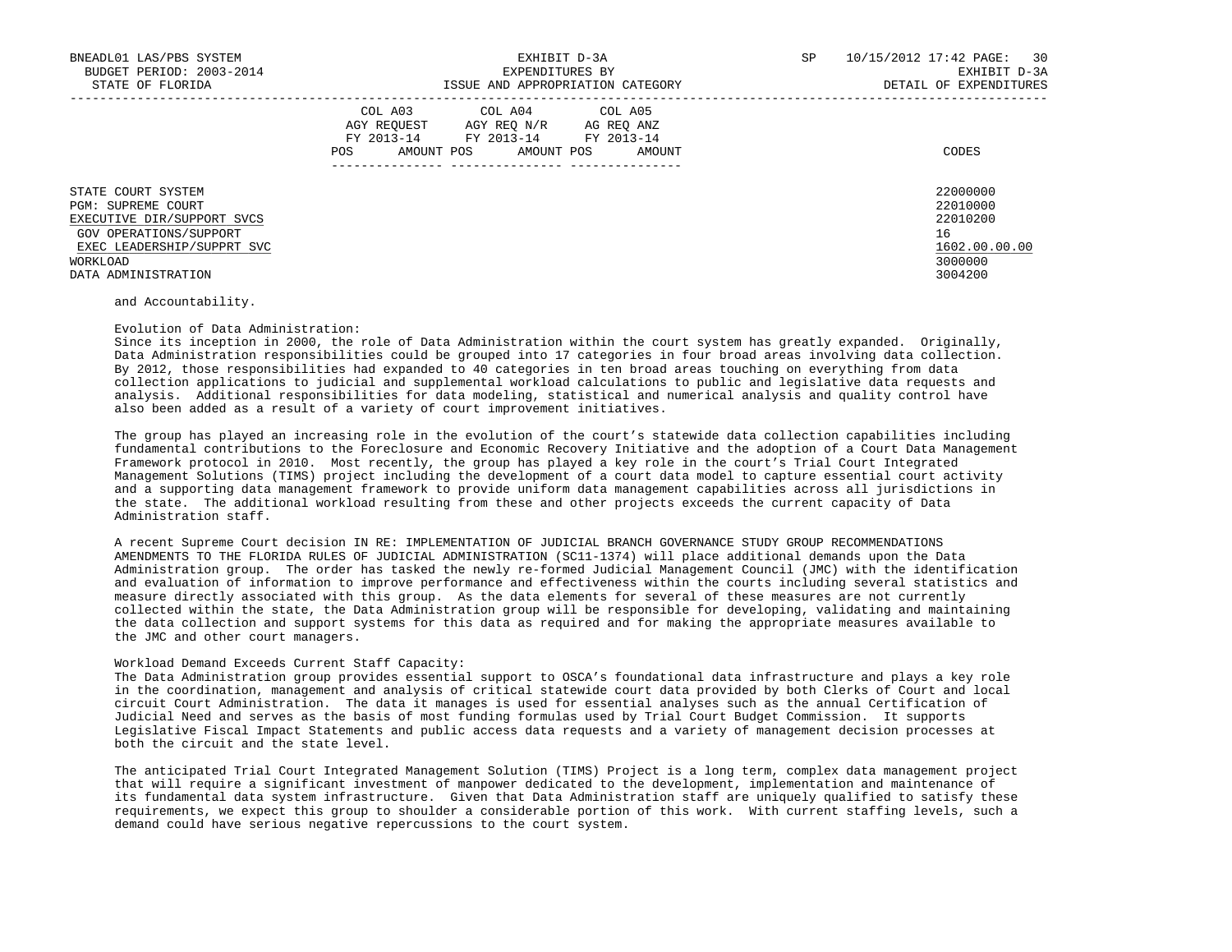| BNEADL01 LAS/PBS SYSTEM<br>BUDGET PERIOD: 2003-2014<br>STATE OF FLORIDA                                                                                           | EXHIBIT D-3A<br>EXPENDITURES BY<br>ISSUE AND APPROPRIATION CATEGORY                                                                                  | SP<br>30<br>10/15/2012 17:42 PAGE:<br>EXHIBIT D-3A<br>DETAIL OF EXPENDITURES  |
|-------------------------------------------------------------------------------------------------------------------------------------------------------------------|------------------------------------------------------------------------------------------------------------------------------------------------------|-------------------------------------------------------------------------------|
|                                                                                                                                                                   | COL A03 COL A04 COL A05<br>AGY REOUEST<br>AGY REO N/R<br>AG REQ ANZ<br>FY 2013-14 FY 2013-14 FY 2013-14<br>AMOUNT POS<br>POS<br>AMOUNT POS<br>AMOUNT | CODES                                                                         |
| STATE COURT SYSTEM<br>PGM: SUPREME COURT<br>EXECUTIVE DIR/SUPPORT SVCS<br>GOV OPERATIONS/SUPPORT<br>EXEC LEADERSHIP/SUPPRT SVC<br>WORKLOAD<br>DATA ADMINISTRATION |                                                                                                                                                      | 22000000<br>22010000<br>22010200<br>16<br>1602.00.00.00<br>3000000<br>3004200 |

and Accountability.

### Evolution of Data Administration:

 Since its inception in 2000, the role of Data Administration within the court system has greatly expanded. Originally, Data Administration responsibilities could be grouped into 17 categories in four broad areas involving data collection. By 2012, those responsibilities had expanded to 40 categories in ten broad areas touching on everything from data collection applications to judicial and supplemental workload calculations to public and legislative data requests and analysis. Additional responsibilities for data modeling, statistical and numerical analysis and quality control have also been added as a result of a variety of court improvement initiatives.

 The group has played an increasing role in the evolution of the court's statewide data collection capabilities including fundamental contributions to the Foreclosure and Economic Recovery Initiative and the adoption of a Court Data Management Framework protocol in 2010. Most recently, the group has played a key role in the court's Trial Court Integrated Management Solutions (TIMS) project including the development of a court data model to capture essential court activity and a supporting data management framework to provide uniform data management capabilities across all jurisdictions in the state. The additional workload resulting from these and other projects exceeds the current capacity of Data Administration staff.

 A recent Supreme Court decision IN RE: IMPLEMENTATION OF JUDICIAL BRANCH GOVERNANCE STUDY GROUP RECOMMENDATIONS AMENDMENTS TO THE FLORIDA RULES OF JUDICIAL ADMINISTRATION (SC11-1374) will place additional demands upon the Data Administration group. The order has tasked the newly re-formed Judicial Management Council (JMC) with the identification and evaluation of information to improve performance and effectiveness within the courts including several statistics and measure directly associated with this group. As the data elements for several of these measures are not currently collected within the state, the Data Administration group will be responsible for developing, validating and maintaining the data collection and support systems for this data as required and for making the appropriate measures available to the JMC and other court managers.

### Workload Demand Exceeds Current Staff Capacity:

 The Data Administration group provides essential support to OSCA's foundational data infrastructure and plays a key role in the coordination, management and analysis of critical statewide court data provided by both Clerks of Court and local circuit Court Administration. The data it manages is used for essential analyses such as the annual Certification of Judicial Need and serves as the basis of most funding formulas used by Trial Court Budget Commission. It supports Legislative Fiscal Impact Statements and public access data requests and a variety of management decision processes at both the circuit and the state level.

 The anticipated Trial Court Integrated Management Solution (TIMS) Project is a long term, complex data management project that will require a significant investment of manpower dedicated to the development, implementation and maintenance of its fundamental data system infrastructure. Given that Data Administration staff are uniquely qualified to satisfy these requirements, we expect this group to shoulder a considerable portion of this work. With current staffing levels, such a demand could have serious negative repercussions to the court system.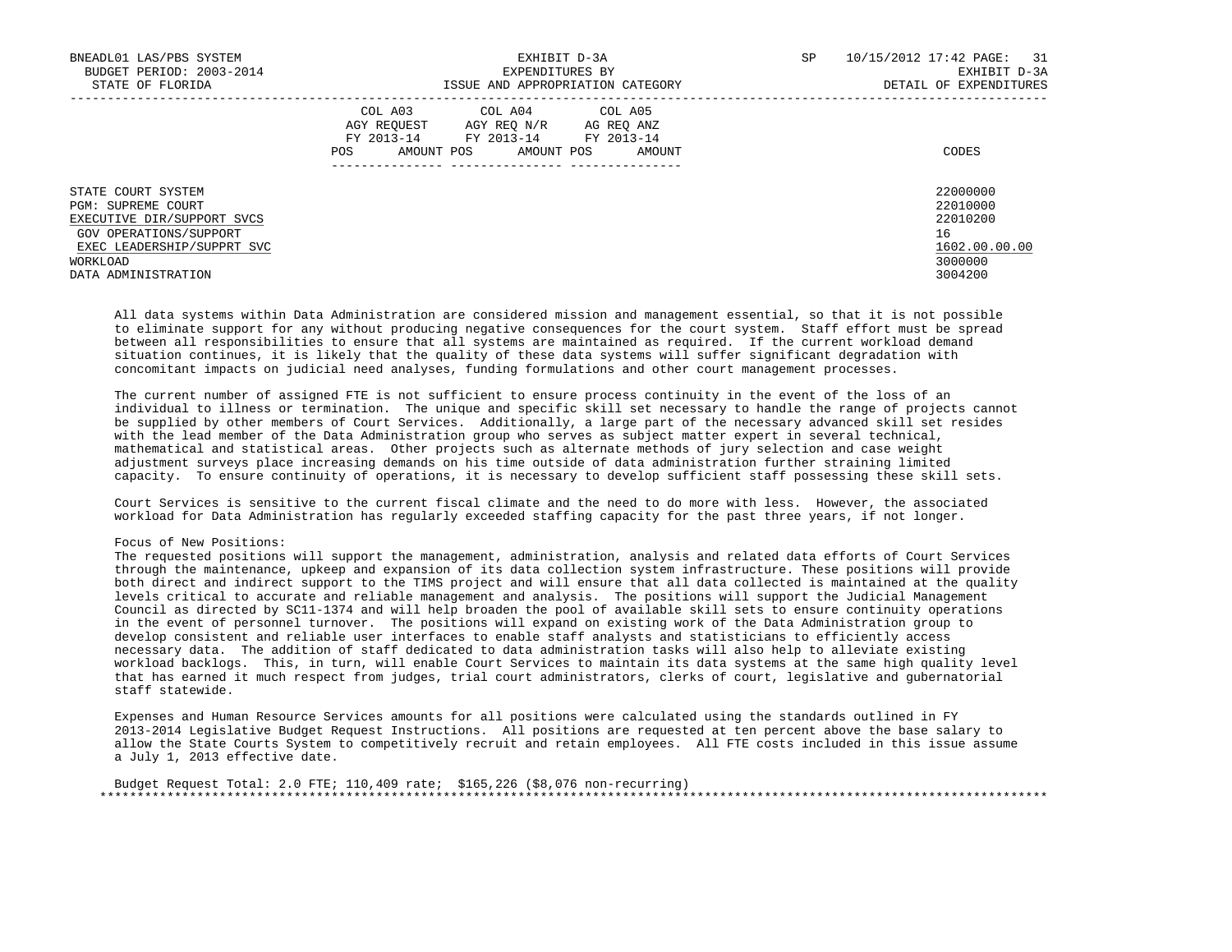| BNEADL01 LAS/PBS SYSTEM<br>BUDGET PERIOD: 2003-2014<br>STATE OF FLORIDA                                                                    | EXHIBIT D-3A<br>EXPENDITURES BY<br>ISSUE AND APPROPRIATION CATEGORY                                                                                        | SP<br>10/15/2012 17:42 PAGE:<br>31<br>EXHIBIT D-3A<br>DETAIL OF EXPENDITURES |
|--------------------------------------------------------------------------------------------------------------------------------------------|------------------------------------------------------------------------------------------------------------------------------------------------------------|------------------------------------------------------------------------------|
|                                                                                                                                            | COL A03<br>COL A04 COL A05<br>AGY REOUEST<br>AGY REO N/R<br>AG REO ANZ<br>FY 2013-14<br>FY 2013-14 FY 2013-14<br>AMOUNT POS<br>AMOUNT POS<br>POS<br>AMOUNT | CODES                                                                        |
| STATE COURT SYSTEM<br>PGM: SUPREME COURT<br>EXECUTIVE DIR/SUPPORT SVCS<br>GOV OPERATIONS/SUPPORT<br>EXEC LEADERSHIP/SUPPRT SVC<br>WORKLOAD |                                                                                                                                                            | 22000000<br>22010000<br>22010200<br>16<br>1602.00.00.00<br>3000000           |
| DATA ADMINISTRATION                                                                                                                        |                                                                                                                                                            | 3004200                                                                      |

 All data systems within Data Administration are considered mission and management essential, so that it is not possible to eliminate support for any without producing negative consequences for the court system. Staff effort must be spread between all responsibilities to ensure that all systems are maintained as required. If the current workload demand situation continues, it is likely that the quality of these data systems will suffer significant degradation with concomitant impacts on judicial need analyses, funding formulations and other court management processes.

 The current number of assigned FTE is not sufficient to ensure process continuity in the event of the loss of an individual to illness or termination. The unique and specific skill set necessary to handle the range of projects cannot be supplied by other members of Court Services. Additionally, a large part of the necessary advanced skill set resides with the lead member of the Data Administration group who serves as subject matter expert in several technical, mathematical and statistical areas. Other projects such as alternate methods of jury selection and case weight adjustment surveys place increasing demands on his time outside of data administration further straining limited capacity. To ensure continuity of operations, it is necessary to develop sufficient staff possessing these skill sets.

 Court Services is sensitive to the current fiscal climate and the need to do more with less. However, the associated workload for Data Administration has regularly exceeded staffing capacity for the past three years, if not longer.

### Focus of New Positions:

 The requested positions will support the management, administration, analysis and related data efforts of Court Services through the maintenance, upkeep and expansion of its data collection system infrastructure. These positions will provide both direct and indirect support to the TIMS project and will ensure that all data collected is maintained at the quality levels critical to accurate and reliable management and analysis. The positions will support the Judicial Management Council as directed by SC11-1374 and will help broaden the pool of available skill sets to ensure continuity operations in the event of personnel turnover. The positions will expand on existing work of the Data Administration group to develop consistent and reliable user interfaces to enable staff analysts and statisticians to efficiently access necessary data. The addition of staff dedicated to data administration tasks will also help to alleviate existing workload backlogs. This, in turn, will enable Court Services to maintain its data systems at the same high quality level that has earned it much respect from judges, trial court administrators, clerks of court, legislative and gubernatorial staff statewide.

 Expenses and Human Resource Services amounts for all positions were calculated using the standards outlined in FY 2013-2014 Legislative Budget Request Instructions. All positions are requested at ten percent above the base salary to allow the State Courts System to competitively recruit and retain employees. All FTE costs included in this issue assume a July 1, 2013 effective date.

 Budget Request Total: 2.0 FTE; 110,409 rate; \$165,226 (\$8,076 non-recurring) \*\*\*\*\*\*\*\*\*\*\*\*\*\*\*\*\*\*\*\*\*\*\*\*\*\*\*\*\*\*\*\*\*\*\*\*\*\*\*\*\*\*\*\*\*\*\*\*\*\*\*\*\*\*\*\*\*\*\*\*\*\*\*\*\*\*\*\*\*\*\*\*\*\*\*\*\*\*\*\*\*\*\*\*\*\*\*\*\*\*\*\*\*\*\*\*\*\*\*\*\*\*\*\*\*\*\*\*\*\*\*\*\*\*\*\*\*\*\*\*\*\*\*\*\*\*\*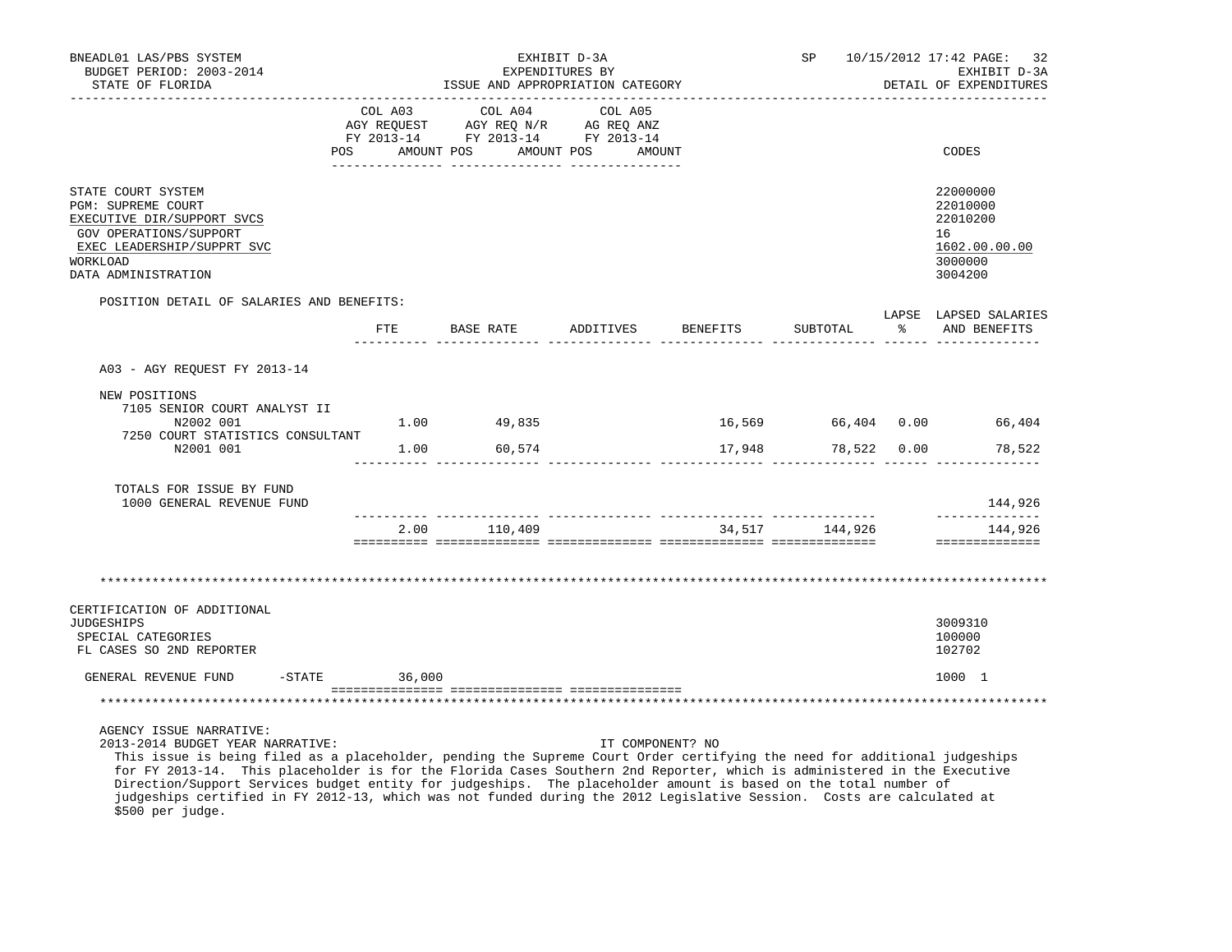| BNEADL01 LAS/PBS SYSTEM<br>BUDGET PERIOD: 2003-2014<br>STATE OF FLORIDA                                                                                                                                                                                                                                             | EXHIBIT D-3A<br>EXPENDITURES BY<br>ISSUE AND APPROPRIATION CATEGORY |                                                                                                               |                   |          |                |   | SP 10/15/2012 17:42 PAGE: 32<br>EXHIBIT D-3A<br>DETAIL OF EXPENDITURES        |
|---------------------------------------------------------------------------------------------------------------------------------------------------------------------------------------------------------------------------------------------------------------------------------------------------------------------|---------------------------------------------------------------------|---------------------------------------------------------------------------------------------------------------|-------------------|----------|----------------|---|-------------------------------------------------------------------------------|
|                                                                                                                                                                                                                                                                                                                     | COL A03<br>POS FOR                                                  | COL A04<br>AGY REQUEST AGY REQ N/R AG REQ ANZ<br>FY 2013-14 FY 2013-14 FY 2013-14<br>AMOUNT POS<br>AMOUNT POS | COL A05<br>AMOUNT |          |                |   | CODES                                                                         |
| STATE COURT SYSTEM<br>PGM: SUPREME COURT<br>EXECUTIVE DIR/SUPPORT SVCS<br>GOV OPERATIONS/SUPPORT<br>EXEC LEADERSHIP/SUPPRT SVC<br>WORKLOAD<br>DATA ADMINISTRATION                                                                                                                                                   |                                                                     |                                                                                                               |                   |          |                |   | 22000000<br>22010000<br>22010200<br>16<br>1602.00.00.00<br>3000000<br>3004200 |
| POSITION DETAIL OF SALARIES AND BENEFITS:                                                                                                                                                                                                                                                                           |                                                                     |                                                                                                               |                   |          |                |   | LAPSE LAPSED SALARIES                                                         |
|                                                                                                                                                                                                                                                                                                                     |                                                                     | FTE BASE RATE                                                                                                 | ADDITIVES         | BENEFITS | SUBTOTAL       | ႜ | AND BENEFITS                                                                  |
| A03 - AGY REQUEST FY 2013-14                                                                                                                                                                                                                                                                                        |                                                                     |                                                                                                               |                   |          |                |   |                                                                               |
| NEW POSITIONS<br>7105 SENIOR COURT ANALYST II<br>N2002 001                                                                                                                                                                                                                                                          |                                                                     | $1.00$ 49,835                                                                                                 |                   |          |                |   | 16,569 66,404 0.00 66,404                                                     |
| 7250 COURT STATISTICS CONSULTANT<br>N2001 001                                                                                                                                                                                                                                                                       | 1.00                                                                | 60,574                                                                                                        |                   | 17,948   | 78,522 0.00    |   | 78,522                                                                        |
|                                                                                                                                                                                                                                                                                                                     |                                                                     |                                                                                                               |                   |          |                |   |                                                                               |
| TOTALS FOR ISSUE BY FUND<br>1000 GENERAL REVENUE FUND                                                                                                                                                                                                                                                               |                                                                     |                                                                                                               |                   |          |                |   | 144,926<br>______________                                                     |
|                                                                                                                                                                                                                                                                                                                     | 2.00                                                                | 110,409                                                                                                       |                   |          | 34,517 144,926 |   | 144,926<br>==============                                                     |
| CERTIFICATION OF ADDITIONAL<br><b>JUDGESHIPS</b><br>SPECIAL CATEGORIES<br>FL CASES SO 2ND REPORTER                                                                                                                                                                                                                  |                                                                     |                                                                                                               |                   |          |                |   | 3009310<br>100000<br>102702                                                   |
| $-STATE$                                                                                                                                                                                                                                                                                                            |                                                                     |                                                                                                               |                   |          |                |   |                                                                               |
| GENERAL REVENUE FUND                                                                                                                                                                                                                                                                                                | 36,000                                                              |                                                                                                               |                   |          |                |   | 1000 1                                                                        |
|                                                                                                                                                                                                                                                                                                                     |                                                                     |                                                                                                               |                   |          |                |   |                                                                               |
| AGENCY ISSUE NARRATIVE:<br>2013-2014 BUDGET YEAR NARRATIVE:<br>This issue is being filed as a placeholder, pending the Supreme Court Order certifying the need for additional judgeships<br>for FY 2013-14. This placeholder is for the Florida Cases Southern 2nd Reporter, which is administered in the Executive |                                                                     |                                                                                                               | IT COMPONENT? NO  |          |                |   |                                                                               |

 for FY 2013-14. This placeholder is for the Florida Cases Southern 2nd Reporter, which is administered in the Executive Direction/Support Services budget entity for judgeships. The placeholder amount is based on the total number of judgeships certified in FY 2012-13, which was not funded during the 2012 Legislative Session. Costs are calculated at \$500 per judge.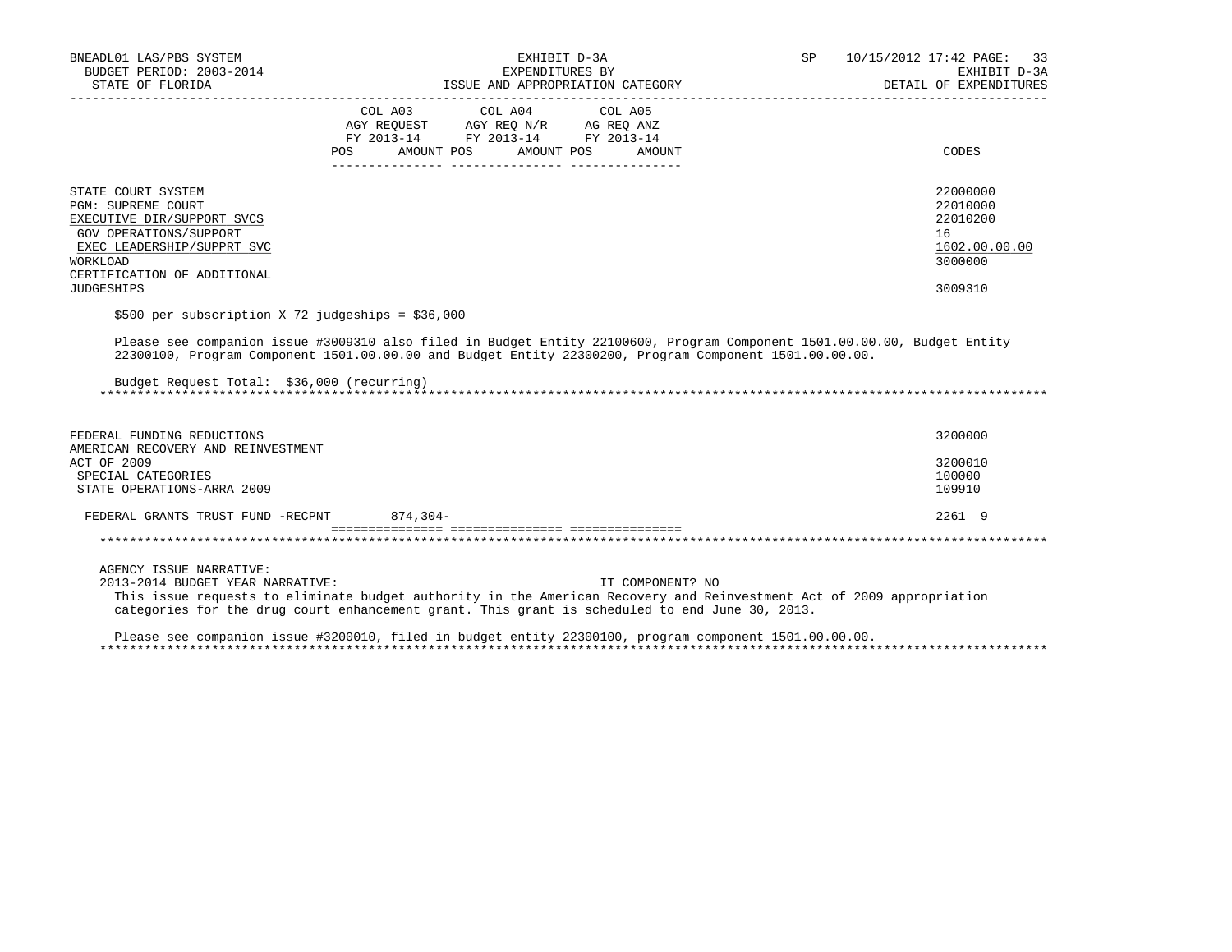| BNEADL01 LAS/PBS SYSTEM<br>BUDGET PERIOD: 2003-2014                                                                                                                              | EXHIBIT D-3A<br>EXPENDITURES BY                                                                                                                                                                                                             | 10/15/2012 17:42 PAGE: 33<br>SP<br>EXHIBIT D-3A                    |
|----------------------------------------------------------------------------------------------------------------------------------------------------------------------------------|---------------------------------------------------------------------------------------------------------------------------------------------------------------------------------------------------------------------------------------------|--------------------------------------------------------------------|
|                                                                                                                                                                                  |                                                                                                                                                                                                                                             | DETAIL OF EXPENDITURES                                             |
|                                                                                                                                                                                  | COL A03 COL A04 COL A05<br>AGY REQUEST AGY REQ N/R AG REQ ANZ<br>FY 2013-14 FY 2013-14 FY 2013-14<br>AMOUNT POS<br>AMOUNT POS<br>POS<br>AMOUNT                                                                                              | CODES                                                              |
| STATE COURT SYSTEM<br><b>PGM: SUPREME COURT</b><br>EXECUTIVE DIR/SUPPORT SVCS<br>GOV OPERATIONS/SUPPORT<br>EXEC LEADERSHIP/SUPPRT SVC<br>WORKLOAD<br>CERTIFICATION OF ADDITIONAL |                                                                                                                                                                                                                                             | 22000000<br>22010000<br>22010200<br>16<br>1602.00.00.00<br>3000000 |
| <b>JUDGESHIPS</b>                                                                                                                                                                |                                                                                                                                                                                                                                             | 3009310                                                            |
| \$500 per subscription X 72 judgeships = \$36,000                                                                                                                                |                                                                                                                                                                                                                                             |                                                                    |
| Budget Request Total: \$36,000 (recurring)                                                                                                                                       | Please see companion issue #3009310 also filed in Budget Entity 22100600, Program Component 1501.00.00.00, Budget Entity<br>22300100, Program Component 1501.00.00.00 and Budget Entity 22300200, Program Component 1501.00.00.00.          |                                                                    |
| FEDERAL FUNDING REDUCTIONS<br>AMERICAN RECOVERY AND REINVESTMENT                                                                                                                 |                                                                                                                                                                                                                                             | 3200000                                                            |
| ACT OF 2009<br>SPECIAL CATEGORIES<br>STATE OPERATIONS-ARRA 2009                                                                                                                  |                                                                                                                                                                                                                                             | 3200010<br>100000<br>109910                                        |
| FEDERAL GRANTS TRUST FUND -RECPNT 874,304-                                                                                                                                       |                                                                                                                                                                                                                                             | 2261 9                                                             |
|                                                                                                                                                                                  |                                                                                                                                                                                                                                             |                                                                    |
| AGENCY ISSUE NARRATIVE:<br>2013-2014 BUDGET YEAR NARRATIVE:                                                                                                                      | IT COMPONENT? NO<br>This issue requests to eliminate budget authority in the American Recovery and Reinvestment Act of 2009 appropriation<br>categories for the drug court enhancement grant. This grant is scheduled to end June 30, 2013. |                                                                    |
|                                                                                                                                                                                  | Please see companion issue #3200010, filed in budget entity 22300100, program component 1501.00.00.00.                                                                                                                                      |                                                                    |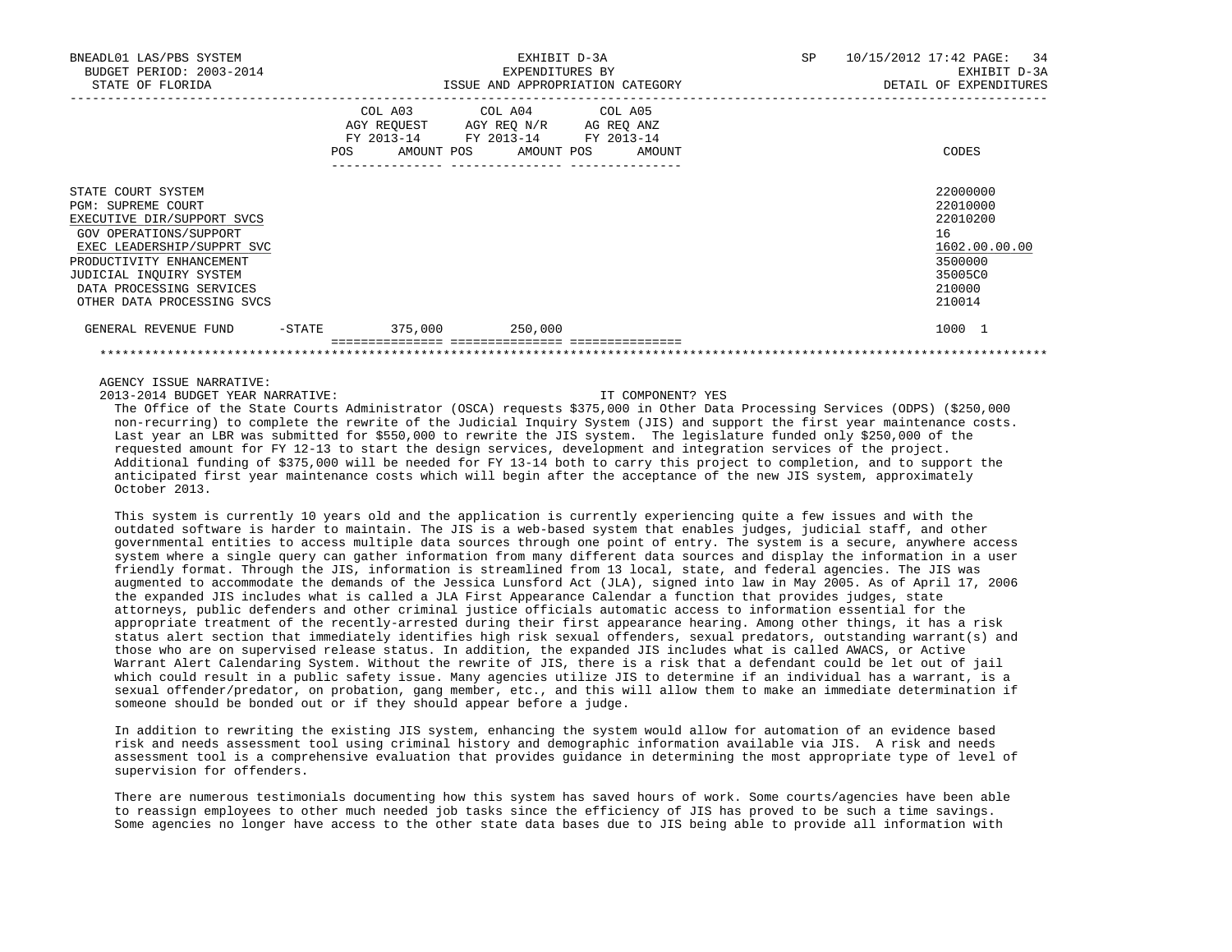| BNEADL01 LAS/PBS SYSTEM<br>BUDGET PERIOD: 2003-2014<br>STATE OF FLORIDA                                                                                                                                                                                |           |         | EXHIBIT D-3A<br>EXPENDITURES BY                                                                                                       | ISSUE AND APPROPRIATION CATEGORY | SP 10/15/2012 17:42 PAGE: 34<br>EXHIBIT D-3A<br>DETAIL OF EXPENDITURES                            |
|--------------------------------------------------------------------------------------------------------------------------------------------------------------------------------------------------------------------------------------------------------|-----------|---------|---------------------------------------------------------------------------------------------------------------------------------------|----------------------------------|---------------------------------------------------------------------------------------------------|
|                                                                                                                                                                                                                                                        |           |         | COL A03 COL A04 COL A05<br>AGY REQUEST AGY REQ N/R AG REQ ANZ<br>FY 2013-14 FY 2013-14 FY 2013-14<br>POS AMOUNT POS AMOUNT POS AMOUNT |                                  | CODES                                                                                             |
| STATE COURT SYSTEM<br><b>PGM: SUPREME COURT</b><br>EXECUTIVE DIR/SUPPORT SVCS<br>GOV OPERATIONS/SUPPORT<br>EXEC LEADERSHIP/SUPPRT SVC<br>PRODUCTIVITY ENHANCEMENT<br>JUDICIAL INQUIRY SYSTEM<br>DATA PROCESSING SERVICES<br>OTHER DATA PROCESSING SVCS |           |         |                                                                                                                                       |                                  | 22000000<br>22010000<br>22010200<br>16<br>1602.00.00.00<br>3500000<br>35005C0<br>210000<br>210014 |
| GENERAL REVENUE FUND                                                                                                                                                                                                                                   | $-$ STATE | 375,000 | 250,000                                                                                                                               |                                  | 1000 1                                                                                            |

2013-2014 BUDGET YEAR NARRATIVE: IT COMPONENT? YES

 The Office of the State Courts Administrator (OSCA) requests \$375,000 in Other Data Processing Services (ODPS) (\$250,000 non-recurring) to complete the rewrite of the Judicial Inquiry System (JIS) and support the first year maintenance costs. Last year an LBR was submitted for \$550,000 to rewrite the JIS system. The legislature funded only \$250,000 of the requested amount for FY 12-13 to start the design services, development and integration services of the project. Additional funding of \$375,000 will be needed for FY 13-14 both to carry this project to completion, and to support the anticipated first year maintenance costs which will begin after the acceptance of the new JIS system, approximately October 2013.

\*\*\*\*\*\*\*\*\*\*\*\*\*\*\*\*\*\*\*\*\*\*\*\*\*\*\*\*\*\*\*\*\*\*\*\*\*\*\*\*\*\*\*\*\*\*\*\*\*\*\*\*\*\*\*\*\*\*\*\*\*\*\*\*\*\*\*\*\*\*\*\*\*\*\*\*\*\*\*\*\*\*\*\*\*\*\*\*\*\*\*\*\*\*\*\*\*\*\*\*\*\*\*\*\*\*\*\*\*\*\*\*\*\*\*\*\*\*\*\*\*\*\*\*\*\*\*

 This system is currently 10 years old and the application is currently experiencing quite a few issues and with the outdated software is harder to maintain. The JIS is a web-based system that enables judges, judicial staff, and other governmental entities to access multiple data sources through one point of entry. The system is a secure, anywhere access system where a single query can gather information from many different data sources and display the information in a user friendly format. Through the JIS, information is streamlined from 13 local, state, and federal agencies. The JIS was augmented to accommodate the demands of the Jessica Lunsford Act (JLA), signed into law in May 2005. As of April 17, 2006 the expanded JIS includes what is called a JLA First Appearance Calendar a function that provides judges, state attorneys, public defenders and other criminal justice officials automatic access to information essential for the appropriate treatment of the recently-arrested during their first appearance hearing. Among other things, it has a risk status alert section that immediately identifies high risk sexual offenders, sexual predators, outstanding warrant(s) and those who are on supervised release status. In addition, the expanded JIS includes what is called AWACS, or Active Warrant Alert Calendaring System. Without the rewrite of JIS, there is a risk that a defendant could be let out of jail which could result in a public safety issue. Many agencies utilize JIS to determine if an individual has a warrant, is a sexual offender/predator, on probation, gang member, etc., and this will allow them to make an immediate determination if someone should be bonded out or if they should appear before a judge.

 In addition to rewriting the existing JIS system, enhancing the system would allow for automation of an evidence based risk and needs assessment tool using criminal history and demographic information available via JIS. A risk and needs assessment tool is a comprehensive evaluation that provides guidance in determining the most appropriate type of level of supervision for offenders.

 There are numerous testimonials documenting how this system has saved hours of work. Some courts/agencies have been able to reassign employees to other much needed job tasks since the efficiency of JIS has proved to be such a time savings. Some agencies no longer have access to the other state data bases due to JIS being able to provide all information with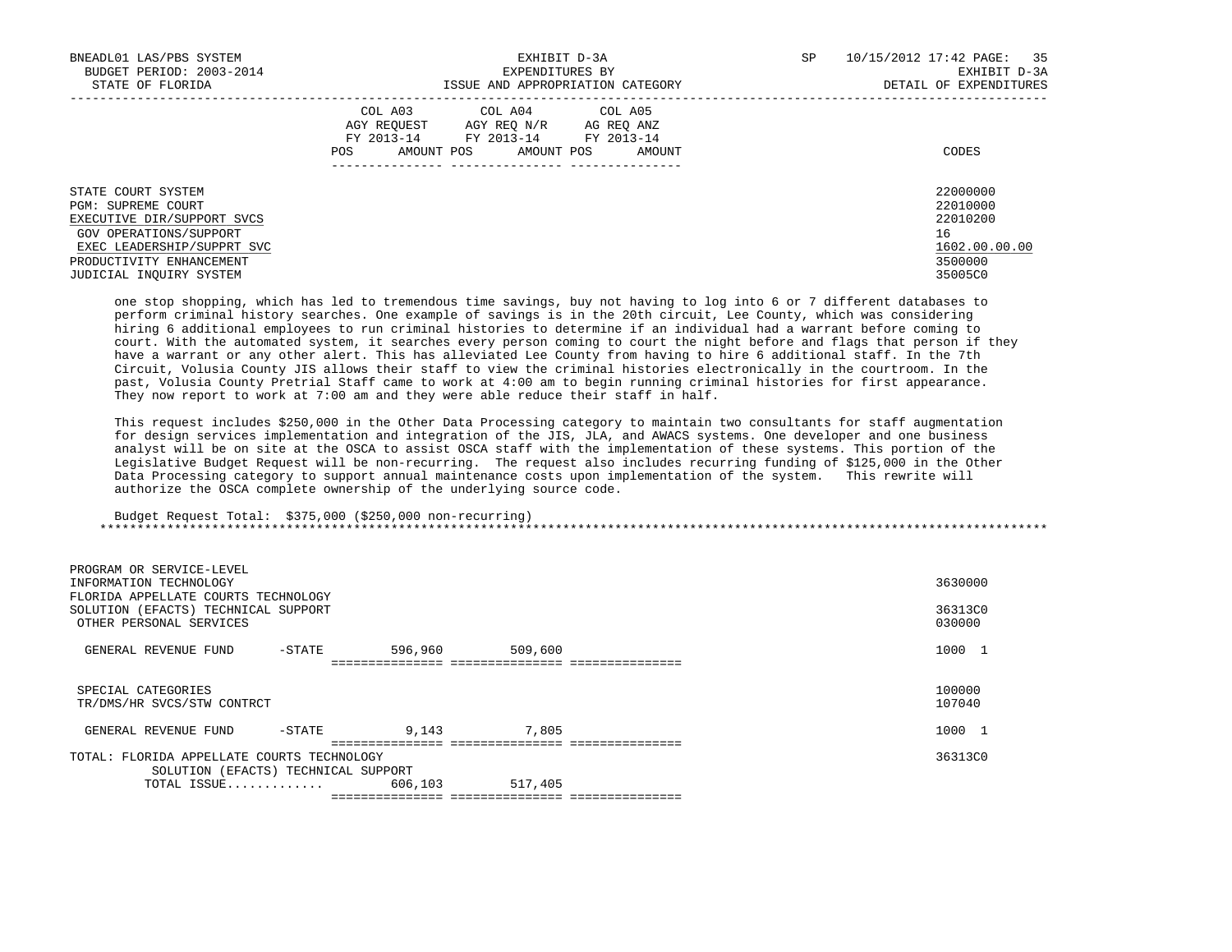| BNEADL01 LAS/PBS SYSTEM<br>BUDGET PERIOD: 2003-2014<br>STATE OF FLORIDA                                                                                                                      | EXHIBIT D-3A<br>EXPENDITURES BY<br>ISSUE AND APPROPRIATION CATEGORY                                                                                     | 10/15/2012 17:42 PAGE: 35<br>SP<br>EXHIBIT D-3A<br>DETAIL OF EXPENDITURES     |
|----------------------------------------------------------------------------------------------------------------------------------------------------------------------------------------------|---------------------------------------------------------------------------------------------------------------------------------------------------------|-------------------------------------------------------------------------------|
|                                                                                                                                                                                              | COL A03 COL A04 COL A05<br>AGY REOUEST<br>AGY REO N/R<br>AG REO ANZ<br>FY 2013-14<br>FY 2013-14 FY 2013-14<br>AMOUNT POS<br>POS<br>AMOUNT POS<br>AMOUNT | CODES                                                                         |
| STATE COURT SYSTEM<br><b>PGM: SUPREME COURT</b><br>EXECUTIVE DIR/SUPPORT SVCS<br>GOV OPERATIONS/SUPPORT<br>EXEC LEADERSHIP/SUPPRT SVC<br>PRODUCTIVITY ENHANCEMENT<br>JUDICIAL INQUIRY SYSTEM |                                                                                                                                                         | 22000000<br>22010000<br>22010200<br>16<br>1602.00.00.00<br>3500000<br>35005C0 |

 one stop shopping, which has led to tremendous time savings, buy not having to log into 6 or 7 different databases to perform criminal history searches. One example of savings is in the 20th circuit, Lee County, which was considering hiring 6 additional employees to run criminal histories to determine if an individual had a warrant before coming to court. With the automated system, it searches every person coming to court the night before and flags that person if they have a warrant or any other alert. This has alleviated Lee County from having to hire 6 additional staff. In the 7th Circuit, Volusia County JIS allows their staff to view the criminal histories electronically in the courtroom. In the past, Volusia County Pretrial Staff came to work at 4:00 am to begin running criminal histories for first appearance. They now report to work at 7:00 am and they were able reduce their staff in half.

 This request includes \$250,000 in the Other Data Processing category to maintain two consultants for staff augmentation for design services implementation and integration of the JIS, JLA, and AWACS systems. One developer and one business analyst will be on site at the OSCA to assist OSCA staff with the implementation of these systems. This portion of the Legislative Budget Request will be non-recurring. The request also includes recurring funding of \$125,000 in the Other Data Processing category to support annual maintenance costs upon implementation of the system. This rewrite will authorize the OSCA complete ownership of the underlying source code.

### Budget Request Total: \$375,000 (\$250,000 non-recurring) \*\*\*\*\*\*\*\*\*\*\*\*\*\*\*\*\*\*\*\*\*\*\*\*\*\*\*\*\*\*\*\*\*\*\*\*\*\*\*\*\*\*\*\*\*\*\*\*\*\*\*\*\*\*\*\*\*\*\*\*\*\*\*\*\*\*\*\*\*\*\*\*\*\*\*\*\*\*\*\*\*\*\*\*\*\*\*\*\*\*\*\*\*\*\*\*\*\*\*\*\*\*\*\*\*\*\*\*\*\*\*\*\*\*\*\*\*\*\*\*\*\*\*\*\*\*\*

| PROGRAM OR SERVICE-LEVEL<br>INFORMATION TECHNOLOGY<br>FLORIDA APPELLATE COURTS TECHNOLOGY<br>SOLUTION (EFACTS) TECHNICAL SUPPORT<br>OTHER PERSONAL SERVICES | 3630000<br>36313C0<br>030000 |
|-------------------------------------------------------------------------------------------------------------------------------------------------------------|------------------------------|
| 596,960<br>509,600<br>GENERAL REVENUE FUND<br>-STATE<br>==============================                                                                      | 1000 1                       |
| SPECIAL CATEGORIES<br>TR/DMS/HR SVCS/STW CONTRCT                                                                                                            | 100000<br>107040             |
| 7,805<br>9,143<br>GENERAL REVENUE FUND<br>-STATE                                                                                                            | 1000 1                       |
| TOTAL: FLORIDA APPELLATE COURTS TECHNOLOGY<br>SOLUTION (EFACTS) TECHNICAL SUPPORT                                                                           | 36313C0                      |
| 517,405<br>606,103<br>TOTAL ISSUE                                                                                                                           |                              |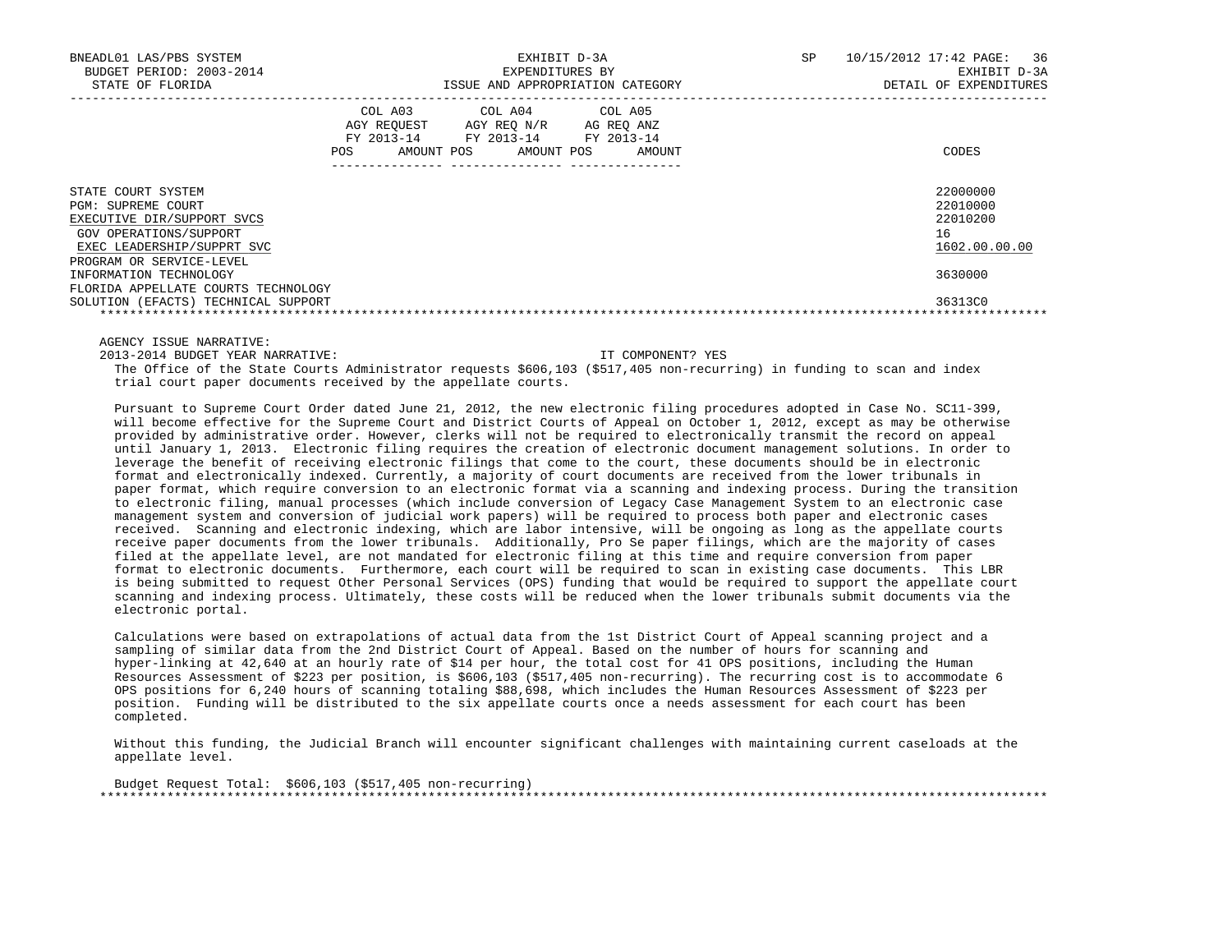| BNEADL01 LAS/PBS SYSTEM<br>BUDGET PERIOD: 2003-2014<br>STATE OF FLORIDA                                                                                    | EXHIBIT D-3A<br>EXPENDITURES BY<br>ISSUE AND APPROPRIATION CATEGORY |                                                                  |                                         | 10/15/2012 17:42 PAGE: 36<br>SP.<br>EXHIBIT D-3A<br>DETAIL OF EXPENDITURES |
|------------------------------------------------------------------------------------------------------------------------------------------------------------|---------------------------------------------------------------------|------------------------------------------------------------------|-----------------------------------------|----------------------------------------------------------------------------|
|                                                                                                                                                            | COL A03<br>AGY REOUEST<br>FY 2013-14<br><b>POS</b>                  | AGY REO N/R<br>FY 2013-14 FY 2013-14<br>AMOUNT POS<br>AMOUNT POS | COL A04 COL A05<br>AG REO ANZ<br>AMOUNT | CODES                                                                      |
| STATE COURT SYSTEM<br>PGM: SUPREME COURT<br>EXECUTIVE DIR/SUPPORT SVCS<br>GOV OPERATIONS/SUPPORT<br>EXEC LEADERSHIP/SUPPRT SVC<br>PROGRAM OR SERVICE-LEVEL |                                                                     |                                                                  |                                         | 22000000<br>22010000<br>22010200<br>16<br>1602.00.00.00                    |
| INFORMATION TECHNOLOGY<br>FLORIDA APPELLATE COURTS TECHNOLOGY<br>SOLUTION (EFACTS) TECHNICAL SUPPORT                                                       |                                                                     |                                                                  |                                         | 3630000<br>36313C0                                                         |

2013-2014 BUDGET YEAR NARRATIVE: IT COMPONENT? YES

 The Office of the State Courts Administrator requests \$606,103 (\$517,405 non-recurring) in funding to scan and index trial court paper documents received by the appellate courts.

 Pursuant to Supreme Court Order dated June 21, 2012, the new electronic filing procedures adopted in Case No. SC11-399, will become effective for the Supreme Court and District Courts of Appeal on October 1, 2012, except as may be otherwise provided by administrative order. However, clerks will not be required to electronically transmit the record on appeal until January 1, 2013. Electronic filing requires the creation of electronic document management solutions. In order to leverage the benefit of receiving electronic filings that come to the court, these documents should be in electronic format and electronically indexed. Currently, a majority of court documents are received from the lower tribunals in paper format, which require conversion to an electronic format via a scanning and indexing process. During the transition to electronic filing, manual processes (which include conversion of Legacy Case Management System to an electronic case management system and conversion of judicial work papers) will be required to process both paper and electronic cases received. Scanning and electronic indexing, which are labor intensive, will be ongoing as long as the appellate courts receive paper documents from the lower tribunals. Additionally, Pro Se paper filings, which are the majority of cases filed at the appellate level, are not mandated for electronic filing at this time and require conversion from paper format to electronic documents. Furthermore, each court will be required to scan in existing case documents. This LBR is being submitted to request Other Personal Services (OPS) funding that would be required to support the appellate court scanning and indexing process. Ultimately, these costs will be reduced when the lower tribunals submit documents via the electronic portal.

 Calculations were based on extrapolations of actual data from the 1st District Court of Appeal scanning project and a sampling of similar data from the 2nd District Court of Appeal. Based on the number of hours for scanning and hyper-linking at 42,640 at an hourly rate of \$14 per hour, the total cost for 41 OPS positions, including the Human Resources Assessment of \$223 per position, is \$606,103 (\$517,405 non-recurring). The recurring cost is to accommodate 6 OPS positions for 6,240 hours of scanning totaling \$88,698, which includes the Human Resources Assessment of \$223 per position. Funding will be distributed to the six appellate courts once a needs assessment for each court has been completed.

 Without this funding, the Judicial Branch will encounter significant challenges with maintaining current caseloads at the appellate level.

 Budget Request Total: \$606,103 (\$517,405 non-recurring) \*\*\*\*\*\*\*\*\*\*\*\*\*\*\*\*\*\*\*\*\*\*\*\*\*\*\*\*\*\*\*\*\*\*\*\*\*\*\*\*\*\*\*\*\*\*\*\*\*\*\*\*\*\*\*\*\*\*\*\*\*\*\*\*\*\*\*\*\*\*\*\*\*\*\*\*\*\*\*\*\*\*\*\*\*\*\*\*\*\*\*\*\*\*\*\*\*\*\*\*\*\*\*\*\*\*\*\*\*\*\*\*\*\*\*\*\*\*\*\*\*\*\*\*\*\*\*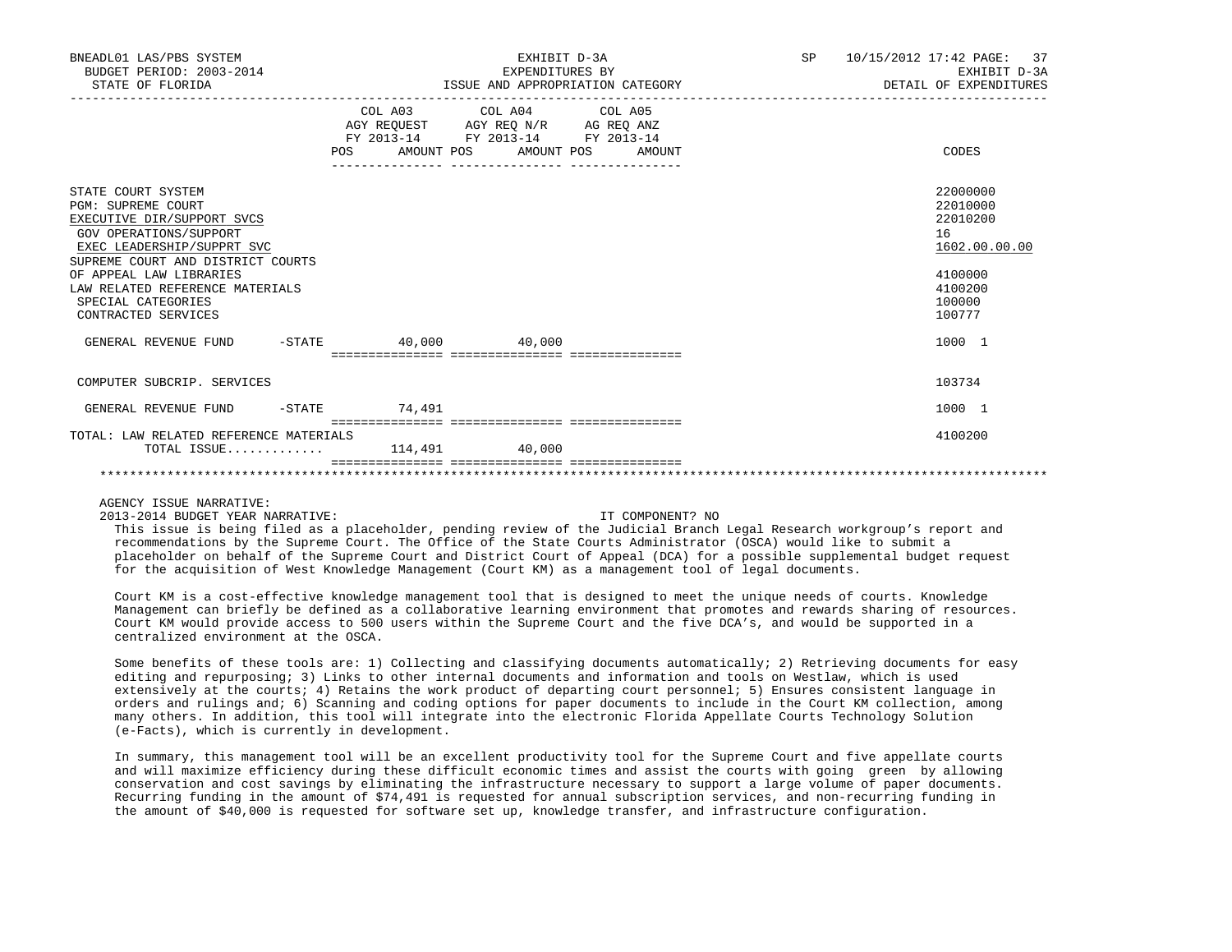| BNEADL01 LAS/PBS SYSTEM<br>BUDGET PERIOD: 2003-2014<br>STATE OF FLORIDA                                                                                                                                                                                                               |                                  | EXHIBIT D-3A<br>EXPENDITURES BY<br>ISSUE AND APPROPRIATION CATEGORY                               |  | SP 10/15/2012 17:42 PAGE: 37<br>EXHIBIT D-3A<br>DETAIL OF EXPENDITURES                            |
|---------------------------------------------------------------------------------------------------------------------------------------------------------------------------------------------------------------------------------------------------------------------------------------|----------------------------------|---------------------------------------------------------------------------------------------------|--|---------------------------------------------------------------------------------------------------|
|                                                                                                                                                                                                                                                                                       | POS AMOUNT POS AMOUNT POS AMOUNT | COL A03 COL A04 COL A05<br>AGY REQUEST AGY REQ N/R AG REQ ANZ<br>FY 2013-14 FY 2013-14 FY 2013-14 |  | CODES                                                                                             |
| STATE COURT SYSTEM<br><b>PGM: SUPREME COURT</b><br>EXECUTIVE DIR/SUPPORT SVCS<br>GOV OPERATIONS/SUPPORT<br>EXEC LEADERSHIP/SUPPRT SVC<br>SUPREME COURT AND DISTRICT COURTS<br>OF APPEAL LAW LIBRARIES<br>LAW RELATED REFERENCE MATERIALS<br>SPECIAL CATEGORIES<br>CONTRACTED SERVICES |                                  |                                                                                                   |  | 22000000<br>22010000<br>22010200<br>16<br>1602.00.00.00<br>4100000<br>4100200<br>100000<br>100777 |
| GENERAL REVENUE FUND -STATE 40,000 40,000                                                                                                                                                                                                                                             |                                  |                                                                                                   |  | 1000 1                                                                                            |
| COMPUTER SUBCRIP. SERVICES                                                                                                                                                                                                                                                            |                                  |                                                                                                   |  | 103734                                                                                            |
| GENERAL REVENUE FUND                                                                                                                                                                                                                                                                  | $-$ STATE $74,491$               |                                                                                                   |  | 1000 1                                                                                            |
| TOTAL: LAW RELATED REFERENCE MATERIALS<br>TOTAL ISSUE 114,491 40,000                                                                                                                                                                                                                  |                                  |                                                                                                   |  | 4100200                                                                                           |
|                                                                                                                                                                                                                                                                                       |                                  |                                                                                                   |  |                                                                                                   |

## AGENCY ISSUE NARRATIVE:

2013-2014 BUDGET YEAR NARRATIVE: IT COMPONENT? NO

 This issue is being filed as a placeholder, pending review of the Judicial Branch Legal Research workgroup's report and recommendations by the Supreme Court. The Office of the State Courts Administrator (OSCA) would like to submit a placeholder on behalf of the Supreme Court and District Court of Appeal (DCA) for a possible supplemental budget request for the acquisition of West Knowledge Management (Court KM) as a management tool of legal documents.

 Court KM is a cost-effective knowledge management tool that is designed to meet the unique needs of courts. Knowledge Management can briefly be defined as a collaborative learning environment that promotes and rewards sharing of resources. Court KM would provide access to 500 users within the Supreme Court and the five DCA's, and would be supported in a centralized environment at the OSCA.

 Some benefits of these tools are: 1) Collecting and classifying documents automatically; 2) Retrieving documents for easy editing and repurposing; 3) Links to other internal documents and information and tools on Westlaw, which is used extensively at the courts; 4) Retains the work product of departing court personnel; 5) Ensures consistent language in orders and rulings and; 6) Scanning and coding options for paper documents to include in the Court KM collection, among many others. In addition, this tool will integrate into the electronic Florida Appellate Courts Technology Solution (e-Facts), which is currently in development.

 In summary, this management tool will be an excellent productivity tool for the Supreme Court and five appellate courts and will maximize efficiency during these difficult economic times and assist the courts with going green by allowing conservation and cost savings by eliminating the infrastructure necessary to support a large volume of paper documents. Recurring funding in the amount of \$74,491 is requested for annual subscription services, and non-recurring funding in the amount of \$40,000 is requested for software set up, knowledge transfer, and infrastructure configuration.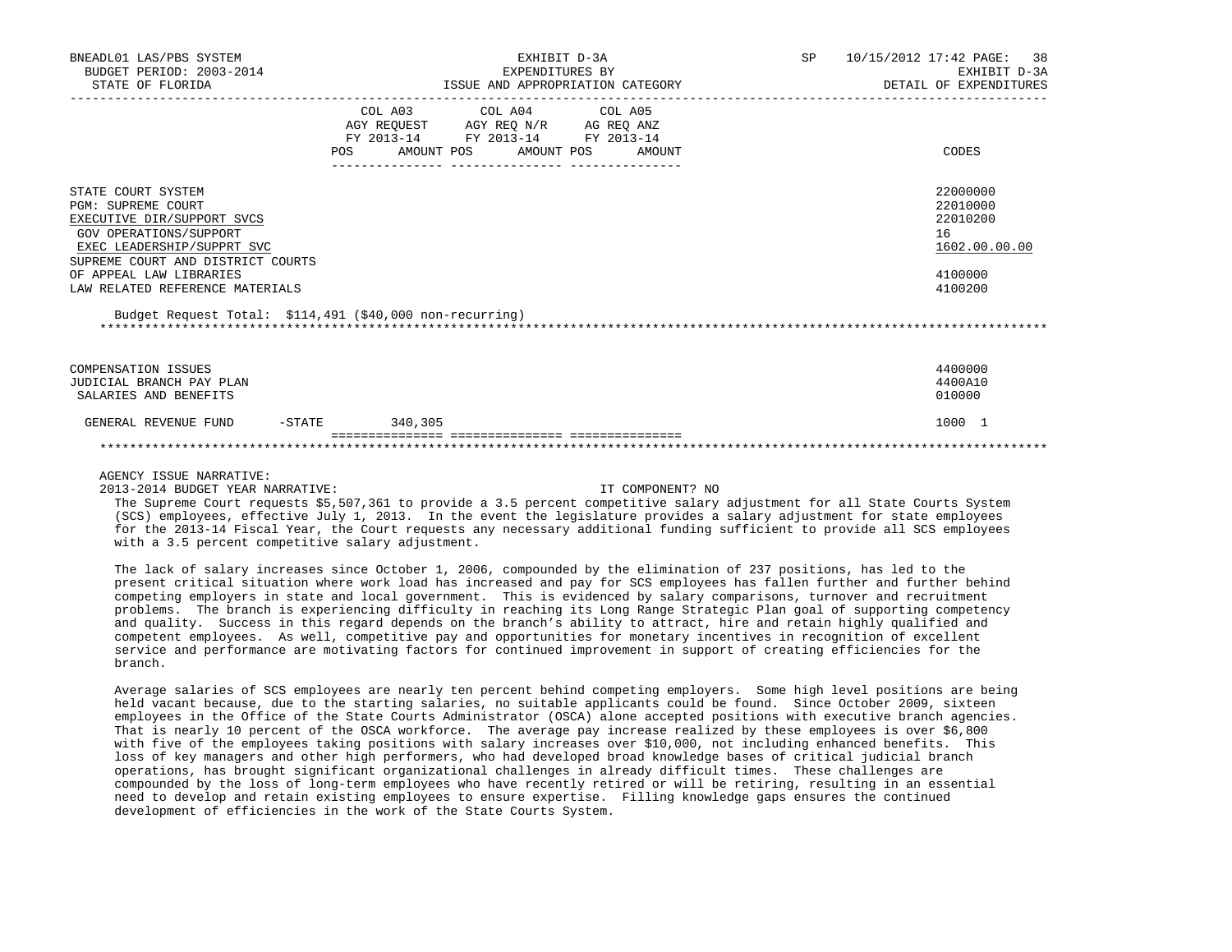| BNEADL01 LAS/PBS SYSTEM<br>BUDGET PERIOD: 2003-2014<br>STATE OF FLORIDA                                                                                                                                                                                                                              | EXHIBIT D-3A<br>EXPENDITURES BY<br>ISSUE AND APPROPRIATION CATEGORY                                                                            | SP<br>10/15/2012 17:42 PAGE:<br>38<br>EXHIBIT D-3A<br>DETAIL OF EXPENDITURES  |
|------------------------------------------------------------------------------------------------------------------------------------------------------------------------------------------------------------------------------------------------------------------------------------------------------|------------------------------------------------------------------------------------------------------------------------------------------------|-------------------------------------------------------------------------------|
|                                                                                                                                                                                                                                                                                                      | COL A03<br>COL A04 COL A05<br>AGY REQUEST AGY REQ N/R AG REQ ANZ<br>FY 2013-14 FY 2013-14 FY 2013-14<br>AMOUNT POS AMOUNT POS<br>POS<br>AMOUNT | CODES                                                                         |
| STATE COURT SYSTEM<br><b>PGM: SUPREME COURT</b><br>EXECUTIVE DIR/SUPPORT SVCS<br>GOV OPERATIONS/SUPPORT<br>EXEC LEADERSHIP/SUPPRT SVC<br>SUPREME COURT AND DISTRICT COURTS<br>OF APPEAL LAW LIBRARIES<br>LAW RELATED REFERENCE MATERIALS<br>Budget Request Total: \$114,491 (\$40,000 non-recurring) |                                                                                                                                                | 22000000<br>22010000<br>22010200<br>16<br>1602.00.00.00<br>4100000<br>4100200 |
| COMPENSATION ISSUES<br>JUDICIAL BRANCH PAY PLAN<br>SALARIES AND BENEFITS                                                                                                                                                                                                                             |                                                                                                                                                | 4400000<br>4400A10<br>010000                                                  |
| $-$ STATE<br>GENERAL REVENUE FUND                                                                                                                                                                                                                                                                    | 340,305                                                                                                                                        | 1000 1                                                                        |

AGENCY ISSUE NARRATIVE:

2013-2014 BUDGET YEAR NARRATIVE: IT COMPONENT? NO

 The Supreme Court requests \$5,507,361 to provide a 3.5 percent competitive salary adjustment for all State Courts System (SCS) employees, effective July 1, 2013. In the event the legislature provides a salary adjustment for state employees for the 2013-14 Fiscal Year, the Court requests any necessary additional funding sufficient to provide all SCS employees with a 3.5 percent competitive salary adjustment.

 The lack of salary increases since October 1, 2006, compounded by the elimination of 237 positions, has led to the present critical situation where work load has increased and pay for SCS employees has fallen further and further behind competing employers in state and local government. This is evidenced by salary comparisons, turnover and recruitment problems. The branch is experiencing difficulty in reaching its Long Range Strategic Plan goal of supporting competency and quality. Success in this regard depends on the branch's ability to attract, hire and retain highly qualified and competent employees. As well, competitive pay and opportunities for monetary incentives in recognition of excellent service and performance are motivating factors for continued improvement in support of creating efficiencies for the branch.

 Average salaries of SCS employees are nearly ten percent behind competing employers. Some high level positions are being held vacant because, due to the starting salaries, no suitable applicants could be found. Since October 2009, sixteen employees in the Office of the State Courts Administrator (OSCA) alone accepted positions with executive branch agencies. That is nearly 10 percent of the OSCA workforce. The average pay increase realized by these employees is over \$6,800 with five of the employees taking positions with salary increases over \$10,000, not including enhanced benefits. This loss of key managers and other high performers, who had developed broad knowledge bases of critical judicial branch operations, has brought significant organizational challenges in already difficult times. These challenges are compounded by the loss of long-term employees who have recently retired or will be retiring, resulting in an essential need to develop and retain existing employees to ensure expertise. Filling knowledge gaps ensures the continued development of efficiencies in the work of the State Courts System.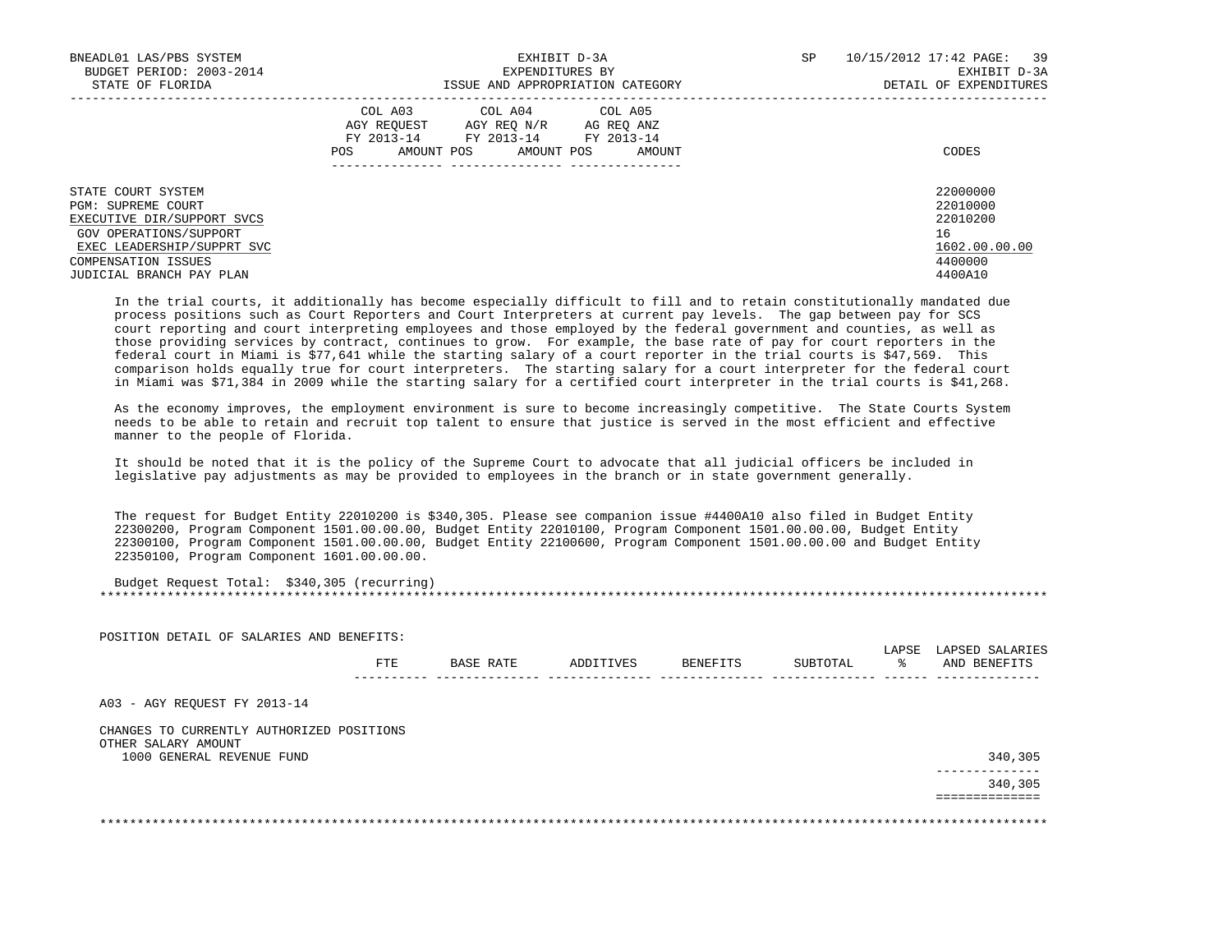| BNEADL01 LAS/PBS SYSTEM<br>BUDGET PERIOD: 2003-2014<br>STATE OF FLORIDA                          | EXHIBIT D-3A<br>EXPENDITURES BY<br>ISSUE AND APPROPRIATION CATEGORY                                                                                     | 10/15/2012 17:42 PAGE:<br>39<br>SP<br>EXHIBIT D-3A<br>DETAIL OF EXPENDITURES |
|--------------------------------------------------------------------------------------------------|---------------------------------------------------------------------------------------------------------------------------------------------------------|------------------------------------------------------------------------------|
|                                                                                                  | COL A03 COL A04 COL A05<br>AGY REOUEST<br>AGY REO N/R<br>AG REO ANZ<br>FY 2013-14 FY 2013-14<br>FY 2013-14<br>AMOUNT POS<br>AMOUNT POS<br>POS<br>AMOUNT | CODES                                                                        |
| STATE COURT SYSTEM<br>PGM: SUPREME COURT<br>EXECUTIVE DIR/SUPPORT SVCS<br>GOV OPERATIONS/SUPPORT |                                                                                                                                                         | 22000000<br>22010000<br>22010200<br>16                                       |
| EXEC LEADERSHIP/SUPPRT SVC<br>COMPENSATION ISSUES<br>JUDICIAL BRANCH PAY PLAN                    |                                                                                                                                                         | 1602.00.00.00<br>4400000<br>4400A10                                          |

 In the trial courts, it additionally has become especially difficult to fill and to retain constitutionally mandated due process positions such as Court Reporters and Court Interpreters at current pay levels. The gap between pay for SCS court reporting and court interpreting employees and those employed by the federal government and counties, as well as those providing services by contract, continues to grow. For example, the base rate of pay for court reporters in the federal court in Miami is \$77,641 while the starting salary of a court reporter in the trial courts is \$47,569. This comparison holds equally true for court interpreters. The starting salary for a court interpreter for the federal court in Miami was \$71,384 in 2009 while the starting salary for a certified court interpreter in the trial courts is \$41,268.

 As the economy improves, the employment environment is sure to become increasingly competitive. The State Courts System needs to be able to retain and recruit top talent to ensure that justice is served in the most efficient and effective manner to the people of Florida.

 It should be noted that it is the policy of the Supreme Court to advocate that all judicial officers be included in legislative pay adjustments as may be provided to employees in the branch or in state government generally.

 The request for Budget Entity 22010200 is \$340,305. Please see companion issue #4400A10 also filed in Budget Entity 22300200, Program Component 1501.00.00.00, Budget Entity 22010100, Program Component 1501.00.00.00, Budget Entity 22300100, Program Component 1501.00.00.00, Budget Entity 22100600, Program Component 1501.00.00.00 and Budget Entity 22350100, Program Component 1601.00.00.00.

POSITION DETAIL OF SALARIES AND BENEFITS:

| Budget Request Total: | $$340,305$ (recurring) |
|-----------------------|------------------------|
|                       |                        |

|                                                                                               | FTE | BASE RATE | ADDITIVES | BENEFITS | SUBTOTAL | LAPSE<br>៖ | LAPSED SALARIES<br>AND BENEFITS |
|-----------------------------------------------------------------------------------------------|-----|-----------|-----------|----------|----------|------------|---------------------------------|
| A03 - AGY REQUEST FY 2013-14                                                                  |     |           |           |          |          |            |                                 |
| CHANGES TO CURRENTLY AUTHORIZED POSITIONS<br>OTHER SALARY AMOUNT<br>1000 GENERAL REVENUE FUND |     |           |           |          |          |            | 340,305                         |
|                                                                                               |     |           |           |          |          |            | 340,305                         |
|                                                                                               |     |           |           |          |          |            |                                 |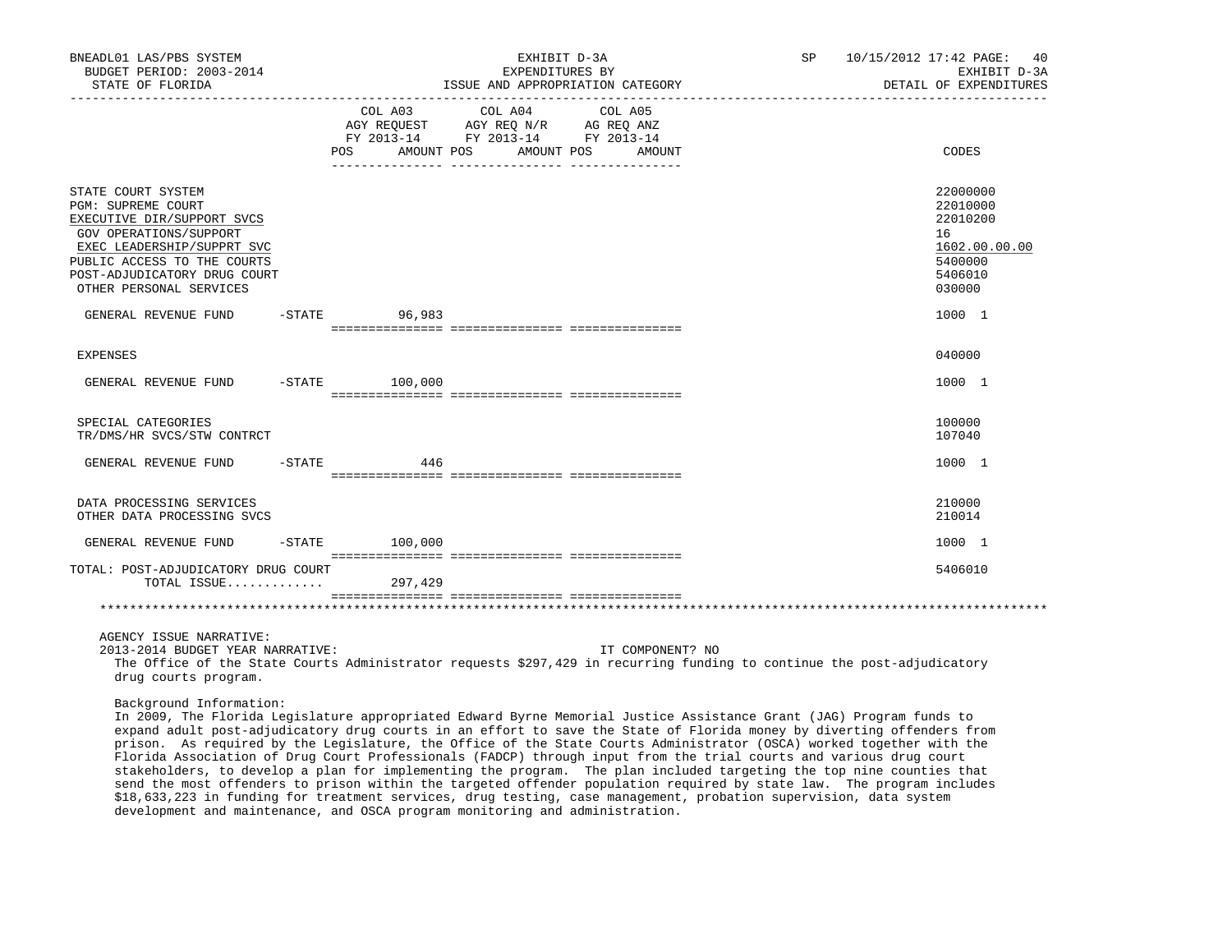| BNEADL01 LAS/PBS SYSTEM<br>BUDGET PERIOD: 2003-2014<br>STATE OF FLORIDA                                                                                                                                                         |                              | EXHIBIT D-3A<br>EXPENDITURES BY<br>ISSUE AND APPROPRIATION CATEGORY                                                  | SP 10/15/2012 17:42 PAGE: 40<br>EXHIBIT D-3A<br>DETAIL OF EXPENDITURES                  |
|---------------------------------------------------------------------------------------------------------------------------------------------------------------------------------------------------------------------------------|------------------------------|----------------------------------------------------------------------------------------------------------------------|-----------------------------------------------------------------------------------------|
|                                                                                                                                                                                                                                 | COL A03<br>AMOUNT POS<br>POS | COL A04<br>COL A05<br>AGY REQUEST AGY REQ N/R AG REQ ANZ<br>FY 2013-14 FY 2013-14 FY 2013-14<br>AMOUNT POS<br>AMOUNT | CODES                                                                                   |
| STATE COURT SYSTEM<br><b>PGM: SUPREME COURT</b><br>EXECUTIVE DIR/SUPPORT SVCS<br>GOV OPERATIONS/SUPPORT<br>EXEC LEADERSHIP/SUPPRT SVC<br>PUBLIC ACCESS TO THE COURTS<br>POST-ADJUDICATORY DRUG COURT<br>OTHER PERSONAL SERVICES |                              |                                                                                                                      | 22000000<br>22010000<br>22010200<br>16<br>1602.00.00.00<br>5400000<br>5406010<br>030000 |
| GENERAL REVENUE FUND                                                                                                                                                                                                            | $-STATE$ 96,983              |                                                                                                                      | 1000 1                                                                                  |
| <b>EXPENSES</b>                                                                                                                                                                                                                 |                              |                                                                                                                      | 040000                                                                                  |
| GENERAL REVENUE FUND                                                                                                                                                                                                            | $-STATE$ 100,000             |                                                                                                                      | 1000 1                                                                                  |
| SPECIAL CATEGORIES<br>TR/DMS/HR SVCS/STW CONTRCT                                                                                                                                                                                |                              |                                                                                                                      | 100000<br>107040                                                                        |
| GENERAL REVENUE FUND                                                                                                                                                                                                            | $-$ STATE 446                |                                                                                                                      | 1000 1                                                                                  |
| DATA PROCESSING SERVICES<br>OTHER DATA PROCESSING SVCS                                                                                                                                                                          |                              |                                                                                                                      | 210000<br>210014                                                                        |
| GENERAL REVENUE FUND                                                                                                                                                                                                            | $-STATE$ 100,000             |                                                                                                                      | 1000 1                                                                                  |
| TOTAL: POST-ADJUDICATORY DRUG COURT<br>TOTAL ISSUE                                                                                                                                                                              | 297,429                      |                                                                                                                      | 5406010                                                                                 |
|                                                                                                                                                                                                                                 |                              |                                                                                                                      |                                                                                         |
| AGENCY ISSUE NARRATIVE:                                                                                                                                                                                                         |                              |                                                                                                                      |                                                                                         |

2013-2014 BUDGET YEAR NARRATIVE: IT COMPONENT? NO

 The Office of the State Courts Administrator requests \$297,429 in recurring funding to continue the post-adjudicatory drug courts program.

Background Information:

 In 2009, The Florida Legislature appropriated Edward Byrne Memorial Justice Assistance Grant (JAG) Program funds to expand adult post-adjudicatory drug courts in an effort to save the State of Florida money by diverting offenders from prison. As required by the Legislature, the Office of the State Courts Administrator (OSCA) worked together with the Florida Association of Drug Court Professionals (FADCP) through input from the trial courts and various drug court stakeholders, to develop a plan for implementing the program. The plan included targeting the top nine counties that send the most offenders to prison within the targeted offender population required by state law. The program includes \$18,633,223 in funding for treatment services, drug testing, case management, probation supervision, data system development and maintenance, and OSCA program monitoring and administration.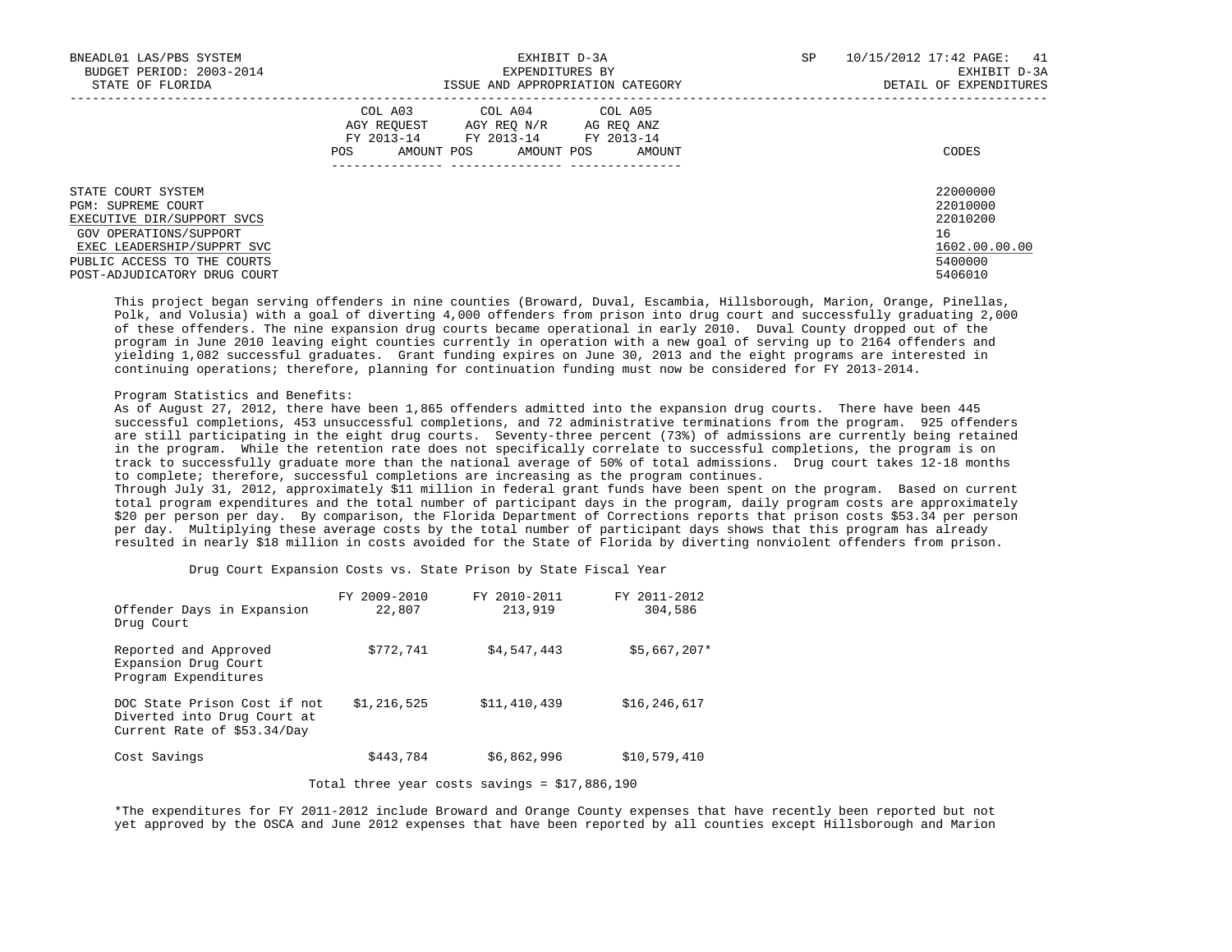| BNEADL01 LAS/PBS SYSTEM<br>BUDGET PERIOD: 2003-2014<br>STATE OF FLORIDA                                                                                                                       | EXHIBIT D-3A<br>EXPENDITURES BY<br>ISSUE AND APPROPRIATION CATEGORY                                                                                     | SP<br>10/15/2012 17:42 PAGE:<br>41<br>EXHIBIT D-3A<br>DETAIL OF EXPENDITURES  |
|-----------------------------------------------------------------------------------------------------------------------------------------------------------------------------------------------|---------------------------------------------------------------------------------------------------------------------------------------------------------|-------------------------------------------------------------------------------|
|                                                                                                                                                                                               | COL A03<br>COL A04 COL A05<br>AGY REOUEST<br>AGY REO N/R<br>AG REO ANZ<br>FY 2013-14 FY 2013-14 FY 2013-14<br>AMOUNT POS<br>AMOUNT POS<br>POS<br>AMOUNT | CODES                                                                         |
| STATE COURT SYSTEM<br>PGM: SUPREME COURT<br>EXECUTIVE DIR/SUPPORT SVCS<br>GOV OPERATIONS/SUPPORT<br>EXEC LEADERSHIP/SUPPRT SVC<br>PUBLIC ACCESS TO THE COURTS<br>POST-ADJUDICATORY DRUG COURT |                                                                                                                                                         | 22000000<br>22010000<br>22010200<br>16<br>1602.00.00.00<br>5400000<br>5406010 |

 This project began serving offenders in nine counties (Broward, Duval, Escambia, Hillsborough, Marion, Orange, Pinellas, Polk, and Volusia) with a goal of diverting 4,000 offenders from prison into drug court and successfully graduating 2,000 of these offenders. The nine expansion drug courts became operational in early 2010. Duval County dropped out of the program in June 2010 leaving eight counties currently in operation with a new goal of serving up to 2164 offenders and yielding 1,082 successful graduates. Grant funding expires on June 30, 2013 and the eight programs are interested in continuing operations; therefore, planning for continuation funding must now be considered for FY 2013-2014.

# Program Statistics and Benefits:

 As of August 27, 2012, there have been 1,865 offenders admitted into the expansion drug courts. There have been 445 successful completions, 453 unsuccessful completions, and 72 administrative terminations from the program. 925 offenders are still participating in the eight drug courts. Seventy-three percent (73%) of admissions are currently being retained in the program. While the retention rate does not specifically correlate to successful completions, the program is on track to successfully graduate more than the national average of 50% of total admissions. Drug court takes 12-18 months to complete; therefore, successful completions are increasing as the program continues.

 Through July 31, 2012, approximately \$11 million in federal grant funds have been spent on the program. Based on current total program expenditures and the total number of participant days in the program, daily program costs are approximately \$20 per person per day. By comparison, the Florida Department of Corrections reports that prison costs \$53.34 per person per day. Multiplying these average costs by the total number of participant days shows that this program has already resulted in nearly \$18 million in costs avoided for the State of Florida by diverting nonviolent offenders from prison.

Drug Court Expansion Costs vs. State Prison by State Fiscal Year

|                                                                                            | FY 2009-2010 | FY 2010-2011 | FY 2011-2012   |
|--------------------------------------------------------------------------------------------|--------------|--------------|----------------|
| Offender Days in Expansion<br>Drug Court                                                   | 22,807       | 213,919      | 304,586        |
| Reported and Approved<br>Expansion Drug Court<br>Program Expenditures                      | \$772,741    | \$4,547,443  | $$5,667,207*$  |
| DOC State Prison Cost if not<br>Diverted into Drug Court at<br>Current Rate of \$53.34/Day | \$1,216,525  | \$11,410,439 | \$16, 246, 617 |
| Cost Savings                                                                               | \$443,784    | \$6,862,996  | \$10,579,410   |

Total three year costs savings = \$17,886,190

 \*The expenditures for FY 2011-2012 include Broward and Orange County expenses that have recently been reported but not yet approved by the OSCA and June 2012 expenses that have been reported by all counties except Hillsborough and Marion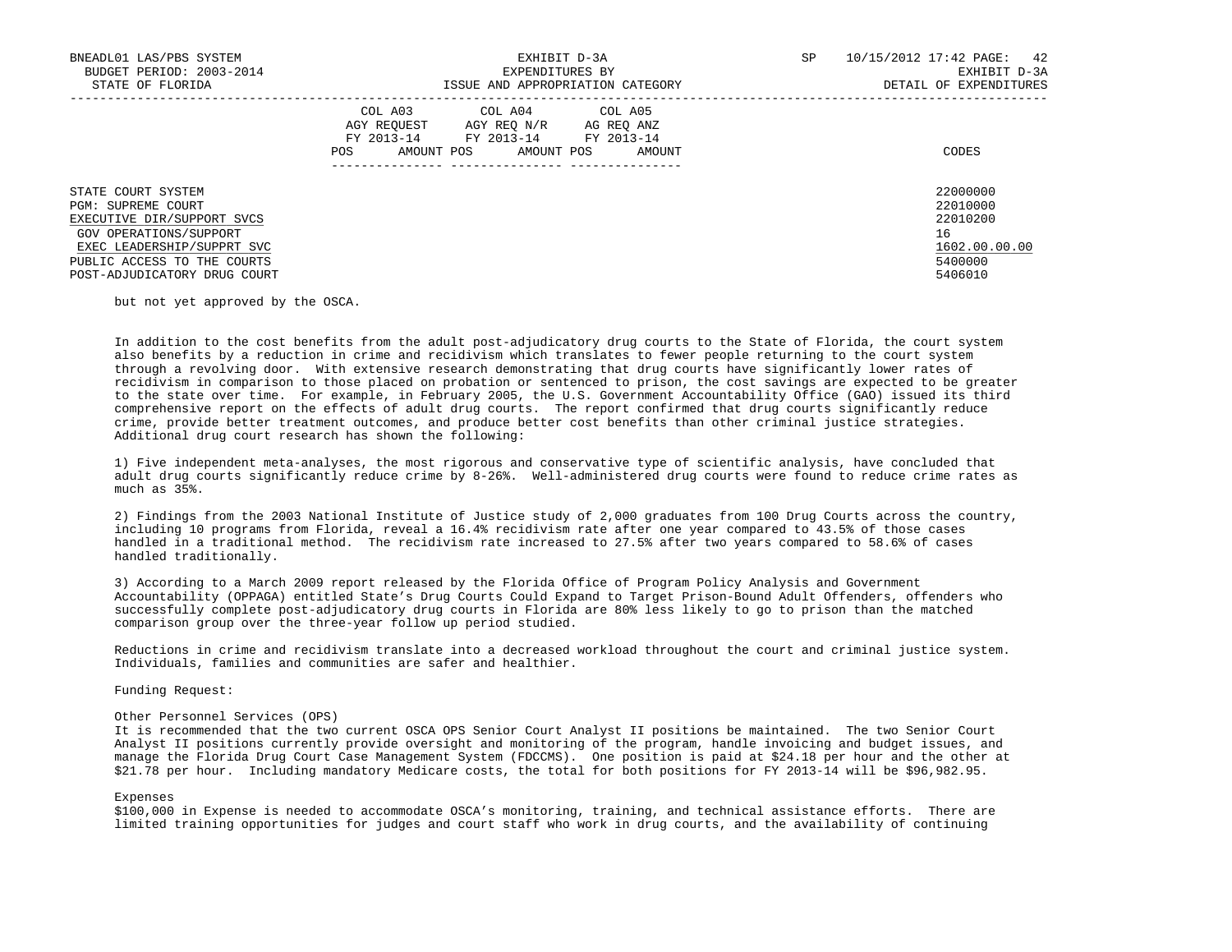| BNEADL01 LAS/PBS SYSTEM<br>BUDGET PERIOD: 2003-2014<br>STATE OF FLORIDA                                                                                                                       | EXHIBIT D-3A<br>EXPENDITURES BY<br>ISSUE AND APPROPRIATION CATEGORY                                                                                     | SP<br>10/15/2012 17:42 PAGE: 42<br>EXHIBIT D-3A<br>DETAIL OF EXPENDITURES     |
|-----------------------------------------------------------------------------------------------------------------------------------------------------------------------------------------------|---------------------------------------------------------------------------------------------------------------------------------------------------------|-------------------------------------------------------------------------------|
|                                                                                                                                                                                               | COL A03<br>COL A04 COL A05<br>AGY REOUEST<br>AGY REO N/R<br>AG REO ANZ<br>FY 2013-14 FY 2013-14 FY 2013-14<br>AMOUNT POS<br>AMOUNT POS<br>POS<br>AMOUNT | CODES                                                                         |
| STATE COURT SYSTEM<br>PGM: SUPREME COURT<br>EXECUTIVE DIR/SUPPORT SVCS<br>GOV OPERATIONS/SUPPORT<br>EXEC LEADERSHIP/SUPPRT SVC<br>PUBLIC ACCESS TO THE COURTS<br>POST-ADJUDICATORY DRUG COURT |                                                                                                                                                         | 22000000<br>22010000<br>22010200<br>16<br>1602.00.00.00<br>5400000<br>5406010 |

but not yet approved by the OSCA.

 In addition to the cost benefits from the adult post-adjudicatory drug courts to the State of Florida, the court system also benefits by a reduction in crime and recidivism which translates to fewer people returning to the court system through a revolving door. With extensive research demonstrating that drug courts have significantly lower rates of recidivism in comparison to those placed on probation or sentenced to prison, the cost savings are expected to be greater to the state over time. For example, in February 2005, the U.S. Government Accountability Office (GAO) issued its third comprehensive report on the effects of adult drug courts. The report confirmed that drug courts significantly reduce crime, provide better treatment outcomes, and produce better cost benefits than other criminal justice strategies. Additional drug court research has shown the following:

 1) Five independent meta-analyses, the most rigorous and conservative type of scientific analysis, have concluded that adult drug courts significantly reduce crime by 8-26%. Well-administered drug courts were found to reduce crime rates as much as 35%.

 2) Findings from the 2003 National Institute of Justice study of 2,000 graduates from 100 Drug Courts across the country, including 10 programs from Florida, reveal a 16.4% recidivism rate after one year compared to 43.5% of those cases handled in a traditional method. The recidivism rate increased to 27.5% after two years compared to 58.6% of cases handled traditionally.

 3) According to a March 2009 report released by the Florida Office of Program Policy Analysis and Government Accountability (OPPAGA) entitled State's Drug Courts Could Expand to Target Prison-Bound Adult Offenders, offenders who successfully complete post-adjudicatory drug courts in Florida are 80% less likely to go to prison than the matched comparison group over the three-year follow up period studied.

 Reductions in crime and recidivism translate into a decreased workload throughout the court and criminal justice system. Individuals, families and communities are safer and healthier.

Funding Request:

# Other Personnel Services (OPS)

 It is recommended that the two current OSCA OPS Senior Court Analyst II positions be maintained. The two Senior Court Analyst II positions currently provide oversight and monitoring of the program, handle invoicing and budget issues, and manage the Florida Drug Court Case Management System (FDCCMS). One position is paid at \$24.18 per hour and the other at \$21.78 per hour. Including mandatory Medicare costs, the total for both positions for FY 2013-14 will be \$96,982.95.

#### Expenses

 \$100,000 in Expense is needed to accommodate OSCA's monitoring, training, and technical assistance efforts. There are limited training opportunities for judges and court staff who work in drug courts, and the availability of continuing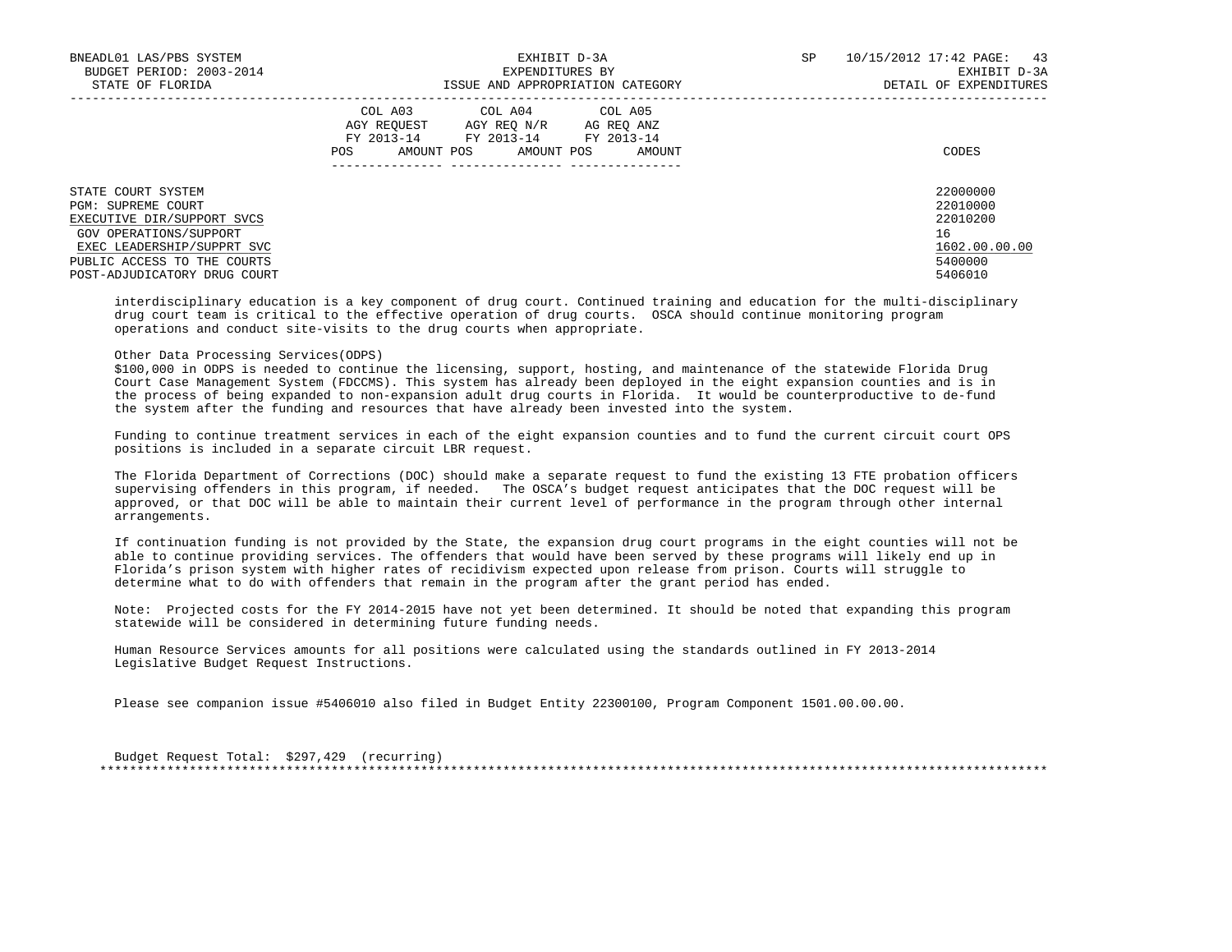| BNEADL01 LAS/PBS SYSTEM<br>BUDGET PERIOD: 2003-2014<br>STATE OF FLORIDA                                                        | EXHIBIT D-3A<br>EXPENDITURES BY<br>ISSUE AND APPROPRIATION CATEGORY                                                                                     | 10/15/2012 17:42 PAGE:<br>SP<br>43<br>EXHIBIT D-3A<br>DETAIL OF EXPENDITURES |
|--------------------------------------------------------------------------------------------------------------------------------|---------------------------------------------------------------------------------------------------------------------------------------------------------|------------------------------------------------------------------------------|
|                                                                                                                                | COL A03 COL A04 COL A05<br>AGY REOUEST<br>AGY REO N/R<br>AG REO ANZ<br>FY 2013-14<br>FY 2013-14 FY 2013-14<br>AMOUNT POS<br>AMOUNT POS<br>POS<br>AMOUNT | CODES                                                                        |
| STATE COURT SYSTEM<br>PGM: SUPREME COURT<br>EXECUTIVE DIR/SUPPORT SVCS<br>GOV OPERATIONS/SUPPORT<br>EXEC LEADERSHIP/SUPPRT SVC |                                                                                                                                                         | 22000000<br>22010000<br>22010200<br>16<br>1602.00.00.00                      |
| PUBLIC ACCESS TO THE COURTS<br>POST-ADJUDICATORY DRUG COURT                                                                    |                                                                                                                                                         | 5400000<br>5406010                                                           |

 interdisciplinary education is a key component of drug court. Continued training and education for the multi-disciplinary drug court team is critical to the effective operation of drug courts. OSCA should continue monitoring program operations and conduct site-visits to the drug courts when appropriate.

# Other Data Processing Services(ODPS)

 \$100,000 in ODPS is needed to continue the licensing, support, hosting, and maintenance of the statewide Florida Drug Court Case Management System (FDCCMS). This system has already been deployed in the eight expansion counties and is in the process of being expanded to non-expansion adult drug courts in Florida. It would be counterproductive to de-fund the system after the funding and resources that have already been invested into the system.

 Funding to continue treatment services in each of the eight expansion counties and to fund the current circuit court OPS positions is included in a separate circuit LBR request.

 The Florida Department of Corrections (DOC) should make a separate request to fund the existing 13 FTE probation officers supervising offenders in this program, if needed. The OSCA's budget request anticipates that the DOC request will be approved, or that DOC will be able to maintain their current level of performance in the program through other internal arrangements.

 If continuation funding is not provided by the State, the expansion drug court programs in the eight counties will not be able to continue providing services. The offenders that would have been served by these programs will likely end up in Florida's prison system with higher rates of recidivism expected upon release from prison. Courts will struggle to determine what to do with offenders that remain in the program after the grant period has ended.

 Note: Projected costs for the FY 2014-2015 have not yet been determined. It should be noted that expanding this program statewide will be considered in determining future funding needs.

 Human Resource Services amounts for all positions were calculated using the standards outlined in FY 2013-2014 Legislative Budget Request Instructions.

Please see companion issue #5406010 also filed in Budget Entity 22300100, Program Component 1501.00.00.00.

 Budget Request Total: \$297,429 (recurring) \*\*\*\*\*\*\*\*\*\*\*\*\*\*\*\*\*\*\*\*\*\*\*\*\*\*\*\*\*\*\*\*\*\*\*\*\*\*\*\*\*\*\*\*\*\*\*\*\*\*\*\*\*\*\*\*\*\*\*\*\*\*\*\*\*\*\*\*\*\*\*\*\*\*\*\*\*\*\*\*\*\*\*\*\*\*\*\*\*\*\*\*\*\*\*\*\*\*\*\*\*\*\*\*\*\*\*\*\*\*\*\*\*\*\*\*\*\*\*\*\*\*\*\*\*\*\*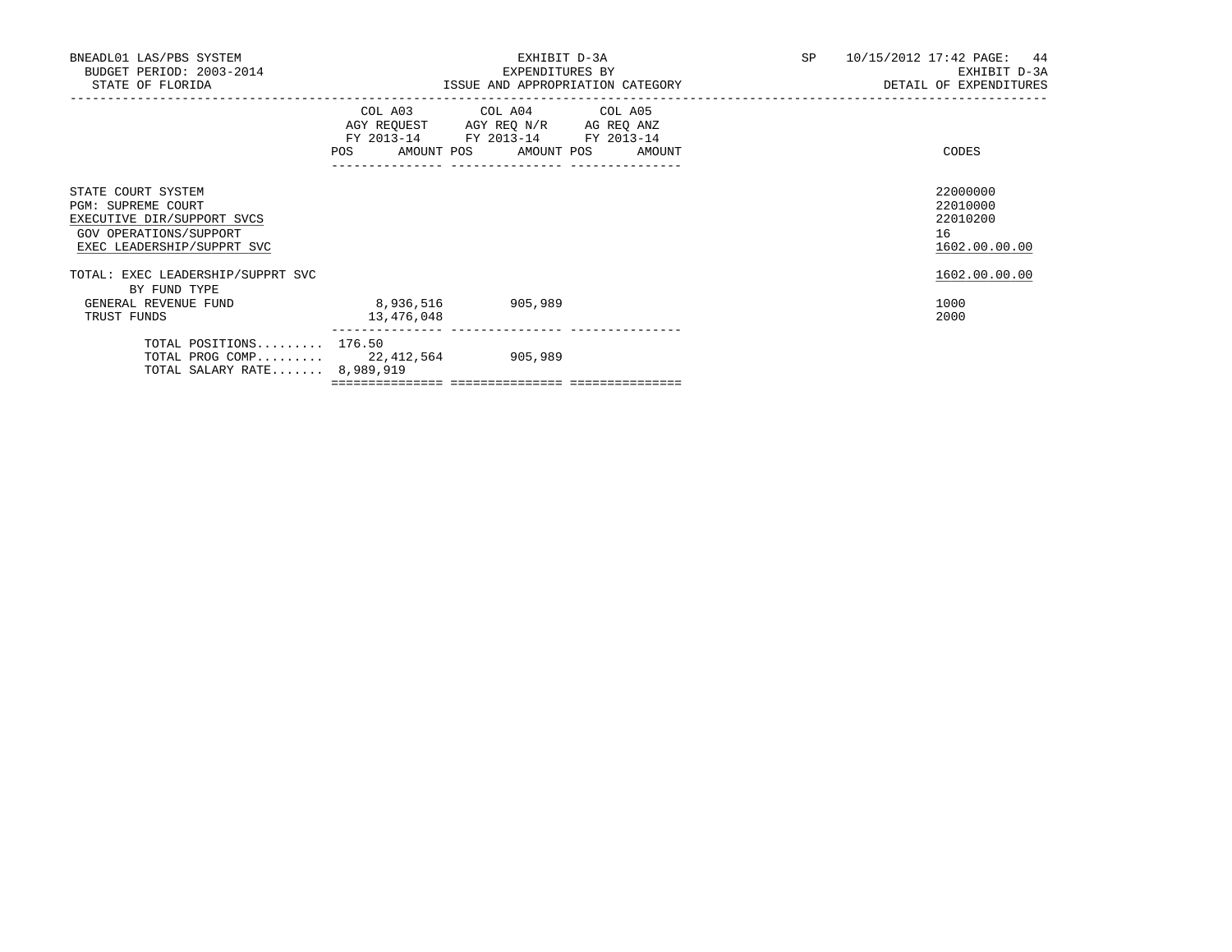|           | EXHIBIT D-3A<br>EXPENDITURES BY                                                                          | SP 10/15/2012 17:42 PAGE: 44<br>EXHIBIT D-3A<br>DETAIL OF EXPENDITURES                                                                                                                                                        |
|-----------|----------------------------------------------------------------------------------------------------------|-------------------------------------------------------------------------------------------------------------------------------------------------------------------------------------------------------------------------------|
|           |                                                                                                          | CODES                                                                                                                                                                                                                         |
|           |                                                                                                          | 22000000<br>22010000<br>22010200<br>16<br>1602.00.00.00                                                                                                                                                                       |
| 8,936,516 |                                                                                                          | 1602.00.00.00<br>1000<br>2000                                                                                                                                                                                                 |
|           |                                                                                                          |                                                                                                                                                                                                                               |
|           | TOTAL: EXEC LEADERSHIP/SUPPRT SVC<br>13,476,048<br>TOTAL POSITIONS 176.50<br>TOTAL SALARY RATE 8,989,919 | ISSUE AND APPROPRIATION CATEGORY<br>COL A03 COL A04 COL A05<br>AGY REQUEST AGY REQ N/R AG REQ ANZ<br>FY 2013-14 FY 2013-14 FY 2013-14<br>POS AMOUNT POS AMOUNT POS AMOUNT<br>905,989<br>TOTAL PROG COMP 22, 412, 564 905, 989 |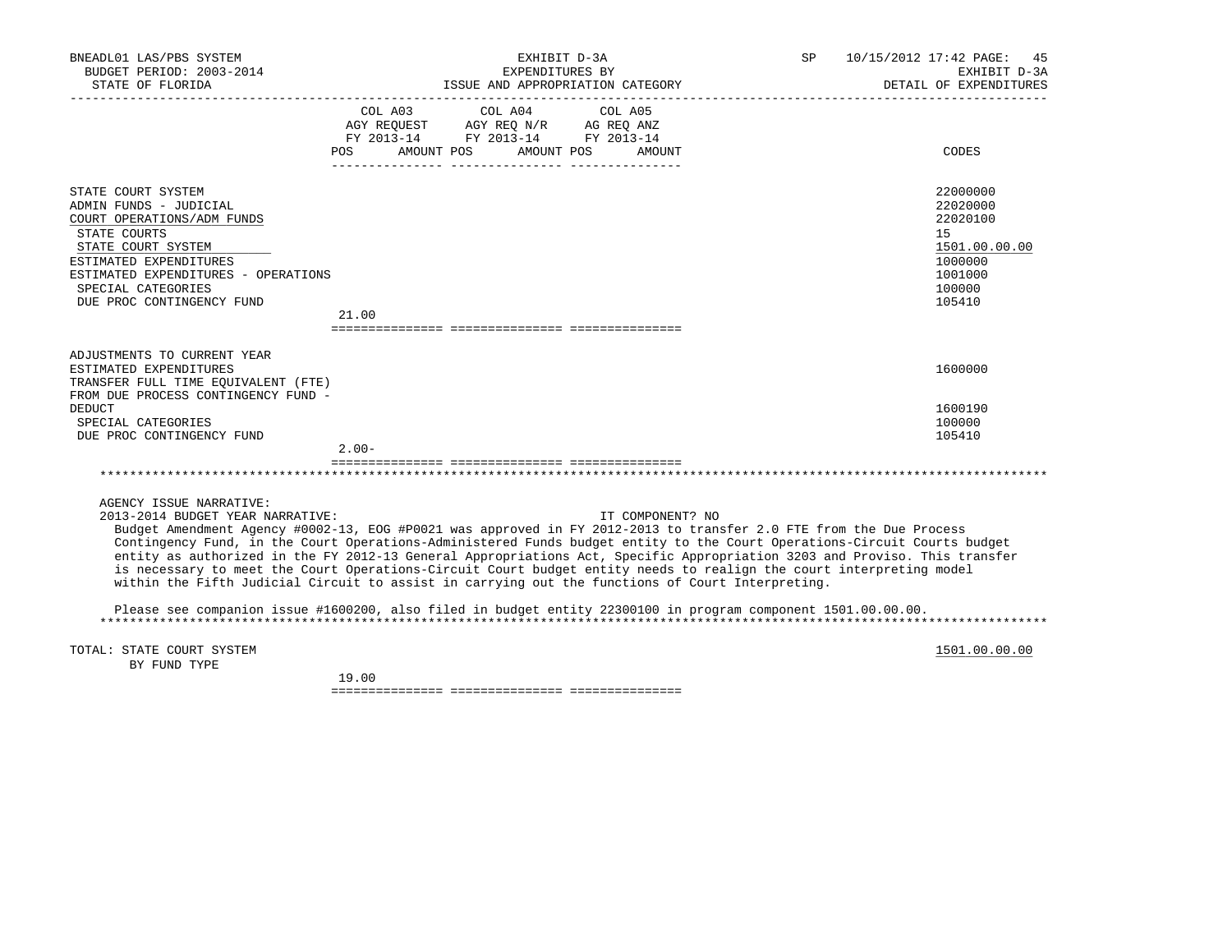| BNEADL01 LAS/PBS SYSTEM<br>BUDGET PERIOD: 2003-2014<br>STATE OF FLORIDA                                                                                                                                                              | EXHIBIT D-3A<br>SP<br>EXPENDITURES BY<br>ISSUE AND APPROPRIATION CATEGORY                                                                                                                                                                                                                                                                                                                                                                                                                                                                                                                                                  | 10/15/2012 17:42 PAGE: 45<br>EXHIBIT D-3A<br>DETAIL OF EXPENDITURES                               |
|--------------------------------------------------------------------------------------------------------------------------------------------------------------------------------------------------------------------------------------|----------------------------------------------------------------------------------------------------------------------------------------------------------------------------------------------------------------------------------------------------------------------------------------------------------------------------------------------------------------------------------------------------------------------------------------------------------------------------------------------------------------------------------------------------------------------------------------------------------------------------|---------------------------------------------------------------------------------------------------|
|                                                                                                                                                                                                                                      | COL A03<br>COL A04<br>COL A05<br>AGY REQUEST AGY REQ N/R AG REQ ANZ<br>FY 2013-14 FY 2013-14 FY 2013-14<br>POS<br>AMOUNT POS<br>AMOUNT POS<br>AMOUNT                                                                                                                                                                                                                                                                                                                                                                                                                                                                       | CODES                                                                                             |
| STATE COURT SYSTEM<br>ADMIN FUNDS - JUDICIAL<br>COURT OPERATIONS/ADM FUNDS<br>STATE COURTS<br>STATE COURT SYSTEM<br>ESTIMATED EXPENDITURES<br>ESTIMATED EXPENDITURES - OPERATIONS<br>SPECIAL CATEGORIES<br>DUE PROC CONTINGENCY FUND | 21.00                                                                                                                                                                                                                                                                                                                                                                                                                                                                                                                                                                                                                      | 22000000<br>22020000<br>22020100<br>15<br>1501.00.00.00<br>1000000<br>1001000<br>100000<br>105410 |
| ADJUSTMENTS TO CURRENT YEAR<br>ESTIMATED EXPENDITURES<br>TRANSFER FULL TIME EQUIVALENT (FTE)<br>FROM DUE PROCESS CONTINGENCY FUND -<br><b>DEDUCT</b>                                                                                 |                                                                                                                                                                                                                                                                                                                                                                                                                                                                                                                                                                                                                            | 1600000<br>1600190                                                                                |
| SPECIAL CATEGORIES<br>DUE PROC CONTINGENCY FUND                                                                                                                                                                                      | $2.00 -$                                                                                                                                                                                                                                                                                                                                                                                                                                                                                                                                                                                                                   | 100000<br>105410                                                                                  |
|                                                                                                                                                                                                                                      |                                                                                                                                                                                                                                                                                                                                                                                                                                                                                                                                                                                                                            |                                                                                                   |
| AGENCY ISSUE NARRATIVE:<br>2013-2014 BUDGET YEAR NARRATIVE:                                                                                                                                                                          | IT COMPONENT? NO<br>Budget Amendment Agency #0002-13, EOG #P0021 was approved in FY 2012-2013 to transfer 2.0 FTE from the Due Process<br>Contingency Fund, in the Court Operations-Administered Funds budget entity to the Court Operations-Circuit Courts budget<br>entity as authorized in the FY 2012-13 General Appropriations Act, Specific Appropriation 3203 and Proviso. This transfer<br>is necessary to meet the Court Operations-Circuit Court budget entity needs to realign the court interpreting model<br>within the Fifth Judicial Circuit to assist in carrying out the functions of Court Interpreting. |                                                                                                   |
|                                                                                                                                                                                                                                      | Please see companion issue #1600200, also filed in budget entity 22300100 in program component 1501.00.00.00.                                                                                                                                                                                                                                                                                                                                                                                                                                                                                                              |                                                                                                   |
| TOTAL: STATE COURT SYSTEM<br>BY FUND TYPE                                                                                                                                                                                            |                                                                                                                                                                                                                                                                                                                                                                                                                                                                                                                                                                                                                            | 1501.00.00.00                                                                                     |

19.00

=============== =============== ===============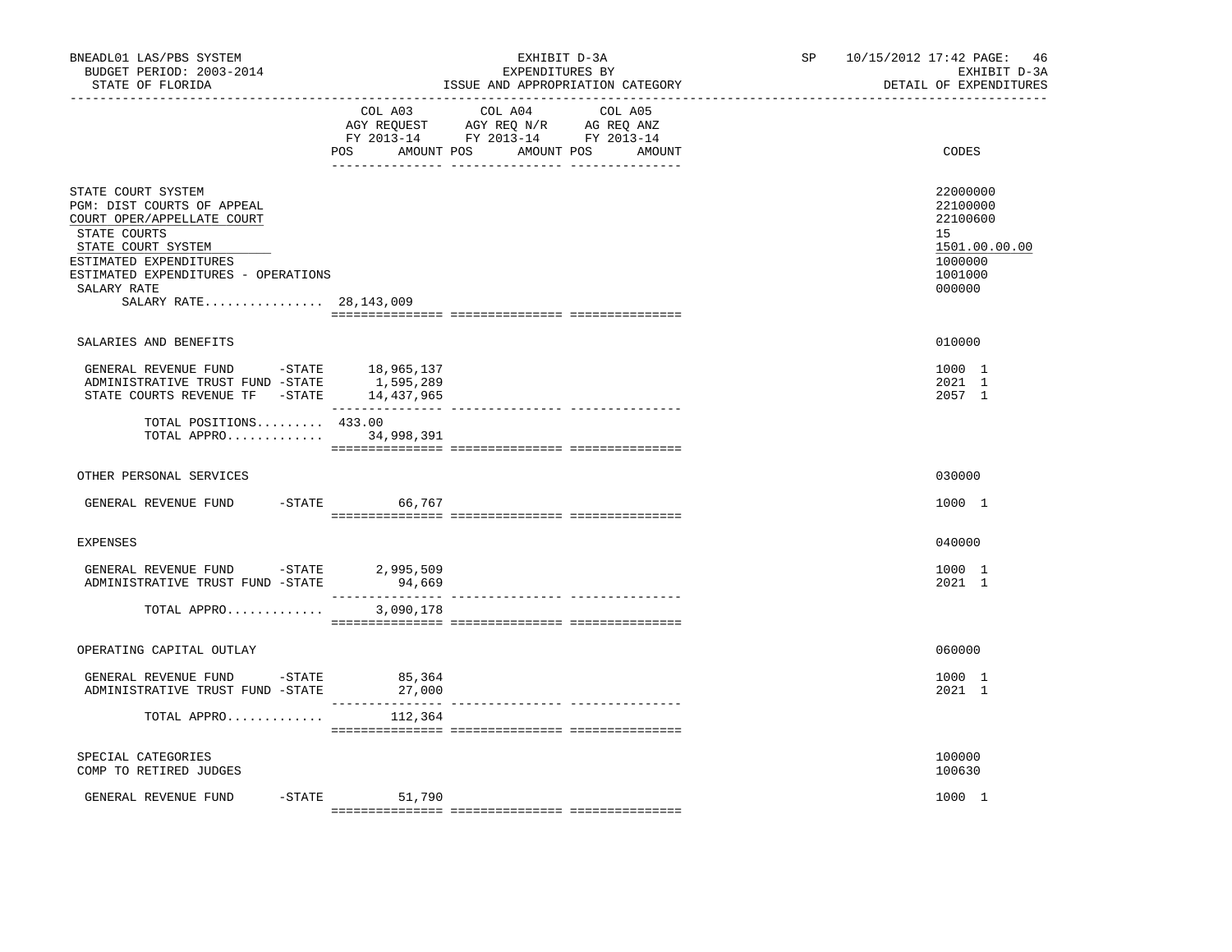| BNEADL01 LAS/PBS SYSTEM<br>BUDGET PERIOD: 2003-2014<br>STATE OF FLORIDA                                                                                                                                                          |                           | EXHIBIT D-3A<br>EXPENDITURES BY<br>ISSUE AND APPROPRIATION CATEGORY                                                                   | SP <sub>2</sub> | 10/15/2012 17:42 PAGE: 46<br>EXHIBIT D-3A<br>DETAIL OF EXPENDITURES                     |
|----------------------------------------------------------------------------------------------------------------------------------------------------------------------------------------------------------------------------------|---------------------------|---------------------------------------------------------------------------------------------------------------------------------------|-----------------|-----------------------------------------------------------------------------------------|
|                                                                                                                                                                                                                                  |                           | COL A03 COL A04 COL A05<br>AGY REQUEST AGY REQ N/R AG REQ ANZ<br>FY 2013-14 FY 2013-14 FY 2013-14<br>POS AMOUNT POS AMOUNT POS AMOUNT |                 | CODES                                                                                   |
| STATE COURT SYSTEM<br>PGM: DIST COURTS OF APPEAL<br>COURT OPER/APPELLATE COURT<br>STATE COURTS<br>STATE COURT SYSTEM<br>ESTIMATED EXPENDITURES<br>ESTIMATED EXPENDITURES - OPERATIONS<br>SALARY RATE<br>SALARY RATE 28, 143, 009 |                           |                                                                                                                                       |                 | 22000000<br>22100000<br>22100600<br>15<br>1501.00.00.00<br>1000000<br>1001000<br>000000 |
| SALARIES AND BENEFITS                                                                                                                                                                                                            |                           |                                                                                                                                       |                 | 010000                                                                                  |
| ${\small \tt GENERAL \;\; REVENUE \;\; FUND \;\; \;\; -STATE \;\; \;\; \;\; 18,965,137 \\ ADMINISTRATIVE \;\; TRUST \;\; FUND \;\; -STATE \;\; \;\; \;\; 1,595,289 \\$<br>STATE COURTS REVENUE TF - STATE 14,437,965             |                           |                                                                                                                                       |                 | 1000 1<br>2021 1<br>2057 1                                                              |
| TOTAL POSITIONS 433.00<br>TOTAL APPRO 34,998,391                                                                                                                                                                                 |                           |                                                                                                                                       |                 |                                                                                         |
| OTHER PERSONAL SERVICES                                                                                                                                                                                                          |                           |                                                                                                                                       |                 | 030000                                                                                  |
| GENERAL REVENUE FUND                                                                                                                                                                                                             | -STATE 66,767             |                                                                                                                                       |                 | 1000 1                                                                                  |
| <b>EXPENSES</b>                                                                                                                                                                                                                  |                           |                                                                                                                                       |                 | 040000                                                                                  |
| GENERAL REVENUE FUND -STATE 2,995,509<br>ADMINISTRATIVE TRUST FUND -STATE                                                                                                                                                        | 94,669<br>_______________ | ---------------- ----------------                                                                                                     |                 | 1000 1<br>2021 1                                                                        |
| TOTAL APPRO                                                                                                                                                                                                                      | 3,090,178                 |                                                                                                                                       |                 |                                                                                         |
| OPERATING CAPITAL OUTLAY                                                                                                                                                                                                         |                           |                                                                                                                                       |                 | 060000                                                                                  |
| GENERAL REVENUE FUND -STATE<br>ADMINISTRATIVE TRUST FUND -STATE                                                                                                                                                                  | 85,364<br>27,000          |                                                                                                                                       |                 | 1000 1<br>2021 1                                                                        |
| TOTAL APPRO                                                                                                                                                                                                                      | 112,364                   |                                                                                                                                       |                 |                                                                                         |
| SPECIAL CATEGORIES<br>COMP TO RETIRED JUDGES                                                                                                                                                                                     |                           |                                                                                                                                       |                 | 100000<br>100630                                                                        |
| GENERAL REVENUE FUND<br>$-$ STATE                                                                                                                                                                                                | 51,790                    |                                                                                                                                       |                 | 1000 1                                                                                  |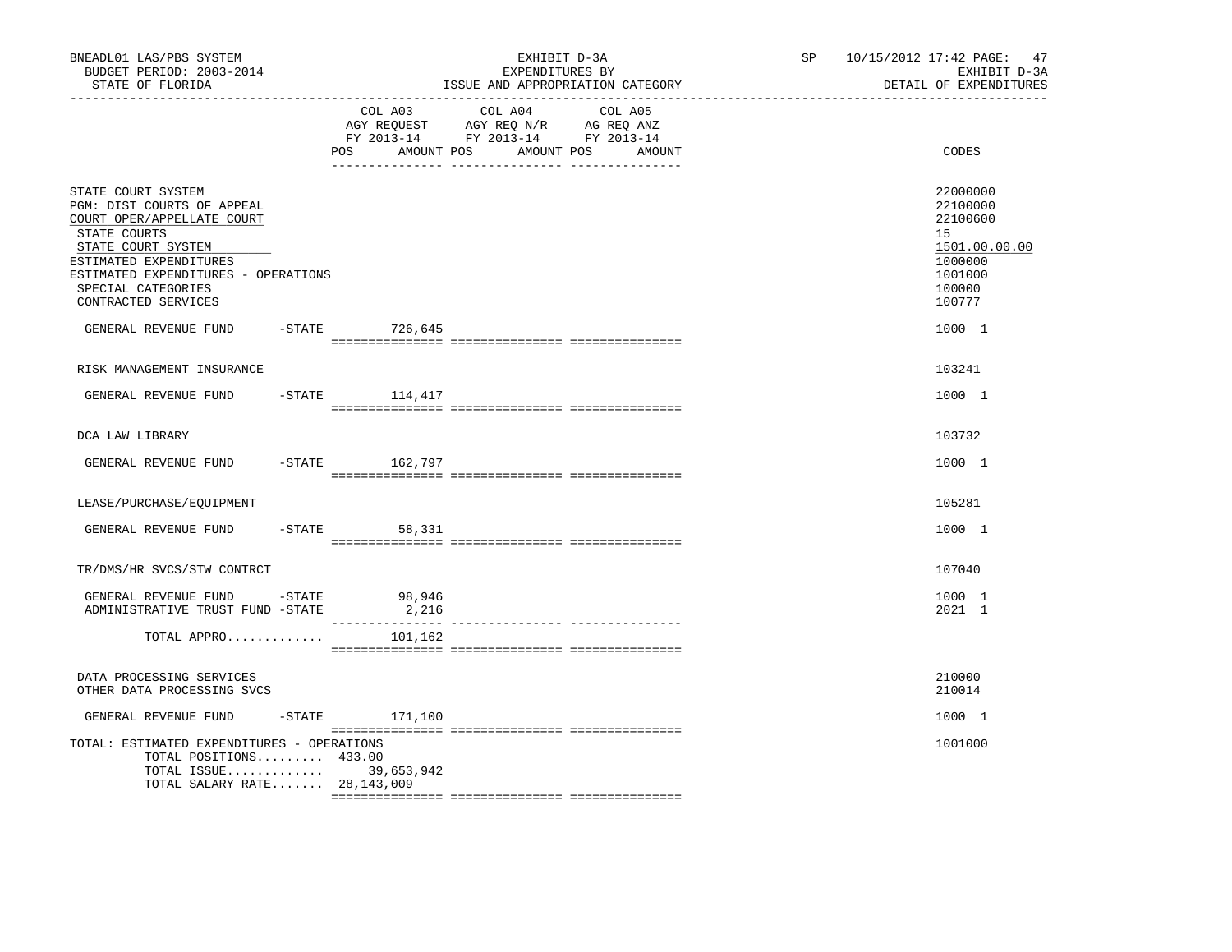| BNEADL01 LAS/PBS SYSTEM<br>BUDGET PERIOD: 2003-2014<br>STATE OF FLORIDA                                                                                                                                                                                                   |                    | EXHIBIT D-3A<br>EXPENDITURES BY<br>ISSUE AND APPROPRIATION CATEGORY                                                               | SP 10/15/2012 17:42 PAGE: 47<br>EXHIBIT D-3A<br>DETAIL OF EXPENDITURES                                      |
|---------------------------------------------------------------------------------------------------------------------------------------------------------------------------------------------------------------------------------------------------------------------------|--------------------|-----------------------------------------------------------------------------------------------------------------------------------|-------------------------------------------------------------------------------------------------------------|
|                                                                                                                                                                                                                                                                           | POS                | COL A03 COL A04 COL A05<br>AGY REQUEST AGY REQ N/R AG REQ ANZ<br>FY 2013-14 FY 2013-14 FY 2013-14<br>AMOUNT POS AMOUNT POS AMOUNT | CODES                                                                                                       |
| STATE COURT SYSTEM<br>PGM: DIST COURTS OF APPEAL<br>COURT OPER/APPELLATE COURT<br>STATE COURTS<br>STATE COURT SYSTEM<br>ESTIMATED EXPENDITURES<br>ESTIMATED EXPENDITURES - OPERATIONS<br>SPECIAL CATEGORIES<br>CONTRACTED SERVICES<br>GENERAL REVENUE FUND -STATE 726,645 |                    |                                                                                                                                   | 22000000<br>22100000<br>22100600<br>15<br>1501.00.00.00<br>1000000<br>1001000<br>100000<br>100777<br>1000 1 |
| RISK MANAGEMENT INSURANCE                                                                                                                                                                                                                                                 |                    |                                                                                                                                   | 103241                                                                                                      |
| GENERAL REVENUE FUND                                                                                                                                                                                                                                                      | $-$ STATE 114, 417 |                                                                                                                                   | 1000 1                                                                                                      |
| DCA LAW LIBRARY                                                                                                                                                                                                                                                           |                    |                                                                                                                                   | 103732                                                                                                      |
| GENERAL REVENUE FUND -STATE 162,797                                                                                                                                                                                                                                       |                    |                                                                                                                                   | 1000 1                                                                                                      |
| LEASE/PURCHASE/EOUIPMENT                                                                                                                                                                                                                                                  |                    |                                                                                                                                   | 105281                                                                                                      |
| GENERAL REVENUE FUND                                                                                                                                                                                                                                                      | $-STATE$<br>58,331 |                                                                                                                                   | 1000 1                                                                                                      |
| TR/DMS/HR SVCS/STW CONTRCT                                                                                                                                                                                                                                                |                    |                                                                                                                                   | 107040                                                                                                      |
| GENERAL REVENUE FUND - STATE<br>ADMINISTRATIVE TRUST FUND -STATE                                                                                                                                                                                                          | 98,946<br>2,216    |                                                                                                                                   | 1000 1<br>2021 1                                                                                            |
| TOTAL APPRO                                                                                                                                                                                                                                                               | 101,162            |                                                                                                                                   |                                                                                                             |
| DATA PROCESSING SERVICES<br>OTHER DATA PROCESSING SVCS                                                                                                                                                                                                                    |                    |                                                                                                                                   | 210000<br>210014                                                                                            |
| GENERAL REVENUE FUND                                                                                                                                                                                                                                                      | $-STATE$ 171,100   |                                                                                                                                   | 1000 1                                                                                                      |
| TOTAL: ESTIMATED EXPENDITURES - OPERATIONS<br>TOTAL POSITIONS 433.00<br>TOTAL ISSUE 39,653,942<br>TOTAL SALARY RATE 28, 143, 009                                                                                                                                          |                    |                                                                                                                                   | 1001000                                                                                                     |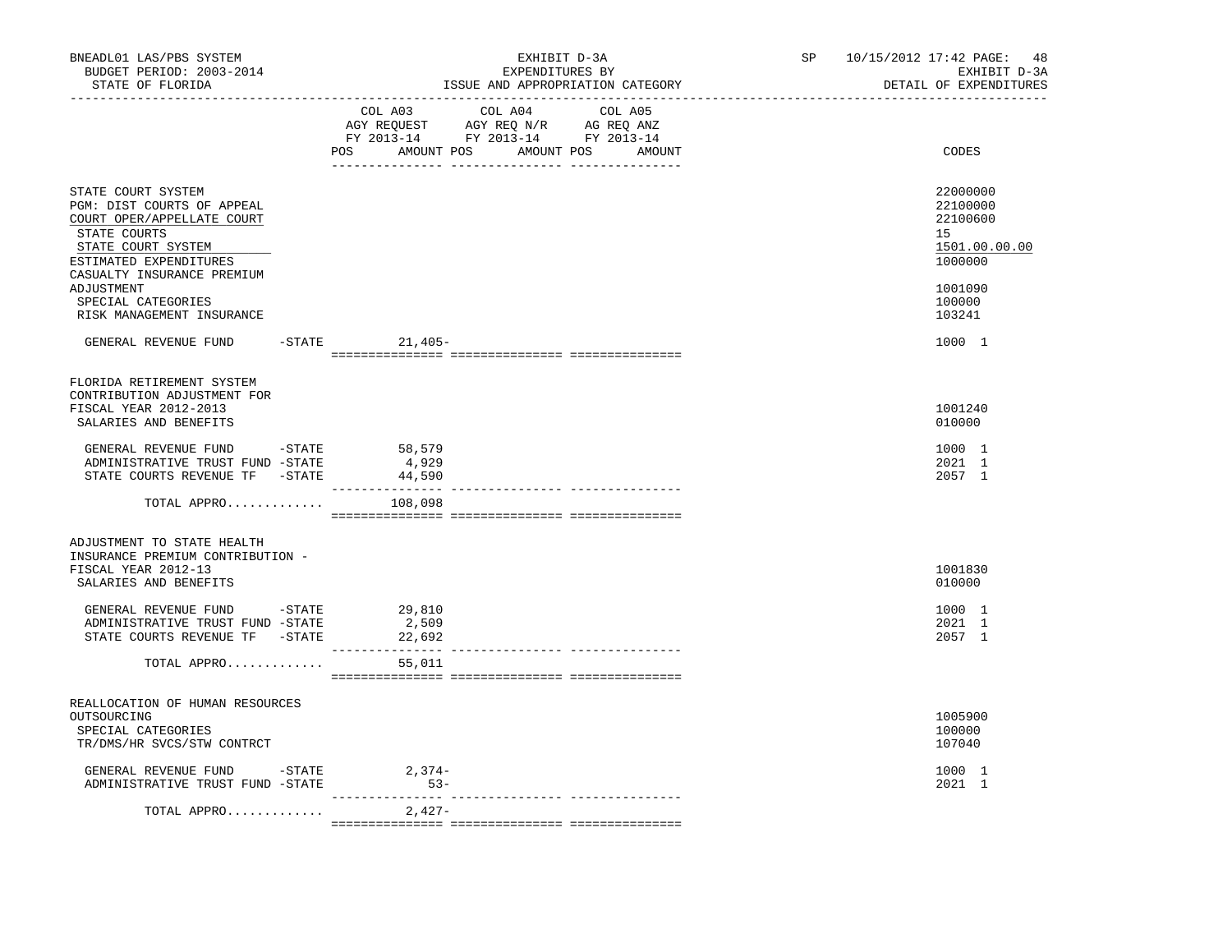| BNEADL01 LAS/PBS SYSTEM<br>BUDGET PERIOD: 2003-2014<br>STATE OF FLORIDA<br>----------------- <i>-</i>                                                                        |                                                                                                                                                                                                                                                                                                                                                                                           | ISSUE AND APPROPRIATION CATEGORY | EXHIBIT D-3A<br>EXPENDITURES BY |  | SP and the set of the set of the set of the set of the set of the set of the set of the set of the set of the set of the set of the set of the set of the set of the set of the set of the set of the set of the set of the se | 10/15/2012 17:42 PAGE:<br>48<br>EXHIBIT D-3A<br>DETAIL OF EXPENDITURES |
|------------------------------------------------------------------------------------------------------------------------------------------------------------------------------|-------------------------------------------------------------------------------------------------------------------------------------------------------------------------------------------------------------------------------------------------------------------------------------------------------------------------------------------------------------------------------------------|----------------------------------|---------------------------------|--|--------------------------------------------------------------------------------------------------------------------------------------------------------------------------------------------------------------------------------|------------------------------------------------------------------------|
|                                                                                                                                                                              | COL A03 COL A04 COL A05<br>$\begin{tabular}{lllllllll} \multicolumn{2}{l}{{\bf AGY}} & {\bf RcQUEST} & {\bf AGY} & {\bf RcQ} & {\bf N/R} & {\bf AGEQ} & {\bf ANZ} \\ \multicolumn{2}{l}{{\bf AGY}} & {\bf RcQUEST} & {\bf AGY} & {\bf RcQ} & {\bf N} \\ {\bf FY} & {\bf 2013-14} & {\bf FY} & {\bf 2013-14} & {\bf FY} & {\bf 2013-14} \end{tabular}$<br>POS AMOUNT POS AMOUNT POS AMOUNT |                                  |                                 |  |                                                                                                                                                                                                                                | CODES                                                                  |
| STATE COURT SYSTEM<br>PGM: DIST COURTS OF APPEAL<br>COURT OPER/APPELLATE COURT<br>STATE COURTS<br>STATE COURT SYSTEM<br>ESTIMATED EXPENDITURES<br>CASUALTY INSURANCE PREMIUM |                                                                                                                                                                                                                                                                                                                                                                                           |                                  |                                 |  |                                                                                                                                                                                                                                | 22000000<br>22100000<br>22100600<br>15<br>1501.00.00.00<br>1000000     |
| ADJUSTMENT<br>SPECIAL CATEGORIES<br>RISK MANAGEMENT INSURANCE                                                                                                                |                                                                                                                                                                                                                                                                                                                                                                                           |                                  |                                 |  |                                                                                                                                                                                                                                | 1001090<br>100000<br>103241                                            |
| GENERAL REVENUE FUND                                                                                                                                                         | $-$ STATE 21,405-                                                                                                                                                                                                                                                                                                                                                                         |                                  |                                 |  |                                                                                                                                                                                                                                | 1000 1                                                                 |
| FLORIDA RETIREMENT SYSTEM<br>CONTRIBUTION ADJUSTMENT FOR<br>FISCAL YEAR 2012-2013<br>SALARIES AND BENEFITS                                                                   |                                                                                                                                                                                                                                                                                                                                                                                           |                                  |                                 |  |                                                                                                                                                                                                                                | 1001240<br>010000                                                      |
| GENERAL REVENUE FUND -STATE<br>ADMINISTRATIVE TRUST FUND -STATE<br>STATE COURTS REVENUE TF - STATE                                                                           | 58,579<br>4,929<br>44,590                                                                                                                                                                                                                                                                                                                                                                 |                                  |                                 |  |                                                                                                                                                                                                                                | 1000 1<br>2021 1<br>2057 1                                             |
| TOTAL APPRO                                                                                                                                                                  | 108,098                                                                                                                                                                                                                                                                                                                                                                                   |                                  |                                 |  |                                                                                                                                                                                                                                |                                                                        |
| ADJUSTMENT TO STATE HEALTH<br>INSURANCE PREMIUM CONTRIBUTION -<br>FISCAL YEAR 2012-13<br>SALARIES AND BENEFITS                                                               |                                                                                                                                                                                                                                                                                                                                                                                           |                                  |                                 |  |                                                                                                                                                                                                                                | 1001830<br>010000                                                      |
| GENERAL REVENUE FUND -STATE 29,810<br>ADMINISTRATIVE TRUST FUND -STATE<br>STATE COURTS REVENUE TF -STATE                                                                     | 2,509<br>22,692                                                                                                                                                                                                                                                                                                                                                                           |                                  |                                 |  |                                                                                                                                                                                                                                | 1000 1<br>2021 1<br>2057 1                                             |
| TOTAL APPRO                                                                                                                                                                  | 55,011                                                                                                                                                                                                                                                                                                                                                                                    |                                  |                                 |  |                                                                                                                                                                                                                                |                                                                        |
| REALLOCATION OF HUMAN RESOURCES<br>OUTSOURCING<br>SPECIAL CATEGORIES<br>TR/DMS/HR SVCS/STW CONTRCT                                                                           |                                                                                                                                                                                                                                                                                                                                                                                           |                                  |                                 |  |                                                                                                                                                                                                                                | 1005900<br>100000<br>107040                                            |
| GENERAL REVENUE FUND -STATE<br>ADMINISTRATIVE TRUST FUND -STATE                                                                                                              | $2,374-$<br>$53-$                                                                                                                                                                                                                                                                                                                                                                         |                                  |                                 |  |                                                                                                                                                                                                                                | 1000 1<br>2021 1                                                       |
| TOTAL APPRO                                                                                                                                                                  | 2,427-                                                                                                                                                                                                                                                                                                                                                                                    |                                  |                                 |  |                                                                                                                                                                                                                                |                                                                        |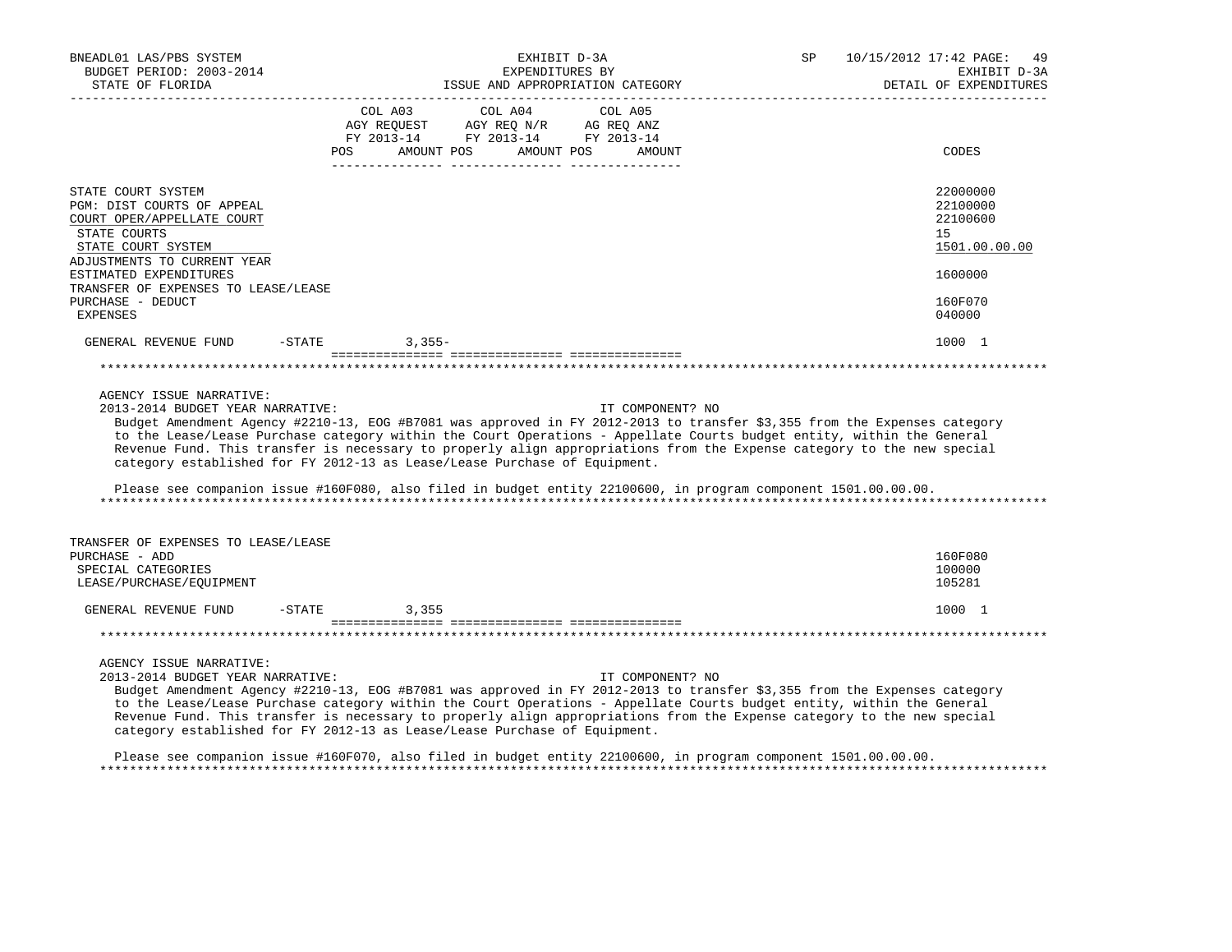| BNEADL01 LAS/PBS SYSTEM<br>BUDGET PERIOD: 2003-2014<br>STATE OF FLORIDA                                                              | EXHIBIT D-3A<br>EXPENDITURES BY<br>ISSUE AND APPROPRIATION CATEGORY                                                                                                                                                                                                                                                                                                                                                                                                                                                                                                                            | 10/15/2012 17:42 PAGE:<br>SP<br>49<br>EXHIBIT D-3A<br>DETAIL OF EXPENDITURES |
|--------------------------------------------------------------------------------------------------------------------------------------|------------------------------------------------------------------------------------------------------------------------------------------------------------------------------------------------------------------------------------------------------------------------------------------------------------------------------------------------------------------------------------------------------------------------------------------------------------------------------------------------------------------------------------------------------------------------------------------------|------------------------------------------------------------------------------|
|                                                                                                                                      | $\begin{tabular}{lcccc} COL A03 & COL A04 & COL A05 \\ AGY REQUEST & AGY REQ N/R & AG REQ ANZ \\ FY & 2013-14 & FY & 2013-14 & FY & 2013-14 \end{tabular}$<br>AMOUNT POS<br>AMOUNT POS<br>POS<br>AMOUNT                                                                                                                                                                                                                                                                                                                                                                                        | CODES                                                                        |
| STATE COURT SYSTEM<br>PGM: DIST COURTS OF APPEAL<br>COURT OPER/APPELLATE COURT<br>STATE COURTS<br>STATE COURT SYSTEM                 |                                                                                                                                                                                                                                                                                                                                                                                                                                                                                                                                                                                                | 22000000<br>22100000<br>22100600<br>15<br>1501.00.00.00                      |
| ADJUSTMENTS TO CURRENT YEAR<br>ESTIMATED EXPENDITURES<br>TRANSFER OF EXPENSES TO LEASE/LEASE<br>PURCHASE - DEDUCT<br><b>EXPENSES</b> |                                                                                                                                                                                                                                                                                                                                                                                                                                                                                                                                                                                                | 1600000<br>160F070<br>040000                                                 |
| GENERAL REVENUE FUND -STATE 3,355-                                                                                                   |                                                                                                                                                                                                                                                                                                                                                                                                                                                                                                                                                                                                | 1000 1                                                                       |
| AGENCY ISSUE NARRATIVE:<br>2013-2014 BUDGET YEAR NARRATIVE:                                                                          | IT COMPONENT? NO<br>Budget Amendment Agency #2210-13, EOG #B7081 was approved in FY 2012-2013 to transfer \$3,355 from the Expenses category<br>to the Lease/Lease Purchase category within the Court Operations - Appellate Courts budget entity, within the General<br>Revenue Fund. This transfer is necessary to properly align appropriations from the Expense category to the new special<br>category established for FY 2012-13 as Lease/Lease Purchase of Equipment.<br>Please see companion issue #160F080, also filed in budget entity 22100600, in program component 1501.00.00.00. |                                                                              |
| TRANSFER OF EXPENSES TO LEASE/LEASE<br>PURCHASE - ADD<br>SPECIAL CATEGORIES<br>LEASE/PURCHASE/EQUIPMENT                              |                                                                                                                                                                                                                                                                                                                                                                                                                                                                                                                                                                                                | 160F080<br>100000<br>105281                                                  |
| GENERAL REVENUE FUND -STATE 3,355                                                                                                    |                                                                                                                                                                                                                                                                                                                                                                                                                                                                                                                                                                                                | 1000 1                                                                       |
|                                                                                                                                      |                                                                                                                                                                                                                                                                                                                                                                                                                                                                                                                                                                                                |                                                                              |
| AGENCY ISSUE NARRATIVE:<br>2013-2014 BUDGET YEAR NARRATIVE:                                                                          | IT COMPONENT? NO<br>Budget Amendment Agency #2210-13, EOG #B7081 was approved in FY 2012-2013 to transfer \$3,355 from the Expenses category<br>to the Lease/Lease Purchase category within the Court Operations - Appellate Courts budget entity, within the General<br>Revenue Fund. This transfer is necessary to properly align appropriations from the Expense category to the new special<br>category established for FY 2012-13 as Lease/Lease Purchase of Equipment.<br>Please see companion issue #160F070, also filed in budget entity 22100600, in program component 1501.00.00.00. |                                                                              |

\*\*\*\*\*\*\*\*\*\*\*\*\*\*\*\*\*\*\*\*\*\*\*\*\*\*\*\*\*\*\*\*\*\*\*\*\*\*\*\*\*\*\*\*\*\*\*\*\*\*\*\*\*\*\*\*\*\*\*\*\*\*\*\*\*\*\*\*\*\*\*\*\*\*\*\*\*\*\*\*\*\*\*\*\*\*\*\*\*\*\*\*\*\*\*\*\*\*\*\*\*\*\*\*\*\*\*\*\*\*\*\*\*\*\*\*\*\*\*\*\*\*\*\*\*\*\*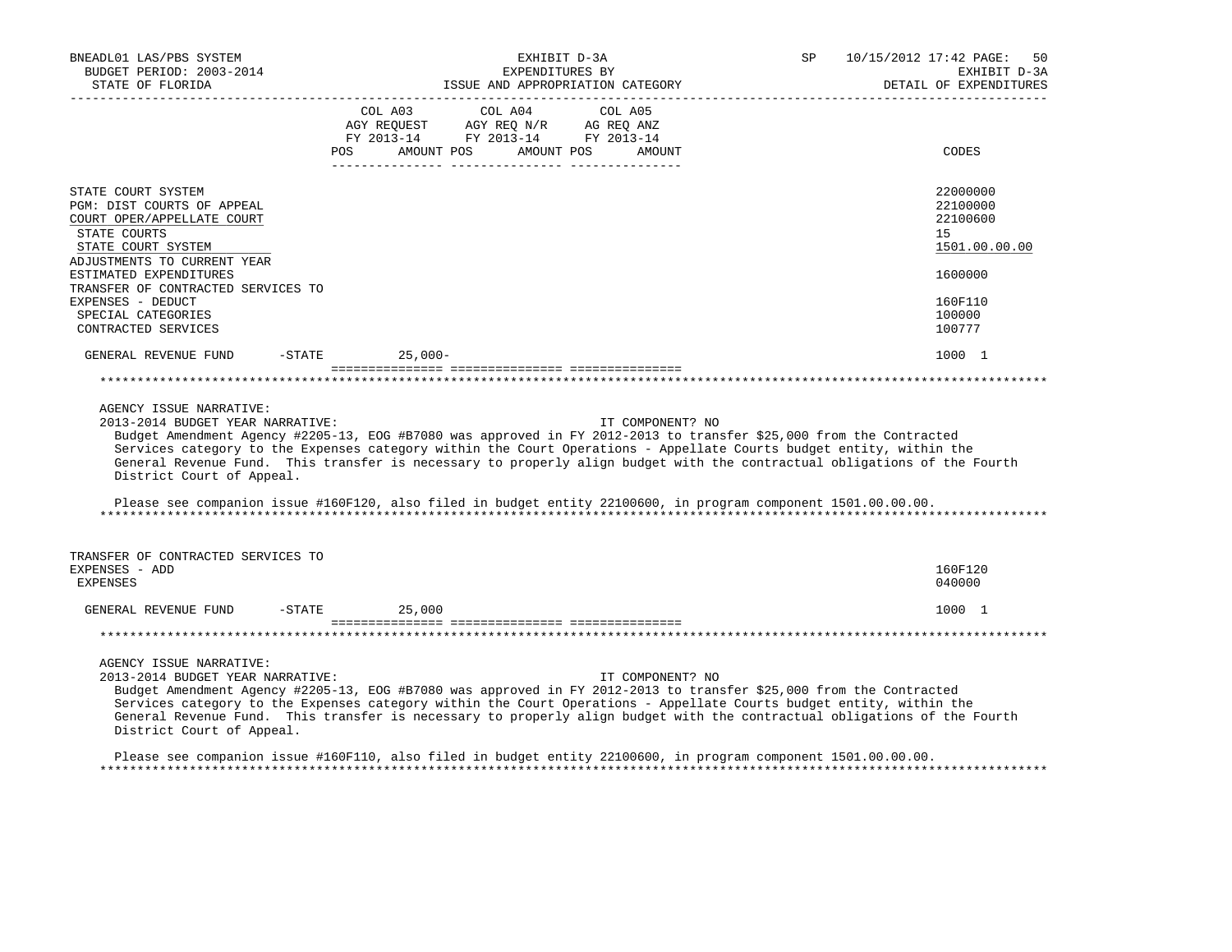| BNEADL01 LAS/PBS SYSTEM<br>BUDGET PERIOD: 2003-2014<br>STATE OF FLORIDA<br>-------------------                                                      | EXHIBIT D-3A<br>EXPENDITURES BY<br>ISSUE AND APPROPRIATION CATEGORY                                                                                                                                                                                                                                                                                                                                                                                                                     | SP               | 10/15/2012 17:42 PAGE:<br>50<br>EXHIBIT D-3A<br>DETAIL OF EXPENDITURES |
|-----------------------------------------------------------------------------------------------------------------------------------------------------|-----------------------------------------------------------------------------------------------------------------------------------------------------------------------------------------------------------------------------------------------------------------------------------------------------------------------------------------------------------------------------------------------------------------------------------------------------------------------------------------|------------------|------------------------------------------------------------------------|
|                                                                                                                                                     | $\begin{tabular}{lcccc} CDL A03 & CDL A04 & CDL A05 \\ AGY REQUEST & AGY REQ N/R & AG REQ ANZ \\ FY & 2013-14 & FY & 2013-14 & FY & 2013-14 \end{tabular}$<br>AMOUNT POS AMOUNT POS<br>POS                                                                                                                                                                                                                                                                                              | AMOUNT           | CODES                                                                  |
|                                                                                                                                                     |                                                                                                                                                                                                                                                                                                                                                                                                                                                                                         |                  |                                                                        |
| STATE COURT SYSTEM<br>PGM: DIST COURTS OF APPEAL<br>COURT OPER/APPELLATE COURT<br>STATE COURTS<br>STATE COURT SYSTEM<br>ADJUSTMENTS TO CURRENT YEAR |                                                                                                                                                                                                                                                                                                                                                                                                                                                                                         |                  | 22000000<br>22100000<br>22100600<br>15<br>1501.00.00.00                |
| ESTIMATED EXPENDITURES                                                                                                                              |                                                                                                                                                                                                                                                                                                                                                                                                                                                                                         |                  | 1600000                                                                |
| TRANSFER OF CONTRACTED SERVICES TO<br>EXPENSES - DEDUCT<br>SPECIAL CATEGORIES<br>CONTRACTED SERVICES                                                |                                                                                                                                                                                                                                                                                                                                                                                                                                                                                         |                  | 160F110<br>100000<br>100777                                            |
| GENERAL REVENUE FUND                                                                                                                                | $-STATE$<br>25,000-                                                                                                                                                                                                                                                                                                                                                                                                                                                                     |                  | 1000 1                                                                 |
|                                                                                                                                                     |                                                                                                                                                                                                                                                                                                                                                                                                                                                                                         |                  |                                                                        |
| AGENCY ISSUE NARRATIVE:<br>2013-2014 BUDGET YEAR NARRATIVE:<br>District Court of Appeal.                                                            | Budget Amendment Agency #2205-13, EOG #B7080 was approved in FY 2012-2013 to transfer \$25,000 from the Contracted<br>Services category to the Expenses category within the Court Operations - Appellate Courts budget entity, within the<br>General Revenue Fund. This transfer is necessary to properly align budget with the contractual obligations of the Fourth<br>Please see companion issue #160F120, also filed in budget entity 22100600, in program component 1501.00.00.00. | IT COMPONENT? NO |                                                                        |
| TRANSFER OF CONTRACTED SERVICES TO<br>EXPENSES - ADD                                                                                                |                                                                                                                                                                                                                                                                                                                                                                                                                                                                                         |                  | 160F120                                                                |
| <b>EXPENSES</b>                                                                                                                                     |                                                                                                                                                                                                                                                                                                                                                                                                                                                                                         |                  | 040000                                                                 |
| GENERAL REVENUE FUND -STATE                                                                                                                         | 25,000                                                                                                                                                                                                                                                                                                                                                                                                                                                                                  |                  | 1000 1                                                                 |
|                                                                                                                                                     |                                                                                                                                                                                                                                                                                                                                                                                                                                                                                         |                  |                                                                        |
| AGENCY ISSUE NARRATIVE:<br>2013-2014 BUDGET YEAR NARRATIVE:<br>District Court of Appeal.                                                            | Budget Amendment Agency #2205-13, EOG #B7080 was approved in FY 2012-2013 to transfer \$25,000 from the Contracted<br>Services category to the Expenses category within the Court Operations - Appellate Courts budget entity, within the<br>General Revenue Fund. This transfer is necessary to properly align budget with the contractual obligations of the Fourth                                                                                                                   | IT COMPONENT? NO |                                                                        |
|                                                                                                                                                     | Please see companion issue #160F110, also filed in budget entity 22100600, in program component 1501.00.00.00.                                                                                                                                                                                                                                                                                                                                                                          |                  |                                                                        |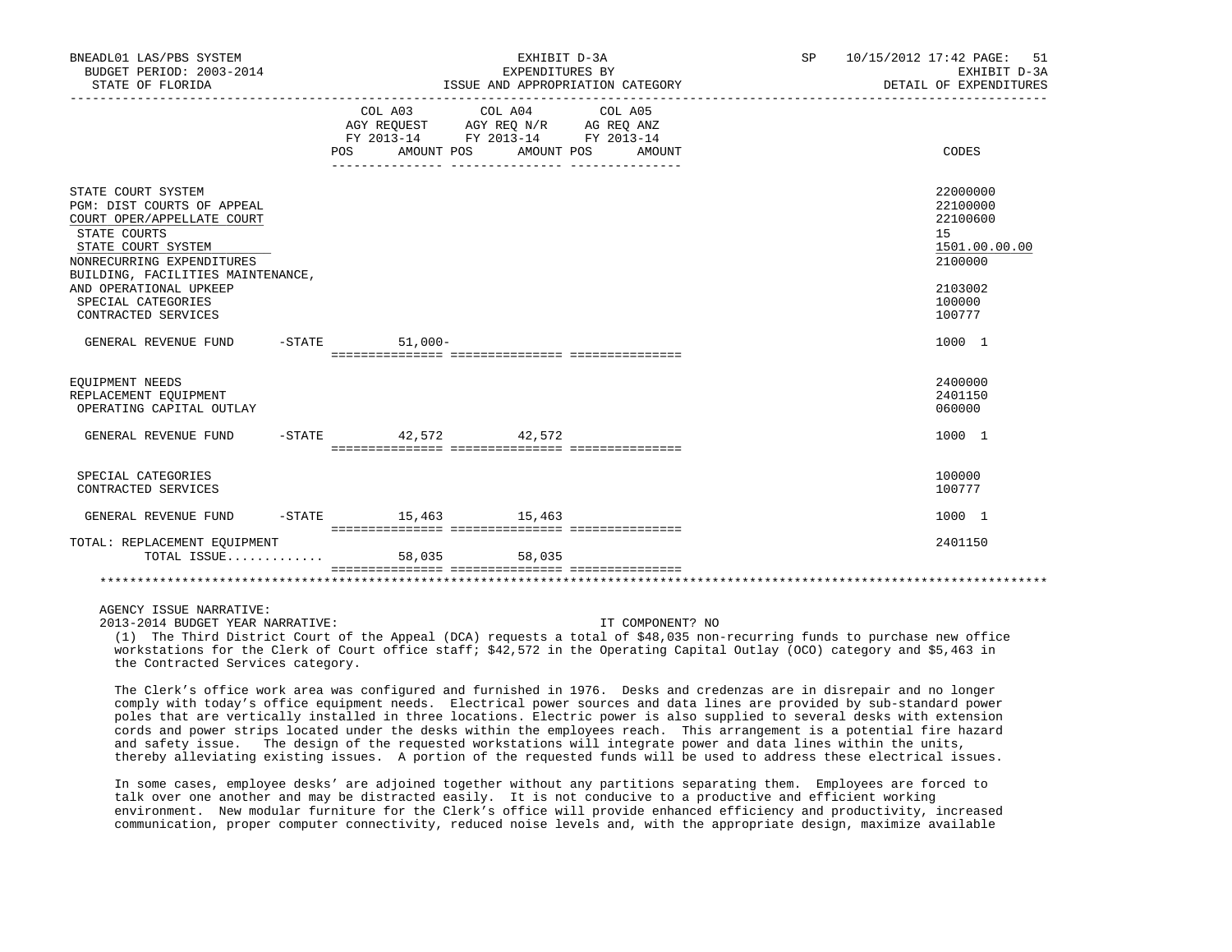| BNEADL01 LAS/PBS SYSTEM<br>BUDGET PERIOD: 2003-2014<br>STATE OF FLORIDA                                                                                                                                                                                       |  |                    | EXHIBIT D-3A<br>EXPENDITURES BY                                                                                 | ISSUE AND APPROPRIATION CATEGORY | SP 10/15/2012 17:42 PAGE:<br>51<br>EXHIBIT D-3A<br>DETAIL OF EXPENDITURES                         |
|---------------------------------------------------------------------------------------------------------------------------------------------------------------------------------------------------------------------------------------------------------------|--|--------------------|-----------------------------------------------------------------------------------------------------------------|----------------------------------|---------------------------------------------------------------------------------------------------|
|                                                                                                                                                                                                                                                               |  | POS                | COL A03 COL A04 COL A05<br>AGY REQUEST AGY REQ N/R AG REQ ANZ<br>FY 2013-14 FY 2013-14 FY 2013-14<br>AMOUNT POS | AMOUNT POS<br>AMOUNT             | CODES                                                                                             |
| STATE COURT SYSTEM<br>PGM: DIST COURTS OF APPEAL<br>COURT OPER/APPELLATE COURT<br>STATE COURTS<br>STATE COURT SYSTEM<br>NONRECURRING EXPENDITURES<br>BUILDING, FACILITIES MAINTENANCE,<br>AND OPERATIONAL UPKEEP<br>SPECIAL CATEGORIES<br>CONTRACTED SERVICES |  |                    |                                                                                                                 |                                  | 22000000<br>22100000<br>22100600<br>15<br>1501.00.00.00<br>2100000<br>2103002<br>100000<br>100777 |
| GENERAL REVENUE FUND                                                                                                                                                                                                                                          |  | $-$ STATE 51,000 - |                                                                                                                 |                                  | 1000 1                                                                                            |
| EOUIPMENT NEEDS<br>REPLACEMENT EQUIPMENT<br>OPERATING CAPITAL OUTLAY                                                                                                                                                                                          |  |                    |                                                                                                                 |                                  | 2400000<br>2401150<br>060000                                                                      |
| GENERAL REVENUE FUND                                                                                                                                                                                                                                          |  |                    | -STATE 42,572 42,572                                                                                            |                                  | 1000 1                                                                                            |
| SPECIAL CATEGORIES<br>CONTRACTED SERVICES                                                                                                                                                                                                                     |  |                    |                                                                                                                 |                                  | 100000<br>100777                                                                                  |
| GENERAL REVENUE FUND                                                                                                                                                                                                                                          |  |                    | $-$ STATE $15, 463$ $15, 463$                                                                                   |                                  | 1000 1                                                                                            |
| TOTAL: REPLACEMENT EOUIPMENT                                                                                                                                                                                                                                  |  |                    | 58.035                                                                                                          |                                  | 2401150                                                                                           |
|                                                                                                                                                                                                                                                               |  |                    |                                                                                                                 |                                  |                                                                                                   |

AGENCY ISSUE NARRATIVE:

2013-2014 BUDGET YEAR NARRATIVE: IT COMPONENT? NO

 (1) The Third District Court of the Appeal (DCA) requests a total of \$48,035 non-recurring funds to purchase new office workstations for the Clerk of Court office staff; \$42,572 in the Operating Capital Outlay (OCO) category and \$5,463 in the Contracted Services category.

 The Clerk's office work area was configured and furnished in 1976. Desks and credenzas are in disrepair and no longer comply with today's office equipment needs. Electrical power sources and data lines are provided by sub-standard power poles that are vertically installed in three locations. Electric power is also supplied to several desks with extension cords and power strips located under the desks within the employees reach. This arrangement is a potential fire hazard and safety issue. The design of the requested workstations will integrate power and data lines within the units, thereby alleviating existing issues. A portion of the requested funds will be used to address these electrical issues.

 In some cases, employee desks' are adjoined together without any partitions separating them. Employees are forced to talk over one another and may be distracted easily. It is not conducive to a productive and efficient working environment. New modular furniture for the Clerk's office will provide enhanced efficiency and productivity, increased communication, proper computer connectivity, reduced noise levels and, with the appropriate design, maximize available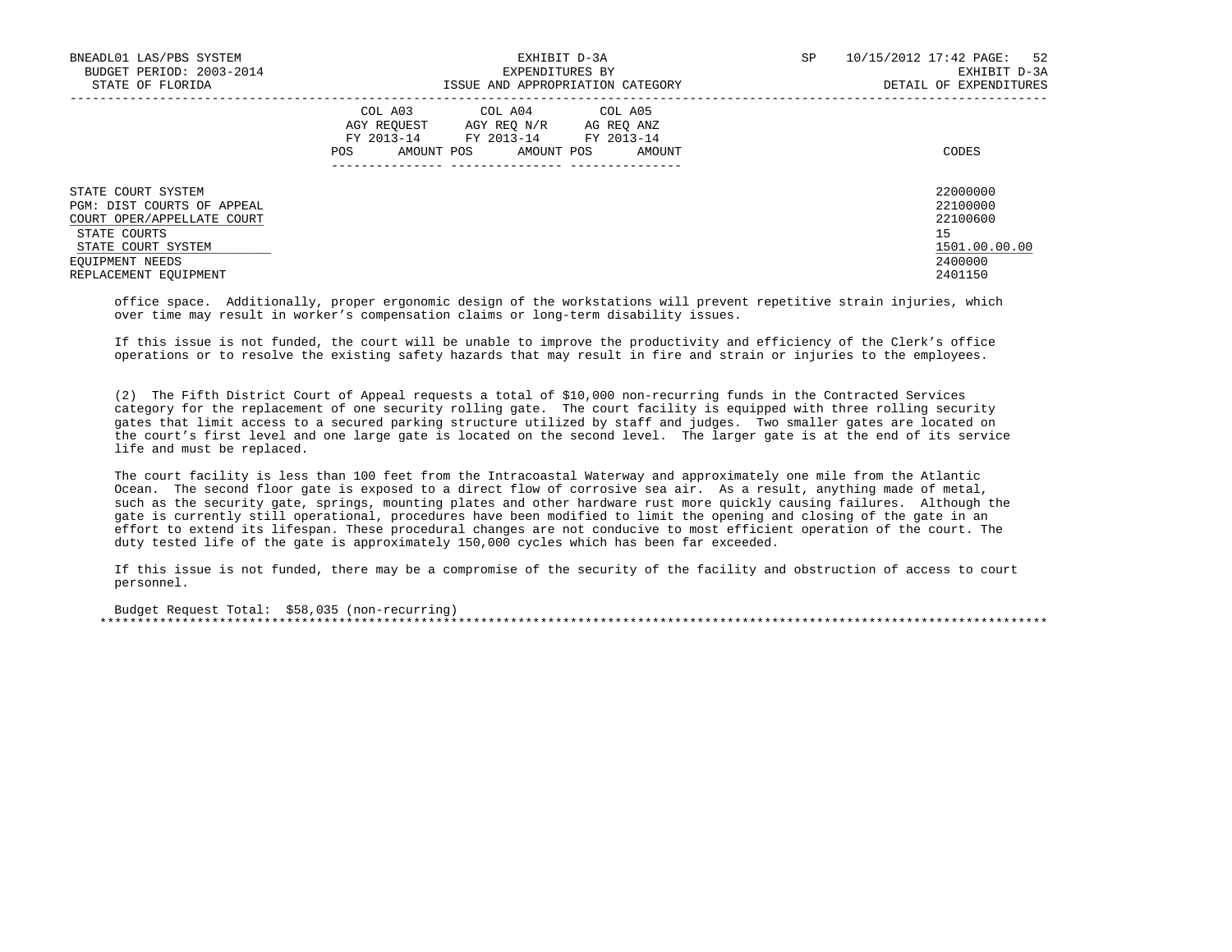| BNEADL01 LAS/PBS SYSTEM<br>BUDGET PERIOD: 2003-2014<br>STATE OF FLORIDA                                                                                          | EXHIBIT D-3A<br>EXPENDITURES BY<br>ISSUE AND APPROPRIATION CATEGORY                                                                               | 10/15/2012 17:42 PAGE: 52<br>SP<br>EXHIBIT D-3A<br>DETAIL OF EXPENDITURES     |
|------------------------------------------------------------------------------------------------------------------------------------------------------------------|---------------------------------------------------------------------------------------------------------------------------------------------------|-------------------------------------------------------------------------------|
|                                                                                                                                                                  | COL A03 COL A04 COL A05<br>AGY REOUEST<br>AGY REO N/R AG REO ANZ<br>FY 2013-14 FY 2013-14 FY 2013-14<br>AMOUNT POS<br>AMOUNT POS<br>AMOUNT<br>POS | CODES                                                                         |
| STATE COURT SYSTEM<br>PGM: DIST COURTS OF APPEAL<br>COURT OPER/APPELLATE COURT<br>STATE COURTS<br>STATE COURT SYSTEM<br>EOUIPMENT NEEDS<br>REPLACEMENT EOUIPMENT |                                                                                                                                                   | 22000000<br>22100000<br>22100600<br>15<br>1501.00.00.00<br>2400000<br>2401150 |

 office space. Additionally, proper ergonomic design of the workstations will prevent repetitive strain injuries, which over time may result in worker's compensation claims or long-term disability issues.

 If this issue is not funded, the court will be unable to improve the productivity and efficiency of the Clerk's office operations or to resolve the existing safety hazards that may result in fire and strain or injuries to the employees.

 (2) The Fifth District Court of Appeal requests a total of \$10,000 non-recurring funds in the Contracted Services category for the replacement of one security rolling gate. The court facility is equipped with three rolling security gates that limit access to a secured parking structure utilized by staff and judges. Two smaller gates are located on the court's first level and one large gate is located on the second level. The larger gate is at the end of its service life and must be replaced.

 The court facility is less than 100 feet from the Intracoastal Waterway and approximately one mile from the Atlantic Ocean. The second floor gate is exposed to a direct flow of corrosive sea air. As a result, anything made of metal, such as the security gate, springs, mounting plates and other hardware rust more quickly causing failures. Although the gate is currently still operational, procedures have been modified to limit the opening and closing of the gate in an effort to extend its lifespan. These procedural changes are not conducive to most efficient operation of the court. The duty tested life of the gate is approximately 150,000 cycles which has been far exceeded.

 If this issue is not funded, there may be a compromise of the security of the facility and obstruction of access to court personnel.

 Budget Request Total: \$58,035 (non-recurring) \*\*\*\*\*\*\*\*\*\*\*\*\*\*\*\*\*\*\*\*\*\*\*\*\*\*\*\*\*\*\*\*\*\*\*\*\*\*\*\*\*\*\*\*\*\*\*\*\*\*\*\*\*\*\*\*\*\*\*\*\*\*\*\*\*\*\*\*\*\*\*\*\*\*\*\*\*\*\*\*\*\*\*\*\*\*\*\*\*\*\*\*\*\*\*\*\*\*\*\*\*\*\*\*\*\*\*\*\*\*\*\*\*\*\*\*\*\*\*\*\*\*\*\*\*\*\*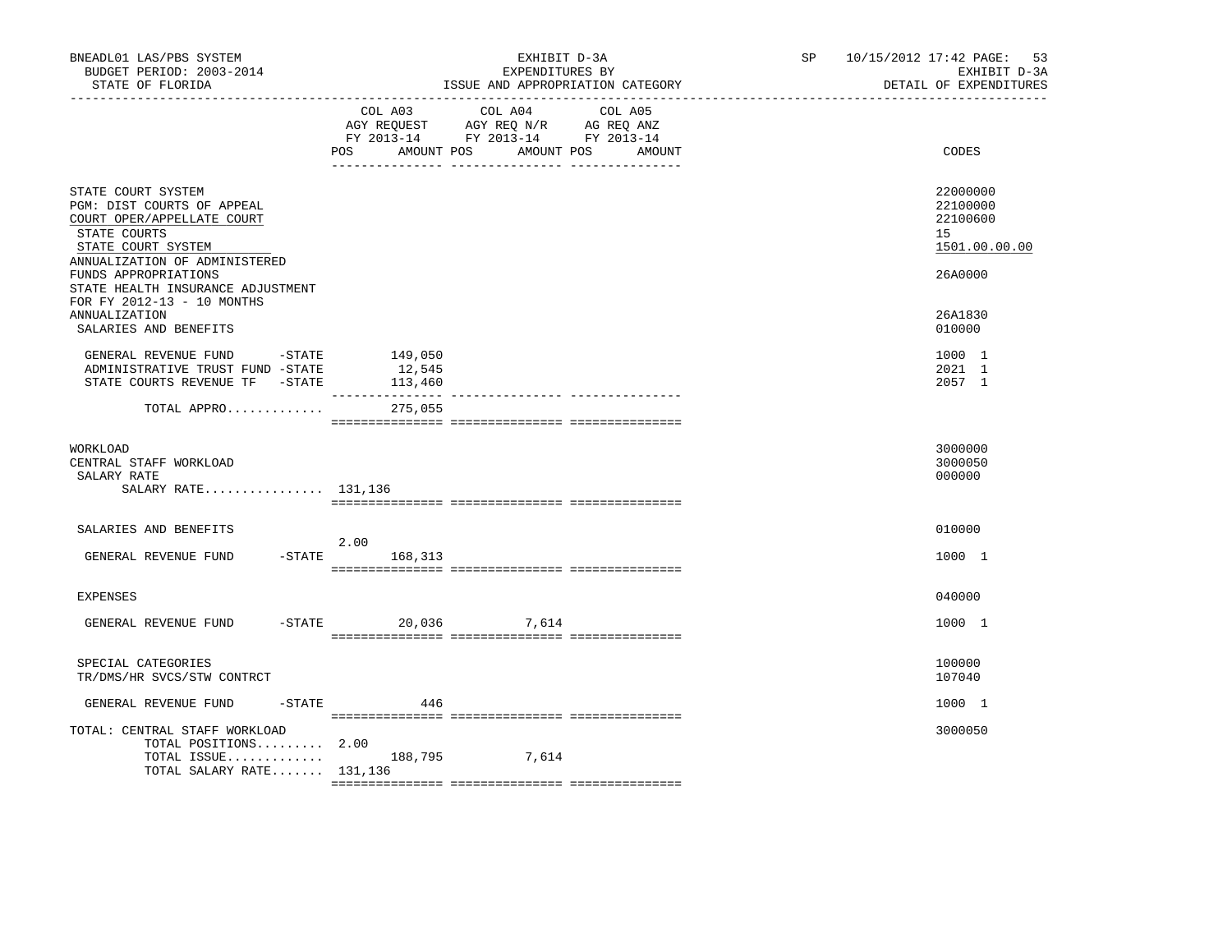| BNEADL01 LAS/PBS SYSTEM<br>BUDGET PERIOD: 2003-2014<br>STATE OF FLORIDA                                                                                                                                                                          |                              | EXHIBIT D-3A<br>EXPENDITURES BY<br>ISSUE AND APPROPRIATION CATEGORY                                                       | SP <sub>2</sub> | 10/15/2012 17:42 PAGE: 53<br>EXHIBIT D-3A<br>DETAIL OF EXPENDITURES |  |
|--------------------------------------------------------------------------------------------------------------------------------------------------------------------------------------------------------------------------------------------------|------------------------------|---------------------------------------------------------------------------------------------------------------------------|-----------------|---------------------------------------------------------------------|--|
|                                                                                                                                                                                                                                                  | POS<br>AMOUNT POS            | COL A03 COL A04 COL A05<br>AGY REQUEST AGY REQ N/R AG REQ ANZ<br>FY 2013-14 FY 2013-14 FY 2013-14<br>AMOUNT POS<br>AMOUNT |                 | CODES                                                               |  |
| STATE COURT SYSTEM<br>PGM: DIST COURTS OF APPEAL<br>COURT OPER/APPELLATE COURT<br>STATE COURTS<br>STATE COURT SYSTEM<br>ANNUALIZATION OF ADMINISTERED<br>FUNDS APPROPRIATIONS<br>STATE HEALTH INSURANCE ADJUSTMENT<br>FOR FY 2012-13 - 10 MONTHS |                              |                                                                                                                           |                 | 22000000<br>22100000<br>22100600<br>15<br>1501.00.00.00<br>26A0000  |  |
| <b>ANNUALIZATION</b><br>SALARIES AND BENEFITS                                                                                                                                                                                                    |                              |                                                                                                                           |                 | 26A1830<br>010000                                                   |  |
| GENERAL REVENUE FUND -STATE<br>ADMINISTRATIVE TRUST FUND -STATE<br>STATE COURTS REVENUE TF - STATE                                                                                                                                               | 149,050<br>12,545<br>113,460 |                                                                                                                           |                 | 1000 1<br>2021 1<br>2057 1                                          |  |
| TOTAL APPRO                                                                                                                                                                                                                                      | 275,055                      |                                                                                                                           |                 |                                                                     |  |
| WORKLOAD<br>CENTRAL STAFF WORKLOAD<br>SALARY RATE<br>SALARY RATE 131,136                                                                                                                                                                         |                              |                                                                                                                           |                 | 3000000<br>3000050<br>000000                                        |  |
| SALARIES AND BENEFITS                                                                                                                                                                                                                            | 2.00                         |                                                                                                                           |                 | 010000                                                              |  |
| GENERAL REVENUE FUND                                                                                                                                                                                                                             | $-$ STATE<br>168,313         |                                                                                                                           |                 | 1000 1                                                              |  |
| <b>EXPENSES</b>                                                                                                                                                                                                                                  |                              |                                                                                                                           |                 | 040000                                                              |  |
| GENERAL REVENUE FUND                                                                                                                                                                                                                             | -STATE 20,036 7,614          |                                                                                                                           |                 | 1000 1                                                              |  |
| SPECIAL CATEGORIES<br>TR/DMS/HR SVCS/STW CONTRCT                                                                                                                                                                                                 |                              |                                                                                                                           |                 | 100000<br>107040                                                    |  |
| GENERAL REVENUE FUND                                                                                                                                                                                                                             | $-$ STATE<br>446             |                                                                                                                           |                 | 1000 1                                                              |  |
| TOTAL: CENTRAL STAFF WORKLOAD<br>TOTAL POSITIONS 2.00<br>TOTAL ISSUE $188,795$<br>TOTAL SALARY RATE 131,136                                                                                                                                      |                              | 7,614                                                                                                                     |                 | 3000050                                                             |  |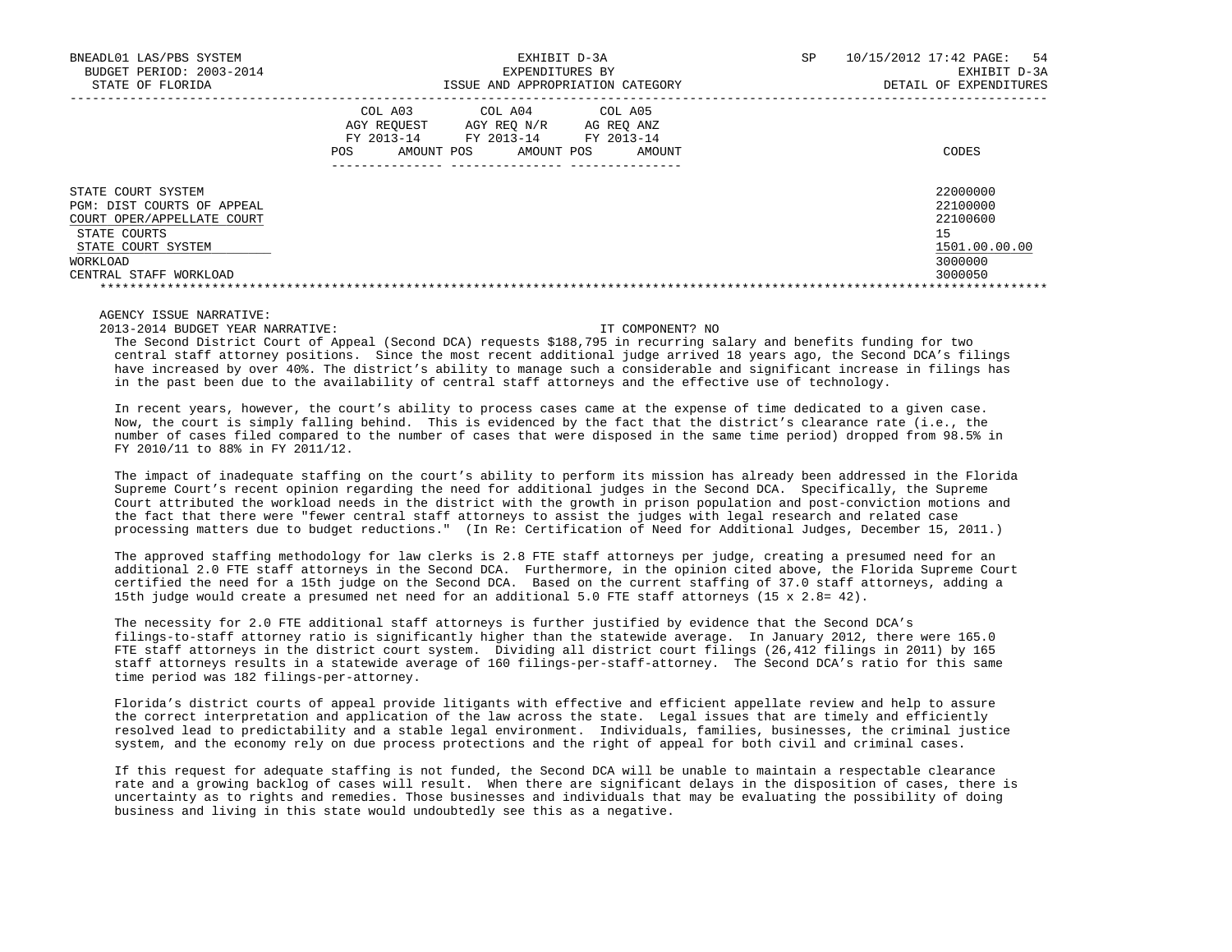| BNEADL01 LAS/PBS SYSTEM<br>BUDGET PERIOD: 2003-2014<br>STATE OF FLORIDA | EXHIBIT D-3A<br>EXPENDITURES BY<br>ISSUE AND APPROPRIATION CATEGORY                                                                                              | SP<br>10/15/2012 17:42 PAGE:<br>54<br>EXHIBIT D-3A<br>DETAIL OF EXPENDITURES |
|-------------------------------------------------------------------------|------------------------------------------------------------------------------------------------------------------------------------------------------------------|------------------------------------------------------------------------------|
|                                                                         | COL A03<br>COL A04<br>COL A05<br>AGY REOUEST<br>AGY REO N/R<br>AG REO ANZ<br>FY 2013-14<br>FY 2013-14<br>FY 2013-14<br>AMOUNT POS<br>AMOUNT POS<br>POS<br>AMOUNT | CODES                                                                        |
| STATE COURT SYSTEM<br>PGM: DIST COURTS OF APPEAL                        |                                                                                                                                                                  | 22000000<br>22100000                                                         |
| COURT OPER/APPELLATE COURT                                              |                                                                                                                                                                  | 22100600                                                                     |
| STATE COURTS                                                            |                                                                                                                                                                  | 15                                                                           |
| STATE COURT SYSTEM                                                      |                                                                                                                                                                  | 1501.00.00.00                                                                |
| WORKLOAD                                                                |                                                                                                                                                                  | 3000000                                                                      |
| CENTRAL STAFF WORKLOAD                                                  |                                                                                                                                                                  | 3000050                                                                      |
|                                                                         |                                                                                                                                                                  |                                                                              |

# AGENCY ISSUE NARRATIVE:

2013-2014 BUDGET YEAR NARRATIVE: IT COMPONENT? NO

 The Second District Court of Appeal (Second DCA) requests \$188,795 in recurring salary and benefits funding for two central staff attorney positions. Since the most recent additional judge arrived 18 years ago, the Second DCA's filings have increased by over 40%. The district's ability to manage such a considerable and significant increase in filings has in the past been due to the availability of central staff attorneys and the effective use of technology.

 In recent years, however, the court's ability to process cases came at the expense of time dedicated to a given case. Now, the court is simply falling behind. This is evidenced by the fact that the district's clearance rate (i.e., the number of cases filed compared to the number of cases that were disposed in the same time period) dropped from 98.5% in FY 2010/11 to 88% in FY 2011/12.

 The impact of inadequate staffing on the court's ability to perform its mission has already been addressed in the Florida Supreme Court's recent opinion regarding the need for additional judges in the Second DCA. Specifically, the Supreme Court attributed the workload needs in the district with the growth in prison population and post-conviction motions and the fact that there were "fewer central staff attorneys to assist the judges with legal research and related case processing matters due to budget reductions." (In Re: Certification of Need for Additional Judges, December 15, 2011.)

 The approved staffing methodology for law clerks is 2.8 FTE staff attorneys per judge, creating a presumed need for an additional 2.0 FTE staff attorneys in the Second DCA. Furthermore, in the opinion cited above, the Florida Supreme Court certified the need for a 15th judge on the Second DCA. Based on the current staffing of 37.0 staff attorneys, adding a 15th judge would create a presumed net need for an additional 5.0 FTE staff attorneys (15 x 2.8= 42).

 The necessity for 2.0 FTE additional staff attorneys is further justified by evidence that the Second DCA's filings-to-staff attorney ratio is significantly higher than the statewide average. In January 2012, there were 165.0 FTE staff attorneys in the district court system. Dividing all district court filings (26,412 filings in 2011) by 165 staff attorneys results in a statewide average of 160 filings-per-staff-attorney. The Second DCA's ratio for this same time period was 182 filings-per-attorney.

 Florida's district courts of appeal provide litigants with effective and efficient appellate review and help to assure the correct interpretation and application of the law across the state. Legal issues that are timely and efficiently resolved lead to predictability and a stable legal environment. Individuals, families, businesses, the criminal justice system, and the economy rely on due process protections and the right of appeal for both civil and criminal cases.

 If this request for adequate staffing is not funded, the Second DCA will be unable to maintain a respectable clearance rate and a growing backlog of cases will result. When there are significant delays in the disposition of cases, there is uncertainty as to rights and remedies. Those businesses and individuals that may be evaluating the possibility of doing business and living in this state would undoubtedly see this as a negative.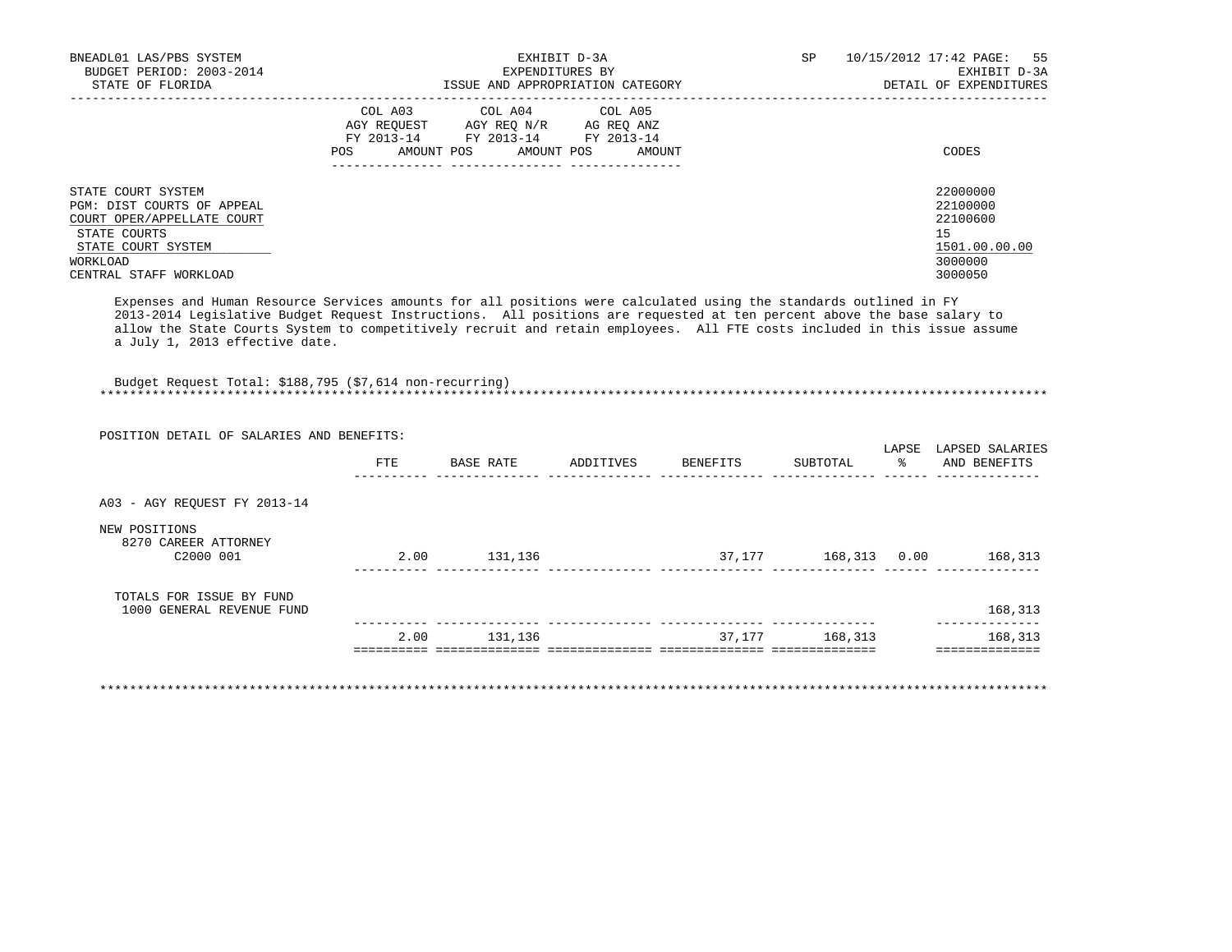| BNEADL01 LAS/PBS SYSTEM<br>BUDGET PERIOD: 2003-2014                                            | EXHIBIT D-3A<br>EXPENDITURES BY                                                                                                                      | SP<br>10/15/2012 17:42 PAGE: 55<br>EXHIBIT D-3A |
|------------------------------------------------------------------------------------------------|------------------------------------------------------------------------------------------------------------------------------------------------------|-------------------------------------------------|
| STATE OF FLORIDA                                                                               | ISSUE AND APPROPRIATION CATEGORY                                                                                                                     | DETAIL OF EXPENDITURES                          |
|                                                                                                | COL A03 COL A04 COL A05<br>AGY REOUEST<br>AGY REO N/R<br>AG REO ANZ<br>FY 2013-14 FY 2013-14 FY 2013-14<br>AMOUNT POS<br>POS<br>AMOUNT POS<br>AMOUNT | CODES                                           |
|                                                                                                |                                                                                                                                                      |                                                 |
| STATE COURT SYSTEM<br>PGM: DIST COURTS OF APPEAL<br>COURT OPER/APPELLATE COURT<br>STATE COURTS |                                                                                                                                                      | 22000000<br>22100000<br>22100600<br>15          |
| STATE COURT SYSTEM                                                                             |                                                                                                                                                      | 1501.00.00.00                                   |
| WORKLOAD                                                                                       |                                                                                                                                                      | 3000000                                         |
| CENTRAL STAFF WORKLOAD                                                                         |                                                                                                                                                      | 3000050                                         |

 Expenses and Human Resource Services amounts for all positions were calculated using the standards outlined in FY 2013-2014 Legislative Budget Request Instructions. All positions are requested at ten percent above the base salary to allow the State Courts System to competitively recruit and retain employees. All FTE costs included in this issue assume a July 1, 2013 effective date.

 Budget Request Total: \$188,795 (\$7,614 non-recurring) \*\*\*\*\*\*\*\*\*\*\*\*\*\*\*\*\*\*\*\*\*\*\*\*\*\*\*\*\*\*\*\*\*\*\*\*\*\*\*\*\*\*\*\*\*\*\*\*\*\*\*\*\*\*\*\*\*\*\*\*\*\*\*\*\*\*\*\*\*\*\*\*\*\*\*\*\*\*\*\*\*\*\*\*\*\*\*\*\*\*\*\*\*\*\*\*\*\*\*\*\*\*\*\*\*\*\*\*\*\*\*\*\*\*\*\*\*\*\*\*\*\*\*\*\*\*\*

| POSITION DETAIL OF SALARIES AND BENEFITS:             | FTE  | BASE RATE | ADDITIVES | BENEFITS | SUBTOTAL     | LAPSE<br>- 왕 | LAPSED SALARIES<br>AND BENEFITS |
|-------------------------------------------------------|------|-----------|-----------|----------|--------------|--------------|---------------------------------|
| A03 - AGY REOUEST FY 2013-14                          |      |           |           |          |              |              |                                 |
| NEW POSITIONS<br>8270 CAREER ATTORNEY<br>C2000 001    | 2.00 | 131,136   |           | 37,177   | 168,313 0.00 |              | 168,313                         |
| TOTALS FOR ISSUE BY FUND<br>1000 GENERAL REVENUE FUND |      |           |           |          |              |              | 168,313                         |
|                                                       | 2.00 | 131,136   |           | 37,177   | 168,313      |              | 168,313                         |

\*\*\*\*\*\*\*\*\*\*\*\*\*\*\*\*\*\*\*\*\*\*\*\*\*\*\*\*\*\*\*\*\*\*\*\*\*\*\*\*\*\*\*\*\*\*\*\*\*\*\*\*\*\*\*\*\*\*\*\*\*\*\*\*\*\*\*\*\*\*\*\*\*\*\*\*\*\*\*\*\*\*\*\*\*\*\*\*\*\*\*\*\*\*\*\*\*\*\*\*\*\*\*\*\*\*\*\*\*\*\*\*\*\*\*\*\*\*\*\*\*\*\*\*\*\*\*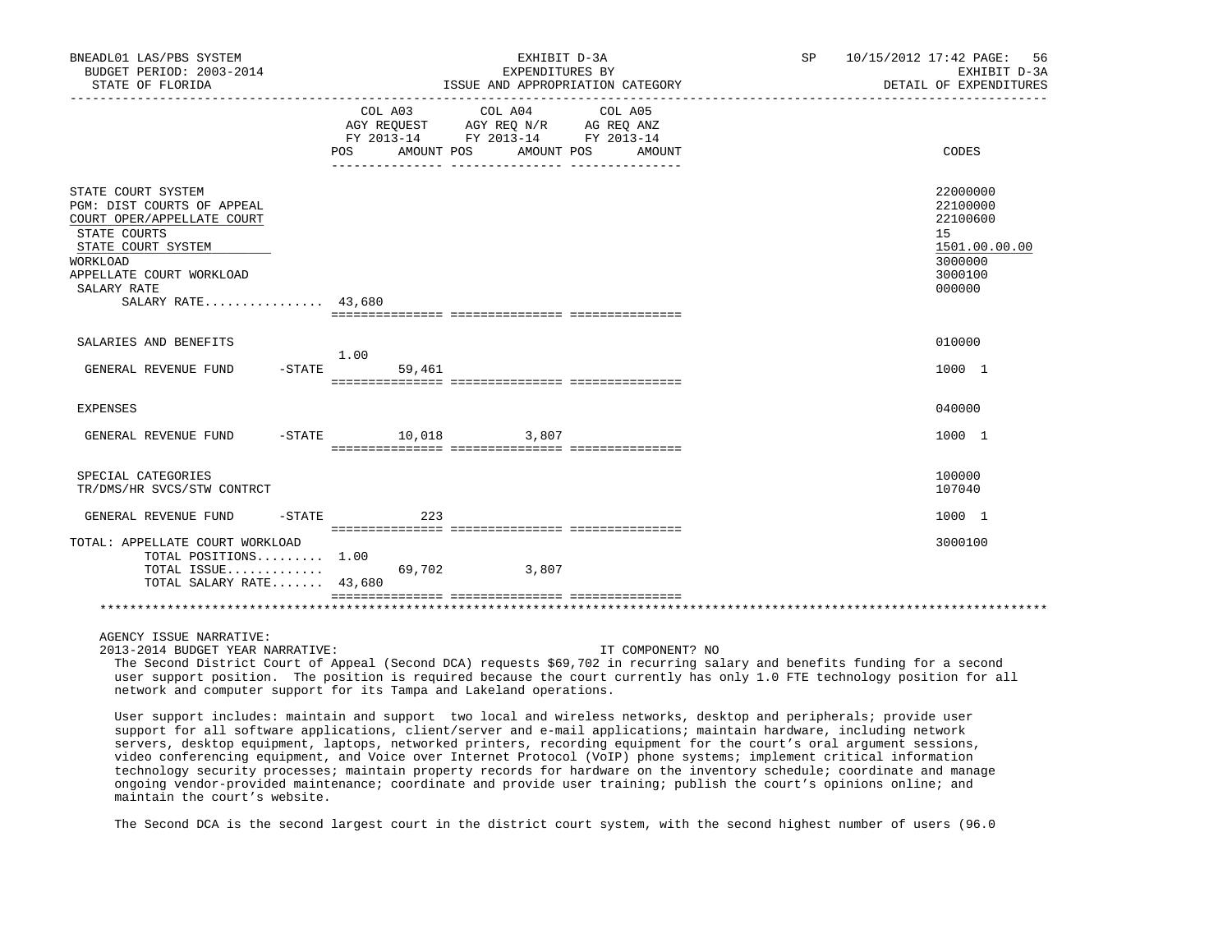| BNEADL01 LAS/PBS SYSTEM<br>BUDGET PERIOD: 2003-2014<br>STATE OF FLORIDA                                                                                                                           |                            | EXHIBIT D-3A<br>EXPENDITURES BY<br>ISSUE AND APPROPRIATION CATEGORY<br>___________________________________                         | 10/15/2012 17:42 PAGE: 56<br>SP<br>EXHIBIT D-3A<br>DETAIL OF EXPENDITURES               |
|---------------------------------------------------------------------------------------------------------------------------------------------------------------------------------------------------|----------------------------|------------------------------------------------------------------------------------------------------------------------------------|-----------------------------------------------------------------------------------------|
|                                                                                                                                                                                                   | COL A03<br><b>POS</b>      | COL A04<br>COL A05<br>AGY REQUEST AGY REQ N/R AG REQ ANZ<br>FY 2013-14 FY 2013-14 FY 2013-14<br>AMOUNT POS<br>AMOUNT POS<br>AMOUNT | CODES                                                                                   |
| STATE COURT SYSTEM<br>PGM: DIST COURTS OF APPEAL<br>COURT OPER/APPELLATE COURT<br>STATE COURTS<br>STATE COURT SYSTEM<br>WORKLOAD<br>APPELLATE COURT WORKLOAD<br>SALARY RATE<br>SALARY RATE 43,680 |                            |                                                                                                                                    | 22000000<br>22100000<br>22100600<br>15<br>1501.00.00.00<br>3000000<br>3000100<br>000000 |
| SALARIES AND BENEFITS                                                                                                                                                                             |                            |                                                                                                                                    | 010000                                                                                  |
| GENERAL REVENUE FUND                                                                                                                                                                              | 1.00<br>$-STATE$<br>59,461 |                                                                                                                                    | 1000 1                                                                                  |
| EXPENSES                                                                                                                                                                                          |                            |                                                                                                                                    | 040000                                                                                  |
| GENERAL REVENUE FUND                                                                                                                                                                              |                            | $-STATE$ 10,018 3,807                                                                                                              | 1000 1                                                                                  |
| SPECIAL CATEGORIES<br>TR/DMS/HR SVCS/STW CONTRCT                                                                                                                                                  |                            |                                                                                                                                    | 100000<br>107040                                                                        |
| GENERAL REVENUE FUND<br>-STATE                                                                                                                                                                    |                            | 223                                                                                                                                | 1000 1                                                                                  |
| TOTAL: APPELLATE COURT WORKLOAD<br>TOTAL POSITIONS $1.00$<br>TOTAL ISSUE<br>TOTAL SALARY RATE 43,680                                                                                              | 69,702                     | 3,807                                                                                                                              | 3000100                                                                                 |
|                                                                                                                                                                                                   |                            |                                                                                                                                    |                                                                                         |
| AGENCY ISSUE NARRATIVE:                                                                                                                                                                           |                            |                                                                                                                                    |                                                                                         |

 2013-2014 BUDGET YEAR NARRATIVE: IT COMPONENT? NO The Second District Court of Appeal (Second DCA) requests \$69,702 in recurring salary and benefits funding for a second user support position. The position is required because the court currently has only 1.0 FTE technology position for all network and computer support for its Tampa and Lakeland operations.

 User support includes: maintain and support two local and wireless networks, desktop and peripherals; provide user support for all software applications, client/server and e-mail applications; maintain hardware, including network servers, desktop equipment, laptops, networked printers, recording equipment for the court's oral argument sessions, video conferencing equipment, and Voice over Internet Protocol (VoIP) phone systems; implement critical information technology security processes; maintain property records for hardware on the inventory schedule; coordinate and manage ongoing vendor-provided maintenance; coordinate and provide user training; publish the court's opinions online; and maintain the court's website.

The Second DCA is the second largest court in the district court system, with the second highest number of users (96.0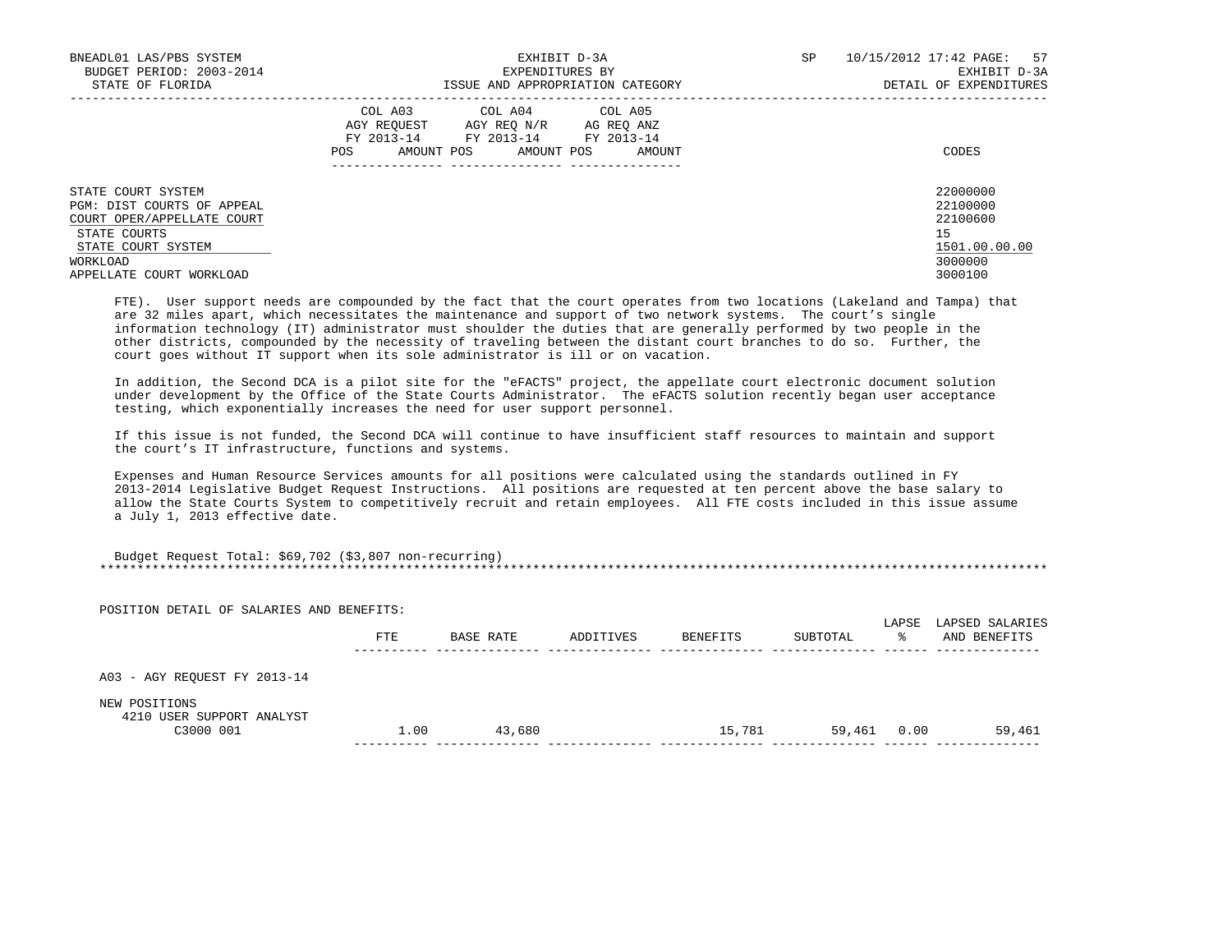| BNEADL01 LAS/PBS SYSTEM<br>BUDGET PERIOD: 2003-2014<br>STATE OF FLORIDA                                                                                      | EXHIBIT D-3A<br>EXPENDITURES BY<br>ISSUE AND APPROPRIATION CATEGORY                                                                                  | 10/15/2012 17:42 PAGE:<br>57<br>SP<br>EXHIBIT D-3A<br>DETAIL OF EXPENDITURES  |
|--------------------------------------------------------------------------------------------------------------------------------------------------------------|------------------------------------------------------------------------------------------------------------------------------------------------------|-------------------------------------------------------------------------------|
|                                                                                                                                                              | COL A03 COL A04 COL A05<br>AGY REOUEST<br>AGY REO N/R<br>AG REO ANZ<br>FY 2013-14 FY 2013-14<br>FY 2013-14<br>AMOUNT POS AMOUNT POS<br>POS<br>AMOUNT | CODES                                                                         |
| STATE COURT SYSTEM<br>PGM: DIST COURTS OF APPEAL<br>COURT OPER/APPELLATE COURT<br>STATE COURTS<br>STATE COURT SYSTEM<br>WORKLOAD<br>APPELLATE COURT WORKLOAD |                                                                                                                                                      | 22000000<br>22100000<br>22100600<br>15<br>1501.00.00.00<br>3000000<br>3000100 |

 FTE). User support needs are compounded by the fact that the court operates from two locations (Lakeland and Tampa) that are 32 miles apart, which necessitates the maintenance and support of two network systems. The court's single information technology (IT) administrator must shoulder the duties that are generally performed by two people in the other districts, compounded by the necessity of traveling between the distant court branches to do so. Further, the court goes without IT support when its sole administrator is ill or on vacation.

 In addition, the Second DCA is a pilot site for the "eFACTS" project, the appellate court electronic document solution under development by the Office of the State Courts Administrator. The eFACTS solution recently began user acceptance testing, which exponentially increases the need for user support personnel.

 If this issue is not funded, the Second DCA will continue to have insufficient staff resources to maintain and support the court's IT infrastructure, functions and systems.

 Expenses and Human Resource Services amounts for all positions were calculated using the standards outlined in FY 2013-2014 Legislative Budget Request Instructions. All positions are requested at ten percent above the base salary to allow the State Courts System to competitively recruit and retain employees. All FTE costs included in this issue assume a July 1, 2013 effective date.

| Budget Request Total: \$69,702 (\$3,807 non-recurring) |  |
|--------------------------------------------------------|--|
|                                                        |  |

| POSITION DETAIL OF SALARIES AND BENEFITS:  |      |           |           |          |          |            |                                 |
|--------------------------------------------|------|-----------|-----------|----------|----------|------------|---------------------------------|
|                                            | FTE  | BASE RATE | ADDITIVES | BENEFITS | SUBTOTAL | LAPSE<br>ዱ | LAPSED SALARIES<br>AND BENEFITS |
| A03 - AGY REQUEST FY 2013-14               |      |           |           |          |          |            |                                 |
| NEW POSITIONS<br>4210 USER SUPPORT ANALYST |      |           |           |          |          |            |                                 |
| C3000 001                                  | 1.00 | 43,680    |           | 15,781   | 59,461   | 0.00       | 59,461                          |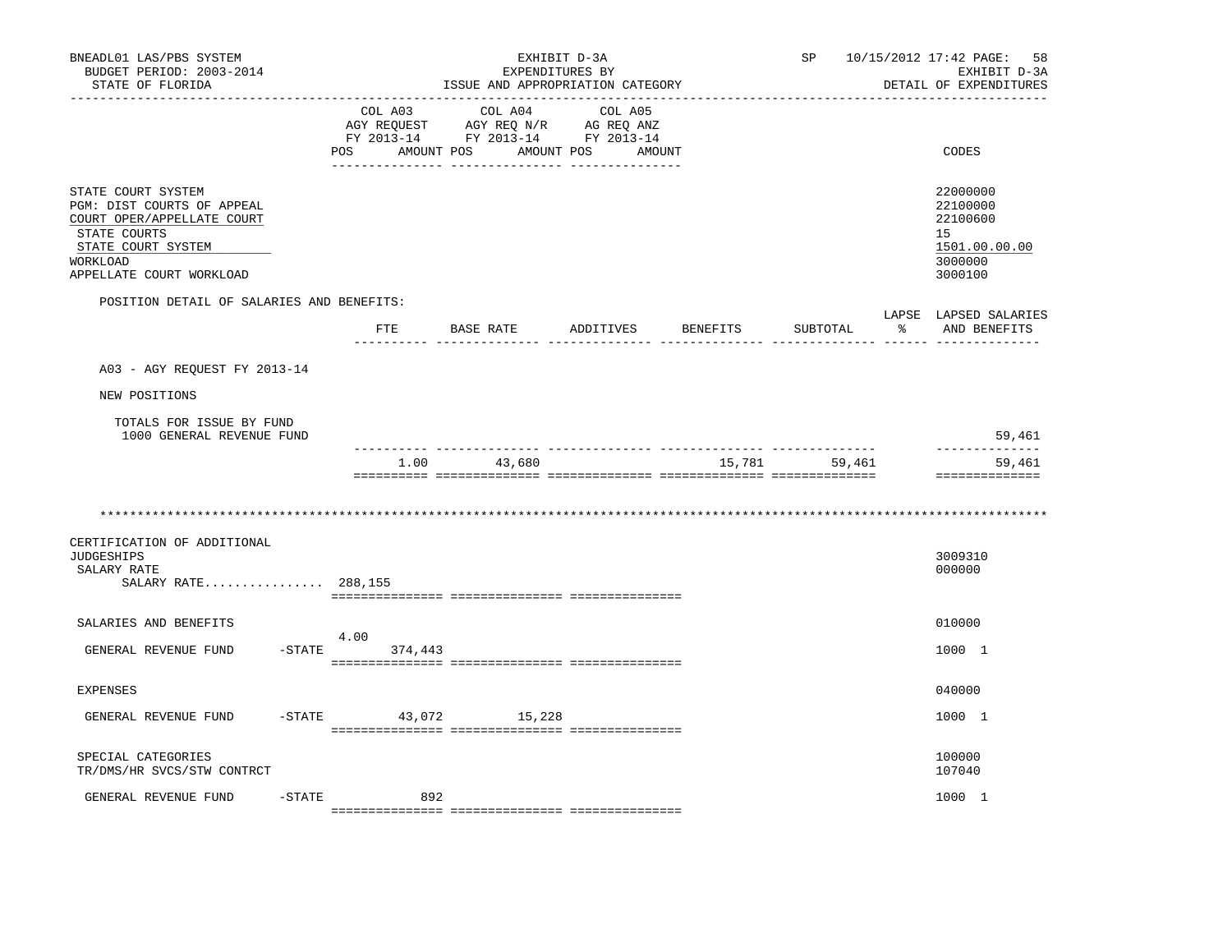| BNEADL01 LAS/PBS SYSTEM<br>BUDGET PERIOD: 2003-2014<br>STATE OF FLORIDA                                                                                      | EXHIBIT D-3A<br>EXPENDITURES BY<br>ISSUE AND APPROPRIATION CATEGORY |         |                                                |                                                                                                                   |  | SP            | 10/15/2012 17:42 PAGE:<br>58<br>EXHIBIT D-3A<br>DETAIL OF EXPENDITURES                     |
|--------------------------------------------------------------------------------------------------------------------------------------------------------------|---------------------------------------------------------------------|---------|------------------------------------------------|-------------------------------------------------------------------------------------------------------------------|--|---------------|--------------------------------------------------------------------------------------------|
|                                                                                                                                                              | POS                                                                 | COL A03 | COL A04<br>___________________________________ | COL A05<br>AGY REQUEST AGY REQ N/R AG REQ ANZ<br>FY 2013-14 FY 2013-14 FY 2013-14<br>AMOUNT POS AMOUNT POS AMOUNT |  |               | CODES                                                                                      |
| STATE COURT SYSTEM<br>PGM: DIST COURTS OF APPEAL<br>COURT OPER/APPELLATE COURT<br>STATE COURTS<br>STATE COURT SYSTEM<br>WORKLOAD<br>APPELLATE COURT WORKLOAD |                                                                     |         |                                                |                                                                                                                   |  |               | 22000000<br>22100000<br>22100600<br>15 <sub>1</sub><br>1501.00.00.00<br>3000000<br>3000100 |
| POSITION DETAIL OF SALARIES AND BENEFITS:                                                                                                                    |                                                                     |         |                                                | FTE BASE RATE ADDITIVES BENEFITS                                                                                  |  | SUBTOTAL      | LAPSE LAPSED SALARIES<br>% AND BENEFITS                                                    |
| A03 - AGY REOUEST FY 2013-14                                                                                                                                 |                                                                     |         |                                                |                                                                                                                   |  |               | __________ ______ __________________                                                       |
| NEW POSITIONS                                                                                                                                                |                                                                     |         |                                                |                                                                                                                   |  |               |                                                                                            |
| TOTALS FOR ISSUE BY FUND<br>1000 GENERAL REVENUE FUND                                                                                                        |                                                                     |         |                                                |                                                                                                                   |  |               | 59,461<br>-------------                                                                    |
|                                                                                                                                                              |                                                                     |         | 1.00 43,680                                    |                                                                                                                   |  | 15,781 59,461 | 59,461<br>==============                                                                   |
| CERTIFICATION OF ADDITIONAL<br><b>JUDGESHIPS</b><br>SALARY RATE<br>SALARY RATE 288,155                                                                       |                                                                     |         |                                                |                                                                                                                   |  |               | 3009310<br>000000                                                                          |
| SALARIES AND BENEFITS                                                                                                                                        |                                                                     |         |                                                |                                                                                                                   |  |               | 010000                                                                                     |
| GENERAL REVENUE FUND                                                                                                                                         | 4.00<br>$-$ STATE                                                   | 374,443 |                                                |                                                                                                                   |  |               | 1000 1                                                                                     |
| <b>EXPENSES</b>                                                                                                                                              |                                                                     |         |                                                |                                                                                                                   |  |               | 040000                                                                                     |
| GENERAL REVENUE FUND                                                                                                                                         | $-STATE$                                                            |         | 43,072 15,228                                  |                                                                                                                   |  |               | 1000 1                                                                                     |
| SPECIAL CATEGORIES<br>TR/DMS/HR SVCS/STW CONTRCT                                                                                                             |                                                                     |         |                                                |                                                                                                                   |  |               | 100000<br>107040                                                                           |
| GENERAL REVENUE FUND<br>$-$ STATE                                                                                                                            |                                                                     | 892     |                                                |                                                                                                                   |  |               | 1000 1                                                                                     |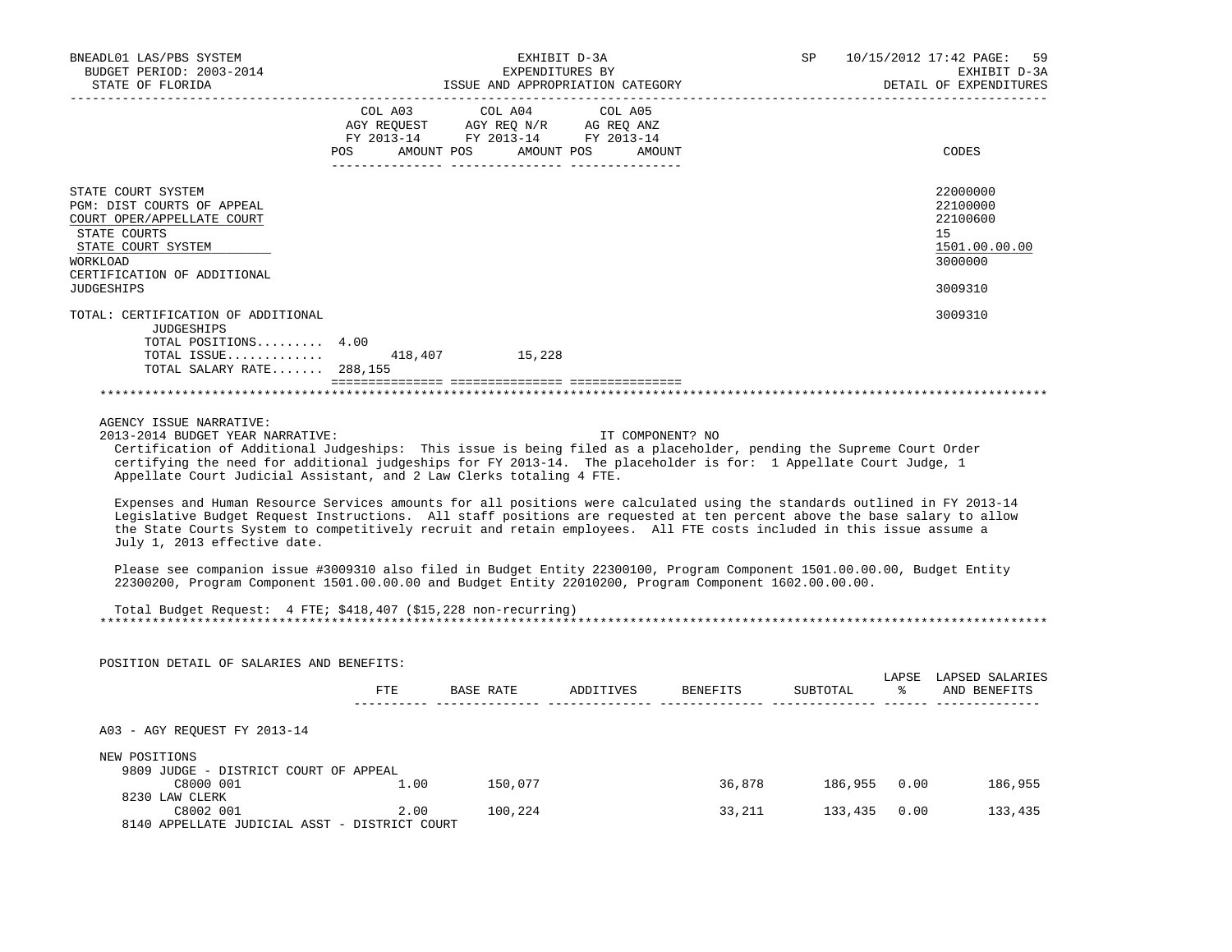| BNEADL01 LAS/PBS SYSTEM                                                                                                                                                                                                            | EXHIBIT D-3A    |                                                                                                                                                                                                                                                      |                  |        | 10/15/2012 17:42 PAGE:<br>SP |  |                        |
|------------------------------------------------------------------------------------------------------------------------------------------------------------------------------------------------------------------------------------|-----------------|------------------------------------------------------------------------------------------------------------------------------------------------------------------------------------------------------------------------------------------------------|------------------|--------|------------------------------|--|------------------------|
| BUDGET PERIOD: 2003-2014                                                                                                                                                                                                           | EXPENDITURES BY |                                                                                                                                                                                                                                                      |                  |        |                              |  | EXHIBIT D-3A           |
| STATE OF FLORIDA                                                                                                                                                                                                                   |                 |                                                                                                                                                                                                                                                      |                  |        |                              |  | DETAIL OF EXPENDITURES |
|                                                                                                                                                                                                                                    |                 | COL A03 COL A04                                                                                                                                                                                                                                      | COL A05          |        |                              |  |                        |
|                                                                                                                                                                                                                                    |                 |                                                                                                                                                                                                                                                      |                  |        |                              |  |                        |
|                                                                                                                                                                                                                                    |                 | $\begin{tabular}{lllllll} \bf AGY \,\, &\bf REGUEST \,\, &\bf AGY \,\, &\bf REQ \,\, &\bf N/R \,\, &\bf AG \,\, &\bf REQ \,\, &\bf ANZ \,\, \\ \bf FY \,\, &\bf 2013-14 \,\, &\bf FY \,\, &\bf 2013-14 \,\, &\bf FY \,\, &\bf 2013-14 \end{tabular}$ |                  |        |                              |  |                        |
|                                                                                                                                                                                                                                    |                 | POS AMOUNT POS AMOUNT POS AMOUNT                                                                                                                                                                                                                     |                  |        |                              |  | CODES                  |
|                                                                                                                                                                                                                                    |                 |                                                                                                                                                                                                                                                      |                  |        |                              |  |                        |
| STATE COURT SYSTEM                                                                                                                                                                                                                 |                 |                                                                                                                                                                                                                                                      |                  |        |                              |  | 22000000               |
| PGM: DIST COURTS OF APPEAL                                                                                                                                                                                                         |                 |                                                                                                                                                                                                                                                      |                  |        |                              |  | 22100000               |
| COURT OPER/APPELLATE COURT                                                                                                                                                                                                         |                 |                                                                                                                                                                                                                                                      |                  |        |                              |  | 22100600               |
| STATE COURTS                                                                                                                                                                                                                       |                 |                                                                                                                                                                                                                                                      |                  |        |                              |  | 15                     |
| STATE COURT SYSTEM                                                                                                                                                                                                                 |                 |                                                                                                                                                                                                                                                      |                  |        |                              |  | 1501.00.00.00          |
| WORKLOAD                                                                                                                                                                                                                           |                 |                                                                                                                                                                                                                                                      |                  |        |                              |  | 3000000                |
| CERTIFICATION OF ADDITIONAL                                                                                                                                                                                                        |                 |                                                                                                                                                                                                                                                      |                  |        |                              |  |                        |
| <b>JUDGESHIPS</b>                                                                                                                                                                                                                  |                 |                                                                                                                                                                                                                                                      |                  |        |                              |  | 3009310                |
|                                                                                                                                                                                                                                    |                 |                                                                                                                                                                                                                                                      |                  |        |                              |  |                        |
| TOTAL: CERTIFICATION OF ADDITIONAL                                                                                                                                                                                                 |                 |                                                                                                                                                                                                                                                      |                  |        |                              |  | 3009310                |
| JUDGESHIPS                                                                                                                                                                                                                         |                 |                                                                                                                                                                                                                                                      |                  |        |                              |  |                        |
| TOTAL POSITIONS 4.00                                                                                                                                                                                                               |                 |                                                                                                                                                                                                                                                      |                  |        |                              |  |                        |
| TOTAL ISSUE 418,407 15,228<br>TOTAL SALARY RATE 288,155                                                                                                                                                                            |                 |                                                                                                                                                                                                                                                      |                  |        |                              |  |                        |
|                                                                                                                                                                                                                                    |                 |                                                                                                                                                                                                                                                      |                  |        |                              |  |                        |
|                                                                                                                                                                                                                                    |                 |                                                                                                                                                                                                                                                      |                  |        |                              |  |                        |
|                                                                                                                                                                                                                                    |                 |                                                                                                                                                                                                                                                      |                  |        |                              |  |                        |
| AGENCY ISSUE NARRATIVE:                                                                                                                                                                                                            |                 |                                                                                                                                                                                                                                                      |                  |        |                              |  |                        |
| 2013-2014 BUDGET YEAR NARRATIVE:                                                                                                                                                                                                   |                 |                                                                                                                                                                                                                                                      | IT COMPONENT? NO |        |                              |  |                        |
| Certification of Additional Judgeships: This issue is being filed as a placeholder, pending the Supreme Court Order                                                                                                                |                 |                                                                                                                                                                                                                                                      |                  |        |                              |  |                        |
| certifying the need for additional judgeships for FY 2013-14. The placeholder is for: 1 Appellate Court Judge, 1                                                                                                                   |                 |                                                                                                                                                                                                                                                      |                  |        |                              |  |                        |
| Appellate Court Judicial Assistant, and 2 Law Clerks totaling 4 FTE.                                                                                                                                                               |                 |                                                                                                                                                                                                                                                      |                  |        |                              |  |                        |
|                                                                                                                                                                                                                                    |                 |                                                                                                                                                                                                                                                      |                  |        |                              |  |                        |
| Expenses and Human Resource Services amounts for all positions were calculated using the standards outlined in FY 2013-14                                                                                                          |                 |                                                                                                                                                                                                                                                      |                  |        |                              |  |                        |
| Legislative Budget Request Instructions. All staff positions are requested at ten percent above the base salary to allow                                                                                                           |                 |                                                                                                                                                                                                                                                      |                  |        |                              |  |                        |
| the State Courts System to competitively recruit and retain employees. All FTE costs included in this issue assume a                                                                                                               |                 |                                                                                                                                                                                                                                                      |                  |        |                              |  |                        |
| July 1, 2013 effective date.                                                                                                                                                                                                       |                 |                                                                                                                                                                                                                                                      |                  |        |                              |  |                        |
|                                                                                                                                                                                                                                    |                 |                                                                                                                                                                                                                                                      |                  |        |                              |  |                        |
| Please see companion issue #3009310 also filed in Budget Entity 22300100, Program Component 1501.00.00.00, Budget Entity<br>22300200, Program Component 1501.00.00.00 and Budget Entity 22010200, Program Component 1602.00.00.00. |                 |                                                                                                                                                                                                                                                      |                  |        |                              |  |                        |
|                                                                                                                                                                                                                                    |                 |                                                                                                                                                                                                                                                      |                  |        |                              |  |                        |
| Total Budget Request: 4 FTE; \$418,407 (\$15,228 non-recurring)                                                                                                                                                                    |                 |                                                                                                                                                                                                                                                      |                  |        |                              |  |                        |
|                                                                                                                                                                                                                                    |                 |                                                                                                                                                                                                                                                      |                  |        |                              |  |                        |
|                                                                                                                                                                                                                                    |                 |                                                                                                                                                                                                                                                      |                  |        |                              |  |                        |
|                                                                                                                                                                                                                                    |                 |                                                                                                                                                                                                                                                      |                  |        |                              |  |                        |
| POSITION DETAIL OF SALARIES AND BENEFITS:                                                                                                                                                                                          |                 |                                                                                                                                                                                                                                                      |                  |        |                              |  | LAPSE LAPSED SALARIES  |
|                                                                                                                                                                                                                                    | ETE             | BASE RATE ADDITIVES BENEFITS                                                                                                                                                                                                                         |                  |        | SUBTOTAL                     |  | % AND BENEFITS         |
|                                                                                                                                                                                                                                    |                 |                                                                                                                                                                                                                                                      |                  |        |                              |  |                        |
|                                                                                                                                                                                                                                    |                 |                                                                                                                                                                                                                                                      |                  |        |                              |  |                        |
| A03 - AGY REOUEST FY 2013-14                                                                                                                                                                                                       |                 |                                                                                                                                                                                                                                                      |                  |        |                              |  |                        |
|                                                                                                                                                                                                                                    |                 |                                                                                                                                                                                                                                                      |                  |        |                              |  |                        |
| NEW POSITIONS                                                                                                                                                                                                                      |                 |                                                                                                                                                                                                                                                      |                  |        |                              |  |                        |
| 9809 JUDGE - DISTRICT COURT OF APPEAL                                                                                                                                                                                              |                 |                                                                                                                                                                                                                                                      |                  |        |                              |  |                        |
| C8000 001                                                                                                                                                                                                                          |                 | 1.00 150,077                                                                                                                                                                                                                                         |                  |        | 36,878 186,955 0.00          |  | 186,955                |
| 8230 LAW CLERK                                                                                                                                                                                                                     |                 |                                                                                                                                                                                                                                                      |                  |        |                              |  |                        |
| C8002 001                                                                                                                                                                                                                          | 2.00            | 100,224                                                                                                                                                                                                                                              |                  | 33,211 | 133,435 0.00                 |  | 133,435                |
| 8140 APPELLATE JUDICIAL ASST - DISTRICT COURT                                                                                                                                                                                      |                 |                                                                                                                                                                                                                                                      |                  |        |                              |  |                        |
|                                                                                                                                                                                                                                    |                 |                                                                                                                                                                                                                                                      |                  |        |                              |  |                        |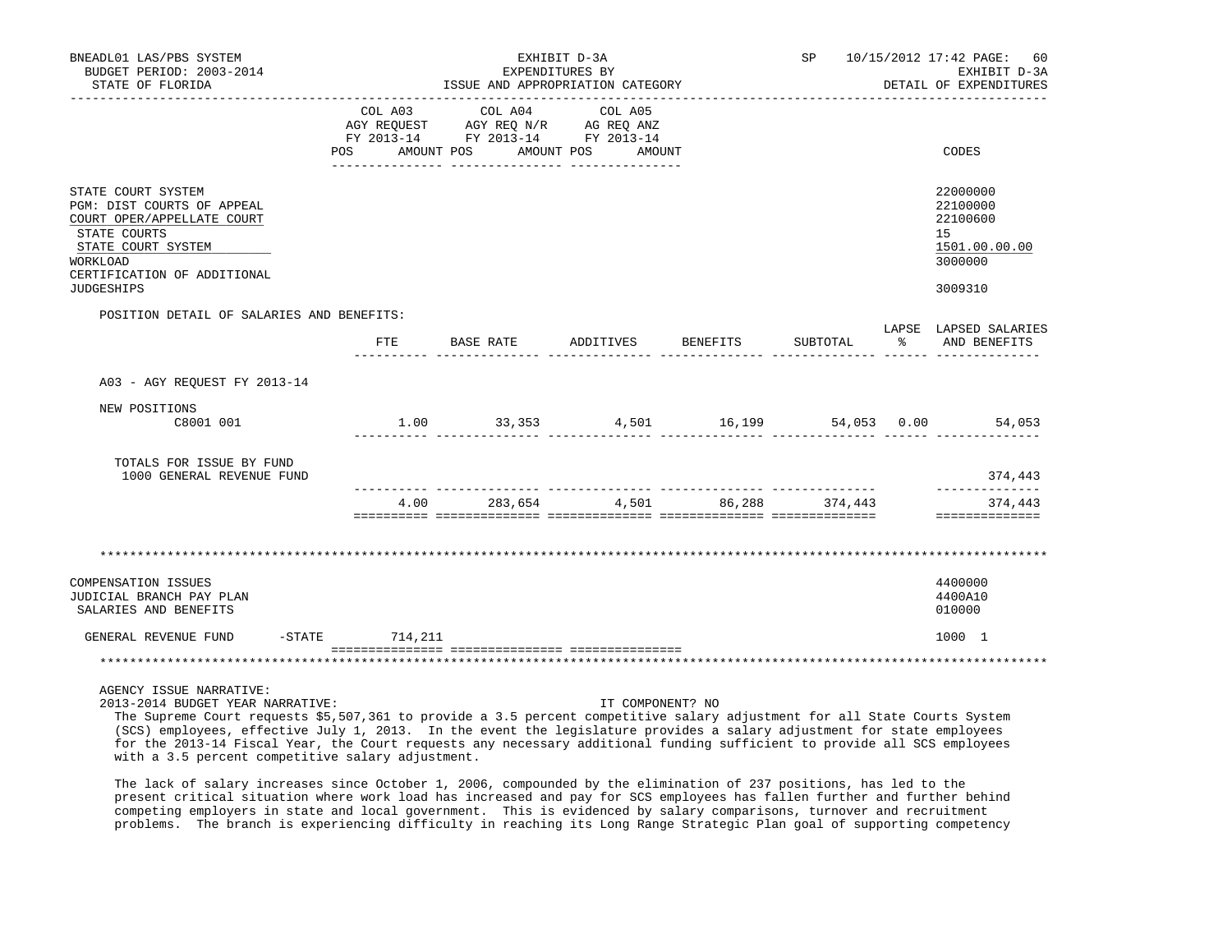| BNEADL01 LAS/PBS SYSTEM<br>BUDGET PERIOD: 2003-2014<br>STATE OF FLORIDA                                                                                                              | EXHIBIT D-3A<br>EXPENDITURES BY<br>ISSUE AND APPROPRIATION CATEGORY<br>_________________________________                              |  | SP 10/15/2012 17:42 PAGE: 60<br>EXHIBIT D-3A<br>DETAIL OF EXPENDITURES |                                                                               |
|--------------------------------------------------------------------------------------------------------------------------------------------------------------------------------------|---------------------------------------------------------------------------------------------------------------------------------------|--|------------------------------------------------------------------------|-------------------------------------------------------------------------------|
|                                                                                                                                                                                      | COL A03 COL A04 COL A05<br>AGY REQUEST AGY REQ N/R AG REQ ANZ<br>FY 2013-14 FY 2013-14 FY 2013-14<br>POS AMOUNT POS AMOUNT POS AMOUNT |  |                                                                        | CODES                                                                         |
| STATE COURT SYSTEM<br>PGM: DIST COURTS OF APPEAL<br>COURT OPER/APPELLATE COURT<br>STATE COURTS<br>STATE COURT SYSTEM<br>WORKLOAD<br>CERTIFICATION OF ADDITIONAL<br><b>JUDGESHIPS</b> |                                                                                                                                       |  |                                                                        | 22000000<br>22100000<br>22100600<br>15<br>1501.00.00.00<br>3000000<br>3009310 |
| POSITION DETAIL OF SALARIES AND BENEFITS:                                                                                                                                            | FTE BASE RATE ADDITIVES BENEFITS                                                                                                      |  | SUBTOTAL %                                                             | LAPSE LAPSED SALARIES<br>AND BENEFITS                                         |
| A03 - AGY REQUEST FY 2013-14                                                                                                                                                         |                                                                                                                                       |  |                                                                        |                                                                               |
| NEW POSITIONS<br>C8001 001                                                                                                                                                           | $1.00$ $33,353$ $4,501$ $16,199$ $54,053$ $0.00$ $54,053$                                                                             |  |                                                                        |                                                                               |
| TOTALS FOR ISSUE BY FUND<br>1000 GENERAL REVENUE FUND                                                                                                                                |                                                                                                                                       |  |                                                                        | 374,443<br>--------------                                                     |
|                                                                                                                                                                                      | 4.00 283,654 4,501 86,288 374,443                                                                                                     |  |                                                                        | 374,443<br>==============                                                     |
|                                                                                                                                                                                      |                                                                                                                                       |  |                                                                        |                                                                               |
| <b>COMPENSATION ISSUES</b><br>JUDICIAL BRANCH PAY PLAN<br>SALARIES AND BENEFITS                                                                                                      |                                                                                                                                       |  |                                                                        | 4400000<br>4400A10<br>010000                                                  |
| GENERAL REVENUE FUND -STATE 714, 211                                                                                                                                                 |                                                                                                                                       |  |                                                                        | 1000 1                                                                        |
|                                                                                                                                                                                      |                                                                                                                                       |  |                                                                        |                                                                               |
| AGENCY ISSUE NARRATIVE:                                                                                                                                                              |                                                                                                                                       |  |                                                                        |                                                                               |

2013-2014 BUDGET YEAR NARRATIVE: IT COMPONENT? NO

 The Supreme Court requests \$5,507,361 to provide a 3.5 percent competitive salary adjustment for all State Courts System (SCS) employees, effective July 1, 2013. In the event the legislature provides a salary adjustment for state employees for the 2013-14 Fiscal Year, the Court requests any necessary additional funding sufficient to provide all SCS employees with a 3.5 percent competitive salary adjustment.

 The lack of salary increases since October 1, 2006, compounded by the elimination of 237 positions, has led to the present critical situation where work load has increased and pay for SCS employees has fallen further and further behind competing employers in state and local government. This is evidenced by salary comparisons, turnover and recruitment problems. The branch is experiencing difficulty in reaching its Long Range Strategic Plan goal of supporting competency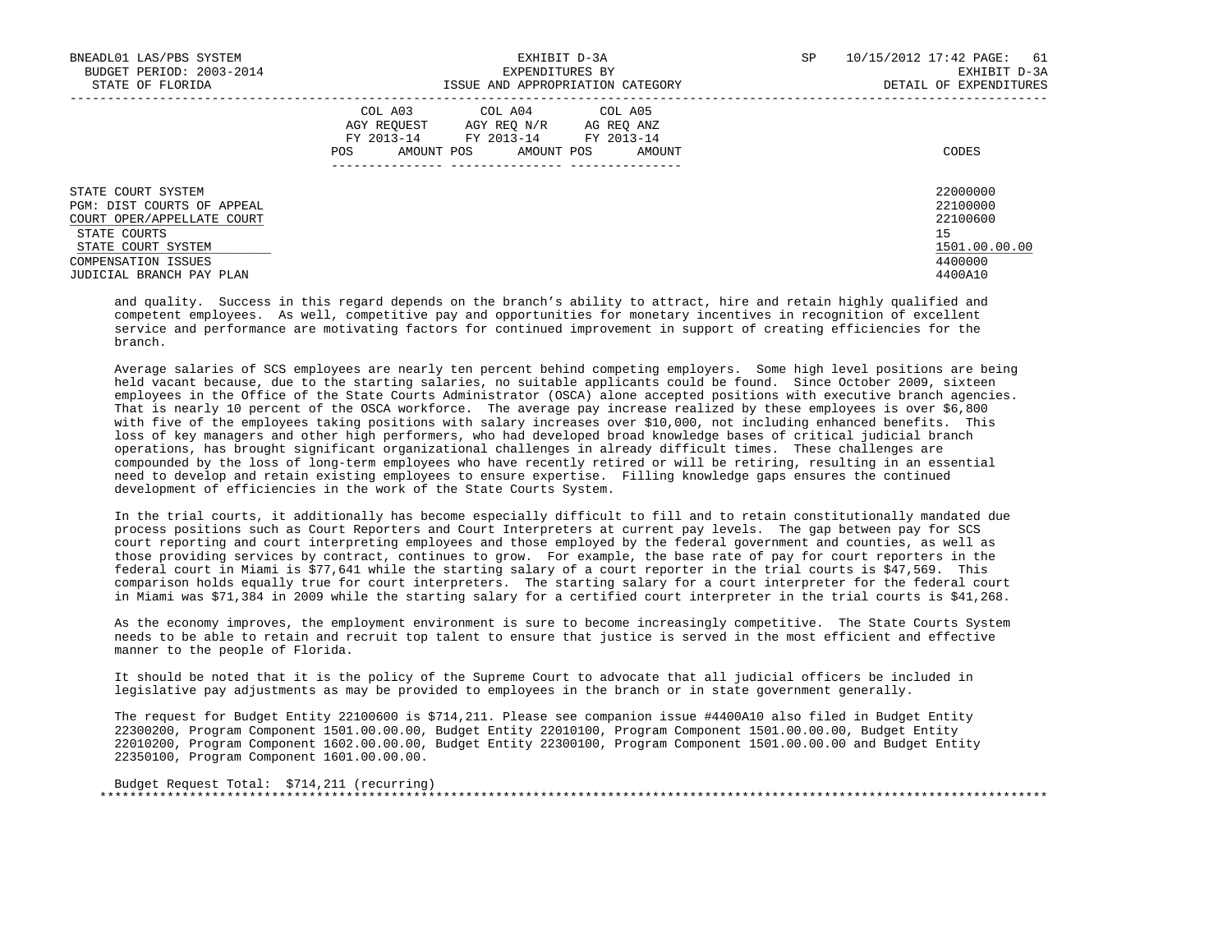| BNEADL01 LAS/PBS SYSTEM<br>BUDGET PERIOD: 2003-2014<br>STATE OF FLORIDA                                                                                                 | EXHIBIT D-3A<br>EXPENDITURES BY<br>ISSUE AND APPROPRIATION CATEGORY                                                                                        | SP<br>10/15/2012 17:42 PAGE: 61<br>EXHIBIT D-3A<br>DETAIL OF EXPENDITURES     |
|-------------------------------------------------------------------------------------------------------------------------------------------------------------------------|------------------------------------------------------------------------------------------------------------------------------------------------------------|-------------------------------------------------------------------------------|
|                                                                                                                                                                         | COL A03<br>COL A04 COL A05<br>AGY REOUEST<br>AGY REO N/R<br>AG REO ANZ<br>FY 2013-14<br>FY 2013-14 FY 2013-14<br>AMOUNT POS<br>AMOUNT POS<br>AMOUNT<br>POS | CODES                                                                         |
| STATE COURT SYSTEM<br>PGM: DIST COURTS OF APPEAL<br>COURT OPER/APPELLATE COURT<br>STATE COURTS<br>STATE COURT SYSTEM<br>COMPENSATION ISSUES<br>JUDICIAL BRANCH PAY PLAN |                                                                                                                                                            | 22000000<br>22100000<br>22100600<br>15<br>1501.00.00.00<br>4400000<br>4400A10 |

 and quality. Success in this regard depends on the branch's ability to attract, hire and retain highly qualified and competent employees. As well, competitive pay and opportunities for monetary incentives in recognition of excellent service and performance are motivating factors for continued improvement in support of creating efficiencies for the branch.

 Average salaries of SCS employees are nearly ten percent behind competing employers. Some high level positions are being held vacant because, due to the starting salaries, no suitable applicants could be found. Since October 2009, sixteen employees in the Office of the State Courts Administrator (OSCA) alone accepted positions with executive branch agencies. That is nearly 10 percent of the OSCA workforce. The average pay increase realized by these employees is over \$6,800 with five of the employees taking positions with salary increases over \$10,000, not including enhanced benefits. This loss of key managers and other high performers, who had developed broad knowledge bases of critical judicial branch operations, has brought significant organizational challenges in already difficult times. These challenges are compounded by the loss of long-term employees who have recently retired or will be retiring, resulting in an essential need to develop and retain existing employees to ensure expertise. Filling knowledge gaps ensures the continued development of efficiencies in the work of the State Courts System.

 In the trial courts, it additionally has become especially difficult to fill and to retain constitutionally mandated due process positions such as Court Reporters and Court Interpreters at current pay levels. The gap between pay for SCS court reporting and court interpreting employees and those employed by the federal government and counties, as well as those providing services by contract, continues to grow. For example, the base rate of pay for court reporters in the federal court in Miami is \$77,641 while the starting salary of a court reporter in the trial courts is \$47,569. This comparison holds equally true for court interpreters. The starting salary for a court interpreter for the federal court in Miami was \$71,384 in 2009 while the starting salary for a certified court interpreter in the trial courts is \$41,268.

 As the economy improves, the employment environment is sure to become increasingly competitive. The State Courts System needs to be able to retain and recruit top talent to ensure that justice is served in the most efficient and effective manner to the people of Florida.

 It should be noted that it is the policy of the Supreme Court to advocate that all judicial officers be included in legislative pay adjustments as may be provided to employees in the branch or in state government generally.

 The request for Budget Entity 22100600 is \$714,211. Please see companion issue #4400A10 also filed in Budget Entity 22300200, Program Component 1501.00.00.00, Budget Entity 22010100, Program Component 1501.00.00.00, Budget Entity 22010200, Program Component 1602.00.00.00, Budget Entity 22300100, Program Component 1501.00.00.00 and Budget Entity 22350100, Program Component 1601.00.00.00.

 Budget Request Total: \$714,211 (recurring) \*\*\*\*\*\*\*\*\*\*\*\*\*\*\*\*\*\*\*\*\*\*\*\*\*\*\*\*\*\*\*\*\*\*\*\*\*\*\*\*\*\*\*\*\*\*\*\*\*\*\*\*\*\*\*\*\*\*\*\*\*\*\*\*\*\*\*\*\*\*\*\*\*\*\*\*\*\*\*\*\*\*\*\*\*\*\*\*\*\*\*\*\*\*\*\*\*\*\*\*\*\*\*\*\*\*\*\*\*\*\*\*\*\*\*\*\*\*\*\*\*\*\*\*\*\*\*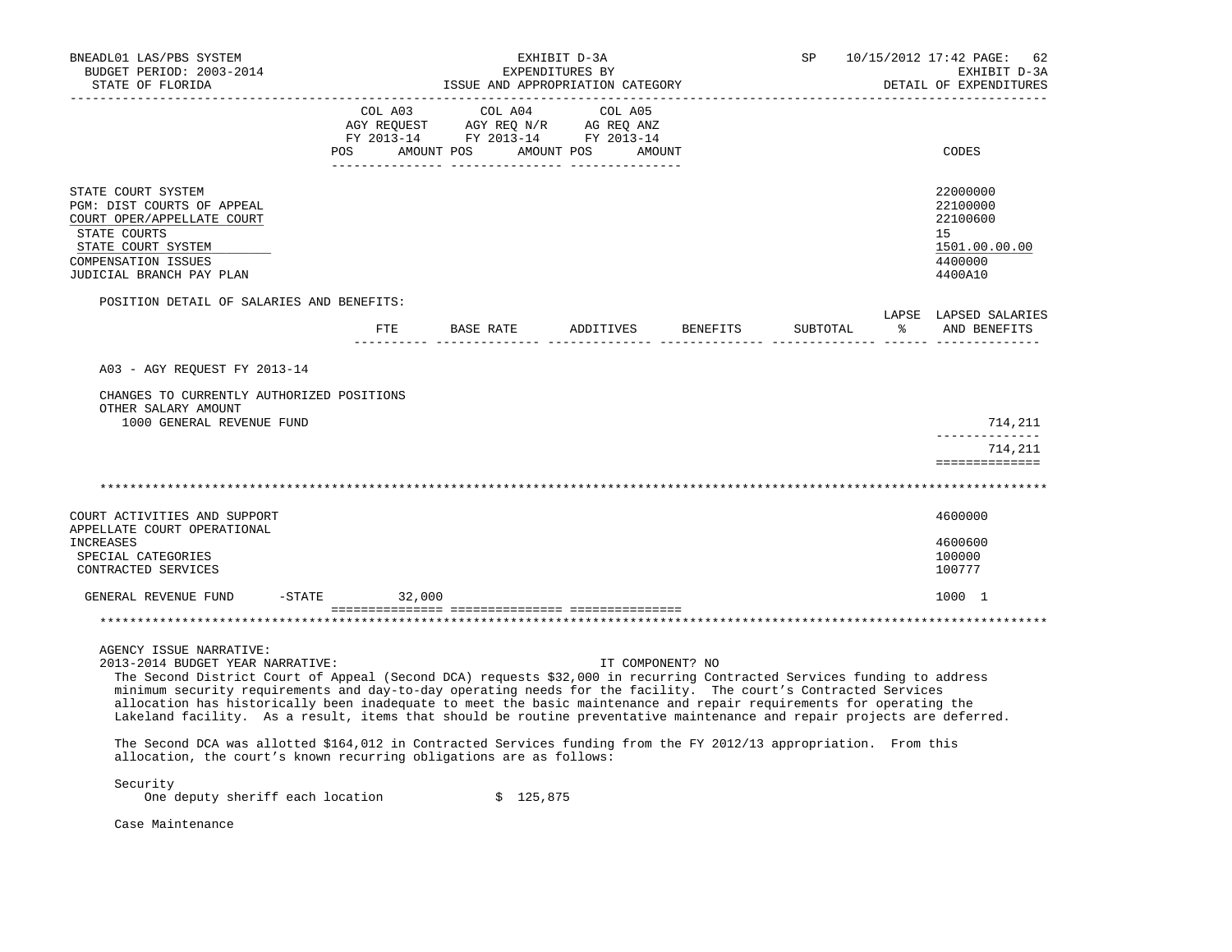| BNEADL01 LAS/PBS SYSTEM<br>BUDGET PERIOD: 2003-2014<br>STATE OF FLORIDA                                                                                                                                                                                                                                                                                                                                                                                                                                                                                                                                                                                                                                                                                                                               |                 | EXHIBIT D-3A<br>EXPENDITURES BY<br>ISSUE AND APPROPRIATION CATEGORY                                                                                                                                                                                        | SP        |                  | 10/15/2012 17:42 PAGE:<br>62<br>EXHIBIT D-3A<br>DETAIL OF EXPENDITURES |    |                                                                               |
|-------------------------------------------------------------------------------------------------------------------------------------------------------------------------------------------------------------------------------------------------------------------------------------------------------------------------------------------------------------------------------------------------------------------------------------------------------------------------------------------------------------------------------------------------------------------------------------------------------------------------------------------------------------------------------------------------------------------------------------------------------------------------------------------------------|-----------------|------------------------------------------------------------------------------------------------------------------------------------------------------------------------------------------------------------------------------------------------------------|-----------|------------------|------------------------------------------------------------------------|----|-------------------------------------------------------------------------------|
|                                                                                                                                                                                                                                                                                                                                                                                                                                                                                                                                                                                                                                                                                                                                                                                                       | COL A03         | COL A04<br>$\begin{tabular}{lllllllll} \bf{AGY} & \bf{REQUEST} & \bf{AGY} & \bf{REQ} & \bf{N/R} & \bf{AG} & \bf{REQ} & \bf{ANZ} \\ \bf{FY} & \bf{2013-14} & \bf{FY} & \bf{2013-14} & \bf{FY} & \bf{2013-14} \\ \end{tabular}$<br>POS AMOUNT POS AMOUNT POS | COL A05   | AMOUNT           |                                                                        |    | CODES                                                                         |
| STATE COURT SYSTEM<br>PGM: DIST COURTS OF APPEAL<br>COURT OPER/APPELLATE COURT<br>STATE COURTS<br>STATE COURT SYSTEM<br>COMPENSATION ISSUES<br>JUDICIAL BRANCH PAY PLAN                                                                                                                                                                                                                                                                                                                                                                                                                                                                                                                                                                                                                               |                 |                                                                                                                                                                                                                                                            |           |                  |                                                                        |    | 22000000<br>22100000<br>22100600<br>15<br>1501.00.00.00<br>4400000<br>4400A10 |
| POSITION DETAIL OF SALARIES AND BENEFITS:                                                                                                                                                                                                                                                                                                                                                                                                                                                                                                                                                                                                                                                                                                                                                             | ETE             | BASE RATE                                                                                                                                                                                                                                                  | ADDITIVES | BENEFITS         | SUBTOTAL                                                               | ႜႜ | LAPSE LAPSED SALARIES<br>AND BENEFITS                                         |
| A03 - AGY REOUEST FY 2013-14<br>CHANGES TO CURRENTLY AUTHORIZED POSITIONS<br>OTHER SALARY AMOUNT<br>1000 GENERAL REVENUE FUND                                                                                                                                                                                                                                                                                                                                                                                                                                                                                                                                                                                                                                                                         |                 |                                                                                                                                                                                                                                                            |           |                  |                                                                        |    | 714,211<br>______________                                                     |
|                                                                                                                                                                                                                                                                                                                                                                                                                                                                                                                                                                                                                                                                                                                                                                                                       |                 |                                                                                                                                                                                                                                                            |           |                  |                                                                        |    | 714,211<br>==============                                                     |
|                                                                                                                                                                                                                                                                                                                                                                                                                                                                                                                                                                                                                                                                                                                                                                                                       |                 |                                                                                                                                                                                                                                                            |           |                  |                                                                        |    |                                                                               |
| COURT ACTIVITIES AND SUPPORT<br>APPELLATE COURT OPERATIONAL<br>INCREASES<br>SPECIAL CATEGORIES<br>CONTRACTED SERVICES                                                                                                                                                                                                                                                                                                                                                                                                                                                                                                                                                                                                                                                                                 |                 |                                                                                                                                                                                                                                                            |           |                  |                                                                        |    | 4600000<br>4600600<br>100000<br>100777                                        |
| GENERAL REVENUE FUND                                                                                                                                                                                                                                                                                                                                                                                                                                                                                                                                                                                                                                                                                                                                                                                  | $-STATE$ 32,000 |                                                                                                                                                                                                                                                            |           |                  |                                                                        |    | 1000 1                                                                        |
|                                                                                                                                                                                                                                                                                                                                                                                                                                                                                                                                                                                                                                                                                                                                                                                                       |                 |                                                                                                                                                                                                                                                            |           |                  |                                                                        |    |                                                                               |
| AGENCY ISSUE NARRATIVE:<br>2013-2014 BUDGET YEAR NARRATIVE:<br>The Second District Court of Appeal (Second DCA) requests \$32,000 in recurring Contracted Services funding to address<br>minimum security requirements and day-to-day operating needs for the facility. The court's Contracted Services<br>allocation has historically been inadequate to meet the basic maintenance and repair requirements for operating the<br>Lakeland facility. As a result, items that should be routine preventative maintenance and repair projects are deferred.<br>The Second DCA was allotted \$164,012 in Contracted Services funding from the FY 2012/13 appropriation. From this<br>allocation, the court's known recurring obligations are as follows:<br>Security<br>One deputy sheriff each location |                 | \$125,875                                                                                                                                                                                                                                                  |           | IT COMPONENT? NO |                                                                        |    |                                                                               |
| Case Maintenance                                                                                                                                                                                                                                                                                                                                                                                                                                                                                                                                                                                                                                                                                                                                                                                      |                 |                                                                                                                                                                                                                                                            |           |                  |                                                                        |    |                                                                               |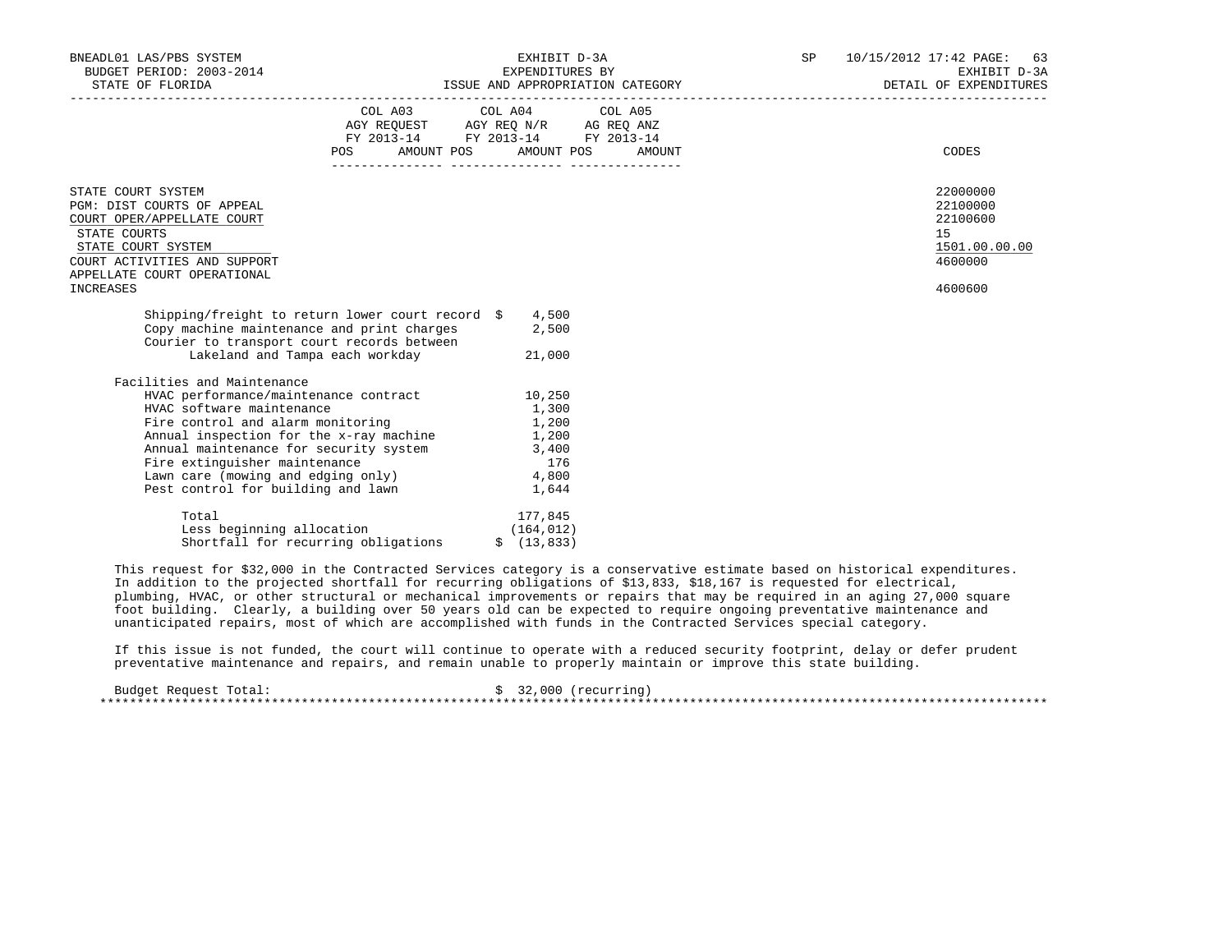| BNEADL01 LAS/PBS SYSTEM<br>BUDGET PERIOD: 2003-2014<br>STATE OF FLORIDA                                                                                                                                                                                                                                                                              |                                                                                              | EXHIBIT D-3A<br>EXPENDITURES BY                                                                                                |        | SP 10/15/2012 17:42 PAGE: 63<br>EXHIBIT D-3A<br>ISSUE AND APPROPRIATION CATEGORY THE SERVICE OF EXPENDITURES |
|------------------------------------------------------------------------------------------------------------------------------------------------------------------------------------------------------------------------------------------------------------------------------------------------------------------------------------------------------|----------------------------------------------------------------------------------------------|--------------------------------------------------------------------------------------------------------------------------------|--------|--------------------------------------------------------------------------------------------------------------|
|                                                                                                                                                                                                                                                                                                                                                      |                                                                                              | COL A03 COL A04 COL A05<br>AGY REQUEST AGY REQ N/R AG REQ ANZ<br>FY 2013-14 FY 2013-14 FY 2013-14<br>POS AMOUNT POS AMOUNT POS | AMOUNT | CODES                                                                                                        |
| STATE COURT SYSTEM<br>PGM: DIST COURTS OF APPEAL<br>COURT OPER/APPELLATE COURT<br>STATE COURTS<br>STATE COURT SYSTEM<br>COURT ACTIVITIES AND SUPPORT<br>APPELLATE COURT OPERATIONAL<br>INCREASES                                                                                                                                                     |                                                                                              |                                                                                                                                |        | 22000000<br>22100000<br>22100600<br>15<br>1501.00.00.00<br>4600000<br>4600600                                |
| Shipping/freight to return lower court record $$$ 4,500<br>Copy machine maintenance and print charges<br>Courier to transport court records between                                                                                                                                                                                                  | Lakeland and Tampa each workday                                                              | 2,500<br>21,000                                                                                                                |        |                                                                                                              |
| Facilities and Maintenance<br>HVAC performance/maintenance contract 10,250<br>HVAC software maintenance<br>Fire control and alarm monitoring<br>Annual inspection for the x-ray machine 1,200<br>Annual maintenance for security system<br>Fire extinguisher maintenance<br>Lawn care (mowing and edging only)<br>Pest control for building and lawn |                                                                                              | 1,300<br>1,200<br>3,400<br>176<br>4,800<br>1,644                                                                               |        |                                                                                                              |
| Total                                                                                                                                                                                                                                                                                                                                                | Less beginning allocation (164,012)<br>Shortfall for recurring obligations $\qquad$ (13,833) | 177,845                                                                                                                        |        |                                                                                                              |

 This request for \$32,000 in the Contracted Services category is a conservative estimate based on historical expenditures. In addition to the projected shortfall for recurring obligations of \$13,833, \$18,167 is requested for electrical, plumbing, HVAC, or other structural or mechanical improvements or repairs that may be required in an aging 27,000 square foot building. Clearly, a building over 50 years old can be expected to require ongoing preventative maintenance and unanticipated repairs, most of which are accomplished with funds in the Contracted Services special category.

 If this issue is not funded, the court will continue to operate with a reduced security footprint, delay or defer prudent preventative maintenance and repairs, and remain unable to properly maintain or improve this state building.

| Budget Request Total: |  | \$32,000 (recurring) |
|-----------------------|--|----------------------|
|                       |  |                      |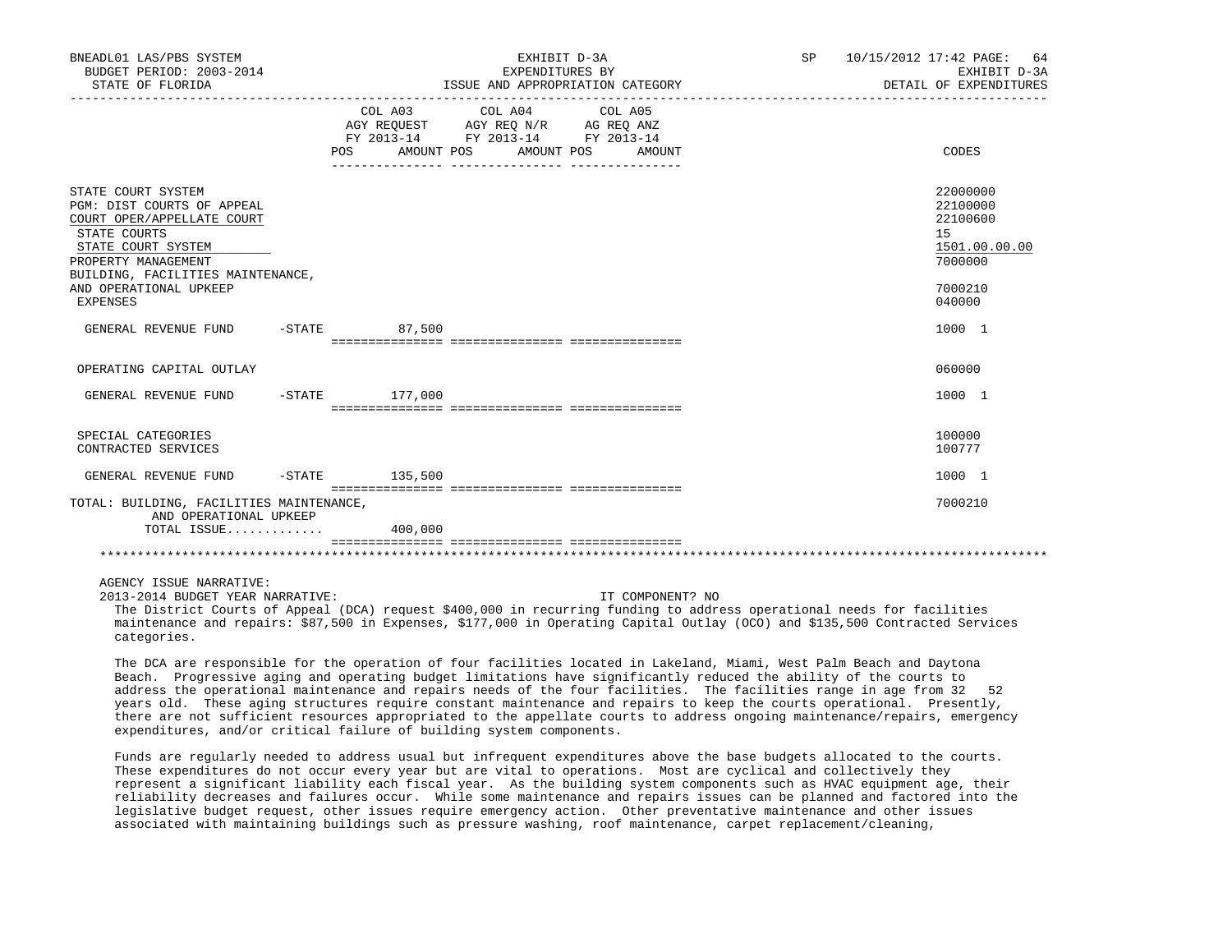| BNEADL01 LAS/PBS SYSTEM<br>BUDGET PERIOD: 2003-2014<br>STATE OF FLORIDA                                                                                                                                                       |                                                                                                                | EXHIBIT D-3A<br>EXPENDITURES BY<br>ISSUE AND APPROPRIATION CATEGORY<br>__________________________________                                                                                                                                                     | SP 10/15/2012 17:42 PAGE: 64<br>EXHIBIT D-3A<br>DETAIL OF EXPENDITURES                               |  |
|-------------------------------------------------------------------------------------------------------------------------------------------------------------------------------------------------------------------------------|----------------------------------------------------------------------------------------------------------------|---------------------------------------------------------------------------------------------------------------------------------------------------------------------------------------------------------------------------------------------------------------|------------------------------------------------------------------------------------------------------|--|
|                                                                                                                                                                                                                               | POS FOR THE POST OF THE STATE STATE STATE STATE STATE STATE STATE STATE STATE STATE STATE STATE STATE STATE ST | COL A03 COL A04 COL A05<br>$\begin{tabular}{lllllll} AGY & \texttt{REQUEST} & \texttt{AGY} & \texttt{REG} & \texttt{N/R} & \texttt{AG} & \texttt{REG} & \texttt{ANZ} \end{tabular}$<br>FY 2013-14 FY 2013-14 FY 2013-14<br>AMOUNT POS<br>AMOUNT POS<br>AMOUNT | CODES                                                                                                |  |
| STATE COURT SYSTEM<br>PGM: DIST COURTS OF APPEAL<br>COURT OPER/APPELLATE COURT<br>STATE COURTS<br>STATE COURT SYSTEM<br>PROPERTY MANAGEMENT<br>BUILDING, FACILITIES MAINTENANCE,<br>AND OPERATIONAL UPKEEP<br><b>EXPENSES</b> |                                                                                                                |                                                                                                                                                                                                                                                               | 22000000<br>22100000<br>22100600<br>15 <sub>1</sub><br>1501.00.00.00<br>7000000<br>7000210<br>040000 |  |
| GENERAL REVENUE FUND                                                                                                                                                                                                          | $-STATE$ 87,500                                                                                                |                                                                                                                                                                                                                                                               | 1000 1                                                                                               |  |
| OPERATING CAPITAL OUTLAY                                                                                                                                                                                                      |                                                                                                                |                                                                                                                                                                                                                                                               | 060000                                                                                               |  |
| GENERAL REVENUE FUND                                                                                                                                                                                                          | $-$ STATE $177,000$                                                                                            |                                                                                                                                                                                                                                                               | 1000 1                                                                                               |  |
| SPECIAL CATEGORIES<br>CONTRACTED SERVICES                                                                                                                                                                                     |                                                                                                                |                                                                                                                                                                                                                                                               | 100000<br>100777                                                                                     |  |
| GENERAL REVENUE FUND                                                                                                                                                                                                          | $-STATE$ 135,500                                                                                               |                                                                                                                                                                                                                                                               | 1000 1                                                                                               |  |
| TOTAL: BUILDING, FACILITIES MAINTENANCE,<br>AND OPERATIONAL UPKEEP<br>TOTAL ISSUE                                                                                                                                             | 400,000                                                                                                        |                                                                                                                                                                                                                                                               | 7000210                                                                                              |  |
|                                                                                                                                                                                                                               |                                                                                                                |                                                                                                                                                                                                                                                               |                                                                                                      |  |
| AGENCY ISSUE NARRATIVE:                                                                                                                                                                                                       |                                                                                                                |                                                                                                                                                                                                                                                               |                                                                                                      |  |

 2013-2014 BUDGET YEAR NARRATIVE: IT COMPONENT? NO The District Courts of Appeal (DCA) request \$400,000 in recurring funding to address operational needs for facilities maintenance and repairs: \$87,500 in Expenses, \$177,000 in Operating Capital Outlay (OCO) and \$135,500 Contracted Services categories.

 The DCA are responsible for the operation of four facilities located in Lakeland, Miami, West Palm Beach and Daytona Beach. Progressive aging and operating budget limitations have significantly reduced the ability of the courts to address the operational maintenance and repairs needs of the four facilities. The facilities range in age from 32 52 years old. These aging structures require constant maintenance and repairs to keep the courts operational. Presently, there are not sufficient resources appropriated to the appellate courts to address ongoing maintenance/repairs, emergency expenditures, and/or critical failure of building system components.

 Funds are regularly needed to address usual but infrequent expenditures above the base budgets allocated to the courts. These expenditures do not occur every year but are vital to operations. Most are cyclical and collectively they represent a significant liability each fiscal year. As the building system components such as HVAC equipment age, their reliability decreases and failures occur. While some maintenance and repairs issues can be planned and factored into the legislative budget request, other issues require emergency action. Other preventative maintenance and other issues associated with maintaining buildings such as pressure washing, roof maintenance, carpet replacement/cleaning,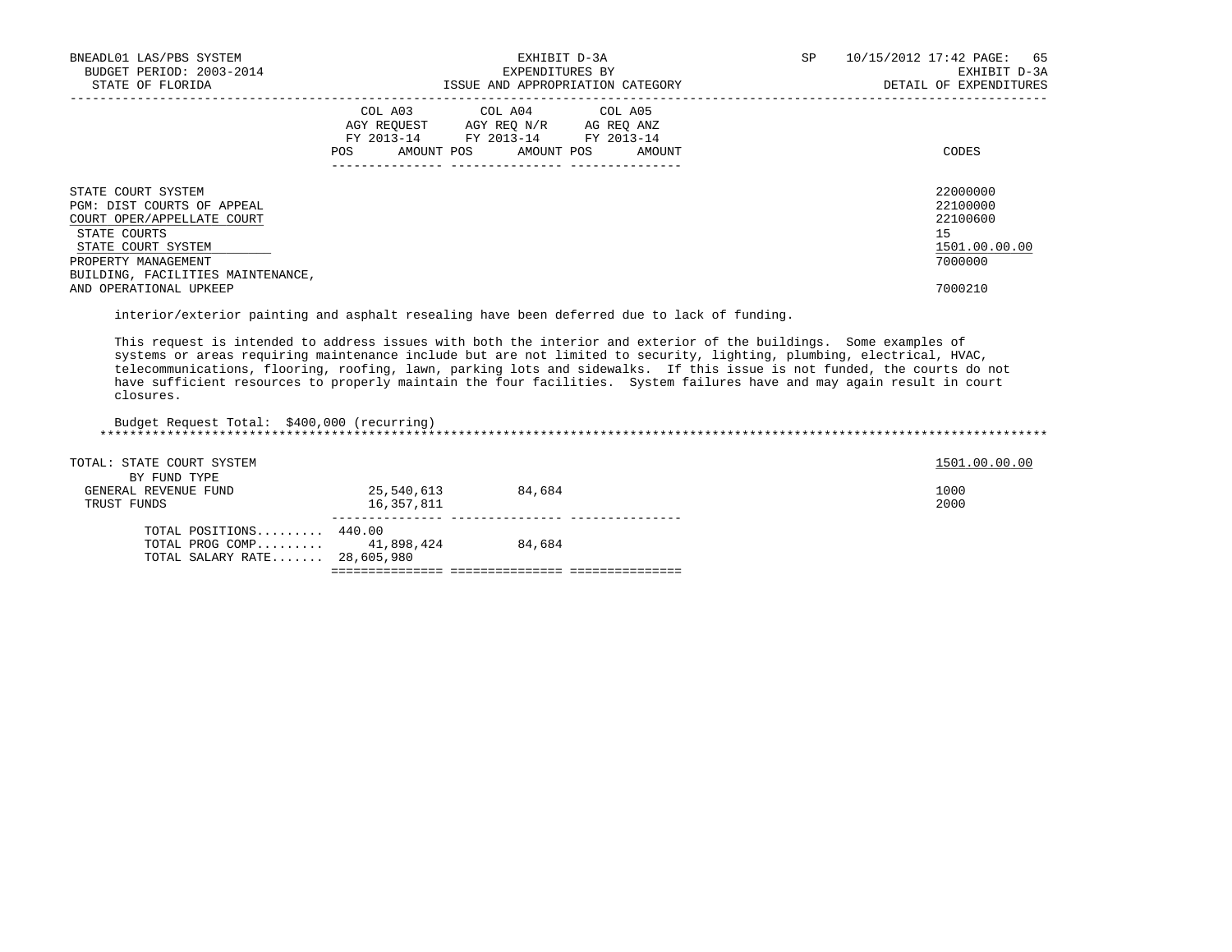| BNEADL01 LAS/PBS SYSTEM<br>BUDGET PERIOD: 2003-2014<br>STATE OF FLORIDA                                                                     | EXHIBIT D-3A<br>EXPENDITURES BY<br>ISSUE AND APPROPRIATION CATEGORY                                                                         | SP<br>10/15/2012 17:42 PAGE: 65<br>EXHIBIT D-3A<br>DETAIL OF EXPENDITURES |
|---------------------------------------------------------------------------------------------------------------------------------------------|---------------------------------------------------------------------------------------------------------------------------------------------|---------------------------------------------------------------------------|
|                                                                                                                                             | COL A03 COL A04 COL A05<br>AGY REQUEST AGY REQ N/R AG REQ ANZ<br>FY 2013-14 FY 2013-14 FY 2013-14<br>AMOUNT POS AMOUNT POS<br>POS<br>AMOUNT | CODES                                                                     |
| STATE COURT SYSTEM<br>PGM: DIST COURTS OF APPEAL<br>COURT OPER/APPELLATE COURT<br>STATE COURTS<br>STATE COURT SYSTEM<br>PROPERTY MANAGEMENT |                                                                                                                                             | 22000000<br>22100000<br>22100600<br>15<br>1501.00.00.00<br>7000000        |
| BUILDING, FACILITIES MAINTENANCE,<br>AND OPERATIONAL UPKEEP                                                                                 |                                                                                                                                             | 7000210                                                                   |

interior/exterior painting and asphalt resealing have been deferred due to lack of funding.

 This request is intended to address issues with both the interior and exterior of the buildings. Some examples of systems or areas requiring maintenance include but are not limited to security, lighting, plumbing, electrical, HVAC, telecommunications, flooring, roofing, lawn, parking lots and sidewalks. If this issue is not funded, the courts do not have sufficient resources to properly maintain the four facilities. System failures have and may again result in court closures.

| Budget Request Total: \$400,000 (recurring) |            |        |               |
|---------------------------------------------|------------|--------|---------------|
|                                             |            |        |               |
|                                             |            |        |               |
| TOTAL: STATE COURT SYSTEM                   |            |        | 1501.00.00.00 |
| BY FUND TYPE                                |            |        |               |
| GENERAL REVENUE FUND                        | 25,540,613 | 84,684 | 1000          |
| TRUST FUNDS                                 | 16,357,811 |        | 2000          |
|                                             |            |        |               |
| TOTAL POSITIONS 440.00                      |            |        |               |
| TOTAL PROG COMP 41,898,424                  |            | 84,684 |               |
| TOTAL SALARY RATE 28,605,980                |            |        |               |
|                                             |            |        |               |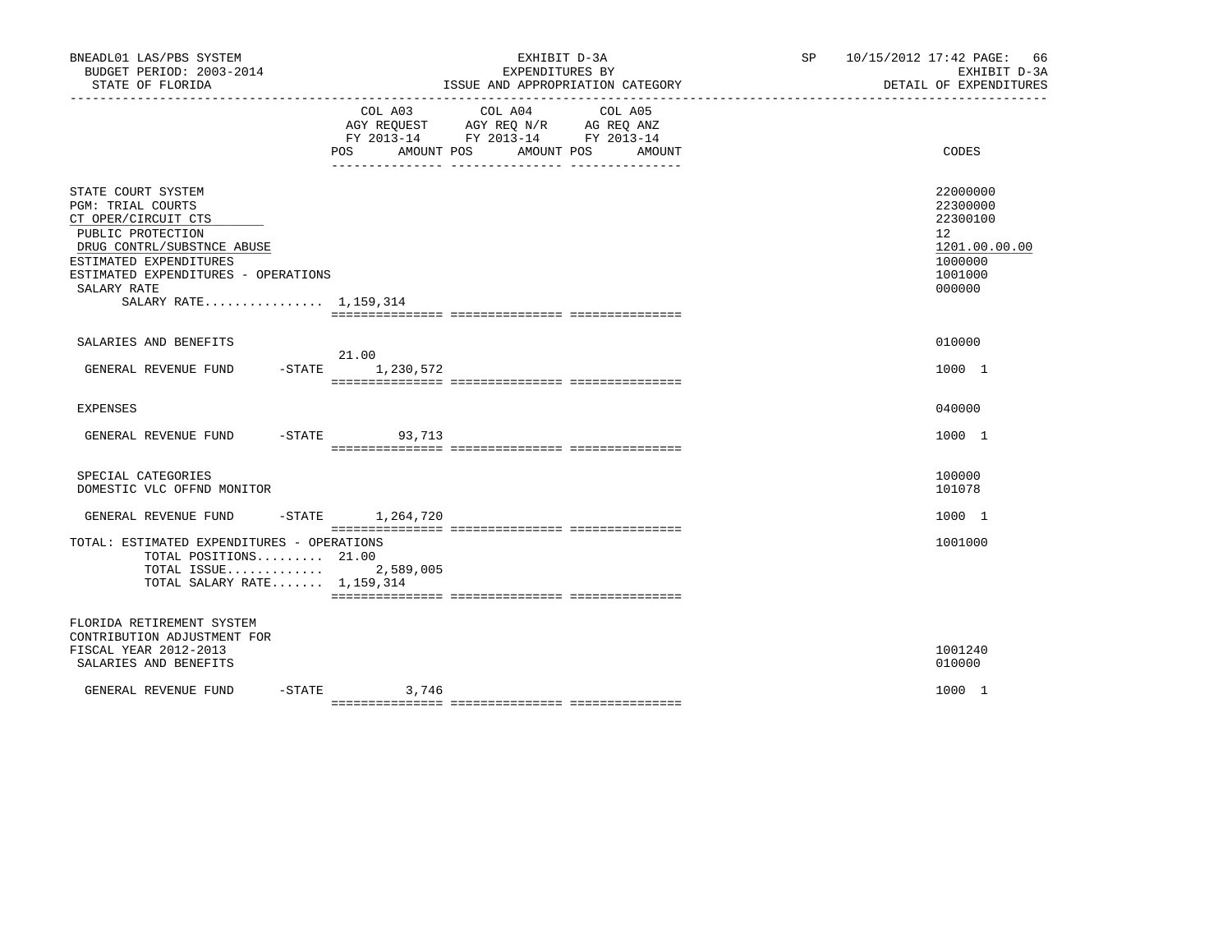| BNEADL01 LAS/PBS SYSTEM<br>BUDGET PERIOD: 2003-2014<br>STATE OF FLORIDA                                                                                                                                                    |                           | EXHIBIT D-3A<br>EXPENDITURES BY<br>ISSUE AND APPROPRIATION CATEGORY                                                  | SP 10/15/2012 17:42 PAGE: 66                                                                         | EXHIBIT D-3A<br>DETAIL OF EXPENDITURES |  |
|----------------------------------------------------------------------------------------------------------------------------------------------------------------------------------------------------------------------------|---------------------------|----------------------------------------------------------------------------------------------------------------------|------------------------------------------------------------------------------------------------------|----------------------------------------|--|
|                                                                                                                                                                                                                            | COL A03<br>POS AMOUNT POS | COL A04<br>COL A05<br>AGY REQUEST AGY REQ N/R AG REQ ANZ<br>FY 2013-14 FY 2013-14 FY 2013-14<br>AMOUNT POS<br>AMOUNT | CODES                                                                                                |                                        |  |
| STATE COURT SYSTEM<br>PGM: TRIAL COURTS<br>CT OPER/CIRCUIT CTS<br>PUBLIC PROTECTION<br>DRUG CONTRL/SUBSTNCE ABUSE<br>ESTIMATED EXPENDITURES<br>ESTIMATED EXPENDITURES - OPERATIONS<br>SALARY RATE<br>SALARY RATE 1,159,314 |                           |                                                                                                                      | 22000000<br>22300000<br>22300100<br>12 <sup>°</sup><br>1201.00.00.00<br>1000000<br>1001000<br>000000 |                                        |  |
| SALARIES AND BENEFITS                                                                                                                                                                                                      |                           |                                                                                                                      | 010000                                                                                               |                                        |  |
| GENERAL REVENUE FUND                                                                                                                                                                                                       | 21.00<br>-STATE 1,230,572 |                                                                                                                      | 1000 1                                                                                               |                                        |  |
| <b>EXPENSES</b>                                                                                                                                                                                                            |                           |                                                                                                                      | 040000                                                                                               |                                        |  |
| GENERAL REVENUE FUND                                                                                                                                                                                                       | -STATE 93,713             |                                                                                                                      | 1000 1                                                                                               |                                        |  |
| SPECIAL CATEGORIES<br>DOMESTIC VLC OFFND MONITOR                                                                                                                                                                           |                           |                                                                                                                      | 100000<br>101078                                                                                     |                                        |  |
| GENERAL REVENUE FUND -STATE 1,264,720                                                                                                                                                                                      |                           |                                                                                                                      | 1000 1                                                                                               |                                        |  |
| TOTAL: ESTIMATED EXPENDITURES - OPERATIONS<br>TOTAL POSITIONS 21.00<br>TOTAL ISSUE<br>TOTAL SALARY RATE $1,159,314$                                                                                                        | 2,589,005                 |                                                                                                                      | 1001000                                                                                              |                                        |  |
| FLORIDA RETIREMENT SYSTEM<br>CONTRIBUTION ADJUSTMENT FOR<br>FISCAL YEAR 2012-2013<br>SALARIES AND BENEFITS                                                                                                                 |                           |                                                                                                                      | 1001240<br>010000                                                                                    |                                        |  |
| GENERAL REVENUE FUND                                                                                                                                                                                                       | $-STATE$ 3,746            |                                                                                                                      | 1000 1                                                                                               |                                        |  |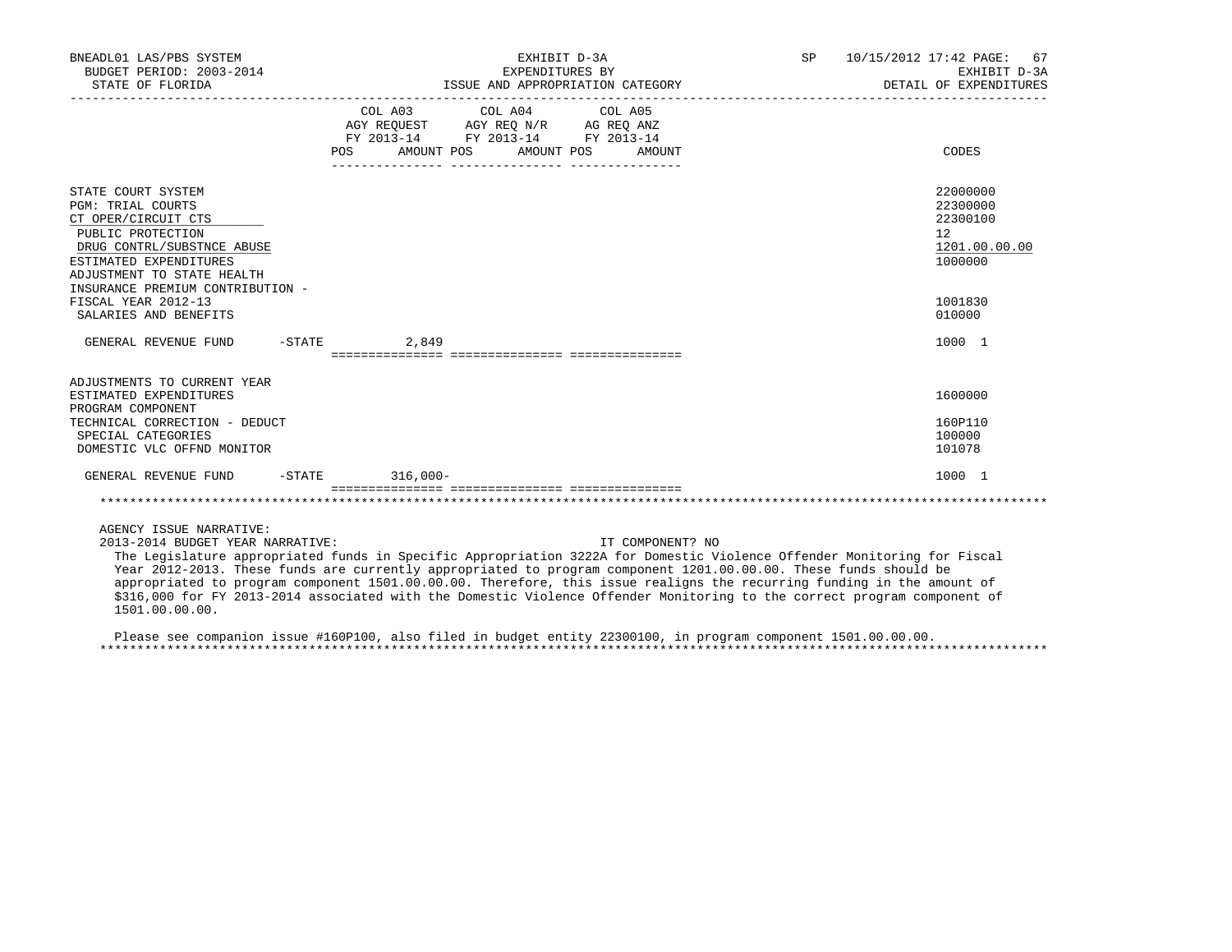| BNEADL01 LAS/PBS SYSTEM<br>BUDGET PERIOD: 2003-2014<br>STATE OF FLORIDA                                                                                                          |                   | EXHIBIT D-3A<br>EXPENDITURES BY<br>ISSUE AND APPROPRIATION CATEGORY                                                                   | SP 10/15/2012 17:42 PAGE: 67<br>EXHIBIT D-3A<br>DETAIL OF EXPENDITURES |                                                                                 |  |
|----------------------------------------------------------------------------------------------------------------------------------------------------------------------------------|-------------------|---------------------------------------------------------------------------------------------------------------------------------------|------------------------------------------------------------------------|---------------------------------------------------------------------------------|--|
|                                                                                                                                                                                  |                   | COL A03 COL A04 COL A05<br>AGY REOUEST AGY REO N/R AG REO ANZ<br>FY 2013-14 FY 2013-14 FY 2013-14<br>POS AMOUNT POS AMOUNT POS AMOUNT |                                                                        | CODES                                                                           |  |
| STATE COURT SYSTEM<br><b>PGM: TRIAL COURTS</b><br>CT OPER/CIRCUIT CTS<br>PUBLIC PROTECTION<br>DRUG CONTRL/SUBSTNCE ABUSE<br>ESTIMATED EXPENDITURES<br>ADJUSTMENT TO STATE HEALTH |                   |                                                                                                                                       |                                                                        | 22000000<br>22300000<br>22300100<br>12 <sup>°</sup><br>1201.00.00.00<br>1000000 |  |
| INSURANCE PREMIUM CONTRIBUTION -<br>FISCAL YEAR 2012-13<br>SALARIES AND BENEFITS                                                                                                 |                   |                                                                                                                                       |                                                                        | 1001830<br>010000                                                               |  |
| GENERAL REVENUE FUND                                                                                                                                                             | $-STATE$<br>2,849 |                                                                                                                                       |                                                                        | 1000 1                                                                          |  |
| ADJUSTMENTS TO CURRENT YEAR<br>ESTIMATED EXPENDITURES<br>PROGRAM COMPONENT                                                                                                       |                   |                                                                                                                                       |                                                                        | 1600000                                                                         |  |
| TECHNICAL CORRECTION - DEDUCT<br>SPECIAL CATEGORIES<br>DOMESTIC VLC OFFND MONITOR                                                                                                |                   |                                                                                                                                       |                                                                        | 160P110<br>100000<br>101078                                                     |  |
| GENERAL REVENUE FUND -STATE 316,000-                                                                                                                                             |                   |                                                                                                                                       |                                                                        | 1000 1                                                                          |  |
|                                                                                                                                                                                  |                   |                                                                                                                                       |                                                                        |                                                                                 |  |
| AGENCY ISSUE NARRATIVE:                                                                                                                                                          |                   |                                                                                                                                       |                                                                        |                                                                                 |  |

2013-2014 BUDGET YEAR NARRATIVE: IT COMPONENT? NO

 The Legislature appropriated funds in Specific Appropriation 3222A for Domestic Violence Offender Monitoring for Fiscal Year 2012-2013. These funds are currently appropriated to program component 1201.00.00.00. These funds should be appropriated to program component 1501.00.00.00. Therefore, this issue realigns the recurring funding in the amount of \$316,000 for FY 2013-2014 associated with the Domestic Violence Offender Monitoring to the correct program component of 1501.00.00.00.

 Please see companion issue #160P100, also filed in budget entity 22300100, in program component 1501.00.00.00. \*\*\*\*\*\*\*\*\*\*\*\*\*\*\*\*\*\*\*\*\*\*\*\*\*\*\*\*\*\*\*\*\*\*\*\*\*\*\*\*\*\*\*\*\*\*\*\*\*\*\*\*\*\*\*\*\*\*\*\*\*\*\*\*\*\*\*\*\*\*\*\*\*\*\*\*\*\*\*\*\*\*\*\*\*\*\*\*\*\*\*\*\*\*\*\*\*\*\*\*\*\*\*\*\*\*\*\*\*\*\*\*\*\*\*\*\*\*\*\*\*\*\*\*\*\*\*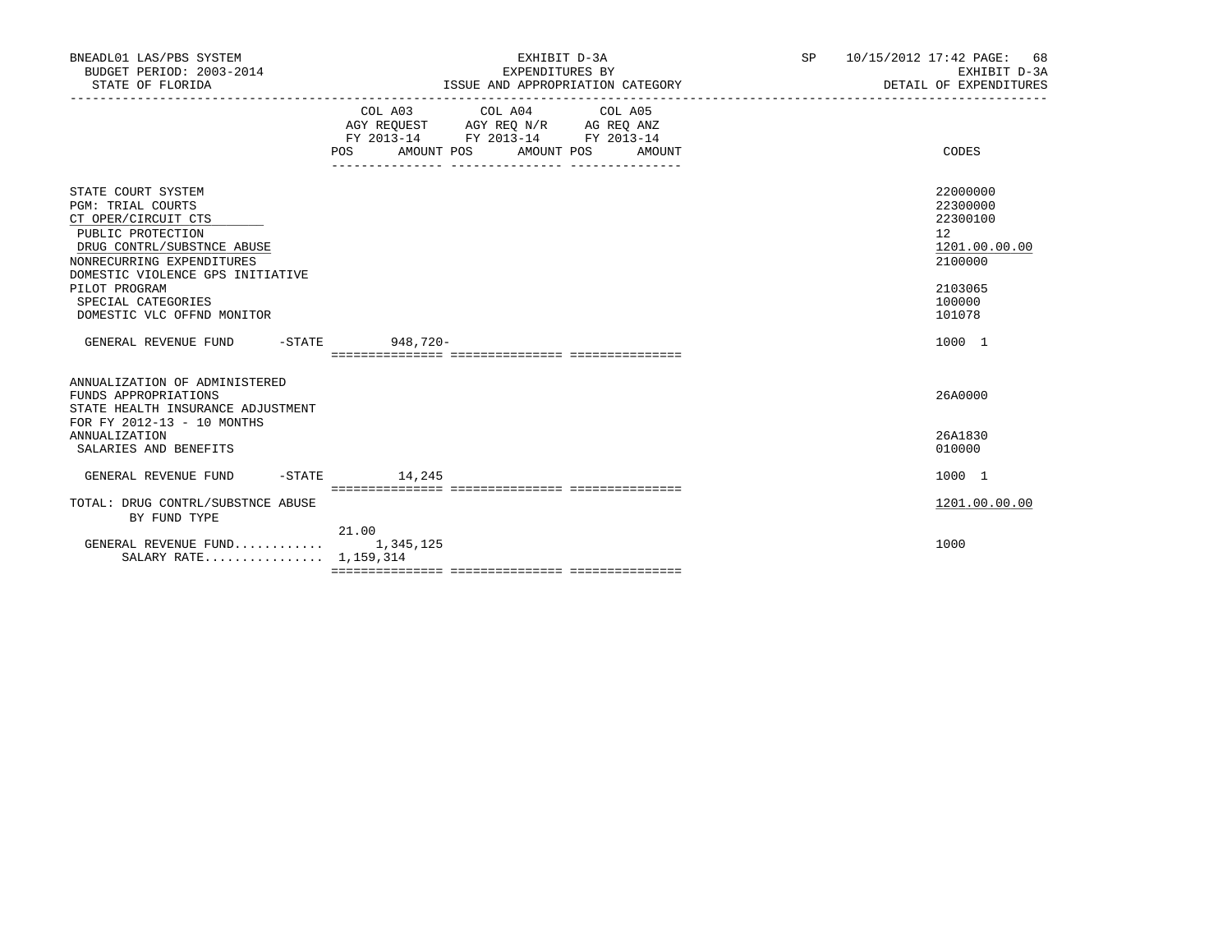| BNEADL01 LAS/PBS SYSTEM<br>BUDGET PERIOD: 2003-2014<br>STATE OF FLORIDA                                                                                                                   | EXHIBIT D-3A<br>EXPENDITURES BY<br>ISSUE AND APPROPRIATION CATEGORY                                                                            | SP<br>10/15/2012 17:42 PAGE:<br>68<br>EXHIBIT D-3A<br>DETAIL OF EXPENDITURES |
|-------------------------------------------------------------------------------------------------------------------------------------------------------------------------------------------|------------------------------------------------------------------------------------------------------------------------------------------------|------------------------------------------------------------------------------|
|                                                                                                                                                                                           | COL A03 COL A04 COL A05<br>AGY REQUEST AGY REO N/R AG REO ANZ<br>FY 2013-14 FY 2013-14 FY 2013-14<br>AMOUNT POS<br>AMOUNT POS<br>POS<br>AMOUNT | CODES                                                                        |
| STATE COURT SYSTEM<br><b>PGM: TRIAL COURTS</b><br>CT OPER/CIRCUIT CTS<br>PUBLIC PROTECTION<br>DRUG CONTRL/SUBSTNCE ABUSE<br>NONRECURRING EXPENDITURES<br>DOMESTIC VIOLENCE GPS INITIATIVE |                                                                                                                                                | 22000000<br>22300000<br>22300100<br>12<br>1201.00.00.00<br>2100000           |
| PILOT PROGRAM<br>SPECIAL CATEGORIES<br>DOMESTIC VLC OFFND MONITOR                                                                                                                         |                                                                                                                                                | 2103065<br>100000<br>101078                                                  |
| GENERAL REVENUE FUND -STATE 948,720-                                                                                                                                                      |                                                                                                                                                | 1000 1                                                                       |
| ANNUALIZATION OF ADMINISTERED<br>FUNDS APPROPRIATIONS<br>STATE HEALTH INSURANCE ADJUSTMENT<br>FOR FY 2012-13 - 10 MONTHS                                                                  |                                                                                                                                                | 26A0000                                                                      |
| <b>ANNUALIZATION</b><br>SALARIES AND BENEFITS                                                                                                                                             |                                                                                                                                                | 26A1830<br>010000                                                            |
| $-STATE$<br>GENERAL REVENUE FUND                                                                                                                                                          | 14,245                                                                                                                                         | 1000 1                                                                       |
| TOTAL: DRUG CONTRL/SUBSTNCE ABUSE<br>BY FUND TYPE                                                                                                                                         |                                                                                                                                                | 1201.00.00.00                                                                |
| GENERAL REVENUE FUND 1,345,125<br>SALARY RATE 1,159,314                                                                                                                                   | 21.00                                                                                                                                          | 1000                                                                         |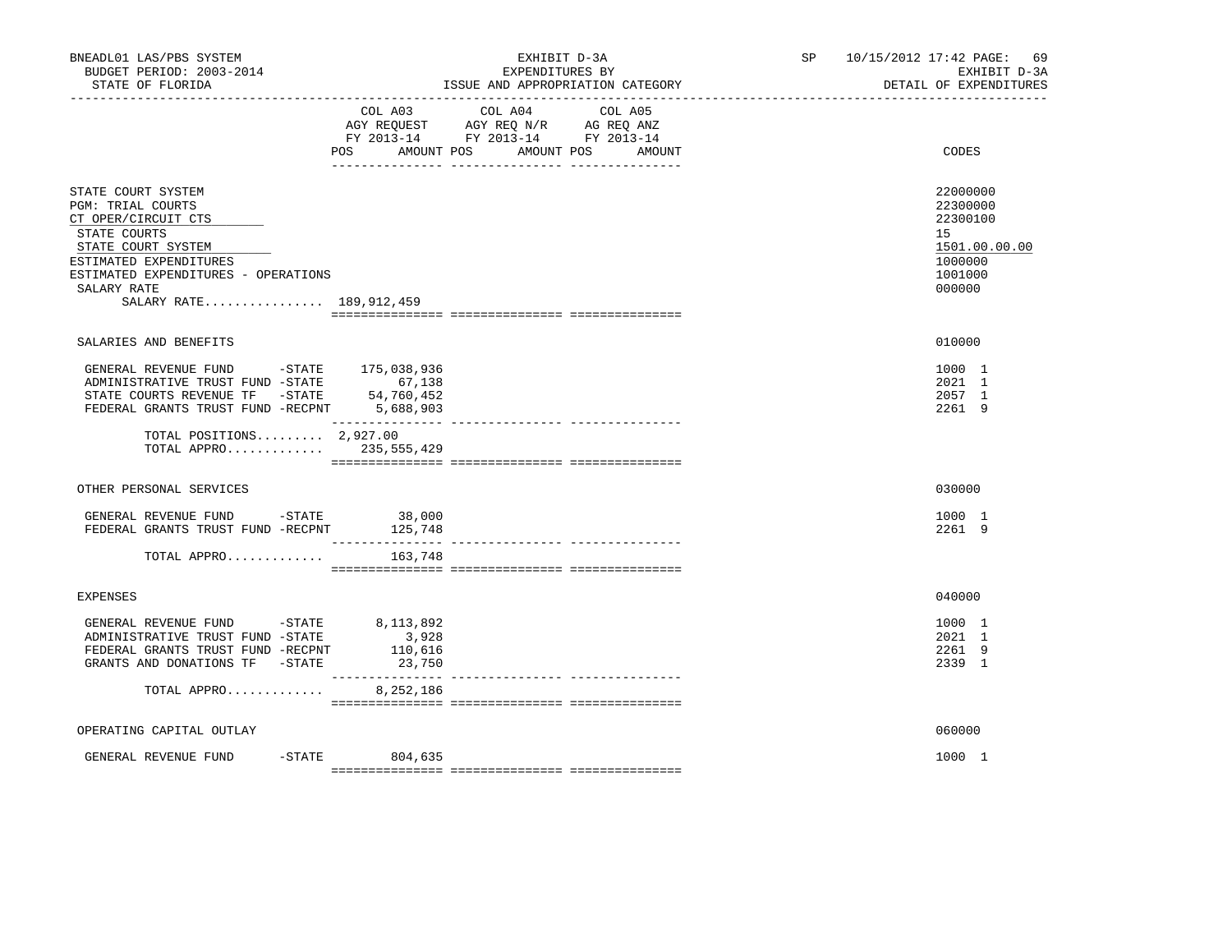| BNEADL01 LAS/PBS SYSTEM<br>BUDGET PERIOD: 2003-2014<br>STATE OF FLORIDA                                                                                                                                         |                            | EXHIBIT D-3A<br>EXPENDITURES BY<br>ISSUE AND APPROPRIATION CATEGORY                                                       | SP 10/15/2012 17:42 PAGE:<br>69<br>EXHIBIT D-3A<br>DETAIL OF EXPENDITURES               |  |
|-----------------------------------------------------------------------------------------------------------------------------------------------------------------------------------------------------------------|----------------------------|---------------------------------------------------------------------------------------------------------------------------|-----------------------------------------------------------------------------------------|--|
|                                                                                                                                                                                                                 | POS<br>AMOUNT POS          | COL A03 COL A04 COL A05<br>AGY REQUEST AGY REQ N/R AG REQ ANZ<br>FY 2013-14 FY 2013-14 FY 2013-14<br>AMOUNT POS<br>AMOUNT | CODES                                                                                   |  |
| STATE COURT SYSTEM<br>PGM: TRIAL COURTS<br>CT OPER/CIRCUIT CTS<br>STATE COURTS<br>STATE COURT SYSTEM<br>ESTIMATED EXPENDITURES<br>ESTIMATED EXPENDITURES - OPERATIONS<br>SALARY RATE<br>SALARY RATE 189,912,459 |                            |                                                                                                                           | 22000000<br>22300000<br>22300100<br>15<br>1501.00.00.00<br>1000000<br>1001000<br>000000 |  |
| SALARIES AND BENEFITS                                                                                                                                                                                           |                            |                                                                                                                           | 010000                                                                                  |  |
| GENERAL REVENUE FUND -STATE 175,038,936<br>ADMINISTRATIVE TRUST FUND -STATE 67,138<br>STATE COURTS REVENUE TF -STATE<br>FEDERAL GRANTS TRUST FUND -RECPNT 5,688,903                                             | 54,760,452                 |                                                                                                                           | 1000 1<br>2021 1<br>2057 1<br>2261 9                                                    |  |
| TOTAL POSITIONS $2,927.00$<br>TOTAL APPRO 235,555,429                                                                                                                                                           |                            |                                                                                                                           |                                                                                         |  |
| OTHER PERSONAL SERVICES                                                                                                                                                                                         |                            |                                                                                                                           | 030000                                                                                  |  |
| GENERAL REVENUE FUND - STATE<br>FEDERAL GRANTS TRUST FUND -RECPNT 125,748                                                                                                                                       | 38,000                     |                                                                                                                           | 1000 1<br>2261 9                                                                        |  |
| TOTAL APPRO                                                                                                                                                                                                     | 163,748                    |                                                                                                                           |                                                                                         |  |
| <b>EXPENSES</b>                                                                                                                                                                                                 |                            |                                                                                                                           | 040000                                                                                  |  |
| GENERAL REVENUE FUND -STATE 8,113,892<br>ADMINISTRATIVE TRUST FUND -STATE<br>FEDERAL GRANTS TRUST FUND -RECPNT<br>GRANTS AND DONATIONS TF -STATE                                                                | 3,928<br>110,616<br>23,750 |                                                                                                                           | 1000 1<br>2021 1<br>2261 9<br>2339 1                                                    |  |
| TOTAL APPRO                                                                                                                                                                                                     | 8,252,186                  |                                                                                                                           |                                                                                         |  |
| OPERATING CAPITAL OUTLAY                                                                                                                                                                                        |                            |                                                                                                                           | 060000                                                                                  |  |
| GENERAL REVENUE FUND                                                                                                                                                                                            | -STATE 804,635             |                                                                                                                           | 1000 1                                                                                  |  |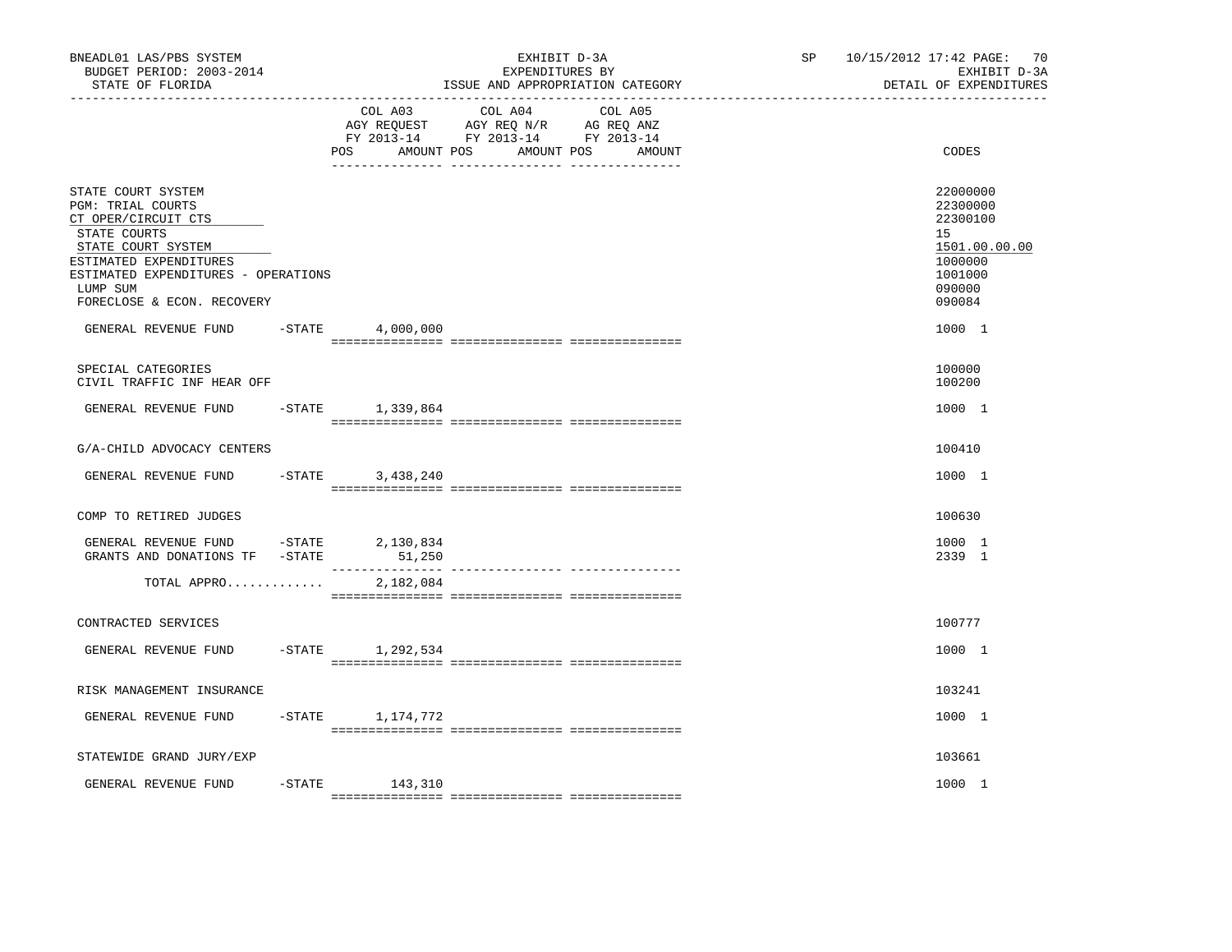| BNEADL01 LAS/PBS SYSTEM<br>BUDGET PERIOD: 2003-2014<br>STATE OF FLORIDA                                                                                                                                                                 |                       |                               | EXHIBIT D-3A<br>EXPENDITURES BY<br>ISSUE AND APPROPRIATION CATEGORY                                                  | SP <sub>2</sub> | 10/15/2012 17:42 PAGE: 70<br>EXHIBIT D-3A<br>DETAIL OF EXPENDITURES                                         |
|-----------------------------------------------------------------------------------------------------------------------------------------------------------------------------------------------------------------------------------------|-----------------------|-------------------------------|----------------------------------------------------------------------------------------------------------------------|-----------------|-------------------------------------------------------------------------------------------------------------|
|                                                                                                                                                                                                                                         |                       | COL A03<br>AMOUNT POS<br>POS. | COL A04<br>COL A05<br>AGY REQUEST AGY REQ N/R AG REQ ANZ<br>FY 2013-14 FY 2013-14 FY 2013-14<br>AMOUNT POS<br>AMOUNT |                 | CODES                                                                                                       |
| STATE COURT SYSTEM<br>PGM: TRIAL COURTS<br>CT OPER/CIRCUIT CTS<br>STATE COURTS<br>STATE COURT SYSTEM<br>ESTIMATED EXPENDITURES<br>ESTIMATED EXPENDITURES - OPERATIONS<br>LUMP SUM<br>FORECLOSE & ECON. RECOVERY<br>GENERAL REVENUE FUND | -STATE                | 4,000,000                     |                                                                                                                      |                 | 22000000<br>22300000<br>22300100<br>15<br>1501.00.00.00<br>1000000<br>1001000<br>090000<br>090084<br>1000 1 |
|                                                                                                                                                                                                                                         |                       |                               |                                                                                                                      |                 |                                                                                                             |
| SPECIAL CATEGORIES<br>CIVIL TRAFFIC INF HEAR OFF                                                                                                                                                                                        |                       |                               |                                                                                                                      |                 | 100000<br>100200                                                                                            |
| GENERAL REVENUE FUND                                                                                                                                                                                                                    |                       | $-$ STATE 1, 339, 864         |                                                                                                                      |                 | 1000 1                                                                                                      |
| G/A-CHILD ADVOCACY CENTERS                                                                                                                                                                                                              |                       |                               |                                                                                                                      |                 | 100410                                                                                                      |
| GENERAL REVENUE FUND                                                                                                                                                                                                                    | $-$ STATE             | 3,438,240                     |                                                                                                                      |                 | 1000 1                                                                                                      |
| COMP TO RETIRED JUDGES                                                                                                                                                                                                                  |                       |                               |                                                                                                                      |                 | 100630                                                                                                      |
| GENERAL REVENUE FUND<br>GRANTS AND DONATIONS TF                                                                                                                                                                                         | $-STATE$<br>$-$ STATE | 2,130,834<br>51,250           |                                                                                                                      |                 | 1000 1<br>2339 1                                                                                            |
| TOTAL APPRO                                                                                                                                                                                                                             |                       | 2,182,084                     |                                                                                                                      |                 |                                                                                                             |
| CONTRACTED SERVICES                                                                                                                                                                                                                     |                       |                               |                                                                                                                      |                 | 100777                                                                                                      |
| GENERAL REVENUE FUND                                                                                                                                                                                                                    |                       | $-$ STATE $1, 292, 534$       |                                                                                                                      |                 | 1000 1                                                                                                      |
| RISK MANAGEMENT INSURANCE                                                                                                                                                                                                               |                       |                               |                                                                                                                      |                 | 103241                                                                                                      |
| GENERAL REVENUE FUND                                                                                                                                                                                                                    |                       | $-$ STATE $1, 174, 772$       |                                                                                                                      |                 | 1000 1                                                                                                      |
| STATEWIDE GRAND JURY/EXP                                                                                                                                                                                                                |                       |                               |                                                                                                                      |                 | 103661                                                                                                      |
| GENERAL REVENUE FUND                                                                                                                                                                                                                    | $-$ STATE             | 143,310                       |                                                                                                                      |                 | 1000 1                                                                                                      |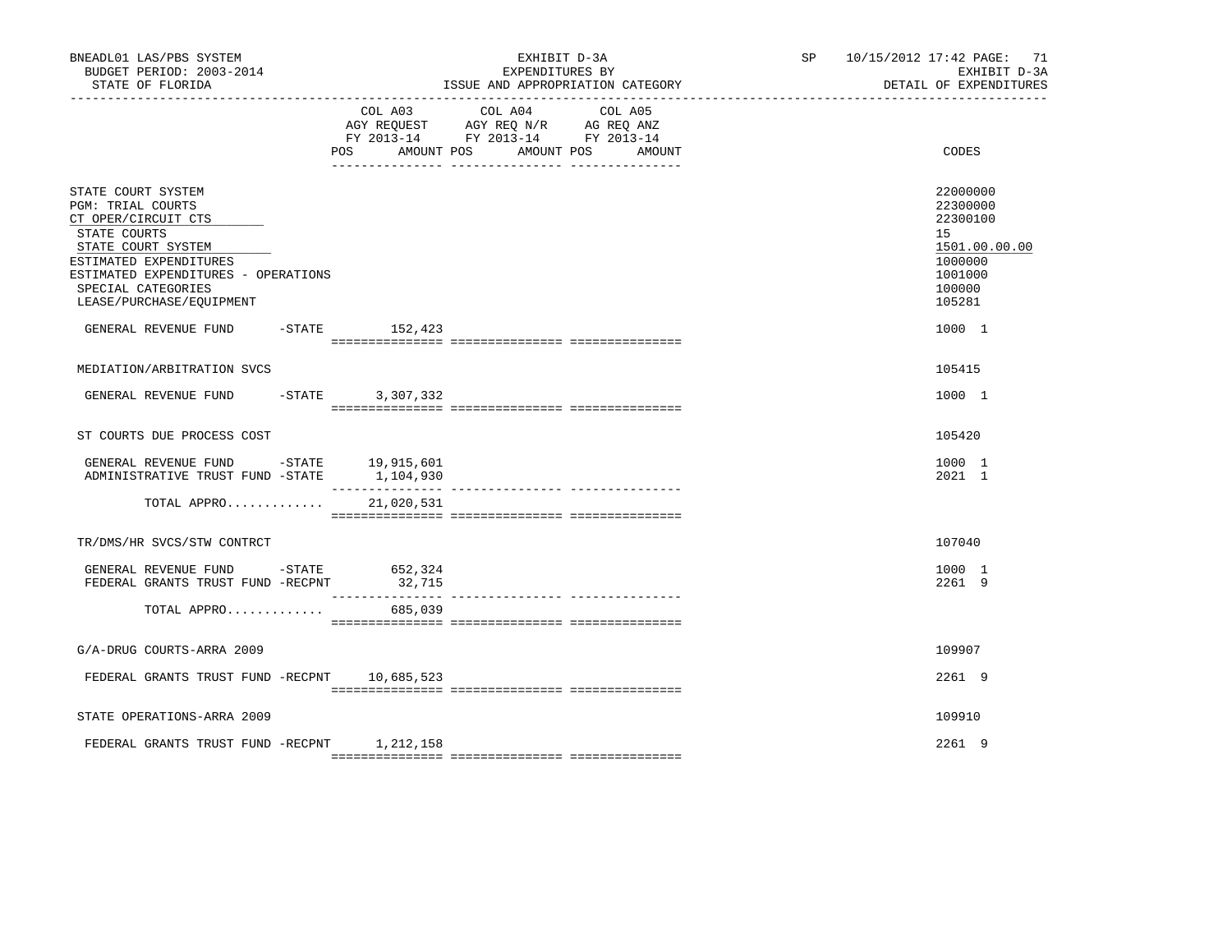| BNEADL01 LAS/PBS SYSTEM<br>BUDGET PERIOD: 2003-2014<br>STATE OF FLORIDA                                                                                                                                                        |           | EXHIBIT D-3A<br>EXPENDITURES BY<br>ISSUE AND APPROPRIATION CATEGORY |                                                                                                                 |        | SP 10/15/2012 17:42 PAGE: 71<br>EXHIBIT D-3A<br>DETAIL OF EXPENDITURES                            |
|--------------------------------------------------------------------------------------------------------------------------------------------------------------------------------------------------------------------------------|-----------|---------------------------------------------------------------------|-----------------------------------------------------------------------------------------------------------------|--------|---------------------------------------------------------------------------------------------------|
|                                                                                                                                                                                                                                | POS       | AMOUNT POS                                                          | COL A03 COL A04 COL A05<br>AGY REQUEST AGY REQ N/R AG REQ ANZ<br>FY 2013-14 FY 2013-14 FY 2013-14<br>AMOUNT POS | AMOUNT | CODES                                                                                             |
| STATE COURT SYSTEM<br><b>PGM: TRIAL COURTS</b><br>CT OPER/CIRCUIT CTS<br>STATE COURTS<br>STATE COURT SYSTEM<br>ESTIMATED EXPENDITURES<br>ESTIMATED EXPENDITURES - OPERATIONS<br>SPECIAL CATEGORIES<br>LEASE/PURCHASE/EQUIPMENT |           |                                                                     |                                                                                                                 |        | 22000000<br>22300000<br>22300100<br>15<br>1501.00.00.00<br>1000000<br>1001000<br>100000<br>105281 |
| GENERAL REVENUE FUND -STATE 152,423                                                                                                                                                                                            |           |                                                                     |                                                                                                                 |        | 1000 1                                                                                            |
| MEDIATION/ARBITRATION SVCS                                                                                                                                                                                                     |           |                                                                     |                                                                                                                 |        | 105415                                                                                            |
| GENERAL REVENUE FUND                                                                                                                                                                                                           | $-$ STATE | 3,307,332                                                           |                                                                                                                 |        | 1000 1                                                                                            |
| ST COURTS DUE PROCESS COST                                                                                                                                                                                                     |           |                                                                     |                                                                                                                 |        | 105420                                                                                            |
| GENERAL REVENUE FUND -STATE 19,915,601<br>ADMINISTRATIVE TRUST FUND -STATE 1,104,930                                                                                                                                           |           |                                                                     |                                                                                                                 |        | 1000 1<br>2021 1                                                                                  |
| TOTAL APPRO                                                                                                                                                                                                                    |           | 21,020,531                                                          |                                                                                                                 |        |                                                                                                   |
| TR/DMS/HR SVCS/STW CONTRCT                                                                                                                                                                                                     |           |                                                                     |                                                                                                                 |        | 107040                                                                                            |
| GENERAL REVENUE FUND -STATE<br>FEDERAL GRANTS TRUST FUND -RECPNT                                                                                                                                                               |           | 652,324<br>32,715                                                   |                                                                                                                 |        | 1000 1<br>2261 9                                                                                  |
| TOTAL APPRO                                                                                                                                                                                                                    |           | 685,039                                                             |                                                                                                                 |        |                                                                                                   |
| G/A-DRUG COURTS-ARRA 2009                                                                                                                                                                                                      |           |                                                                     |                                                                                                                 |        | 109907                                                                                            |
| FEDERAL GRANTS TRUST FUND -RECPNT                                                                                                                                                                                              |           | 10,685,523                                                          |                                                                                                                 |        | 2261 9                                                                                            |
| STATE OPERATIONS-ARRA 2009                                                                                                                                                                                                     |           |                                                                     |                                                                                                                 |        | 109910                                                                                            |
| FEDERAL GRANTS TRUST FUND -RECPNT 1, 212, 158                                                                                                                                                                                  |           |                                                                     |                                                                                                                 |        | 2261 9                                                                                            |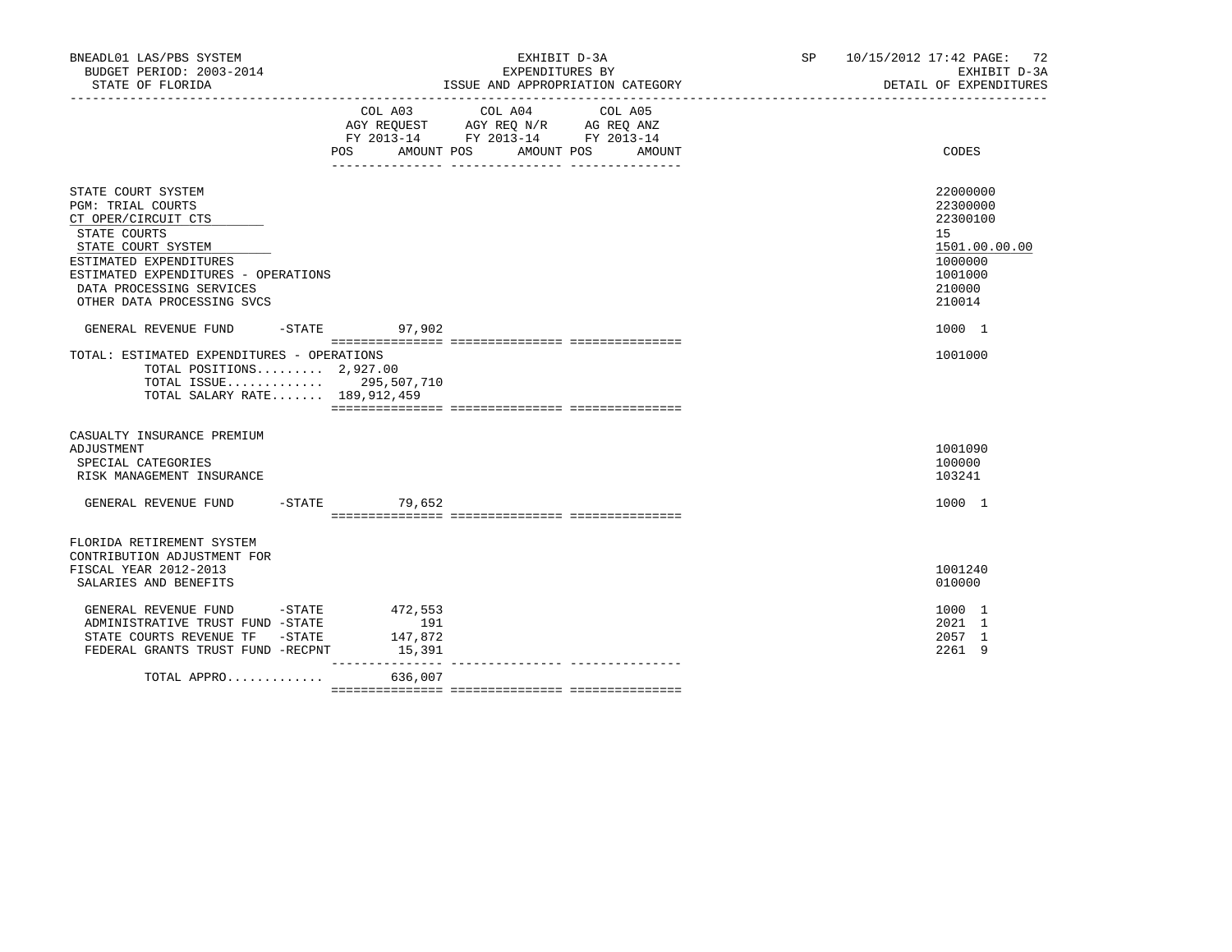| BNEADL01 LAS/PBS SYSTEM<br>BUDGET PERIOD: 2003-2014<br>STATE OF FLORIDA                                                                                                                                                                                 |                          | EXHIBIT D-3A<br>EXPENDITURES BY<br>ISSUE AND APPROPRIATION CATEGORY                                                                      | SP 10/15/2012 17:42 PAGE: 72<br>EXHIBIT D-3A<br>DETAIL OF EXPENDITURES                                      |
|---------------------------------------------------------------------------------------------------------------------------------------------------------------------------------------------------------------------------------------------------------|--------------------------|------------------------------------------------------------------------------------------------------------------------------------------|-------------------------------------------------------------------------------------------------------------|
|                                                                                                                                                                                                                                                         |                          | COL A03 COL A04<br>COL A05<br>AGY REQUEST AGY REQ N/R AG REQ ANZ<br>FY 2013-14 FY 2013-14 FY 2013-14<br>POS AMOUNT POS AMOUNT POS AMOUNT | CODES                                                                                                       |
| STATE COURT SYSTEM<br>PGM: TRIAL COURTS<br>CT OPER/CIRCUIT CTS<br>STATE COURTS<br>STATE COURT SYSTEM<br>ESTIMATED EXPENDITURES<br>ESTIMATED EXPENDITURES - OPERATIONS<br>DATA PROCESSING SERVICES<br>OTHER DATA PROCESSING SVCS<br>GENERAL REVENUE FUND | $-STATE$ 97,902          |                                                                                                                                          | 22000000<br>22300000<br>22300100<br>15<br>1501.00.00.00<br>1000000<br>1001000<br>210000<br>210014<br>1000 1 |
| TOTAL: ESTIMATED EXPENDITURES - OPERATIONS<br>TOTAL POSITIONS 2,927.00<br>TOTAL ISSUE 295,507,710<br>TOTAL SALARY RATE 189,912,459                                                                                                                      |                          |                                                                                                                                          | 1001000                                                                                                     |
| CASUALTY INSURANCE PREMIUM<br>ADJUSTMENT<br>SPECIAL CATEGORIES<br>RISK MANAGEMENT INSURANCE<br>GENERAL REVENUE FUND -STATE 79,652                                                                                                                       |                          |                                                                                                                                          | 1001090<br>100000<br>103241<br>1000 1                                                                       |
| FLORIDA RETIREMENT SYSTEM<br>CONTRIBUTION ADJUSTMENT FOR<br>FISCAL YEAR 2012-2013<br>SALARIES AND BENEFITS                                                                                                                                              |                          |                                                                                                                                          | 1001240<br>010000                                                                                           |
| GENERAL REVENUE FUND -STATE 472,553<br>ADMINISTRATIVE TRUST FUND -STATE<br>STATE COURTS REVENUE TF -STATE<br>FEDERAL GRANTS TRUST FUND -RECPNT                                                                                                          | 191<br>147,872<br>15,391 |                                                                                                                                          | 1000 1<br>2021 1<br>2057 1<br>2261 9                                                                        |
| TOTAL APPRO 636,007                                                                                                                                                                                                                                     | _______________          |                                                                                                                                          |                                                                                                             |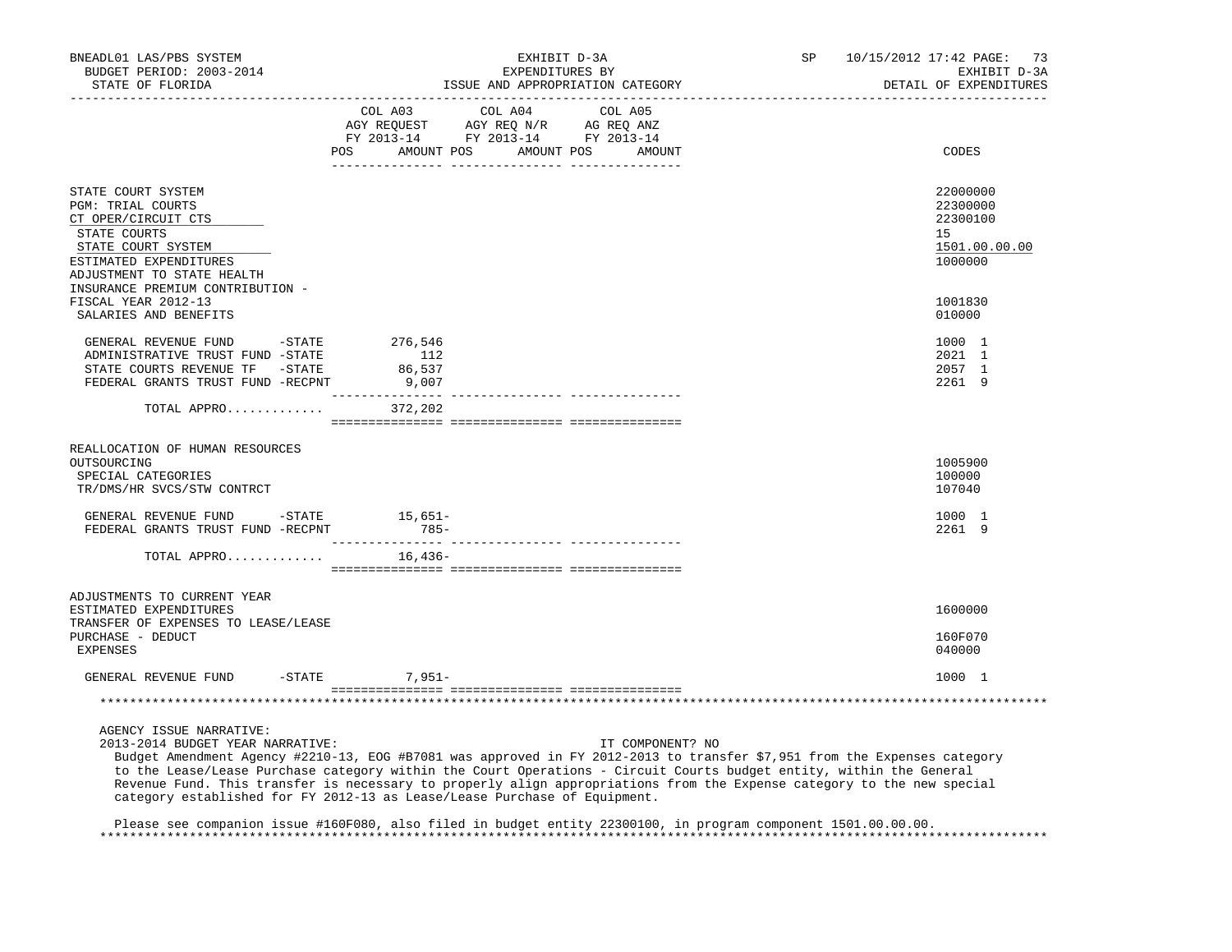| BNEADL01 LAS/PBS SYSTEM<br>BUDGET PERIOD: 2003-2014<br>STATE OF FLORIDA<br>------------------                                                                                                                                                                                                                                                                                                                                                                                                                         |                                   | EXHIBIT D-3A<br>EXPENDITURES BY<br>ISSUE AND APPROPRIATION CATEGORY                                                                      |                  | SP | 10/15/2012 17:42 PAGE: 73<br>EXHIBIT D-3A<br>DETAIL OF EXPENDITURES |
|-----------------------------------------------------------------------------------------------------------------------------------------------------------------------------------------------------------------------------------------------------------------------------------------------------------------------------------------------------------------------------------------------------------------------------------------------------------------------------------------------------------------------|-----------------------------------|------------------------------------------------------------------------------------------------------------------------------------------|------------------|----|---------------------------------------------------------------------|
|                                                                                                                                                                                                                                                                                                                                                                                                                                                                                                                       |                                   | COL A03 COL A04 COL A05<br>CO AGY REQUEST AGY REQ N/R AG REQ ANZ<br>FY 2013-14 FY 2013-14 FY 2013-14<br>POS AMOUNT POS AMOUNT POS AMOUNT |                  |    | CODES                                                               |
| STATE COURT SYSTEM<br><b>PGM: TRIAL COURTS</b><br>CT OPER/CIRCUIT CTS<br>STATE COURTS<br>STATE COURT SYSTEM<br>ESTIMATED EXPENDITURES<br>ADJUSTMENT TO STATE HEALTH                                                                                                                                                                                                                                                                                                                                                   |                                   |                                                                                                                                          |                  |    | 22000000<br>22300000<br>22300100<br>15<br>1501.00.00.00<br>1000000  |
| INSURANCE PREMIUM CONTRIBUTION -<br>FISCAL YEAR 2012-13<br>SALARIES AND BENEFITS                                                                                                                                                                                                                                                                                                                                                                                                                                      |                                   |                                                                                                                                          |                  |    | 1001830<br>010000                                                   |
| GENERAL REVENUE FUND - STATE<br>ADMINISTRATIVE TRUST FUND -STATE<br>STATE COURTS REVENUE TF - STATE<br>FEDERAL GRANTS TRUST FUND -RECPNT                                                                                                                                                                                                                                                                                                                                                                              | 276,546<br>112<br>86,537<br>9,007 |                                                                                                                                          |                  |    | 1000 1<br>2021 1<br>2057 1<br>2261 9                                |
| TOTAL APPRO 372,202                                                                                                                                                                                                                                                                                                                                                                                                                                                                                                   |                                   |                                                                                                                                          |                  |    |                                                                     |
| REALLOCATION OF HUMAN RESOURCES<br>OUTSOURCING<br>SPECIAL CATEGORIES<br>TR/DMS/HR SVCS/STW CONTRCT                                                                                                                                                                                                                                                                                                                                                                                                                    |                                   |                                                                                                                                          |                  |    | 1005900<br>100000<br>107040                                         |
| GENERAL REVENUE FUND -STATE<br>FEDERAL GRANTS TRUST FUND -RECPNT 785-                                                                                                                                                                                                                                                                                                                                                                                                                                                 | 15,651–                           |                                                                                                                                          |                  |    | 1000 1<br>2261 9                                                    |
| TOTAL APPRO $16,436-$                                                                                                                                                                                                                                                                                                                                                                                                                                                                                                 |                                   |                                                                                                                                          |                  |    |                                                                     |
| ADJUSTMENTS TO CURRENT YEAR<br>ESTIMATED EXPENDITURES<br>TRANSFER OF EXPENSES TO LEASE/LEASE<br>PURCHASE - DEDUCT<br>EXPENSES                                                                                                                                                                                                                                                                                                                                                                                         |                                   |                                                                                                                                          |                  |    | 1600000<br>160F070<br>040000                                        |
| GENERAL REVENUE FUND                                                                                                                                                                                                                                                                                                                                                                                                                                                                                                  | $7.951 -$<br>$-$ STATE            |                                                                                                                                          |                  |    | 1000 1                                                              |
|                                                                                                                                                                                                                                                                                                                                                                                                                                                                                                                       |                                   |                                                                                                                                          |                  |    |                                                                     |
| AGENCY ISSUE NARRATIVE:<br>2013-2014 BUDGET YEAR NARRATIVE:<br>Budget Amendment Agency #2210-13, EOG #B7081 was approved in FY 2012-2013 to transfer \$7,951 from the Expenses category<br>to the Lease/Lease Purchase category within the Court Operations - Circuit Courts budget entity, within the General<br>Revenue Fund. This transfer is necessary to properly align appropriations from the Expense category to the new special<br>category established for FY 2012-13 as Lease/Lease Purchase of Equipment. |                                   |                                                                                                                                          | IT COMPONENT? NO |    |                                                                     |

 Please see companion issue #160F080, also filed in budget entity 22300100, in program component 1501.00.00.00. \*\*\*\*\*\*\*\*\*\*\*\*\*\*\*\*\*\*\*\*\*\*\*\*\*\*\*\*\*\*\*\*\*\*\*\*\*\*\*\*\*\*\*\*\*\*\*\*\*\*\*\*\*\*\*\*\*\*\*\*\*\*\*\*\*\*\*\*\*\*\*\*\*\*\*\*\*\*\*\*\*\*\*\*\*\*\*\*\*\*\*\*\*\*\*\*\*\*\*\*\*\*\*\*\*\*\*\*\*\*\*\*\*\*\*\*\*\*\*\*\*\*\*\*\*\*\*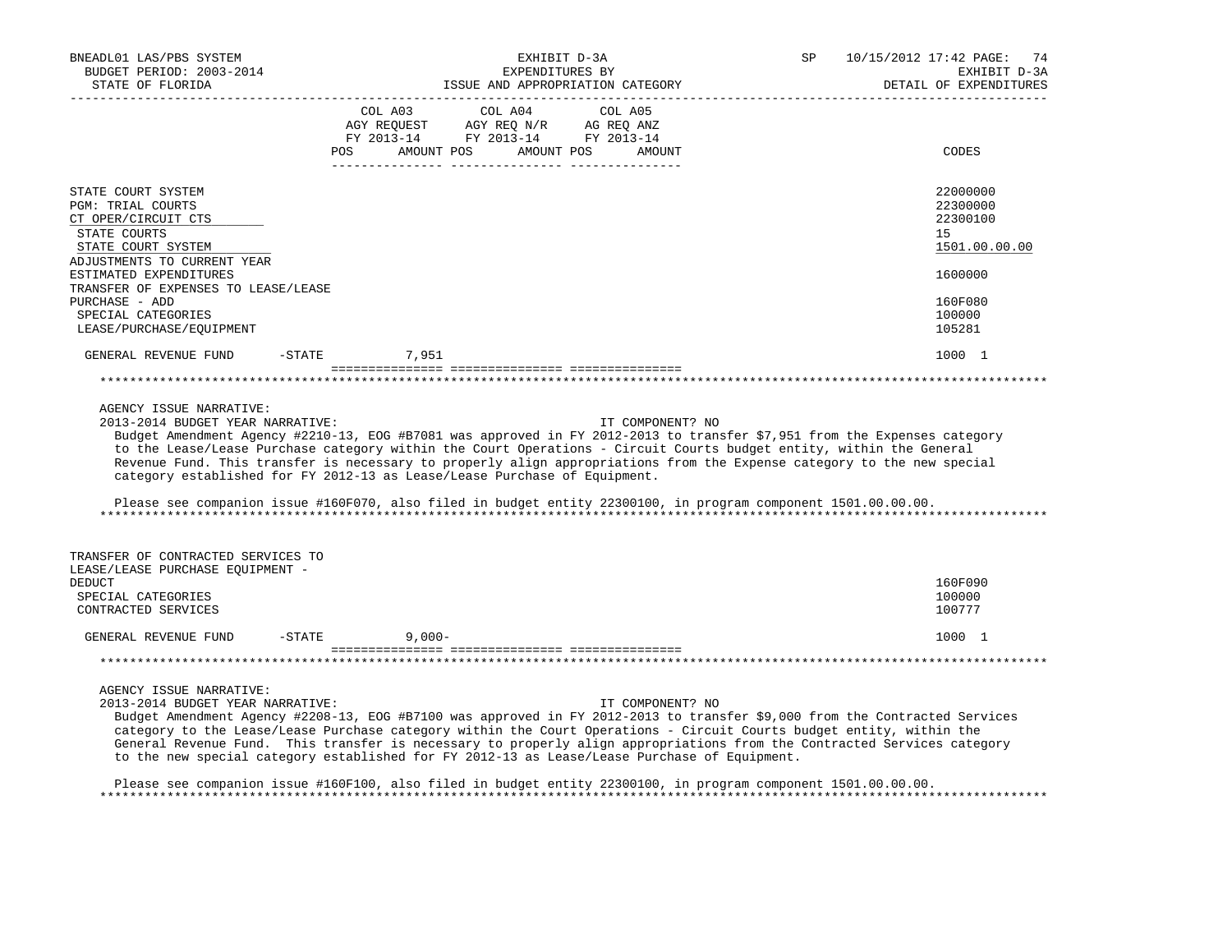| BNEADL01 LAS/PBS SYSTEM<br>BUDGET PERIOD: 2003-2014<br>STATE OF FLORIDA                                                                                                                                                                                                                                                                                                                                                                                                                                                                                                                                                                 |                                     | EXHIBIT D-3A<br>EXPENDITURES BY                                                                                                                                                                                                                                                                                                                                                                                                                             | ISSUE AND APPROPRIATION CATEGORY | SP | 10/15/2012 17:42 PAGE:<br>74<br>EXHIBIT D-3A<br>DETAIL OF EXPENDITURES |
|-----------------------------------------------------------------------------------------------------------------------------------------------------------------------------------------------------------------------------------------------------------------------------------------------------------------------------------------------------------------------------------------------------------------------------------------------------------------------------------------------------------------------------------------------------------------------------------------------------------------------------------------|-------------------------------------|-------------------------------------------------------------------------------------------------------------------------------------------------------------------------------------------------------------------------------------------------------------------------------------------------------------------------------------------------------------------------------------------------------------------------------------------------------------|----------------------------------|----|------------------------------------------------------------------------|
|                                                                                                                                                                                                                                                                                                                                                                                                                                                                                                                                                                                                                                         | COL A03<br>AMOUNT POS<br><b>POS</b> | COL A04<br>$\begin{array}{ccccccccc} \text{CUT} & \text{CUT} & \text{CUT} & \text{CUT} & \text{CUT} & \text{CUT} & \text{CUT} & \text{CUT} & \text{CUT} & \text{CUT} & \text{CUT} & \text{CUT} & \text{CUT} & \text{CUT} & \text{CUT} & \text{CUT} & \text{CUT} & \text{CUT} & \text{CUT} & \text{CUT} & \text{CUT} & \text{CUT} & \text{CUT} & \text{CUT} & \text{CUT} & \text{CUT} & \text{CUT} & \text{CUT} & \text{CUT} & \text{CUT} & \$<br>AMOUNT POS | COL A05<br>AMOUNT                |    | CODES                                                                  |
| STATE COURT SYSTEM<br><b>PGM: TRIAL COURTS</b><br>CT OPER/CIRCUIT CTS<br>STATE COURTS<br>STATE COURT SYSTEM<br>ADJUSTMENTS TO CURRENT YEAR                                                                                                                                                                                                                                                                                                                                                                                                                                                                                              |                                     |                                                                                                                                                                                                                                                                                                                                                                                                                                                             |                                  |    | 22000000<br>22300000<br>22300100<br>15 <sub>1</sub><br>1501.00.00.00   |
| ESTIMATED EXPENDITURES<br>TRANSFER OF EXPENSES TO LEASE/LEASE<br>PURCHASE - ADD<br>SPECIAL CATEGORIES<br>LEASE/PURCHASE/EQUIPMENT                                                                                                                                                                                                                                                                                                                                                                                                                                                                                                       |                                     |                                                                                                                                                                                                                                                                                                                                                                                                                                                             |                                  |    | 1600000<br>160F080<br>100000<br>105281                                 |
| GENERAL REVENUE FUND<br>-STATE                                                                                                                                                                                                                                                                                                                                                                                                                                                                                                                                                                                                          | 7,951                               |                                                                                                                                                                                                                                                                                                                                                                                                                                                             |                                  |    | 1000 1                                                                 |
|                                                                                                                                                                                                                                                                                                                                                                                                                                                                                                                                                                                                                                         |                                     |                                                                                                                                                                                                                                                                                                                                                                                                                                                             |                                  |    |                                                                        |
| AGENCY ISSUE NARRATIVE:<br>2013-2014 BUDGET YEAR NARRATIVE:<br>Budget Amendment Agency #2210-13, EOG #B7081 was approved in FY 2012-2013 to transfer \$7,951 from the Expenses category<br>to the Lease/Lease Purchase category within the Court Operations - Circuit Courts budget entity, within the General<br>Revenue Fund. This transfer is necessary to properly align appropriations from the Expense category to the new special<br>category established for FY 2012-13 as Lease/Lease Purchase of Equipment.<br>Please see companion issue #160F070, also filed in budget entity 22300100, in program component 1501.00.00.00. |                                     |                                                                                                                                                                                                                                                                                                                                                                                                                                                             | IT COMPONENT? NO                 |    |                                                                        |
|                                                                                                                                                                                                                                                                                                                                                                                                                                                                                                                                                                                                                                         |                                     |                                                                                                                                                                                                                                                                                                                                                                                                                                                             |                                  |    |                                                                        |
| TRANSFER OF CONTRACTED SERVICES TO<br>LEASE/LEASE PURCHASE EOUIPMENT -<br><b>DEDUCT</b><br>SPECIAL CATEGORIES<br>CONTRACTED SERVICES                                                                                                                                                                                                                                                                                                                                                                                                                                                                                                    |                                     |                                                                                                                                                                                                                                                                                                                                                                                                                                                             |                                  |    | 160F090<br>100000<br>100777                                            |
| GENERAL REVENUE FUND<br>$-$ STATE                                                                                                                                                                                                                                                                                                                                                                                                                                                                                                                                                                                                       | $9,000-$                            |                                                                                                                                                                                                                                                                                                                                                                                                                                                             |                                  |    | 1000 1                                                                 |
|                                                                                                                                                                                                                                                                                                                                                                                                                                                                                                                                                                                                                                         |                                     |                                                                                                                                                                                                                                                                                                                                                                                                                                                             |                                  |    |                                                                        |
| AGENCY ISSUE NARRATIVE:<br>2013-2014 BUDGET YEAR NARRATIVE:<br>Budget Amendment Agency #2208-13, EOG #B7100 was approved in FY 2012-2013 to transfer \$9,000 from the Contracted Services<br>category to the Lease/Lease Purchase category within the Court Operations - Circuit Courts budget entity, within the<br>General Revenue Fund. This transfer is necessary to properly align appropriations from the Contracted Services category<br>to the new special category established for FY 2012-13 as Lease/Lease Purchase of Equipment.                                                                                            |                                     |                                                                                                                                                                                                                                                                                                                                                                                                                                                             | IT COMPONENT? NO                 |    |                                                                        |

 Please see companion issue #160F100, also filed in budget entity 22300100, in program component 1501.00.00.00. \*\*\*\*\*\*\*\*\*\*\*\*\*\*\*\*\*\*\*\*\*\*\*\*\*\*\*\*\*\*\*\*\*\*\*\*\*\*\*\*\*\*\*\*\*\*\*\*\*\*\*\*\*\*\*\*\*\*\*\*\*\*\*\*\*\*\*\*\*\*\*\*\*\*\*\*\*\*\*\*\*\*\*\*\*\*\*\*\*\*\*\*\*\*\*\*\*\*\*\*\*\*\*\*\*\*\*\*\*\*\*\*\*\*\*\*\*\*\*\*\*\*\*\*\*\*\*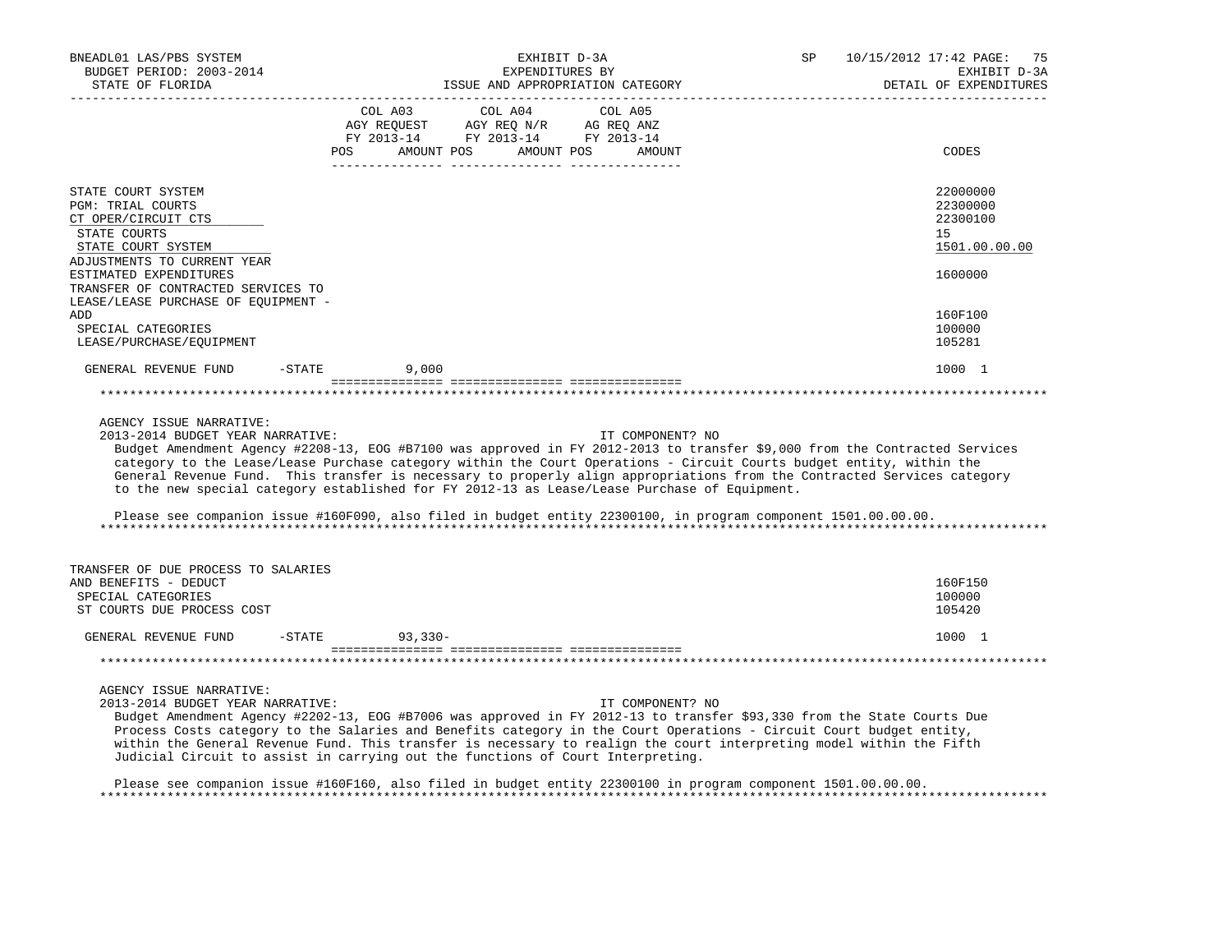| BNEADL01 LAS/PBS SYSTEM<br>BUDGET PERIOD: 2003-2014<br>STATE OF FLORIDA                                                                                              | EXHIBIT D-3A<br>EXPENDITURES BY<br>ISSUE AND APPROPRIATION CATEGORY                                                                                                                                            | 10/15/2012 17:42 PAGE:<br>SP<br>75<br>EXHIBIT D-3A<br>DETAIL OF EXPENDITURES                                                                                                                                                                                                                                                                                                                      |
|----------------------------------------------------------------------------------------------------------------------------------------------------------------------|----------------------------------------------------------------------------------------------------------------------------------------------------------------------------------------------------------------|---------------------------------------------------------------------------------------------------------------------------------------------------------------------------------------------------------------------------------------------------------------------------------------------------------------------------------------------------------------------------------------------------|
|                                                                                                                                                                      | COL A03<br>COL A04<br>COL A05<br>AGY REQ N/R<br>AGY REOUEST<br>AG REO ANZ<br>FY 2013-14 FY 2013-14 FY 2013-14<br><b>POS</b><br>AMOUNT POS<br>AMOUNT POS                                                        | CODES<br>AMOUNT                                                                                                                                                                                                                                                                                                                                                                                   |
| STATE COURT SYSTEM<br><b>PGM: TRIAL COURTS</b><br>CT OPER/CIRCUIT CTS<br>STATE COURTS<br>STATE COURT SYSTEM<br>ADJUSTMENTS TO CURRENT YEAR<br>ESTIMATED EXPENDITURES |                                                                                                                                                                                                                | 22000000<br>22300000<br>22300100<br>15<br>1501.00.00.00<br>1600000                                                                                                                                                                                                                                                                                                                                |
| TRANSFER OF CONTRACTED SERVICES TO<br>LEASE/LEASE PURCHASE OF EQUIPMENT -<br>ADD<br>SPECIAL CATEGORIES<br>LEASE/PURCHASE/EQUIPMENT                                   |                                                                                                                                                                                                                | 160F100<br>100000<br>105281                                                                                                                                                                                                                                                                                                                                                                       |
| $-STATE$<br>GENERAL REVENUE FUND                                                                                                                                     | 9,000                                                                                                                                                                                                          | 1000 1                                                                                                                                                                                                                                                                                                                                                                                            |
|                                                                                                                                                                      |                                                                                                                                                                                                                |                                                                                                                                                                                                                                                                                                                                                                                                   |
| AGENCY ISSUE NARRATIVE:<br>2013-2014 BUDGET YEAR NARRATIVE:                                                                                                          | to the new special category established for FY 2012-13 as Lease/Lease Purchase of Equipment.<br>Please see companion issue #160F090, also filed in budget entity 22300100, in program component 1501.00.00.00. | IT COMPONENT? NO<br>Budget Amendment Agency #2208-13, EOG #B7100 was approved in FY 2012-2013 to transfer \$9,000 from the Contracted Services<br>category to the Lease/Lease Purchase category within the Court Operations - Circuit Courts budget entity, within the<br>General Revenue Fund. This transfer is necessary to properly align appropriations from the Contracted Services category |
| TRANSFER OF DUE PROCESS TO SALARIES<br>AND BENEFITS - DEDUCT<br>SPECIAL CATEGORIES<br>ST COURTS DUE PROCESS COST                                                     |                                                                                                                                                                                                                | 160F150<br>100000<br>105420                                                                                                                                                                                                                                                                                                                                                                       |
| GENERAL REVENUE FUND<br>$-$ STATE                                                                                                                                    | $93,330-$                                                                                                                                                                                                      | 1000 1                                                                                                                                                                                                                                                                                                                                                                                            |
|                                                                                                                                                                      |                                                                                                                                                                                                                |                                                                                                                                                                                                                                                                                                                                                                                                   |
| AGENCY ISSUE NARRATIVE:<br>2013-2014 BUDGET YEAR NARRATIVE:                                                                                                          | Process Costs category to the Salaries and Benefits category in the Court Operations - Circuit Court budget entity,<br>Judicial Circuit to assist in carrying out the functions of Court Interpreting.         | IT COMPONENT? NO<br>Budget Amendment Agency #2202-13, EOG #B7006 was approved in FY 2012-13 to transfer \$93,330 from the State Courts Due<br>within the General Revenue Fund. This transfer is necessary to realign the court interpreting model within the Fifth                                                                                                                                |

 Please see companion issue #160F160, also filed in budget entity 22300100 in program component 1501.00.00.00. \*\*\*\*\*\*\*\*\*\*\*\*\*\*\*\*\*\*\*\*\*\*\*\*\*\*\*\*\*\*\*\*\*\*\*\*\*\*\*\*\*\*\*\*\*\*\*\*\*\*\*\*\*\*\*\*\*\*\*\*\*\*\*\*\*\*\*\*\*\*\*\*\*\*\*\*\*\*\*\*\*\*\*\*\*\*\*\*\*\*\*\*\*\*\*\*\*\*\*\*\*\*\*\*\*\*\*\*\*\*\*\*\*\*\*\*\*\*\*\*\*\*\*\*\*\*\*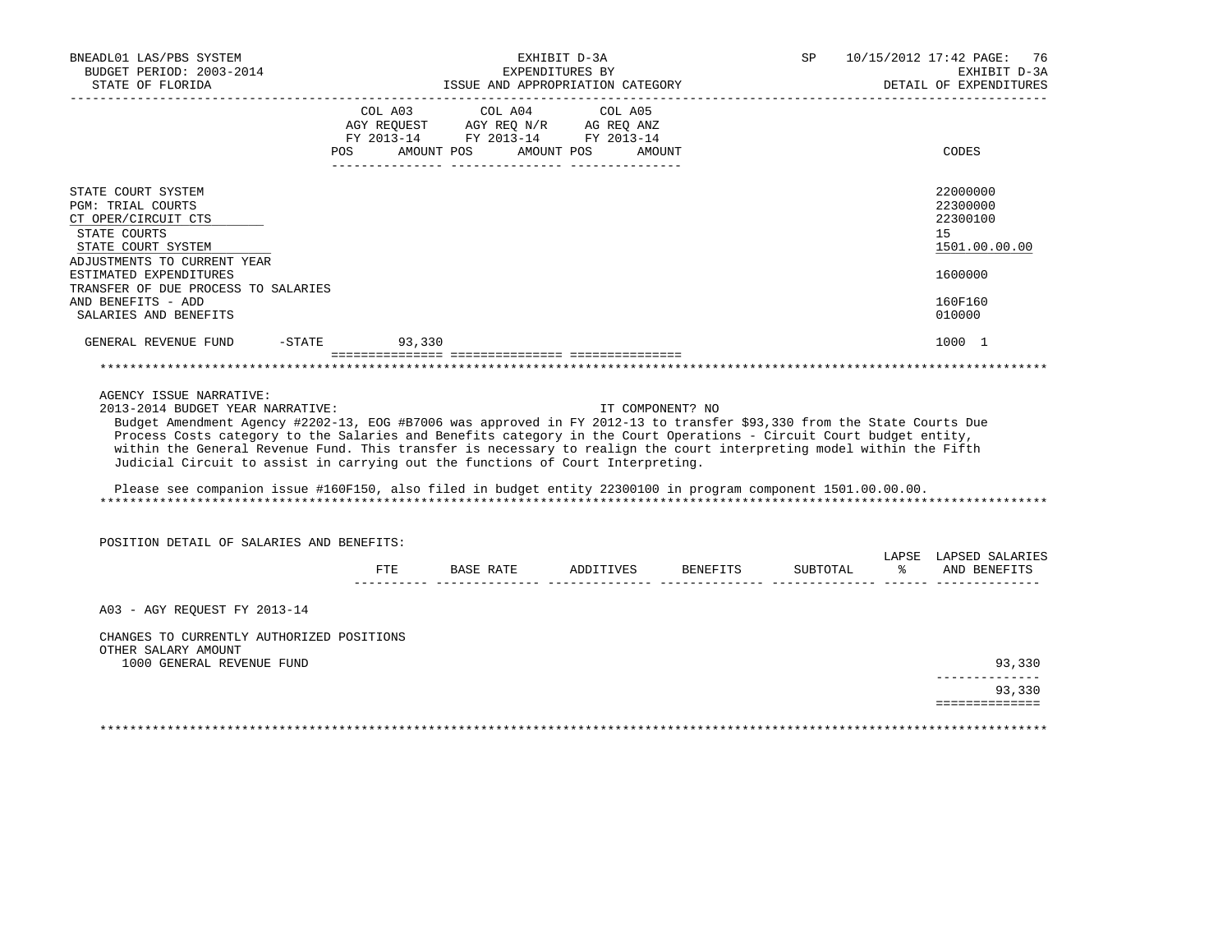| BNEADL01 LAS/PBS SYSTEM<br>BUDGET PERIOD: 2003-2014<br>STATE OF FLORIDA                                                                                                                                                                                                                                                                                                                                                                                                                                                                                                                                                                  |                    | ISSUE AND APPROPRIATION CATEGORY                                                                  | EXHIBIT D-3A<br>EXPENDITURES BY |                  |          | SP 10/15/2012 17:42 PAGE:<br>76<br>EXHIBIT D-3A<br>DETAIL OF EXPENDITURES |
|------------------------------------------------------------------------------------------------------------------------------------------------------------------------------------------------------------------------------------------------------------------------------------------------------------------------------------------------------------------------------------------------------------------------------------------------------------------------------------------------------------------------------------------------------------------------------------------------------------------------------------------|--------------------|---------------------------------------------------------------------------------------------------|---------------------------------|------------------|----------|---------------------------------------------------------------------------|
|                                                                                                                                                                                                                                                                                                                                                                                                                                                                                                                                                                                                                                          | POS AMOUNT POS     | COL A03 COL A04 COL A05<br>AGY REQUEST AGY REQ N/R AG REQ ANZ<br>FY 2013-14 FY 2013-14 FY 2013-14 | AMOUNT POS                      | AMOUNT           |          | CODES                                                                     |
| STATE COURT SYSTEM<br><b>PGM: TRIAL COURTS</b><br>CT OPER/CIRCUIT CTS<br>STATE COURTS<br>STATE COURT SYSTEM<br>ADJUSTMENTS TO CURRENT YEAR<br>ESTIMATED EXPENDITURES<br>TRANSFER OF DUE PROCESS TO SALARIES                                                                                                                                                                                                                                                                                                                                                                                                                              |                    |                                                                                                   |                                 |                  |          | 22000000<br>22300000<br>22300100<br>15<br>1501.00.00.00<br>1600000        |
| AND BENEFITS - ADD<br>SALARIES AND BENEFITS                                                                                                                                                                                                                                                                                                                                                                                                                                                                                                                                                                                              |                    |                                                                                                   |                                 |                  |          | 160F160<br>010000                                                         |
| GENERAL REVENUE FUND                                                                                                                                                                                                                                                                                                                                                                                                                                                                                                                                                                                                                     | $-STATE$<br>93,330 |                                                                                                   |                                 |                  |          | 1000 1                                                                    |
| AGENCY ISSUE NARRATIVE:<br>2013-2014 BUDGET YEAR NARRATIVE:<br>Budget Amendment Agency #2202-13, EOG #B7006 was approved in FY 2012-13 to transfer \$93,330 from the State Courts Due<br>Process Costs category to the Salaries and Benefits category in the Court Operations - Circuit Court budget entity,<br>within the General Revenue Fund. This transfer is necessary to realign the court interpreting model within the Fifth<br>Judicial Circuit to assist in carrying out the functions of Court Interpreting.<br>Please see companion issue #160F150, also filed in budget entity 22300100 in program component 1501.00.00.00. |                    |                                                                                                   |                                 | IT COMPONENT? NO |          |                                                                           |
| POSITION DETAIL OF SALARIES AND BENEFITS:                                                                                                                                                                                                                                                                                                                                                                                                                                                                                                                                                                                                |                    | FTE BASE RATE ADDITIVES BENEFITS                                                                  |                                 |                  | SUBTOTAL | LAPSE LAPSED SALARIES<br>% AND BENEFITS                                   |
|                                                                                                                                                                                                                                                                                                                                                                                                                                                                                                                                                                                                                                          |                    |                                                                                                   |                                 |                  |          |                                                                           |
| A03 - AGY REQUEST FY 2013-14                                                                                                                                                                                                                                                                                                                                                                                                                                                                                                                                                                                                             |                    |                                                                                                   |                                 |                  |          |                                                                           |
| CHANGES TO CURRENTLY AUTHORIZED POSITIONS<br>OTHER SALARY AMOUNT<br>1000 GENERAL REVENUE FUND                                                                                                                                                                                                                                                                                                                                                                                                                                                                                                                                            |                    |                                                                                                   |                                 |                  |          | 93,330                                                                    |
|                                                                                                                                                                                                                                                                                                                                                                                                                                                                                                                                                                                                                                          |                    |                                                                                                   |                                 |                  |          | --------------<br>93,330                                                  |
|                                                                                                                                                                                                                                                                                                                                                                                                                                                                                                                                                                                                                                          |                    |                                                                                                   |                                 |                  |          | ==============                                                            |
|                                                                                                                                                                                                                                                                                                                                                                                                                                                                                                                                                                                                                                          |                    |                                                                                                   |                                 |                  |          |                                                                           |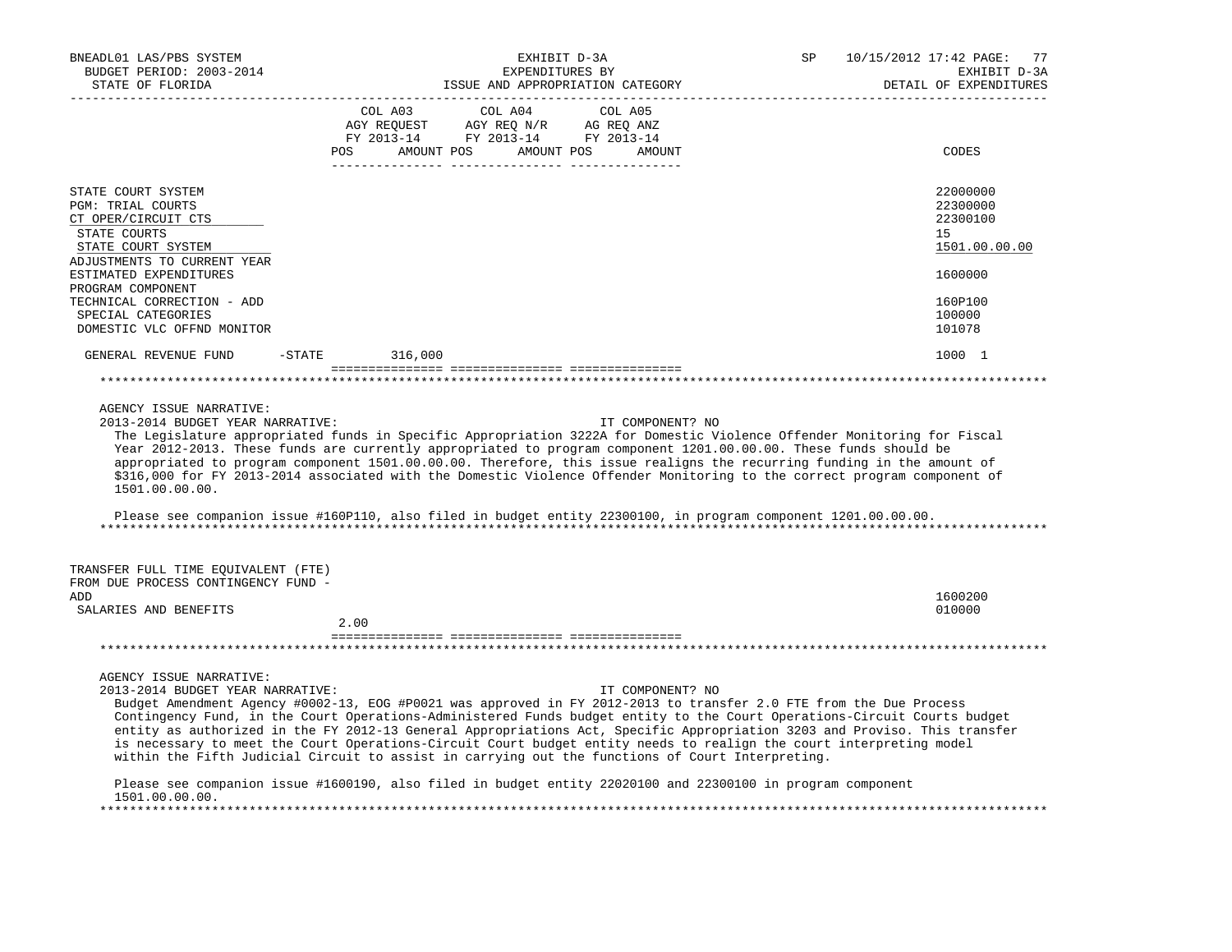| EXHIBIT D-3A<br>EXPENDITURES BY<br>ISSUE AND APPROPRIATION CATEGORY                                                                                                                                                                                                                                                                                                                                                                                                                                                                                                                                                                                                         | SP<br>10/15/2012 17:42 PAGE:<br>77<br>EXHIBIT D-3A<br>DETAIL OF EXPENDITURES                                                                                                                                                                                                                           |
|-----------------------------------------------------------------------------------------------------------------------------------------------------------------------------------------------------------------------------------------------------------------------------------------------------------------------------------------------------------------------------------------------------------------------------------------------------------------------------------------------------------------------------------------------------------------------------------------------------------------------------------------------------------------------------|--------------------------------------------------------------------------------------------------------------------------------------------------------------------------------------------------------------------------------------------------------------------------------------------------------|
| COL A03<br>COL A04<br>COL A05<br>AGY REQUEST<br>AGY REQ N/R<br>AG REO ANZ<br>FY 2013-14 FY 2013-14 FY 2013-14<br>POS<br>AMOUNT POS<br>AMOUNT POS<br>AMOUNT                                                                                                                                                                                                                                                                                                                                                                                                                                                                                                                  | CODES                                                                                                                                                                                                                                                                                                  |
| ADJUSTMENTS TO CURRENT YEAR                                                                                                                                                                                                                                                                                                                                                                                                                                                                                                                                                                                                                                                 | 22000000<br>22300000<br>22300100<br>15<br>1501.00.00.00<br>1600000                                                                                                                                                                                                                                     |
| DOMESTIC VLC OFFND MONITOR                                                                                                                                                                                                                                                                                                                                                                                                                                                                                                                                                                                                                                                  | 160P100<br>100000<br>101078                                                                                                                                                                                                                                                                            |
| $-$ STATE<br>316,000                                                                                                                                                                                                                                                                                                                                                                                                                                                                                                                                                                                                                                                        | 1000 1                                                                                                                                                                                                                                                                                                 |
|                                                                                                                                                                                                                                                                                                                                                                                                                                                                                                                                                                                                                                                                             |                                                                                                                                                                                                                                                                                                        |
| 2013-2014 BUDGET YEAR NARRATIVE:<br>IT COMPONENT? NO<br>The Legislature appropriated funds in Specific Appropriation 3222A for Domestic Violence Offender Monitoring for Fiscal<br>Year 2012-2013. These funds are currently appropriated to program component 1201.00.00.00. These funds should be<br>appropriated to program component 1501.00.00.00. Therefore, this issue realigns the recurring funding in the amount of<br>\$316,000 for FY 2013-2014 associated with the Domestic Violence Offender Monitoring to the correct program component of<br>Please see companion issue #160P110, also filed in budget entity 22300100, in program component 1201.00.00.00. |                                                                                                                                                                                                                                                                                                        |
| TRANSFER FULL TIME EQUIVALENT (FTE)<br>FROM DUE PROCESS CONTINGENCY FUND -                                                                                                                                                                                                                                                                                                                                                                                                                                                                                                                                                                                                  | 1600200<br>010000                                                                                                                                                                                                                                                                                      |
| 2.00                                                                                                                                                                                                                                                                                                                                                                                                                                                                                                                                                                                                                                                                        |                                                                                                                                                                                                                                                                                                        |
|                                                                                                                                                                                                                                                                                                                                                                                                                                                                                                                                                                                                                                                                             |                                                                                                                                                                                                                                                                                                        |
| AGENCY ISSUE NARRATIVE:                                                                                                                                                                                                                                                                                                                                                                                                                                                                                                                                                                                                                                                     |                                                                                                                                                                                                                                                                                                        |
| AGENCY ISSUE NARRATIVE:                                                                                                                                                                                                                                                                                                                                                                                                                                                                                                                                                                                                                                                     | 2013-2014 BUDGET YEAR NARRATIVE:<br>IT COMPONENT? NO<br>Budget Amendment Agency #0002-13, EOG #P0021 was approved in FY 2012-2013 to transfer 2.0 FTE from the Due Process<br>Contingency Fund, in the Court Operations-Administered Funds budget entity to the Court Operations-Circuit Courts budget |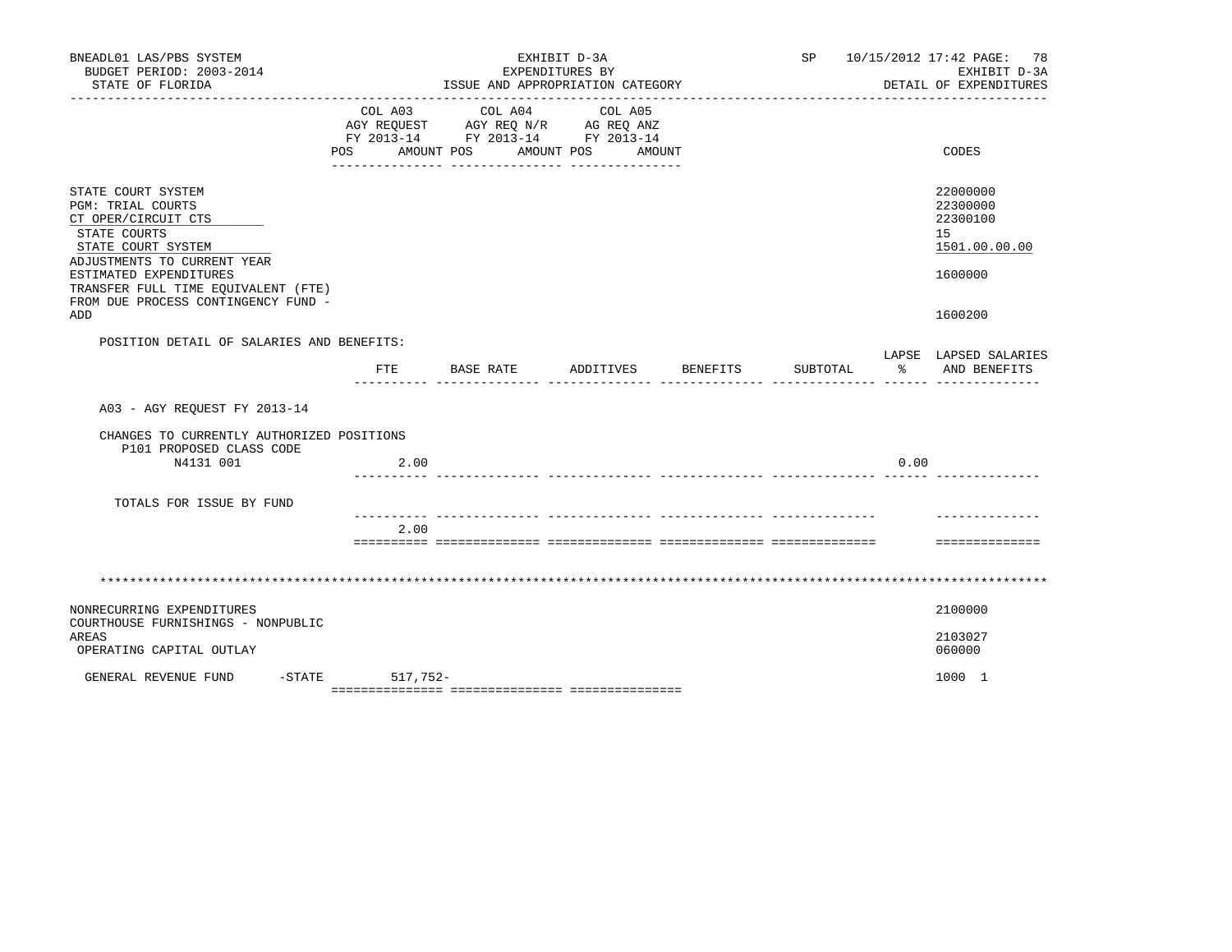| BNEADL01 LAS/PBS SYSTEM<br>BUDGET PERIOD: 2003-2014                                                                                        |                           | EXHIBIT D-3A<br>EXPENDITURES BY                                                   | SP                               | 10/15/2012 17:42 PAGE: 78<br>EXHIBIT D-3A |          |      |                                                         |
|--------------------------------------------------------------------------------------------------------------------------------------------|---------------------------|-----------------------------------------------------------------------------------|----------------------------------|-------------------------------------------|----------|------|---------------------------------------------------------|
| STATE OF FLORIDA                                                                                                                           |                           | ________________________________                                                  | ISSUE AND APPROPRIATION CATEGORY |                                           |          |      | DETAIL OF EXPENDITURES                                  |
|                                                                                                                                            | COL A03<br>POS AMOUNT POS | COL A04<br>AGY REQUEST AGY REQ N/R AG REQ ANZ<br>FY 2013-14 FY 2013-14 FY 2013-14 | COL A05<br>AMOUNT POS<br>AMOUNT  |                                           |          |      | CODES                                                   |
| STATE COURT SYSTEM<br><b>PGM: TRIAL COURTS</b><br>CT OPER/CIRCUIT CTS<br>STATE COURTS<br>STATE COURT SYSTEM<br>ADJUSTMENTS TO CURRENT YEAR |                           |                                                                                   |                                  |                                           |          |      | 22000000<br>22300000<br>22300100<br>15<br>1501.00.00.00 |
| ESTIMATED EXPENDITURES<br>TRANSFER FULL TIME EQUIVALENT (FTE)<br>FROM DUE PROCESS CONTINGENCY FUND -<br>ADD                                |                           |                                                                                   |                                  |                                           |          |      | 1600000<br>1600200                                      |
| POSITION DETAIL OF SALARIES AND BENEFITS:                                                                                                  |                           |                                                                                   |                                  |                                           |          |      |                                                         |
|                                                                                                                                            | FTE                       | BASE RATE                                                                         | ADDITIVES BENEFITS               |                                           | SUBTOTAL |      | LAPSE LAPSED SALARIES<br>AND BENEFITS                   |
| A03 - AGY REOUEST FY 2013-14                                                                                                               |                           |                                                                                   |                                  |                                           |          |      |                                                         |
| CHANGES TO CURRENTLY AUTHORIZED POSITIONS                                                                                                  |                           |                                                                                   |                                  |                                           |          |      |                                                         |
| P101 PROPOSED CLASS CODE<br>N4131 001                                                                                                      | 2.00                      |                                                                                   |                                  |                                           |          | 0.00 |                                                         |
| TOTALS FOR ISSUE BY FUND                                                                                                                   |                           |                                                                                   |                                  |                                           |          |      |                                                         |
|                                                                                                                                            | 2.00                      |                                                                                   |                                  |                                           |          |      |                                                         |
|                                                                                                                                            |                           |                                                                                   |                                  |                                           |          |      | ==============                                          |
|                                                                                                                                            |                           |                                                                                   |                                  |                                           |          |      |                                                         |
| NONRECURRING EXPENDITURES<br>COURTHOUSE FURNISHINGS - NONPUBLIC                                                                            |                           |                                                                                   |                                  |                                           |          |      | 2100000                                                 |
| AREAS<br>OPERATING CAPITAL OUTLAY                                                                                                          |                           |                                                                                   |                                  |                                           |          |      | 2103027                                                 |
|                                                                                                                                            |                           |                                                                                   |                                  |                                           |          |      | 060000                                                  |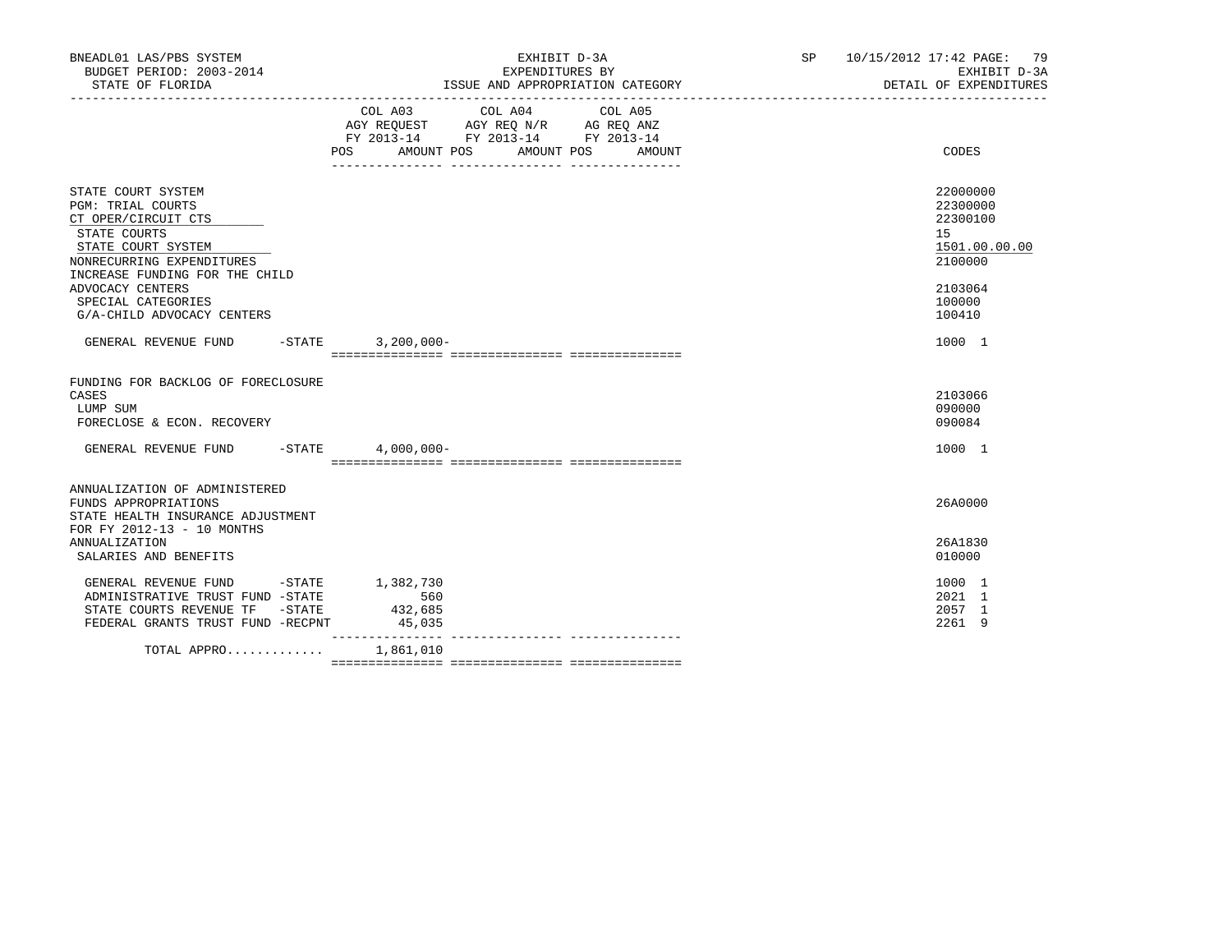| BNEADL01 LAS/PBS SYSTEM<br>BUDGET PERIOD: 2003-2014<br>STATE OF FLORIDA                                                                                                                                                                            |                                       | EXHIBIT D-3A<br>EXPENDITURES BY<br>ISSUE AND APPROPRIATION CATEGORY                                                       | SP 10/15/2012 17:42 PAGE: 79<br>EXHIBIT D-3A<br>DETAIL OF EXPENDITURES                                         |
|----------------------------------------------------------------------------------------------------------------------------------------------------------------------------------------------------------------------------------------------------|---------------------------------------|---------------------------------------------------------------------------------------------------------------------------|----------------------------------------------------------------------------------------------------------------|
|                                                                                                                                                                                                                                                    | AMOUNT POS<br>POS                     | COL A03 COL A04 COL A05<br>AGY REQUEST AGY REQ N/R AG REQ ANZ<br>FY 2013-14 FY 2013-14 FY 2013-14<br>AMOUNT POS<br>AMOUNT | CODES                                                                                                          |
| STATE COURT SYSTEM<br><b>PGM: TRIAL COURTS</b><br>CT OPER/CIRCUIT CTS<br>STATE COURTS<br>STATE COURT SYSTEM<br>NONRECURRING EXPENDITURES<br>INCREASE FUNDING FOR THE CHILD<br>ADVOCACY CENTERS<br>SPECIAL CATEGORIES<br>G/A-CHILD ADVOCACY CENTERS |                                       |                                                                                                                           | 22000000<br>22300000<br>22300100<br>15 <sub>1</sub><br>1501.00.00.00<br>2100000<br>2103064<br>100000<br>100410 |
| GENERAL REVENUE FUND -STATE                                                                                                                                                                                                                        | $3,200,000 -$                         |                                                                                                                           | 1000 1                                                                                                         |
| FUNDING FOR BACKLOG OF FORECLOSURE<br>CASES<br>LUMP SUM<br>FORECLOSE & ECON. RECOVERY                                                                                                                                                              |                                       |                                                                                                                           | 2103066<br>090000<br>090084                                                                                    |
| GENERAL REVENUE FUND -STATE 4,000,000-                                                                                                                                                                                                             |                                       |                                                                                                                           | 1000 1                                                                                                         |
| ANNUALIZATION OF ADMINISTERED<br>FUNDS APPROPRIATIONS<br>STATE HEALTH INSURANCE ADJUSTMENT<br>FOR FY 2012-13 - 10 MONTHS                                                                                                                           |                                       |                                                                                                                           | 26A0000                                                                                                        |
| <b>ANNUALIZATION</b><br>SALARIES AND BENEFITS                                                                                                                                                                                                      |                                       |                                                                                                                           | 26A1830<br>010000                                                                                              |
| GENERAL REVENUE FUND -STATE<br>ADMINISTRATIVE TRUST FUND -STATE<br>STATE COURTS REVENUE TF -STATE<br>FEDERAL GRANTS TRUST FUND -RECPNT                                                                                                             | 1,382,730<br>560<br>432,685<br>45,035 |                                                                                                                           | 1000 1<br>2021 1<br>2057 1<br>2261 9                                                                           |
| TOTAL APPRO                                                                                                                                                                                                                                        | 1,861,010                             |                                                                                                                           |                                                                                                                |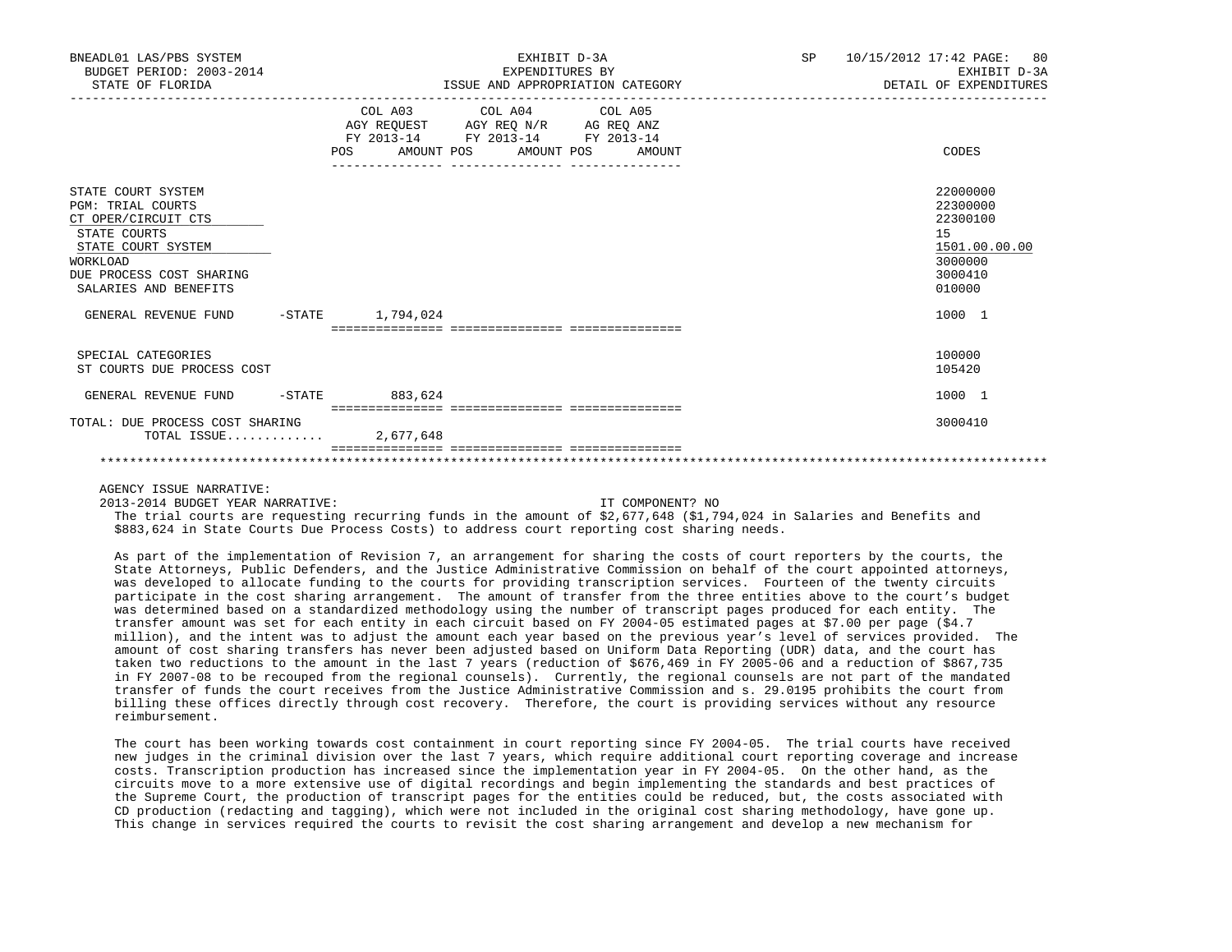| BNEADL01 LAS/PBS SYSTEM<br>BUDGET PERIOD: 2003-2014<br>STATE OF FLORIDA                                                                                                      |                         | EXPENDITURES BY<br>ISSUE AND APPROPRIATION CATEGORY                                                                        | EXHIBIT D-3A | SP <sub>2</sub> |    | 10/15/2012 17:42 PAGE: 80<br>EXHIBIT D-3A<br>DETAIL OF EXPENDITURES               |
|------------------------------------------------------------------------------------------------------------------------------------------------------------------------------|-------------------------|----------------------------------------------------------------------------------------------------------------------------|--------------|-----------------|----|-----------------------------------------------------------------------------------|
|                                                                                                                                                                              | POS                     | COL A03 COL A04 COL A05<br>AGY REQUEST AGY REQ N/R AG REQ ANZ<br>FY 2013-14 FY 2013-14 FY 2013-14<br>AMOUNT POS AMOUNT POS | AMOUNT       |                 |    | CODES                                                                             |
| STATE COURT SYSTEM<br><b>PGM: TRIAL COURTS</b><br>CT OPER/CIRCUIT CTS<br>STATE COURTS<br>STATE COURT SYSTEM<br>WORKLOAD<br>DUE PROCESS COST SHARING<br>SALARIES AND BENEFITS |                         |                                                                                                                            |              |                 | 15 | 22000000<br>22300000<br>22300100<br>1501.00.00.00<br>3000000<br>3000410<br>010000 |
| GENERAL REVENUE FUND                                                                                                                                                         | $-$ STATE $1, 794, 024$ |                                                                                                                            |              |                 |    | 1000 1                                                                            |
| SPECIAL CATEGORIES<br>ST COURTS DUE PROCESS COST                                                                                                                             |                         |                                                                                                                            |              |                 |    | 100000<br>105420                                                                  |
| GENERAL REVENUE FUND                                                                                                                                                         | $-$ STATE 883,624       |                                                                                                                            |              |                 |    | 1000 1                                                                            |
| TOTAL: DUE PROCESS COST SHARING<br>TOTAL ISSUE 2,677,648                                                                                                                     |                         |                                                                                                                            |              |                 |    | 3000410                                                                           |
|                                                                                                                                                                              |                         |                                                                                                                            |              |                 |    |                                                                                   |

2013-2014 BUDGET YEAR NARRATIVE: IT COMPONENT? NO

 The trial courts are requesting recurring funds in the amount of \$2,677,648 (\$1,794,024 in Salaries and Benefits and \$883,624 in State Courts Due Process Costs) to address court reporting cost sharing needs.

 As part of the implementation of Revision 7, an arrangement for sharing the costs of court reporters by the courts, the State Attorneys, Public Defenders, and the Justice Administrative Commission on behalf of the court appointed attorneys, was developed to allocate funding to the courts for providing transcription services. Fourteen of the twenty circuits participate in the cost sharing arrangement. The amount of transfer from the three entities above to the court's budget was determined based on a standardized methodology using the number of transcript pages produced for each entity. The transfer amount was set for each entity in each circuit based on FY 2004-05 estimated pages at \$7.00 per page (\$4.7 million), and the intent was to adjust the amount each year based on the previous year's level of services provided. The amount of cost sharing transfers has never been adjusted based on Uniform Data Reporting (UDR) data, and the court has taken two reductions to the amount in the last 7 years (reduction of \$676,469 in FY 2005-06 and a reduction of \$867,735 in FY 2007-08 to be recouped from the regional counsels). Currently, the regional counsels are not part of the mandated transfer of funds the court receives from the Justice Administrative Commission and s. 29.0195 prohibits the court from billing these offices directly through cost recovery. Therefore, the court is providing services without any resource reimbursement.

 The court has been working towards cost containment in court reporting since FY 2004-05. The trial courts have received new judges in the criminal division over the last 7 years, which require additional court reporting coverage and increase costs. Transcription production has increased since the implementation year in FY 2004-05. On the other hand, as the circuits move to a more extensive use of digital recordings and begin implementing the standards and best practices of the Supreme Court, the production of transcript pages for the entities could be reduced, but, the costs associated with CD production (redacting and tagging), which were not included in the original cost sharing methodology, have gone up. This change in services required the courts to revisit the cost sharing arrangement and develop a new mechanism for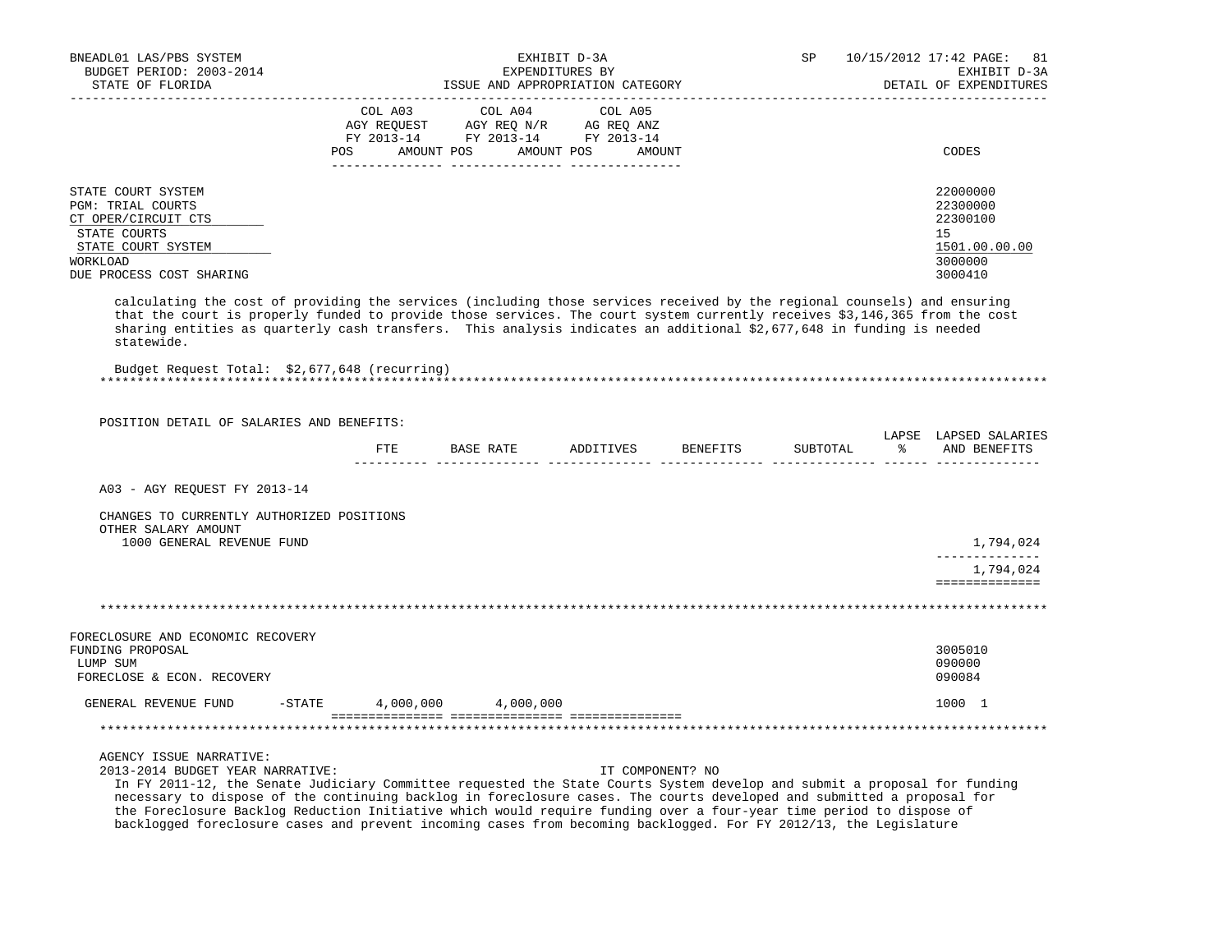| BNEADL01 LAS/PBS SYSTEM<br>BUDGET PERIOD: 2003-2014<br>STATE OF FLORIDA                                                                                                                                                                                                                                                                                                                                                                   |           | ISSUE AND APPROPRIATION CATEGORY                                                                                                                                                                                                             | EXHIBIT D-3A<br>EXPENDITURES BY |                  | SP       |               | 10/15/2012 17:42 PAGE:<br>81<br>EXHIBIT D-3A<br>DETAIL OF EXPENDITURES        |
|-------------------------------------------------------------------------------------------------------------------------------------------------------------------------------------------------------------------------------------------------------------------------------------------------------------------------------------------------------------------------------------------------------------------------------------------|-----------|----------------------------------------------------------------------------------------------------------------------------------------------------------------------------------------------------------------------------------------------|---------------------------------|------------------|----------|---------------|-------------------------------------------------------------------------------|
|                                                                                                                                                                                                                                                                                                                                                                                                                                           | COL A03   | COL A04<br>$\begin{tabular}{lllllll} \bf AGY \,\,\, REQUEST \,\,\, & \bf AG \,\,\, REQ \,\, N/R & \bf AG \,\, REQ \,\, ANZ \\ \bf FY \,\, 2013-14 & \bf FY \,\, 2013-14 & \bf FY \,\, 2013-14 \\ \end{tabular}$<br>POS AMOUNT POS AMOUNT POS | COL A05                         | AMOUNT           |          |               | CODES                                                                         |
| STATE COURT SYSTEM<br><b>PGM: TRIAL COURTS</b><br>CT OPER/CIRCUIT CTS<br>STATE COURTS<br>STATE COURT SYSTEM<br>WORKLOAD<br>DUE PROCESS COST SHARING                                                                                                                                                                                                                                                                                       |           |                                                                                                                                                                                                                                              |                                 |                  |          |               | 22000000<br>22300000<br>22300100<br>15<br>1501.00.00.00<br>3000000<br>3000410 |
| calculating the cost of providing the services (including those services received by the regional counsels) and ensuring<br>that the court is properly funded to provide those services. The court system currently receives \$3,146,365 from the cost<br>sharing entities as quarterly cash transfers. This analysis indicates an additional \$2,677,648 in funding is needed<br>statewide.                                              |           |                                                                                                                                                                                                                                              |                                 |                  |          |               |                                                                               |
| Budget Request Total: \$2,677,648 (recurring)                                                                                                                                                                                                                                                                                                                                                                                             |           |                                                                                                                                                                                                                                              |                                 |                  |          |               |                                                                               |
| POSITION DETAIL OF SALARIES AND BENEFITS:                                                                                                                                                                                                                                                                                                                                                                                                 |           | FTE BASE RATE ADDITIVES BENEFITS                                                                                                                                                                                                             |                                 |                  | SUBTOTAL | 그 아이는 어디에 있다. | LAPSE LAPSED SALARIES<br>AND BENEFITS                                         |
| A03 - AGY REQUEST FY 2013-14                                                                                                                                                                                                                                                                                                                                                                                                              |           |                                                                                                                                                                                                                                              |                                 |                  |          |               |                                                                               |
| CHANGES TO CURRENTLY AUTHORIZED POSITIONS<br>OTHER SALARY AMOUNT<br>1000 GENERAL REVENUE FUND                                                                                                                                                                                                                                                                                                                                             |           |                                                                                                                                                                                                                                              |                                 |                  |          |               | 1,794,024<br>--------------                                                   |
|                                                                                                                                                                                                                                                                                                                                                                                                                                           |           |                                                                                                                                                                                                                                              |                                 |                  |          |               | 1,794,024<br>==============                                                   |
|                                                                                                                                                                                                                                                                                                                                                                                                                                           |           |                                                                                                                                                                                                                                              |                                 |                  |          |               |                                                                               |
| FORECLOSURE AND ECONOMIC RECOVERY<br>FUNDING PROPOSAL<br>LUMP SUM<br>FORECLOSE & ECON. RECOVERY                                                                                                                                                                                                                                                                                                                                           |           |                                                                                                                                                                                                                                              |                                 |                  |          |               | 3005010<br>090000<br>090084                                                   |
| GENERAL REVENUE FUND                                                                                                                                                                                                                                                                                                                                                                                                                      | $-$ STATE | 4,000,000 4,000,000                                                                                                                                                                                                                          |                                 |                  |          |               | 1000 1                                                                        |
|                                                                                                                                                                                                                                                                                                                                                                                                                                           |           |                                                                                                                                                                                                                                              |                                 |                  |          |               |                                                                               |
| AGENCY ISSUE NARRATIVE:<br>2013-2014 BUDGET YEAR NARRATIVE:<br>In FY 2011-12, the Senate Judiciary Committee requested the State Courts System develop and submit a proposal for funding<br>necessary to dispose of the continuing backlog in foreclosure cases. The courts developed and submitted a proposal for<br>the Foreclosure Backlog Reduction Initiative which would require funding over a four-year time period to dispose of |           |                                                                                                                                                                                                                                              |                                 | IT COMPONENT? NO |          |               |                                                                               |

backlogged foreclosure cases and prevent incoming cases from becoming backlogged. For FY 2012/13, the Legislature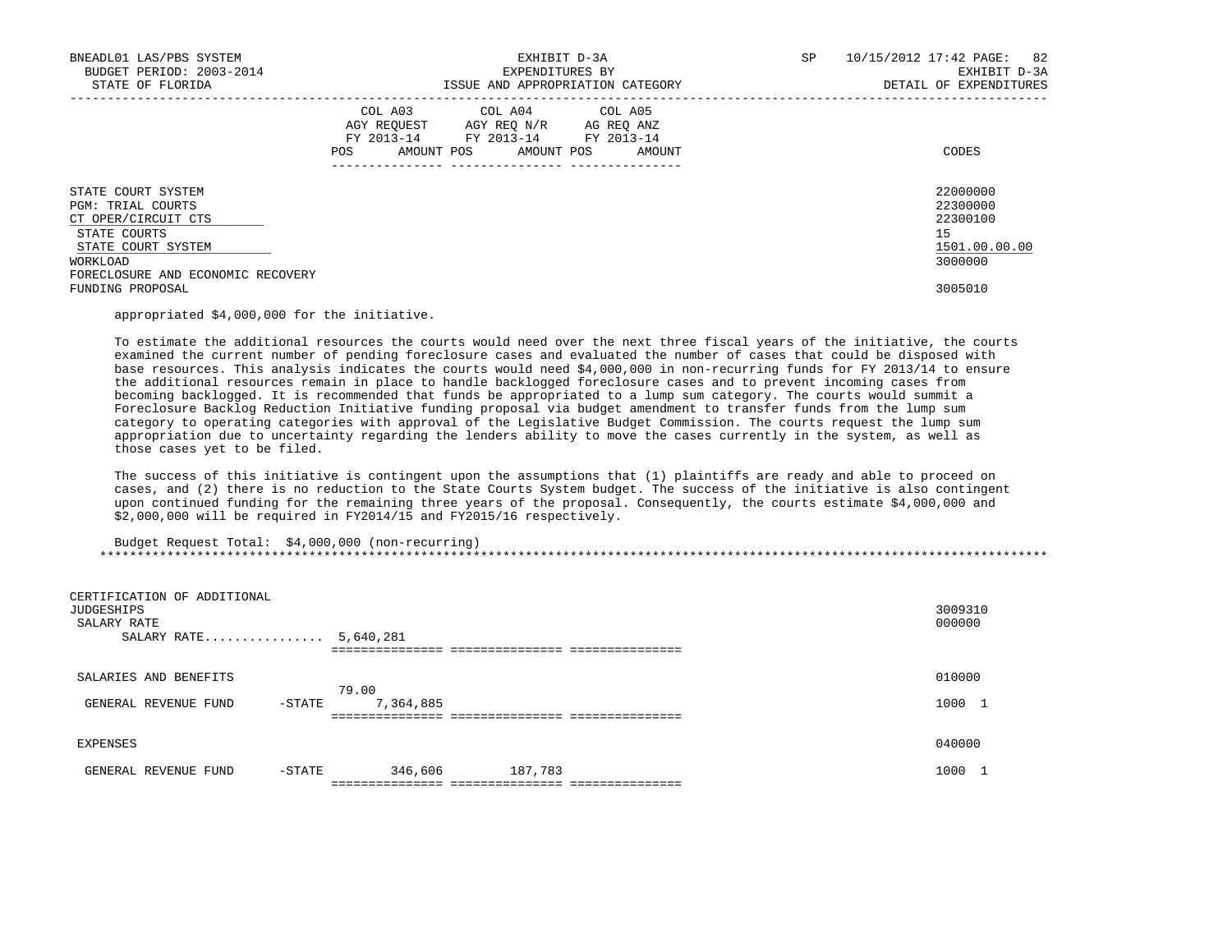| BNEADL01 LAS/PBS SYSTEM<br>BUDGET PERIOD: 2003-2014<br>STATE OF FLORIDA                                          | EXHIBIT D-3A<br>EXPENDITURES BY<br>ISSUE AND APPROPRIATION CATEGORY |                                                                                                                 |        |  | 10/15/2012 17:42 PAGE: 82<br>EXHIBIT D-3A<br>DETAIL OF EXPENDITURES |
|------------------------------------------------------------------------------------------------------------------|---------------------------------------------------------------------|-----------------------------------------------------------------------------------------------------------------|--------|--|---------------------------------------------------------------------|
|                                                                                                                  | AMOUNT POS<br><b>POS</b>                                            | COL A03 COL A04 COL A05<br>AGY REQUEST AGY REQ N/R AG REQ ANZ<br>FY 2013-14 FY 2013-14 FY 2013-14<br>AMOUNT POS | AMOUNT |  | CODES                                                               |
| STATE COURT SYSTEM<br>PGM: TRIAL COURTS<br>CT OPER/CIRCUIT CTS<br>STATE COURTS<br>STATE COURT SYSTEM<br>WORKLOAD |                                                                     |                                                                                                                 |        |  | 22000000<br>22300000<br>22300100<br>15<br>1501.00.00.00<br>3000000  |
| FORECLOSURE AND ECONOMIC RECOVERY<br>FUNDING PROPOSAL                                                            |                                                                     |                                                                                                                 |        |  | 3005010                                                             |

appropriated \$4,000,000 for the initiative.

 To estimate the additional resources the courts would need over the next three fiscal years of the initiative, the courts examined the current number of pending foreclosure cases and evaluated the number of cases that could be disposed with base resources. This analysis indicates the courts would need \$4,000,000 in non-recurring funds for FY 2013/14 to ensure the additional resources remain in place to handle backlogged foreclosure cases and to prevent incoming cases from becoming backlogged. It is recommended that funds be appropriated to a lump sum category. The courts would summit a Foreclosure Backlog Reduction Initiative funding proposal via budget amendment to transfer funds from the lump sum category to operating categories with approval of the Legislative Budget Commission. The courts request the lump sum appropriation due to uncertainty regarding the lenders ability to move the cases currently in the system, as well as those cases yet to be filed.

 The success of this initiative is contingent upon the assumptions that (1) plaintiffs are ready and able to proceed on cases, and (2) there is no reduction to the State Courts System budget. The success of the initiative is also contingent upon continued funding for the remaining three years of the proposal. Consequently, the courts estimate \$4,000,000 and \$2,000,000 will be required in FY2014/15 and FY2015/16 respectively.

 Budget Request Total: \$4,000,000 (non-recurring) \*\*\*\*\*\*\*\*\*\*\*\*\*\*\*\*\*\*\*\*\*\*\*\*\*\*\*\*\*\*\*\*\*\*\*\*\*\*\*\*\*\*\*\*\*\*\*\*\*\*\*\*\*\*\*\*\*\*\*\*\*\*\*\*\*\*\*\*\*\*\*\*\*\*\*\*\*\*\*\*\*\*\*\*\*\*\*\*\*\*\*\*\*\*\*\*\*\*\*\*\*\*\*\*\*\*\*\*\*\*\*\*\*\*\*\*\*\*\*\*\*\*\*\*\*\*\*

| CERTIFICATION OF ADDITIONAL<br>JUDGESHIPS<br>SALARY RATE | SALARY RATE |        | 5,640,281 | ------------ ----------------- |  | 3009310<br>000000       |
|----------------------------------------------------------|-------------|--------|-----------|--------------------------------|--|-------------------------|
| SALARIES AND BENEFITS                                    |             |        | 79.00     |                                |  | 010000                  |
| GENERAL REVENUE FUND                                     |             | -STATE | 7,364,885 |                                |  | 1000<br>- 1             |
|                                                          |             |        |           |                                |  |                         |
| EXPENSES                                                 |             |        |           |                                |  | 040000                  |
| GENERAL REVENUE FUND                                     |             | -STATE | 346,606   | 187,783                        |  | 1000<br><b>Contract</b> |
|                                                          |             |        |           |                                |  |                         |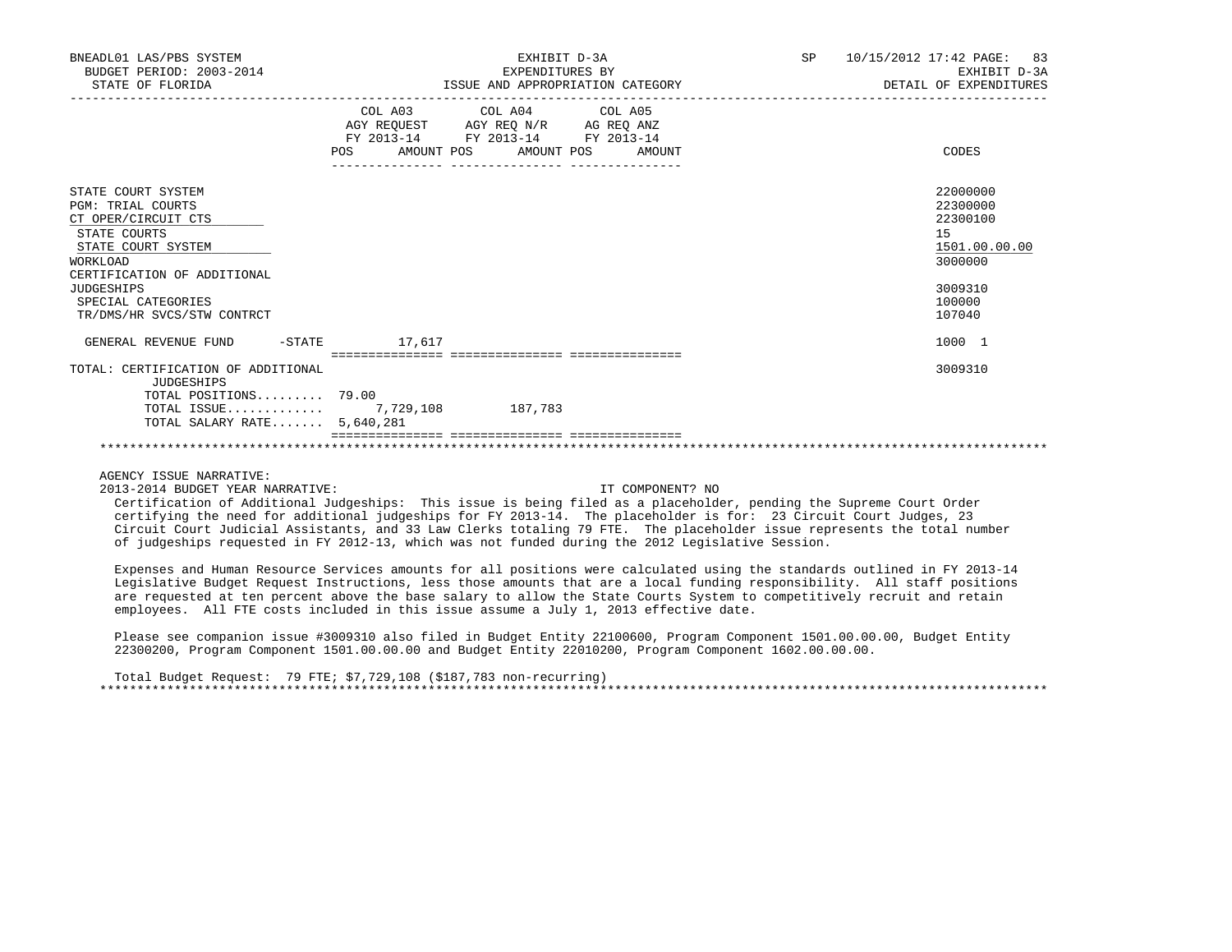| BNEADL01 LAS/PBS SYSTEM<br>BUDGET PERIOD: 2003-2014<br>STATE OF FLORIDA | EXHIBIT D-3A<br>EXPENDITURES BY<br>ISSUE AND APPROPRIATION CATEGORY                                                                                | 10/15/2012 17:42 PAGE: 83<br>SP<br>EXHIBIT D-3A<br>DETAIL OF EXPENDITURES |
|-------------------------------------------------------------------------|----------------------------------------------------------------------------------------------------------------------------------------------------|---------------------------------------------------------------------------|
|                                                                         | COL A03 COL A04 COL A05<br>AGY REQUEST AGY REQ N/R AG REQ ANZ<br>FY 2013-14<br>FY 2013-14 FY 2013-14<br><b>POS</b><br>AMOUNT POS AMOUNT POS AMOUNT | CODES                                                                     |
| STATE COURT SYSTEM<br><b>PGM: TRIAL COURTS</b><br>CT OPER/CIRCUIT CTS   | __________________________________                                                                                                                 | 22000000<br>22300000<br>22300100                                          |
| STATE COURTS<br>STATE COURT SYSTEM                                      |                                                                                                                                                    | 15<br>1501.00.00.00                                                       |
| <b>WORKLOAD</b>                                                         |                                                                                                                                                    | 3000000                                                                   |
| CERTIFICATION OF ADDITIONAL<br><b>JUDGESHIPS</b>                        |                                                                                                                                                    | 3009310                                                                   |
| SPECIAL CATEGORIES                                                      |                                                                                                                                                    | 100000                                                                    |
| TR/DMS/HR SVCS/STW CONTRCT                                              |                                                                                                                                                    | 107040                                                                    |
| $-$ STATE<br>GENERAL REVENUE FUND                                       | 17,617                                                                                                                                             | 1000 1                                                                    |
| TOTAL: CERTIFICATION OF ADDITIONAL                                      |                                                                                                                                                    | 3009310                                                                   |
| <b>JUDGESHIPS</b>                                                       |                                                                                                                                                    |                                                                           |
| TOTAL POSITIONS 79.00                                                   |                                                                                                                                                    |                                                                           |
| TOTAL ISSUE $7,729,108$<br>TOTAL SALARY RATE $5,640,281$                | 187,783                                                                                                                                            |                                                                           |
|                                                                         |                                                                                                                                                    |                                                                           |

2013-2014 BUDGET YEAR NARRATIVE: IT COMPONENT? NO

 Certification of Additional Judgeships: This issue is being filed as a placeholder, pending the Supreme Court Order certifying the need for additional judgeships for FY 2013-14. The placeholder is for: 23 Circuit Court Judges, 23 Circuit Court Judicial Assistants, and 33 Law Clerks totaling 79 FTE. The placeholder issue represents the total number of judgeships requested in FY 2012-13, which was not funded during the 2012 Legislative Session.

 Expenses and Human Resource Services amounts for all positions were calculated using the standards outlined in FY 2013-14 Legislative Budget Request Instructions, less those amounts that are a local funding responsibility. All staff positions are requested at ten percent above the base salary to allow the State Courts System to competitively recruit and retain employees. All FTE costs included in this issue assume a July 1, 2013 effective date.

 Please see companion issue #3009310 also filed in Budget Entity 22100600, Program Component 1501.00.00.00, Budget Entity 22300200, Program Component 1501.00.00.00 and Budget Entity 22010200, Program Component 1602.00.00.00.

 Total Budget Request: 79 FTE; \$7,729,108 (\$187,783 non-recurring) \*\*\*\*\*\*\*\*\*\*\*\*\*\*\*\*\*\*\*\*\*\*\*\*\*\*\*\*\*\*\*\*\*\*\*\*\*\*\*\*\*\*\*\*\*\*\*\*\*\*\*\*\*\*\*\*\*\*\*\*\*\*\*\*\*\*\*\*\*\*\*\*\*\*\*\*\*\*\*\*\*\*\*\*\*\*\*\*\*\*\*\*\*\*\*\*\*\*\*\*\*\*\*\*\*\*\*\*\*\*\*\*\*\*\*\*\*\*\*\*\*\*\*\*\*\*\*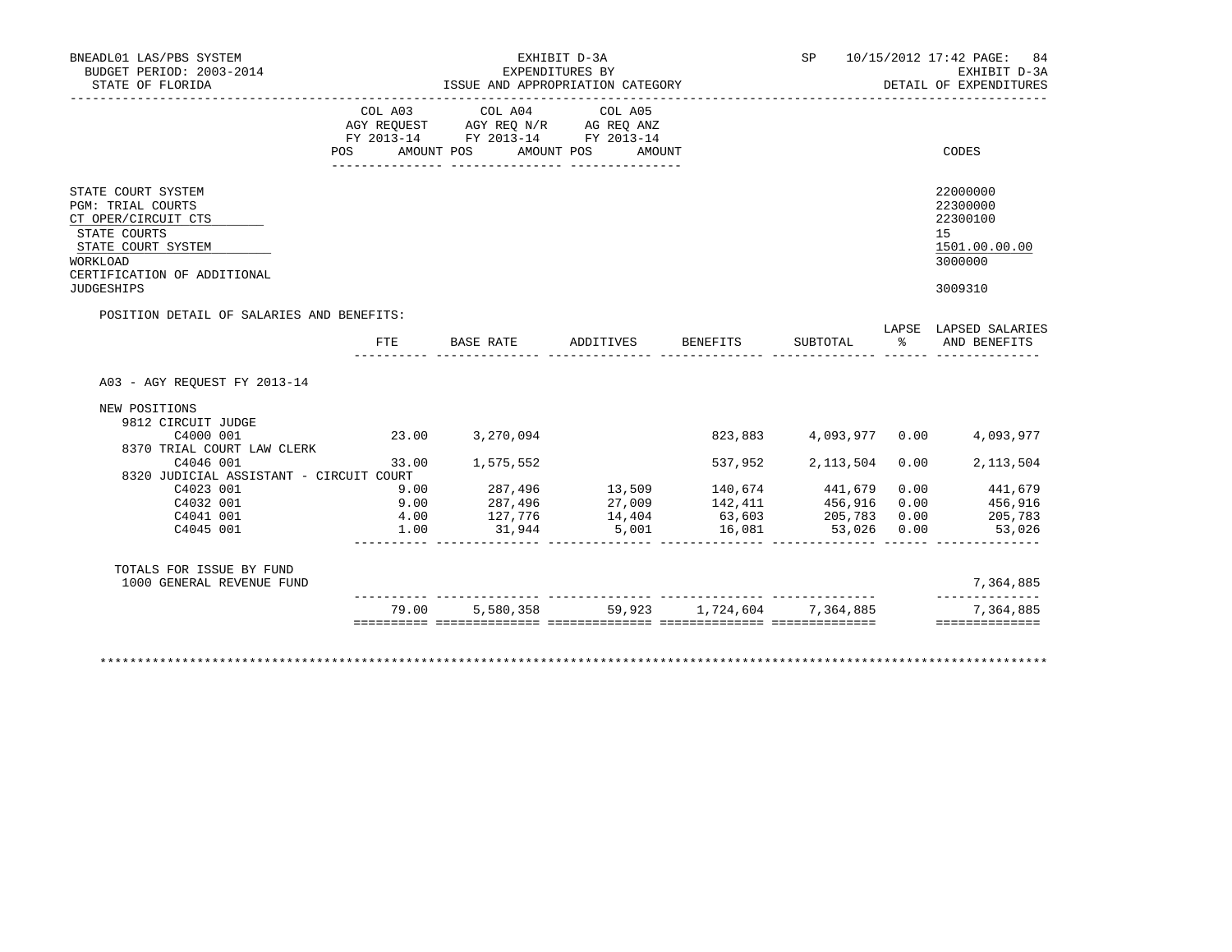| BUDGET PERIOD: 2003-2014<br>STATE OF FLORIDA                                                                                                                                       | ISSUE AND APPROPRIATION CATEGORY |                                                                                                                                                          | SP 10/15/2012 17:42 PAGE: 84<br>EXHIBIT D-3A<br>DETAIL OF EXPENDITURES |                    |                        |          |                                                                               |
|------------------------------------------------------------------------------------------------------------------------------------------------------------------------------------|----------------------------------|----------------------------------------------------------------------------------------------------------------------------------------------------------|------------------------------------------------------------------------|--------------------|------------------------|----------|-------------------------------------------------------------------------------|
| --------------------                                                                                                                                                               | POS                              | COL A03 COL A04 COL A05<br>AGY REQUEST       AGY REQ N/R       AG REQ ANZ<br>FY 2013-14        FY 2013-14      FY 2013-14<br>AMOUNT POS                  | AMOUNT POS<br>AMOUNT                                                   |                    |                        |          | CODES                                                                         |
| STATE COURT SYSTEM<br><b>PGM: TRIAL COURTS</b><br>CT OPER/CIRCUIT CTS<br>STATE COURTS<br>STATE COURT SYSTEM<br><b>WORKLOAD</b><br>CERTIFICATION OF ADDITIONAL<br><b>JUDGESHIPS</b> |                                  |                                                                                                                                                          |                                                                        |                    |                        |          | 22000000<br>22300000<br>22300100<br>15<br>1501.00.00.00<br>3000000<br>3009310 |
| POSITION DETAIL OF SALARIES AND BENEFITS:                                                                                                                                          | FTE                              | <b>BASE RATE</b>                                                                                                                                         |                                                                        | ADDITIVES BENEFITS | SUBTOTAL               | $\sim$ 8 | LAPSE LAPSED SALARIES<br>AND BENEFITS                                         |
| A03 - AGY REOUEST FY 2013-14<br>NEW POSITIONS                                                                                                                                      |                                  |                                                                                                                                                          |                                                                        |                    |                        |          |                                                                               |
| 9812 CIRCUIT JUDGE                                                                                                                                                                 |                                  |                                                                                                                                                          |                                                                        |                    |                        |          |                                                                               |
| C4000 001                                                                                                                                                                          |                                  | 23.00 3,270,094                                                                                                                                          |                                                                        |                    |                        |          | 823,883 4,093,977 0.00 4,093,977                                              |
| 8370 TRIAL COURT LAW CLERK<br>C4046 001<br>8320 JUDICIAL ASSISTANT - CIRCUIT COURT                                                                                                 |                                  | 33.00 1,575,552                                                                                                                                          |                                                                        |                    | 537,952 2,113,504 0.00 |          | 2, 113, 504                                                                   |
| C4023 001<br>C4032 001<br>C4041 001<br>C4045 001                                                                                                                                   | 9.00<br>9.00<br>4.00<br>1.00     | $287,496$ $13,509$ $140,674$ $441,679$ $0.00$<br>$287,496$ $27,009$ $142,411$ $456,916$ $0.00$<br>$127,776$ $14,404$ $63,603$ $205,783$ $0.00$<br>31,944 | 5,001                                                                  | 16,081             | 53,026 0.00            |          | $0.00$ $441,679$<br>$0.00$ $456,916$<br>205,783<br>53,026                     |
| TOTALS FOR ISSUE BY FUND<br>1000 GENERAL REVENUE FUND                                                                                                                              |                                  |                                                                                                                                                          |                                                                        |                    |                        |          | 7,364,885<br>______________                                                   |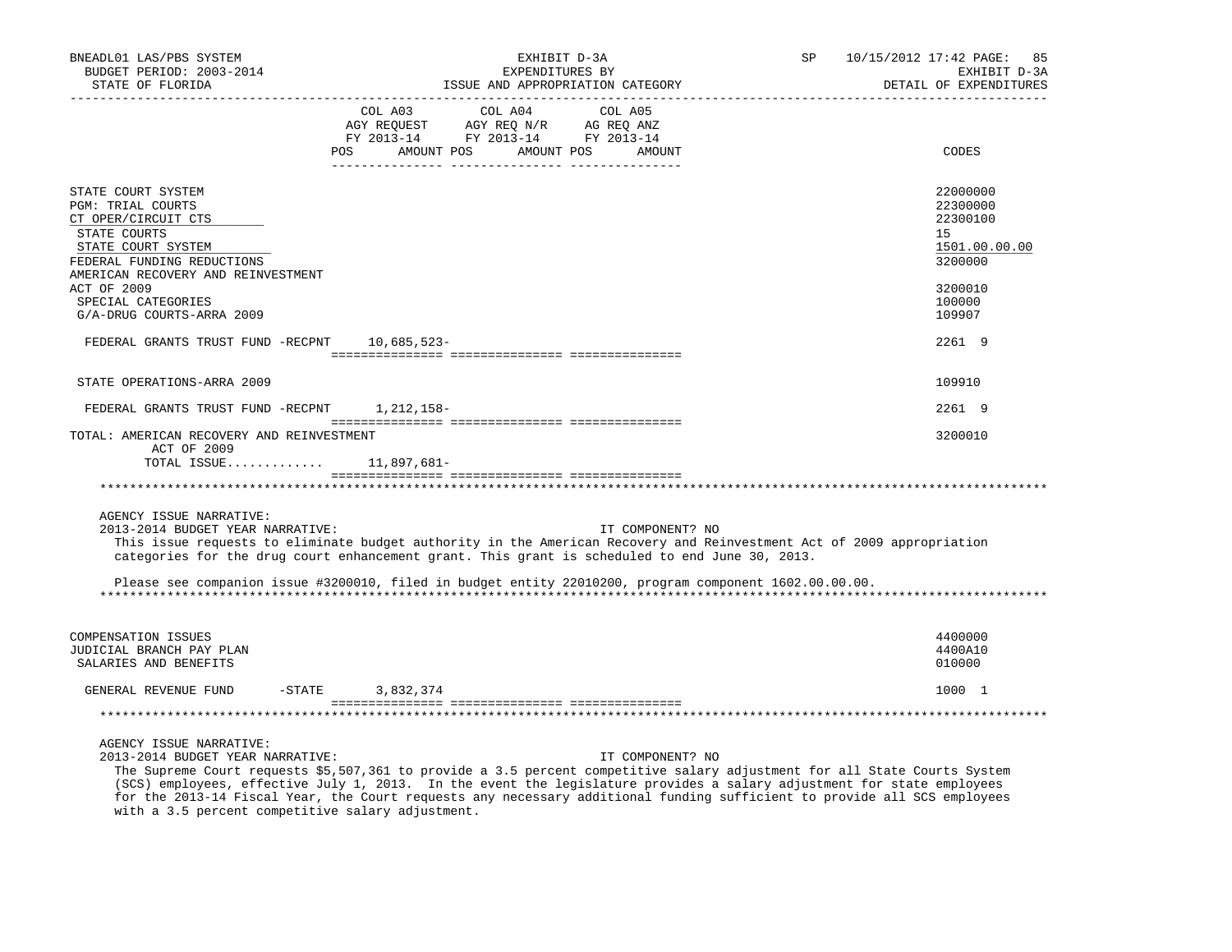| BNEADL01 LAS/PBS SYSTEM<br>BUDGET PERIOD: 2003-2014<br>STATE OF FLORIDA                                                                                                  | EXHIBIT D-3A<br>EXPENDITURES BY<br>ISSUE AND APPROPRIATION CATEGORY                                                                                                                                                                                                                                                                                   | SP 10/15/2012 17:42 PAGE: 85<br>EXHIBIT D-3A<br>DETAIL OF EXPENDITURES |
|--------------------------------------------------------------------------------------------------------------------------------------------------------------------------|-------------------------------------------------------------------------------------------------------------------------------------------------------------------------------------------------------------------------------------------------------------------------------------------------------------------------------------------------------|------------------------------------------------------------------------|
| -----------------                                                                                                                                                        | COL A03 COL A04 COL A05<br>AGY REQUEST AGY REQ N/R AG REQ ANZ<br>FY 2013-14 FY 2013-14 FY 2013-14                                                                                                                                                                                                                                                     |                                                                        |
|                                                                                                                                                                          | AMOUNT POS<br>POS<br>AMOUNT POS AMOUNT                                                                                                                                                                                                                                                                                                                | CODES                                                                  |
| STATE COURT SYSTEM<br>PGM: TRIAL COURTS<br>CT OPER/CIRCUIT CTS<br>STATE COURTS<br>STATE COURT SYSTEM<br>FEDERAL FUNDING REDUCTIONS<br>AMERICAN RECOVERY AND REINVESTMENT |                                                                                                                                                                                                                                                                                                                                                       | 22000000<br>22300000<br>22300100<br>15<br>1501.00.00.00<br>3200000     |
| <b>ACT OF 2009</b><br>SPECIAL CATEGORIES<br>G/A-DRUG COURTS-ARRA 2009                                                                                                    |                                                                                                                                                                                                                                                                                                                                                       | 3200010<br>100000<br>109907                                            |
| FEDERAL GRANTS TRUST FUND -RECPNT 10,685,523-                                                                                                                            |                                                                                                                                                                                                                                                                                                                                                       | 2261 9                                                                 |
| STATE OPERATIONS-ARRA 2009                                                                                                                                               |                                                                                                                                                                                                                                                                                                                                                       | 109910                                                                 |
| FEDERAL GRANTS TRUST FUND -RECPNT 1, 212, 158-                                                                                                                           |                                                                                                                                                                                                                                                                                                                                                       | 2261 9                                                                 |
| TOTAL: AMERICAN RECOVERY AND REINVESTMENT<br>ACT OF 2009<br>TOTAL ISSUE $11,897,681-$                                                                                    |                                                                                                                                                                                                                                                                                                                                                       | 3200010                                                                |
|                                                                                                                                                                          |                                                                                                                                                                                                                                                                                                                                                       |                                                                        |
| AGENCY ISSUE NARRATIVE:<br>2013-2014 BUDGET YEAR NARRATIVE:                                                                                                              | IT COMPONENT? NO<br>This issue requests to eliminate budget authority in the American Recovery and Reinvestment Act of 2009 appropriation<br>categories for the drug court enhancement grant. This grant is scheduled to end June 30, 2013.<br>Please see companion issue #3200010, filed in budget entity 22010200, program component 1602.00.00.00. |                                                                        |
| <b>COMPENSATION ISSUES</b><br>JUDICIAL BRANCH PAY PLAN<br>SALARIES AND BENEFITS                                                                                          |                                                                                                                                                                                                                                                                                                                                                       | 4400000<br>4400A10<br>010000                                           |
| GENERAL REVENUE FUND                                                                                                                                                     | $-$ STATE<br>3,832,374                                                                                                                                                                                                                                                                                                                                | 1000 1                                                                 |
|                                                                                                                                                                          |                                                                                                                                                                                                                                                                                                                                                       |                                                                        |
| AGENCY ISSUE NARRATIVE:<br>2013-2014 BUDGET YEAR NARRATIVE:                                                                                                              | IT COMPONENT? NO<br>The Supreme Court requests \$5,507,361 to provide a 3.5 percent competitive salary adjustment for all State Courts System<br>(SCS) employees, effective July 1, 2013. In the event the legislature provides a salary adjustment for state employees                                                                               |                                                                        |

 (SCS) employees, effective July 1, 2013. In the event the legislature provides a salary adjustment for state employees for the 2013-14 Fiscal Year, the Court requests any necessary additional funding sufficient to provide all SCS employees with a 3.5 percent competitive salary adjustment.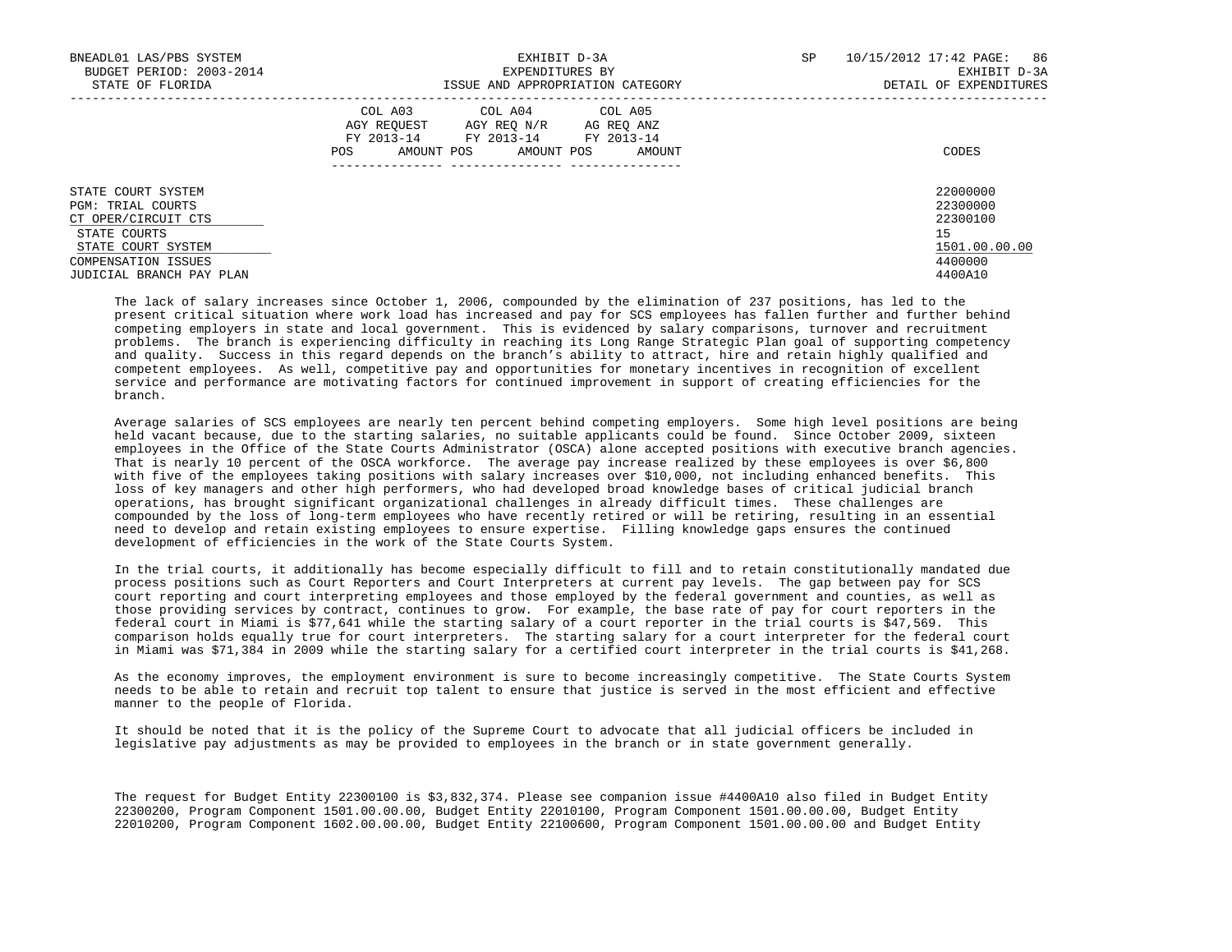| BNEADL01 LAS/PBS SYSTEM<br>BUDGET PERIOD: 2003-2014<br>STATE OF FLORIDA                                                                                        | EXHIBIT D-3A<br>EXPENDITURES BY<br>ISSUE AND APPROPRIATION CATEGORY                                                                                  | SP<br>10/15/2012 17:42 PAGE: 86<br>EXHIBIT D-3A<br>DETAIL OF EXPENDITURES     |
|----------------------------------------------------------------------------------------------------------------------------------------------------------------|------------------------------------------------------------------------------------------------------------------------------------------------------|-------------------------------------------------------------------------------|
|                                                                                                                                                                | COL A03 COL A04 COL A05<br>AGY REOUEST<br>AGY REO N/R<br>AG REO ANZ<br>FY 2013-14 FY 2013-14 FY 2013-14<br>AMOUNT POS<br>AMOUNT POS<br>AMOUNT<br>POS | CODES                                                                         |
| STATE COURT SYSTEM<br><b>PGM: TRIAL COURTS</b><br>CT OPER/CIRCUIT CTS<br>STATE COURTS<br>STATE COURT SYSTEM<br>COMPENSATION ISSUES<br>JUDICIAL BRANCH PAY PLAN |                                                                                                                                                      | 22000000<br>22300000<br>22300100<br>15<br>1501.00.00.00<br>4400000<br>4400A10 |

 The lack of salary increases since October 1, 2006, compounded by the elimination of 237 positions, has led to the present critical situation where work load has increased and pay for SCS employees has fallen further and further behind competing employers in state and local government. This is evidenced by salary comparisons, turnover and recruitment problems. The branch is experiencing difficulty in reaching its Long Range Strategic Plan goal of supporting competency and quality. Success in this regard depends on the branch's ability to attract, hire and retain highly qualified and competent employees. As well, competitive pay and opportunities for monetary incentives in recognition of excellent service and performance are motivating factors for continued improvement in support of creating efficiencies for the branch.

 Average salaries of SCS employees are nearly ten percent behind competing employers. Some high level positions are being held vacant because, due to the starting salaries, no suitable applicants could be found. Since October 2009, sixteen employees in the Office of the State Courts Administrator (OSCA) alone accepted positions with executive branch agencies. That is nearly 10 percent of the OSCA workforce. The average pay increase realized by these employees is over \$6,800 with five of the employees taking positions with salary increases over \$10,000, not including enhanced benefits. This loss of key managers and other high performers, who had developed broad knowledge bases of critical judicial branch operations, has brought significant organizational challenges in already difficult times. These challenges are compounded by the loss of long-term employees who have recently retired or will be retiring, resulting in an essential need to develop and retain existing employees to ensure expertise. Filling knowledge gaps ensures the continued development of efficiencies in the work of the State Courts System.

 In the trial courts, it additionally has become especially difficult to fill and to retain constitutionally mandated due process positions such as Court Reporters and Court Interpreters at current pay levels. The gap between pay for SCS court reporting and court interpreting employees and those employed by the federal government and counties, as well as those providing services by contract, continues to grow. For example, the base rate of pay for court reporters in the federal court in Miami is \$77,641 while the starting salary of a court reporter in the trial courts is \$47,569. This comparison holds equally true for court interpreters. The starting salary for a court interpreter for the federal court in Miami was \$71,384 in 2009 while the starting salary for a certified court interpreter in the trial courts is \$41,268.

 As the economy improves, the employment environment is sure to become increasingly competitive. The State Courts System needs to be able to retain and recruit top talent to ensure that justice is served in the most efficient and effective manner to the people of Florida.

 It should be noted that it is the policy of the Supreme Court to advocate that all judicial officers be included in legislative pay adjustments as may be provided to employees in the branch or in state government generally.

 The request for Budget Entity 22300100 is \$3,832,374. Please see companion issue #4400A10 also filed in Budget Entity 22300200, Program Component 1501.00.00.00, Budget Entity 22010100, Program Component 1501.00.00.00, Budget Entity 22010200, Program Component 1602.00.00.00, Budget Entity 22100600, Program Component 1501.00.00.00 and Budget Entity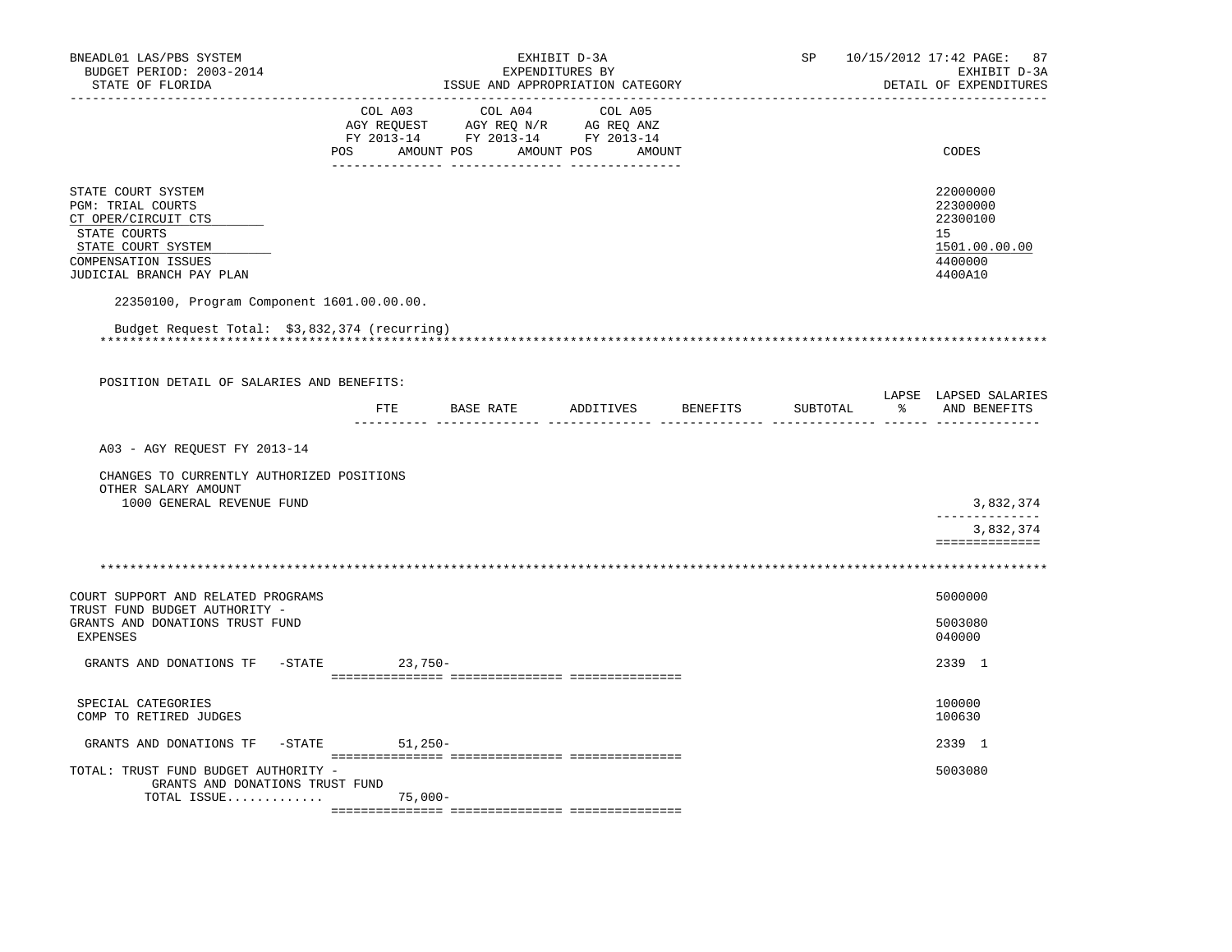| BNEADL01 LAS/PBS SYSTEM<br>BUDGET PERIOD: 2003-2014<br>STATE OF FLORIDA                                                                                        | EXHIBIT D-3A<br>EXPENDITURES BY<br>ISSUE AND APPROPRIATION CATEGORY |                                                                                                                   |                    |  |          | 10/15/2012 17:42 PAGE: 87<br>EXHIBIT D-3A<br>DETAIL OF EXPENDITURES |                                                                               |
|----------------------------------------------------------------------------------------------------------------------------------------------------------------|---------------------------------------------------------------------|-------------------------------------------------------------------------------------------------------------------|--------------------|--|----------|---------------------------------------------------------------------|-------------------------------------------------------------------------------|
|                                                                                                                                                                | COL A03<br>POS                                                      | COL A04<br>AGY REQUEST AGY REQ N/R AG REQ ANZ<br>FY 2013-14 FY 2013-14 FY 2013-14<br>AMOUNT POS AMOUNT POS AMOUNT | COL A05            |  |          |                                                                     | CODES                                                                         |
| STATE COURT SYSTEM<br><b>PGM: TRIAL COURTS</b><br>CT OPER/CIRCUIT CTS<br>STATE COURTS<br>STATE COURT SYSTEM<br>COMPENSATION ISSUES<br>JUDICIAL BRANCH PAY PLAN |                                                                     |                                                                                                                   |                    |  |          |                                                                     | 22000000<br>22300000<br>22300100<br>15<br>1501.00.00.00<br>4400000<br>4400A10 |
| 22350100, Program Component 1601.00.00.00.                                                                                                                     |                                                                     |                                                                                                                   |                    |  |          |                                                                     |                                                                               |
| Budget Request Total: \$3,832,374 (recurring)                                                                                                                  |                                                                     |                                                                                                                   |                    |  |          |                                                                     |                                                                               |
| POSITION DETAIL OF SALARIES AND BENEFITS:                                                                                                                      |                                                                     |                                                                                                                   |                    |  |          |                                                                     |                                                                               |
|                                                                                                                                                                | ETE                                                                 | BASE RATE                                                                                                         | ADDITIVES BENEFITS |  | SUBTOTAL |                                                                     | LAPSE LAPSED SALARIES<br>% AND BENEFITS                                       |
| A03 - AGY REQUEST FY 2013-14                                                                                                                                   |                                                                     |                                                                                                                   |                    |  |          |                                                                     |                                                                               |
| CHANGES TO CURRENTLY AUTHORIZED POSITIONS<br>OTHER SALARY AMOUNT<br>1000 GENERAL REVENUE FUND                                                                  |                                                                     |                                                                                                                   |                    |  |          |                                                                     | 3,832,374                                                                     |
|                                                                                                                                                                |                                                                     |                                                                                                                   |                    |  |          |                                                                     | --------------<br>3,832,374<br>==============                                 |
|                                                                                                                                                                |                                                                     |                                                                                                                   |                    |  |          |                                                                     |                                                                               |
| COURT SUPPORT AND RELATED PROGRAMS                                                                                                                             |                                                                     |                                                                                                                   |                    |  |          |                                                                     | 5000000                                                                       |
| TRUST FUND BUDGET AUTHORITY -<br>GRANTS AND DONATIONS TRUST FUND<br><b>EXPENSES</b>                                                                            |                                                                     |                                                                                                                   |                    |  |          |                                                                     | 5003080<br>040000                                                             |
| GRANTS AND DONATIONS TF -STATE                                                                                                                                 |                                                                     | $23,750-$                                                                                                         |                    |  |          |                                                                     | 2339 1                                                                        |
| SPECIAL CATEGORIES<br>COMP TO RETIRED JUDGES                                                                                                                   |                                                                     |                                                                                                                   |                    |  |          |                                                                     | 100000<br>100630                                                              |
| GRANTS AND DONATIONS TF                                                                                                                                        | -STATE 51,250-                                                      |                                                                                                                   |                    |  |          |                                                                     | 2339 1                                                                        |
| TOTAL: TRUST FUND BUDGET AUTHORITY -<br>GRANTS AND DONATIONS TRUST FUND<br>TOTAL ISSUE                                                                         |                                                                     | 75,000-                                                                                                           |                    |  |          |                                                                     | 5003080                                                                       |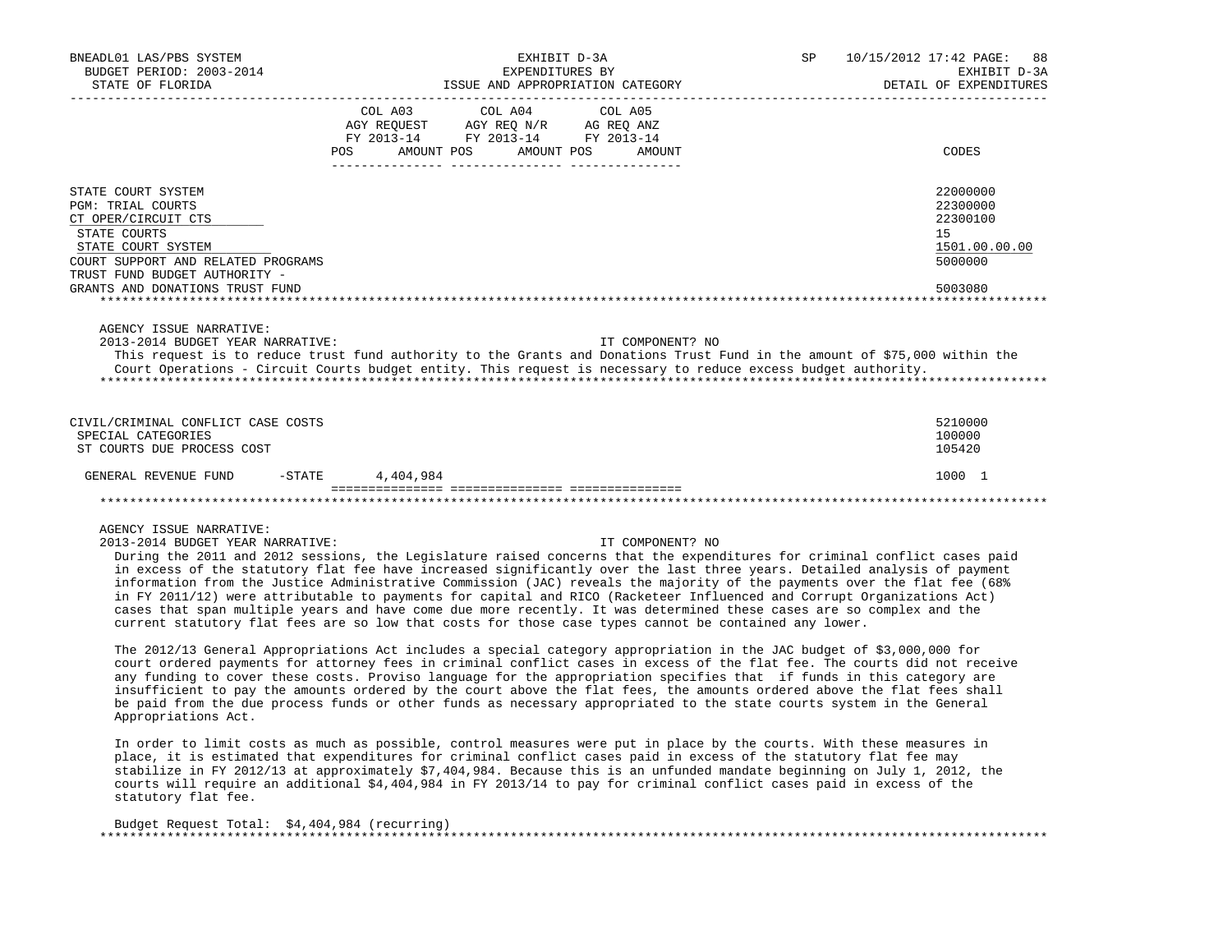| BNEADL01 LAS/PBS SYSTEM<br>BUDGET PERIOD: 2003-2014<br>STATE OF FLORIDA                                                                                                                                                                                                                                                                                                                                                                                                                                                                                                                                                                                                                            |           | EXHIBIT D-3A<br>EXPENDITURES BY                                                           | ISSUE AND APPROPRIATION CATEGORY | SP | 10/15/2012 17:42 PAGE: 88<br>EXHIBIT D-3A<br>DETAIL OF EXPENDITURES |
|----------------------------------------------------------------------------------------------------------------------------------------------------------------------------------------------------------------------------------------------------------------------------------------------------------------------------------------------------------------------------------------------------------------------------------------------------------------------------------------------------------------------------------------------------------------------------------------------------------------------------------------------------------------------------------------------------|-----------|-------------------------------------------------------------------------------------------|----------------------------------|----|---------------------------------------------------------------------|
|                                                                                                                                                                                                                                                                                                                                                                                                                                                                                                                                                                                                                                                                                                    |           | COL A03 COL A04<br>AGY REQUEST AGY REQ N/R AG REQ ANZ<br>FY 2013-14 FY 2013-14 FY 2013-14 | COL A05                          |    |                                                                     |
|                                                                                                                                                                                                                                                                                                                                                                                                                                                                                                                                                                                                                                                                                                    | POS FOR   | AMOUNT POS                                                                                | AMOUNT POS AMOUNT                |    | CODES                                                               |
| STATE COURT SYSTEM<br><b>PGM: TRIAL COURTS</b><br>CT OPER/CIRCUIT CTS<br>STATE COURTS<br>STATE COURT SYSTEM<br>COURT SUPPORT AND RELATED PROGRAMS                                                                                                                                                                                                                                                                                                                                                                                                                                                                                                                                                  |           |                                                                                           |                                  |    | 22000000<br>22300000<br>22300100<br>15<br>1501.00.00.00<br>5000000  |
| TRUST FUND BUDGET AUTHORITY -<br>GRANTS AND DONATIONS TRUST FUND                                                                                                                                                                                                                                                                                                                                                                                                                                                                                                                                                                                                                                   |           |                                                                                           |                                  |    | 5003080                                                             |
| AGENCY ISSUE NARRATIVE:<br>2013-2014 BUDGET YEAR NARRATIVE:<br>This request is to reduce trust fund authority to the Grants and Donations Trust Fund in the amount of \$75,000 within the<br>Court Operations - Circuit Courts budget entity. This request is necessary to reduce excess budget authority.                                                                                                                                                                                                                                                                                                                                                                                         |           |                                                                                           | IT COMPONENT? NO                 |    |                                                                     |
| CIVIL/CRIMINAL CONFLICT CASE COSTS<br>SPECIAL CATEGORIES<br>ST COURTS DUE PROCESS COST                                                                                                                                                                                                                                                                                                                                                                                                                                                                                                                                                                                                             |           |                                                                                           |                                  |    | 5210000<br>100000<br>105420                                         |
| $-$ STATE<br>GENERAL REVENUE FUND                                                                                                                                                                                                                                                                                                                                                                                                                                                                                                                                                                                                                                                                  | 4,404,984 |                                                                                           |                                  |    | 1000 1                                                              |
|                                                                                                                                                                                                                                                                                                                                                                                                                                                                                                                                                                                                                                                                                                    |           |                                                                                           |                                  |    |                                                                     |
| AGENCY ISSUE NARRATIVE:<br>2013-2014 BUDGET YEAR NARRATIVE:<br>During the 2011 and 2012 sessions, the Legislature raised concerns that the expenditures for criminal conflict cases paid<br>in excess of the statutory flat fee have increased significantly over the last three years. Detailed analysis of payment<br>information from the Justice Administrative Commission (JAC) reveals the majority of the payments over the flat fee (68%<br>in FY 2011/12) were attributable to payments for capital and RICO (Racketeer Influenced and Corrupt Organizations Act)<br>cases that span multiple years and have come due more recently. It was determined these cases are so complex and the |           |                                                                                           | IT COMPONENT? NO                 |    |                                                                     |

 The 2012/13 General Appropriations Act includes a special category appropriation in the JAC budget of \$3,000,000 for court ordered payments for attorney fees in criminal conflict cases in excess of the flat fee. The courts did not receive any funding to cover these costs. Proviso language for the appropriation specifies that if funds in this category are insufficient to pay the amounts ordered by the court above the flat fees, the amounts ordered above the flat fees shall be paid from the due process funds or other funds as necessary appropriated to the state courts system in the General Appropriations Act.

current statutory flat fees are so low that costs for those case types cannot be contained any lower.

 In order to limit costs as much as possible, control measures were put in place by the courts. With these measures in place, it is estimated that expenditures for criminal conflict cases paid in excess of the statutory flat fee may stabilize in FY 2012/13 at approximately \$7,404,984. Because this is an unfunded mandate beginning on July 1, 2012, the courts will require an additional \$4,404,984 in FY 2013/14 to pay for criminal conflict cases paid in excess of the statutory flat fee.

| Budget Request Total: \$4,404,984 (recurring) |
|-----------------------------------------------|
|                                               |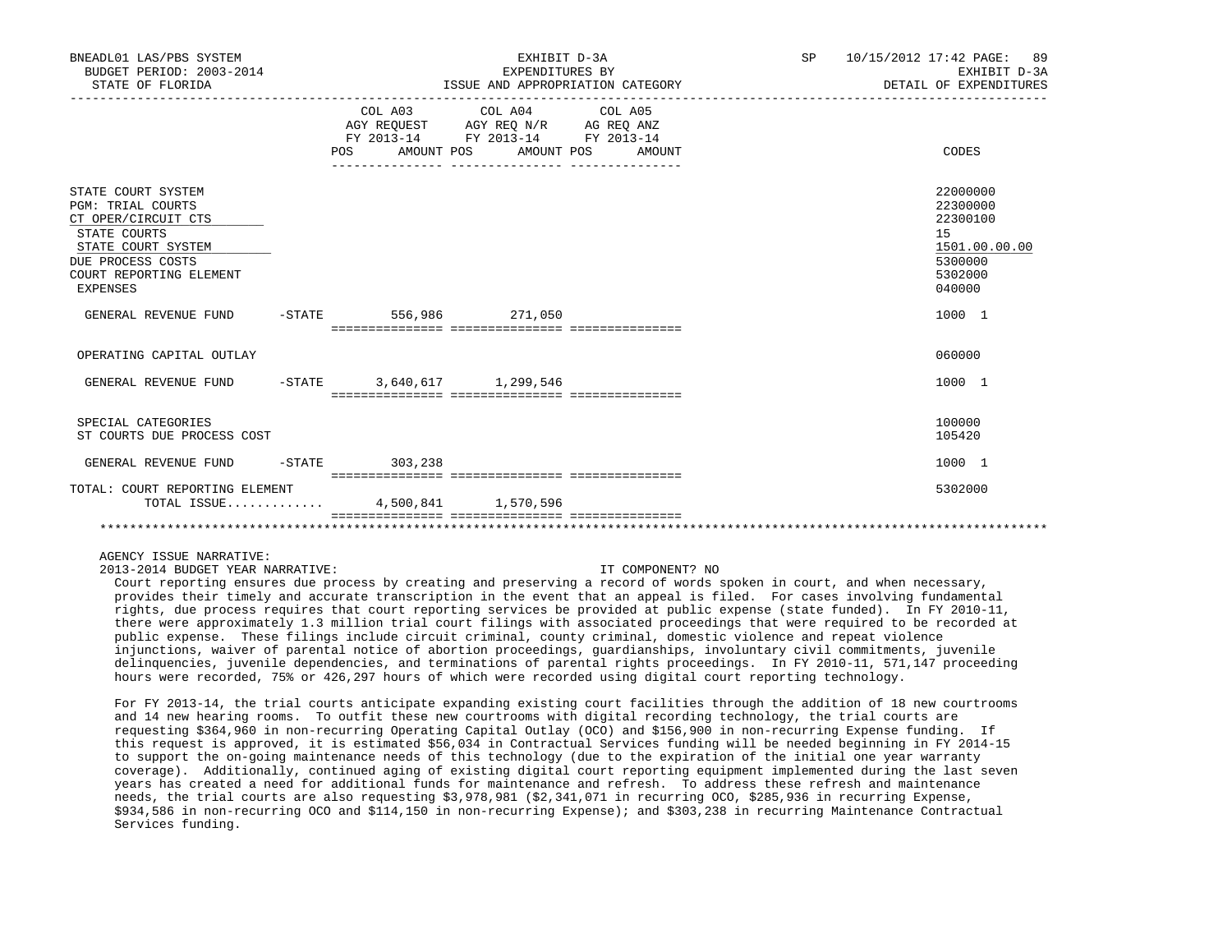| BNEADL01 LAS/PBS SYSTEM<br>BUDGET PERIOD: 2003-2014<br>STATE OF FLORIDA                                                                                                        | EXHIBIT D-3A<br>EXPENDITURES BY<br>ISSUE AND APPROPRIATION CATEGORY |                                                                                                   |                   |  | SP 10/15/2012 17:42 PAGE: 89<br>EXHIBIT D-3A<br>DETAIL OF EXPENDITURES                  |  |
|--------------------------------------------------------------------------------------------------------------------------------------------------------------------------------|---------------------------------------------------------------------|---------------------------------------------------------------------------------------------------|-------------------|--|-----------------------------------------------------------------------------------------|--|
|                                                                                                                                                                                | POS AMOUNT POS                                                      | COL A03 COL A04 COL A05<br>AGY REQUEST AGY REQ N/R AG REQ ANZ<br>FY 2013-14 FY 2013-14 FY 2013-14 | AMOUNT POS AMOUNT |  | CODES                                                                                   |  |
| STATE COURT SYSTEM<br><b>PGM: TRIAL COURTS</b><br>CT OPER/CIRCUIT CTS<br>STATE COURTS<br>STATE COURT SYSTEM<br>DUE PROCESS COSTS<br>COURT REPORTING ELEMENT<br><b>EXPENSES</b> |                                                                     |                                                                                                   |                   |  | 22000000<br>22300000<br>22300100<br>15<br>1501.00.00.00<br>5300000<br>5302000<br>040000 |  |
| GENERAL REVENUE FUND                                                                                                                                                           | $-STATE$ 556,986 271,050                                            |                                                                                                   |                   |  | 1000 1                                                                                  |  |
| OPERATING CAPITAL OUTLAY                                                                                                                                                       |                                                                     |                                                                                                   |                   |  | 060000                                                                                  |  |
| GENERAL REVENUE FUND                                                                                                                                                           | $-$ STATE 3,640,617 1,299,546                                       |                                                                                                   |                   |  | 1000 1                                                                                  |  |
| SPECIAL CATEGORIES<br>ST COURTS DUE PROCESS COST                                                                                                                               |                                                                     |                                                                                                   |                   |  | 100000<br>105420                                                                        |  |
| GENERAL REVENUE FUND                                                                                                                                                           | $-STATE$ 303, 238                                                   |                                                                                                   |                   |  | 1000 1                                                                                  |  |
| TOTAL: COURT REPORTING ELEMENT<br>TOTAL ISSUE 4,500,841 1,570,596                                                                                                              |                                                                     |                                                                                                   |                   |  | 5302000                                                                                 |  |
|                                                                                                                                                                                |                                                                     |                                                                                                   |                   |  |                                                                                         |  |

2013-2014 BUDGET YEAR NARRATIVE: IT COMPONENT? NO

 Court reporting ensures due process by creating and preserving a record of words spoken in court, and when necessary, provides their timely and accurate transcription in the event that an appeal is filed. For cases involving fundamental rights, due process requires that court reporting services be provided at public expense (state funded). In FY 2010-11, there were approximately 1.3 million trial court filings with associated proceedings that were required to be recorded at public expense. These filings include circuit criminal, county criminal, domestic violence and repeat violence injunctions, waiver of parental notice of abortion proceedings, guardianships, involuntary civil commitments, juvenile delinquencies, juvenile dependencies, and terminations of parental rights proceedings. In FY 2010-11, 571,147 proceeding hours were recorded, 75% or 426,297 hours of which were recorded using digital court reporting technology.

 For FY 2013-14, the trial courts anticipate expanding existing court facilities through the addition of 18 new courtrooms and 14 new hearing rooms. To outfit these new courtrooms with digital recording technology, the trial courts are requesting \$364,960 in non-recurring Operating Capital Outlay (OCO) and \$156,900 in non-recurring Expense funding. If this request is approved, it is estimated \$56,034 in Contractual Services funding will be needed beginning in FY 2014-15 to support the on-going maintenance needs of this technology (due to the expiration of the initial one year warranty coverage). Additionally, continued aging of existing digital court reporting equipment implemented during the last seven years has created a need for additional funds for maintenance and refresh. To address these refresh and maintenance needs, the trial courts are also requesting \$3,978,981 (\$2,341,071 in recurring OCO, \$285,936 in recurring Expense, \$934,586 in non-recurring OCO and \$114,150 in non-recurring Expense); and \$303,238 in recurring Maintenance Contractual Services funding.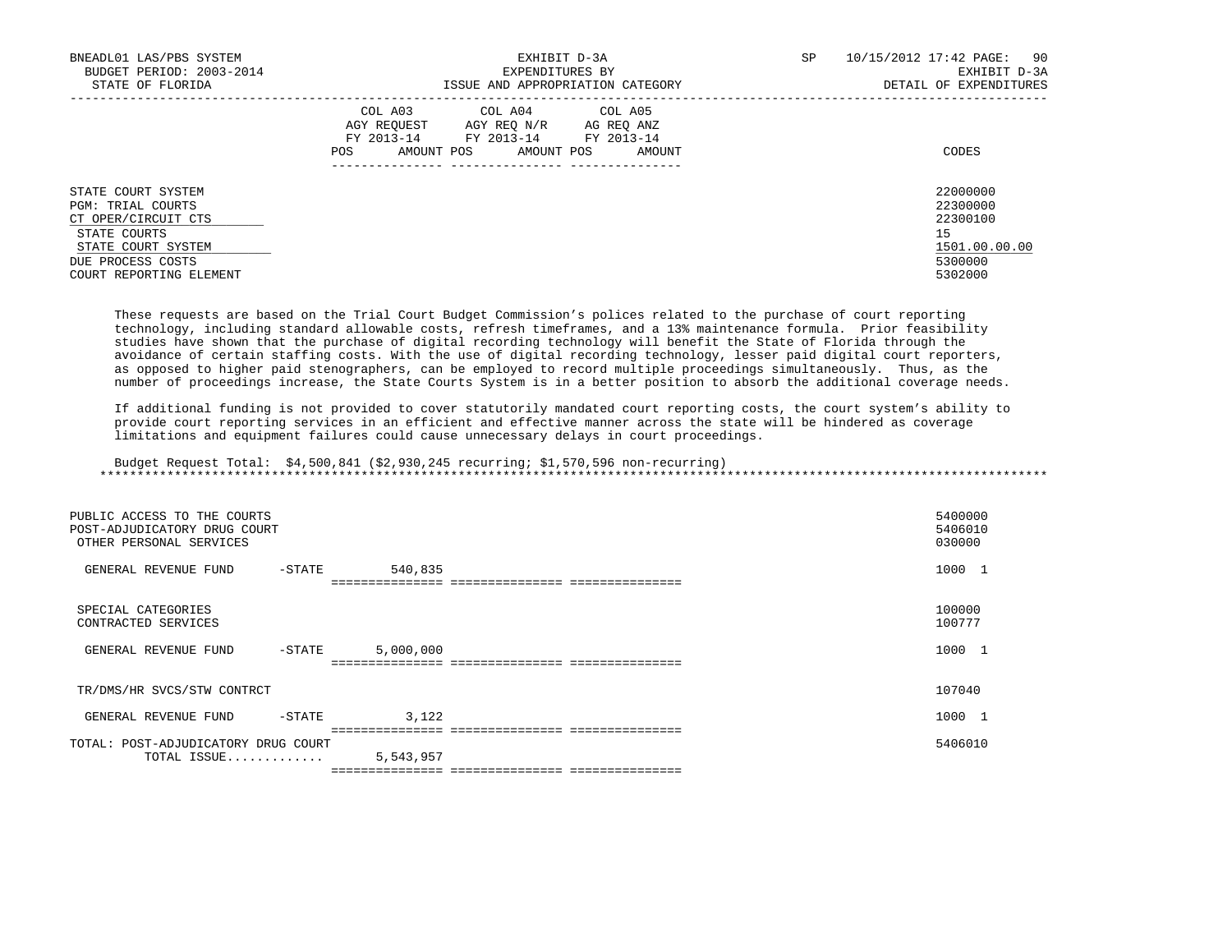| BNEADL01 LAS/PBS SYSTEM<br>BUDGET PERIOD: 2003-2014<br>STATE OF FLORIDA                                                                                     | EXHIBIT D-3A<br>EXPENDITURES BY<br>ISSUE AND APPROPRIATION CATEGORY                                                                               | 10/15/2012 17:42 PAGE: 90<br>SP<br>EXHIBIT D-3A<br>DETAIL OF EXPENDITURES     |
|-------------------------------------------------------------------------------------------------------------------------------------------------------------|---------------------------------------------------------------------------------------------------------------------------------------------------|-------------------------------------------------------------------------------|
|                                                                                                                                                             | COL A03 COL A04 COL A05<br>AGY REOUEST AGY REO N/R<br>AG REO ANZ<br>FY 2013-14<br>FY 2013-14 FY 2013-14<br>AMOUNT POS AMOUNT POS<br>AMOUNT<br>POS | CODES                                                                         |
| STATE COURT SYSTEM<br><b>PGM: TRIAL COURTS</b><br>CT OPER/CIRCUIT CTS<br>STATE COURTS<br>STATE COURT SYSTEM<br>DUE PROCESS COSTS<br>COURT REPORTING ELEMENT |                                                                                                                                                   | 22000000<br>22300000<br>22300100<br>15<br>1501.00.00.00<br>5300000<br>5302000 |

 These requests are based on the Trial Court Budget Commission's polices related to the purchase of court reporting technology, including standard allowable costs, refresh timeframes, and a 13% maintenance formula. Prior feasibility studies have shown that the purchase of digital recording technology will benefit the State of Florida through the avoidance of certain staffing costs. With the use of digital recording technology, lesser paid digital court reporters, as opposed to higher paid stenographers, can be employed to record multiple proceedings simultaneously. Thus, as the number of proceedings increase, the State Courts System is in a better position to absorb the additional coverage needs.

 If additional funding is not provided to cover statutorily mandated court reporting costs, the court system's ability to provide court reporting services in an efficient and effective manner across the state will be hindered as coverage limitations and equipment failures could cause unnecessary delays in court proceedings.

 Budget Request Total: \$4,500,841 (\$2,930,245 recurring; \$1,570,596 non-recurring) \*\*\*\*\*\*\*\*\*\*\*\*\*\*\*\*\*\*\*\*\*\*\*\*\*\*\*\*\*\*\*\*\*\*\*\*\*\*\*\*\*\*\*\*\*\*\*\*\*\*\*\*\*\*\*\*\*\*\*\*\*\*\*\*\*\*\*\*\*\*\*\*\*\*\*\*\*\*\*\*\*\*\*\*\*\*\*\*\*\*\*\*\*\*\*\*\*\*\*\*\*\*\*\*\*\*\*\*\*\*\*\*\*\*\*\*\*\*\*\*\*\*\*\*\*\*\*

| PUBLIC ACCESS TO THE COURTS<br>POST-ADJUDICATORY DRUG COURT<br>OTHER PERSONAL SERVICES |        |           | 5400000<br>5406010<br>030000 |                          |
|----------------------------------------------------------------------------------------|--------|-----------|------------------------------|--------------------------|
| GENERAL REVENUE FUND                                                                   | -STATE | 540,835   | 1000                         | $\overline{\phantom{0}}$ |
| SPECIAL CATEGORIES<br>CONTRACTED SERVICES                                              |        |           | 100000<br>100777             |                          |
| GENERAL REVENUE FUND                                                                   | -STATE | 5,000,000 | 1000                         | $\overline{\phantom{0}}$ |
| TR/DMS/HR SVCS/STW CONTRCT                                                             |        |           | 107040                       |                          |
| GENERAL REVENUE FUND                                                                   | -STATE | 3,122     | 1000                         | $\overline{\phantom{0}}$ |
| TOTAL: POST-ADJUDICATORY DRUG COURT<br>TOTAL ISSUE                                     |        | 5,543,957 | 5406010                      |                          |
|                                                                                        |        |           |                              |                          |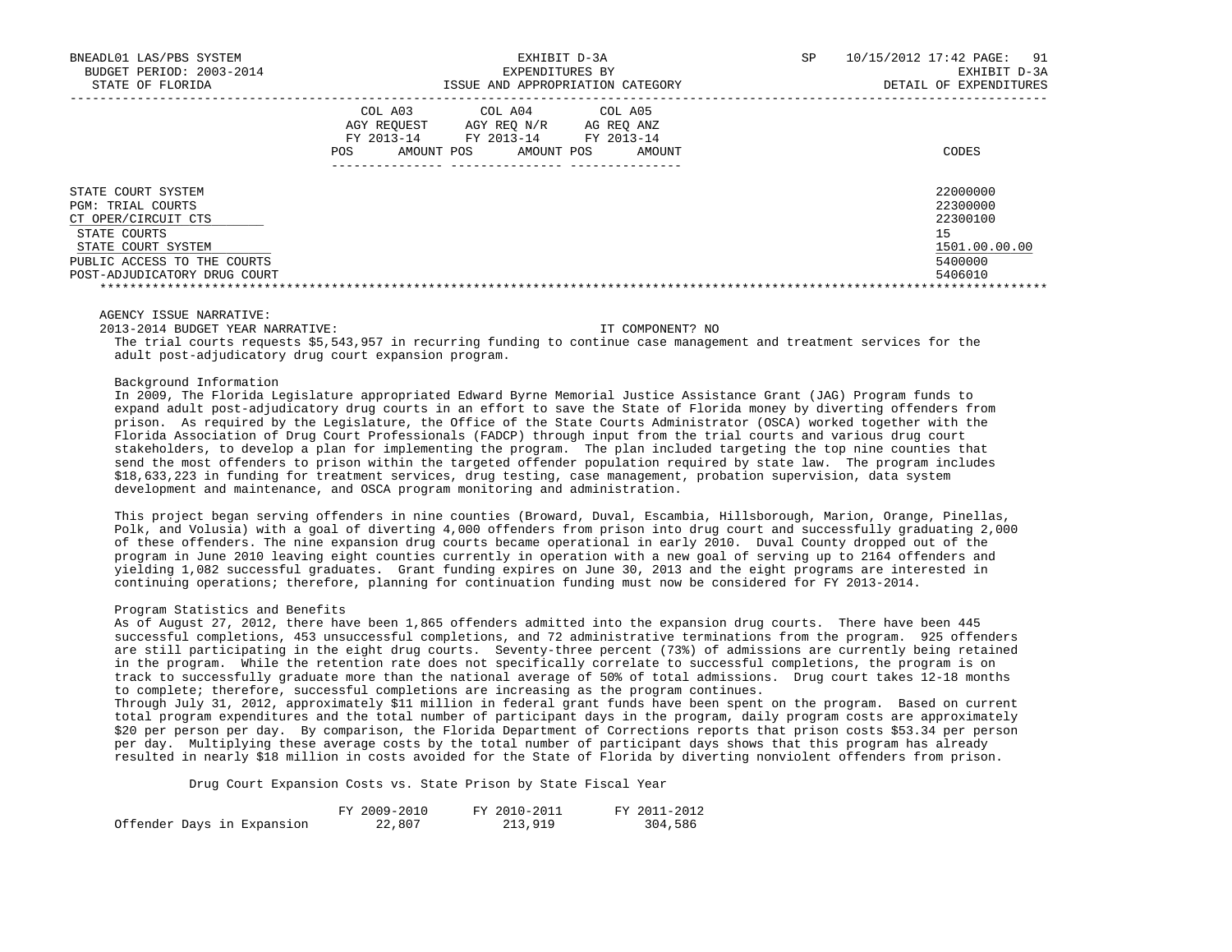| BNEADL01 LAS/PBS SYSTEM<br>BUDGET PERIOD: 2003-2014<br>STATE OF FLORIDA | EXHIBIT D-3A<br>EXPENDITURES BY<br>ISSUE AND APPROPRIATION CATEGORY                                                                                              | SP | 10/15/2012 17:42 PAGE:<br>91<br>EXHIBIT D-3A<br>DETAIL OF EXPENDITURES |
|-------------------------------------------------------------------------|------------------------------------------------------------------------------------------------------------------------------------------------------------------|----|------------------------------------------------------------------------|
|                                                                         | COL A03<br>COL A04<br>COL A05<br>AGY REOUEST<br>AGY REO N/R<br>AG REO ANZ<br>FY 2013-14<br>FY 2013-14<br>FY 2013-14<br>AMOUNT POS<br>AMOUNT POS<br>POS<br>AMOUNT |    | CODES                                                                  |
| STATE COURT SYSTEM<br><b>PGM: TRIAL COURTS</b>                          |                                                                                                                                                                  |    | 22000000<br>22300000                                                   |
| CT OPER/CIRCUIT CTS                                                     |                                                                                                                                                                  |    | 22300100                                                               |
| STATE COURTS                                                            |                                                                                                                                                                  |    | 15                                                                     |
| STATE COURT SYSTEM                                                      |                                                                                                                                                                  |    | 1501.00.00.00                                                          |
| PUBLIC ACCESS TO THE COURTS                                             |                                                                                                                                                                  |    | 5400000                                                                |
| POST-ADJUDICATORY DRUG COURT                                            |                                                                                                                                                                  |    | 5406010                                                                |
|                                                                         |                                                                                                                                                                  |    |                                                                        |

2013-2014 BUDGET YEAR NARRATIVE: IT COMPONENT? NO

 The trial courts requests \$5,543,957 in recurring funding to continue case management and treatment services for the adult post-adjudicatory drug court expansion program.

Background Information

 In 2009, The Florida Legislature appropriated Edward Byrne Memorial Justice Assistance Grant (JAG) Program funds to expand adult post-adjudicatory drug courts in an effort to save the State of Florida money by diverting offenders from prison. As required by the Legislature, the Office of the State Courts Administrator (OSCA) worked together with the Florida Association of Drug Court Professionals (FADCP) through input from the trial courts and various drug court stakeholders, to develop a plan for implementing the program. The plan included targeting the top nine counties that send the most offenders to prison within the targeted offender population required by state law. The program includes \$18,633,223 in funding for treatment services, drug testing, case management, probation supervision, data system development and maintenance, and OSCA program monitoring and administration.

 This project began serving offenders in nine counties (Broward, Duval, Escambia, Hillsborough, Marion, Orange, Pinellas, Polk, and Volusia) with a goal of diverting 4,000 offenders from prison into drug court and successfully graduating 2,000 of these offenders. The nine expansion drug courts became operational in early 2010. Duval County dropped out of the program in June 2010 leaving eight counties currently in operation with a new goal of serving up to 2164 offenders and yielding 1,082 successful graduates. Grant funding expires on June 30, 2013 and the eight programs are interested in continuing operations; therefore, planning for continuation funding must now be considered for FY 2013-2014.

## Program Statistics and Benefits

 As of August 27, 2012, there have been 1,865 offenders admitted into the expansion drug courts. There have been 445 successful completions, 453 unsuccessful completions, and 72 administrative terminations from the program. 925 offenders are still participating in the eight drug courts. Seventy-three percent (73%) of admissions are currently being retained in the program. While the retention rate does not specifically correlate to successful completions, the program is on track to successfully graduate more than the national average of 50% of total admissions. Drug court takes 12-18 months to complete; therefore, successful completions are increasing as the program continues.

 Through July 31, 2012, approximately \$11 million in federal grant funds have been spent on the program. Based on current total program expenditures and the total number of participant days in the program, daily program costs are approximately \$20 per person per day. By comparison, the Florida Department of Corrections reports that prison costs \$53.34 per person per day. Multiplying these average costs by the total number of participant days shows that this program has already resulted in nearly \$18 million in costs avoided for the State of Florida by diverting nonviolent offenders from prison.

Drug Court Expansion Costs vs. State Prison by State Fiscal Year

|                            | FY 2009-2010 | FY 2010-2011 | FY 2011-2012 |
|----------------------------|--------------|--------------|--------------|
| Offender Days in Expansion | 22,807       | 213,919      | 304,586      |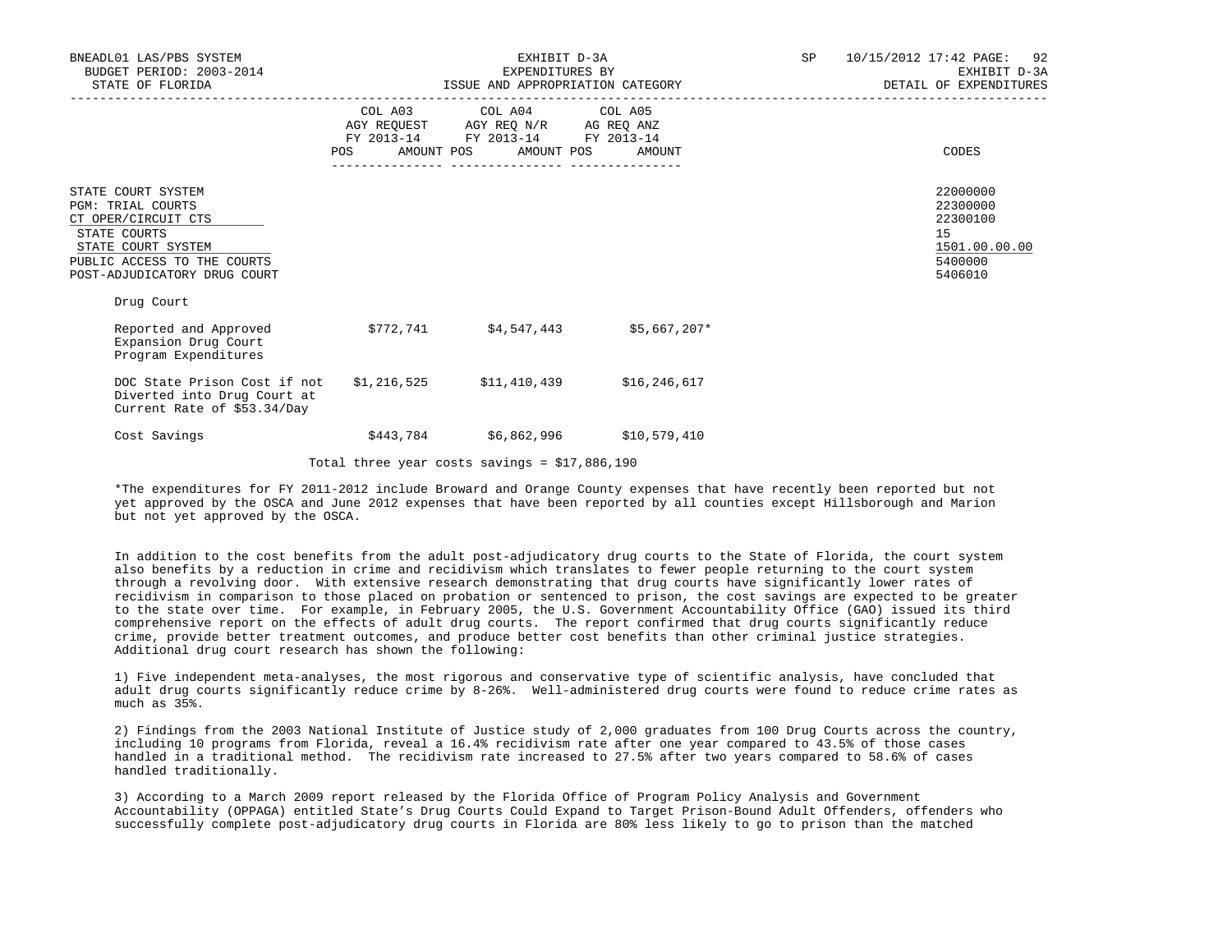| BNEADL01 LAS/PBS SYSTEM<br>BUDGET PERIOD: 2003-2014<br>STATE OF FLORIDA                                                                                                    | EXHIBIT D-3A<br>EXPENDITURES BY<br>ISSUE AND APPROPRIATION CATEGORY |                                                                                                                                       |              |  | 10/15/2012 17:42 PAGE: 92<br>SP <sub>2</sub><br>EXHIBIT D-3A<br>DETAIL OF EXPENDITURES |
|----------------------------------------------------------------------------------------------------------------------------------------------------------------------------|---------------------------------------------------------------------|---------------------------------------------------------------------------------------------------------------------------------------|--------------|--|----------------------------------------------------------------------------------------|
|                                                                                                                                                                            |                                                                     | COL A03 COL A04 COL A05<br>AGY REQUEST AGY REQ N/R AG REQ ANZ<br>FY 2013-14 FY 2013-14 FY 2013-14<br>POS AMOUNT POS AMOUNT POS AMOUNT |              |  | CODES                                                                                  |
| STATE COURT SYSTEM<br><b>PGM: TRIAL COURTS</b><br>CT OPER/CIRCUIT CTS<br>STATE COURTS<br>STATE COURT SYSTEM<br>PUBLIC ACCESS TO THE COURTS<br>POST-ADJUDICATORY DRUG COURT |                                                                     |                                                                                                                                       |              |  | 22000000<br>22300000<br>22300100<br>15<br>1501.00.00.00<br>5400000<br>5406010          |
| Drug Court<br>Reported and Approved<br>Expansion Drug Court<br>Program Expenditures                                                                                        |                                                                     | $$772,741$ $$4,547,443$ $$5,667,207*$                                                                                                 |              |  |                                                                                        |
| DOC State Prison Cost if not<br>Diverted into Drug Court at<br>Current Rate of \$53.34/Day                                                                                 |                                                                     | $$1,216,525$ $$11,410,439$                                                                                                            | \$16,246,617 |  |                                                                                        |
| Cost Savings                                                                                                                                                               | \$443,784                                                           | \$6,862,996                                                                                                                           | \$10,579,410 |  |                                                                                        |

Total three year costs savings = \$17,886,190

 \*The expenditures for FY 2011-2012 include Broward and Orange County expenses that have recently been reported but not yet approved by the OSCA and June 2012 expenses that have been reported by all counties except Hillsborough and Marion but not yet approved by the OSCA.

 In addition to the cost benefits from the adult post-adjudicatory drug courts to the State of Florida, the court system also benefits by a reduction in crime and recidivism which translates to fewer people returning to the court system through a revolving door. With extensive research demonstrating that drug courts have significantly lower rates of recidivism in comparison to those placed on probation or sentenced to prison, the cost savings are expected to be greater to the state over time. For example, in February 2005, the U.S. Government Accountability Office (GAO) issued its third comprehensive report on the effects of adult drug courts. The report confirmed that drug courts significantly reduce crime, provide better treatment outcomes, and produce better cost benefits than other criminal justice strategies. Additional drug court research has shown the following:

 1) Five independent meta-analyses, the most rigorous and conservative type of scientific analysis, have concluded that adult drug courts significantly reduce crime by 8-26%. Well-administered drug courts were found to reduce crime rates as much as 35%.

 2) Findings from the 2003 National Institute of Justice study of 2,000 graduates from 100 Drug Courts across the country, including 10 programs from Florida, reveal a 16.4% recidivism rate after one year compared to 43.5% of those cases handled in a traditional method. The recidivism rate increased to 27.5% after two years compared to 58.6% of cases handled traditionally.

 3) According to a March 2009 report released by the Florida Office of Program Policy Analysis and Government Accountability (OPPAGA) entitled State's Drug Courts Could Expand to Target Prison-Bound Adult Offenders, offenders who successfully complete post-adjudicatory drug courts in Florida are 80% less likely to go to prison than the matched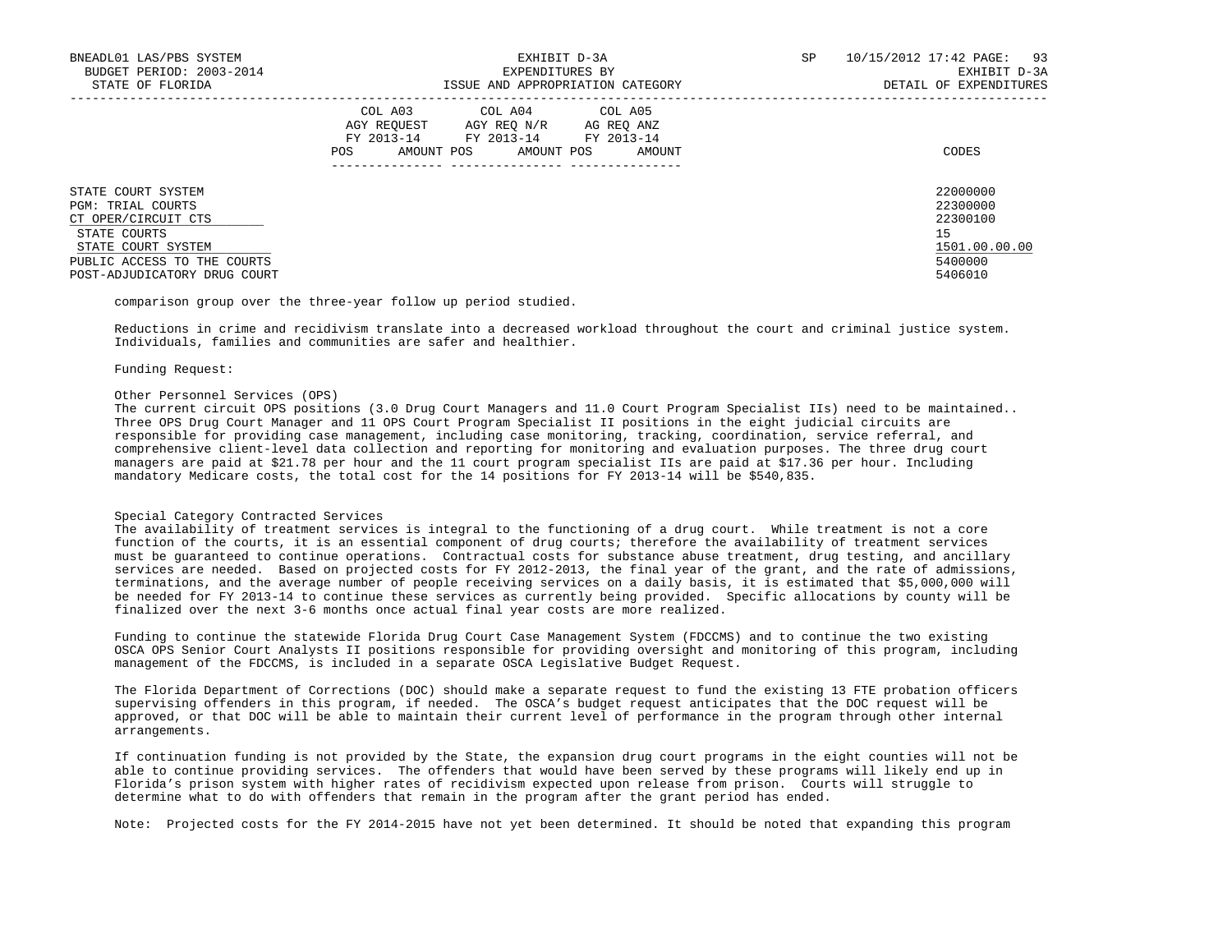| BNEADL01 LAS/PBS SYSTEM<br>BUDGET PERIOD: 2003-2014<br>STATE OF FLORIDA                                                                                                    | EXHIBIT D-3A<br>EXPENDITURES BY<br>ISSUE AND APPROPRIATION CATEGORY                                                                                        | 10/15/2012 17:42 PAGE: 93<br>SP.<br>EXHIBIT D-3A<br>DETAIL OF EXPENDITURES    |
|----------------------------------------------------------------------------------------------------------------------------------------------------------------------------|------------------------------------------------------------------------------------------------------------------------------------------------------------|-------------------------------------------------------------------------------|
|                                                                                                                                                                            | COL A03 COL A04 COL A05<br>AGY REOUEST<br>AGY REO N/R<br>AG REO ANZ<br>FY 2013-14<br>FY 2013-14<br>FY 2013-14<br>AMOUNT POS<br>AMOUNT POS<br>POS<br>AMOUNT | CODES                                                                         |
| STATE COURT SYSTEM<br><b>PGM: TRIAL COURTS</b><br>CT OPER/CIRCUIT CTS<br>STATE COURTS<br>STATE COURT SYSTEM<br>PUBLIC ACCESS TO THE COURTS<br>POST-ADJUDICATORY DRUG COURT |                                                                                                                                                            | 22000000<br>22300000<br>22300100<br>15<br>1501.00.00.00<br>5400000<br>5406010 |

comparison group over the three-year follow up period studied.

 Reductions in crime and recidivism translate into a decreased workload throughout the court and criminal justice system. Individuals, families and communities are safer and healthier.

#### Funding Request:

### Other Personnel Services (OPS)

 The current circuit OPS positions (3.0 Drug Court Managers and 11.0 Court Program Specialist IIs) need to be maintained.. Three OPS Drug Court Manager and 11 OPS Court Program Specialist II positions in the eight judicial circuits are responsible for providing case management, including case monitoring, tracking, coordination, service referral, and comprehensive client-level data collection and reporting for monitoring and evaluation purposes. The three drug court managers are paid at \$21.78 per hour and the 11 court program specialist IIs are paid at \$17.36 per hour. Including mandatory Medicare costs, the total cost for the 14 positions for FY 2013-14 will be \$540,835.

## Special Category Contracted Services

 The availability of treatment services is integral to the functioning of a drug court. While treatment is not a core function of the courts, it is an essential component of drug courts; therefore the availability of treatment services must be guaranteed to continue operations. Contractual costs for substance abuse treatment, drug testing, and ancillary services are needed. Based on projected costs for FY 2012-2013, the final year of the grant, and the rate of admissions, terminations, and the average number of people receiving services on a daily basis, it is estimated that \$5,000,000 will be needed for FY 2013-14 to continue these services as currently being provided. Specific allocations by county will be finalized over the next 3-6 months once actual final year costs are more realized.

 Funding to continue the statewide Florida Drug Court Case Management System (FDCCMS) and to continue the two existing OSCA OPS Senior Court Analysts II positions responsible for providing oversight and monitoring of this program, including management of the FDCCMS, is included in a separate OSCA Legislative Budget Request.

 The Florida Department of Corrections (DOC) should make a separate request to fund the existing 13 FTE probation officers supervising offenders in this program, if needed. The OSCA's budget request anticipates that the DOC request will be approved, or that DOC will be able to maintain their current level of performance in the program through other internal arrangements.

 If continuation funding is not provided by the State, the expansion drug court programs in the eight counties will not be able to continue providing services. The offenders that would have been served by these programs will likely end up in Florida's prison system with higher rates of recidivism expected upon release from prison. Courts will struggle to determine what to do with offenders that remain in the program after the grant period has ended.

Note: Projected costs for the FY 2014-2015 have not yet been determined. It should be noted that expanding this program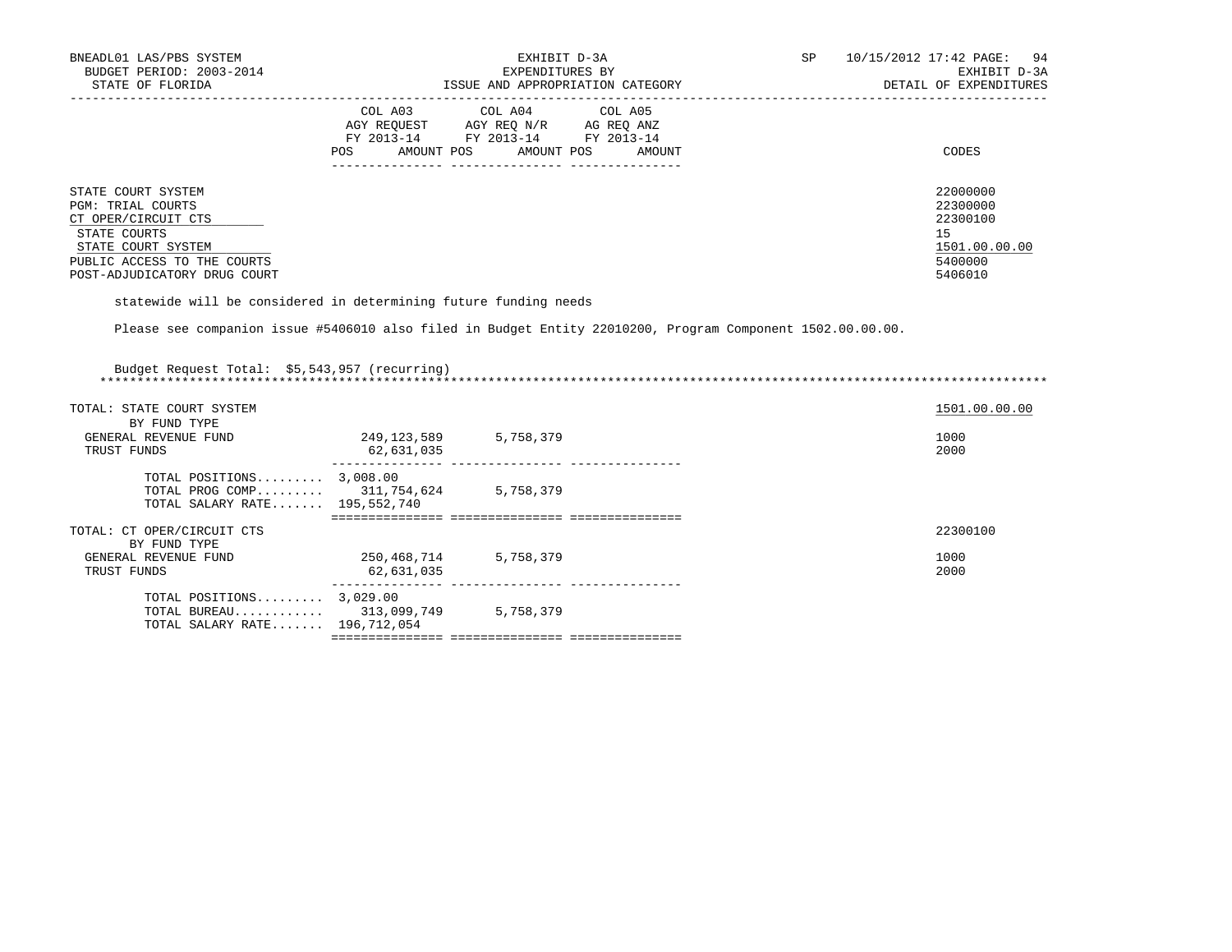| BNEADL01 LAS/PBS SYSTEM<br>BUDGET PERIOD: 2003-2014<br>STATE OF FLORIDA                                                                                                    | EXHIBIT D-3A<br>EXPENDITURES BY<br>ISSUE AND APPROPRIATION CATEGORY                                                                                        | SP<br>10/15/2012 17:42 PAGE: 94<br>EXHIBIT D-3A<br>DETAIL OF EXPENDITURES     |
|----------------------------------------------------------------------------------------------------------------------------------------------------------------------------|------------------------------------------------------------------------------------------------------------------------------------------------------------|-------------------------------------------------------------------------------|
|                                                                                                                                                                            | COL A03 COL A04 COL A05<br>AGY REOUEST<br>AGY REO N/R<br>AG REO ANZ<br>FY 2013-14<br>FY 2013-14<br>FY 2013-14<br>AMOUNT POS<br>AMOUNT POS<br>POS<br>AMOUNT | CODES                                                                         |
| STATE COURT SYSTEM<br><b>PGM: TRIAL COURTS</b><br>CT OPER/CIRCUIT CTS<br>STATE COURTS<br>STATE COURT SYSTEM<br>PUBLIC ACCESS TO THE COURTS<br>POST-ADJUDICATORY DRUG COURT |                                                                                                                                                            | 22000000<br>22300000<br>22300100<br>15<br>1501.00.00.00<br>5400000<br>5406010 |

statewide will be considered in determining future funding needs

Please see companion issue #5406010 also filed in Budget Entity 22010200, Program Component 1502.00.00.00.

| Budget Request Total: \$5,543,957 (recurring)                                                        |                           |                                   |               |
|------------------------------------------------------------------------------------------------------|---------------------------|-----------------------------------|---------------|
| TOTAL: STATE COURT SYSTEM                                                                            |                           |                                   | 1501.00.00.00 |
| BY FUND TYPE<br>GENERAL REVENUE FUND<br>TRUST FUNDS                                                  | 249,123,589<br>62,631,035 | 5,758,379                         | 1000<br>2000  |
| TOTAL POSITIONS $3,008.00$<br>TOTAL PROG COMP 311,754,624 5,758,379<br>TOTAL SALARY RATE 195,552,740 |                           |                                   |               |
|                                                                                                      |                           |                                   |               |
| TOTAL: CT OPER/CIRCUIT CTS<br>BY FUND TYPE                                                           |                           |                                   | 22300100      |
| GENERAL REVENUE FUND<br>TRUST FUNDS                                                                  | 250,468,714<br>62,631,035 | 5,758,379                         | 1000<br>2000  |
| TOTAL POSITIONS $3,029.00$<br>TOTAL BUREAU 313,099,749<br>TOTAL SALARY RATE 196,712,054              |                           | 5,758,379                         |               |
|                                                                                                      |                           | ================================= |               |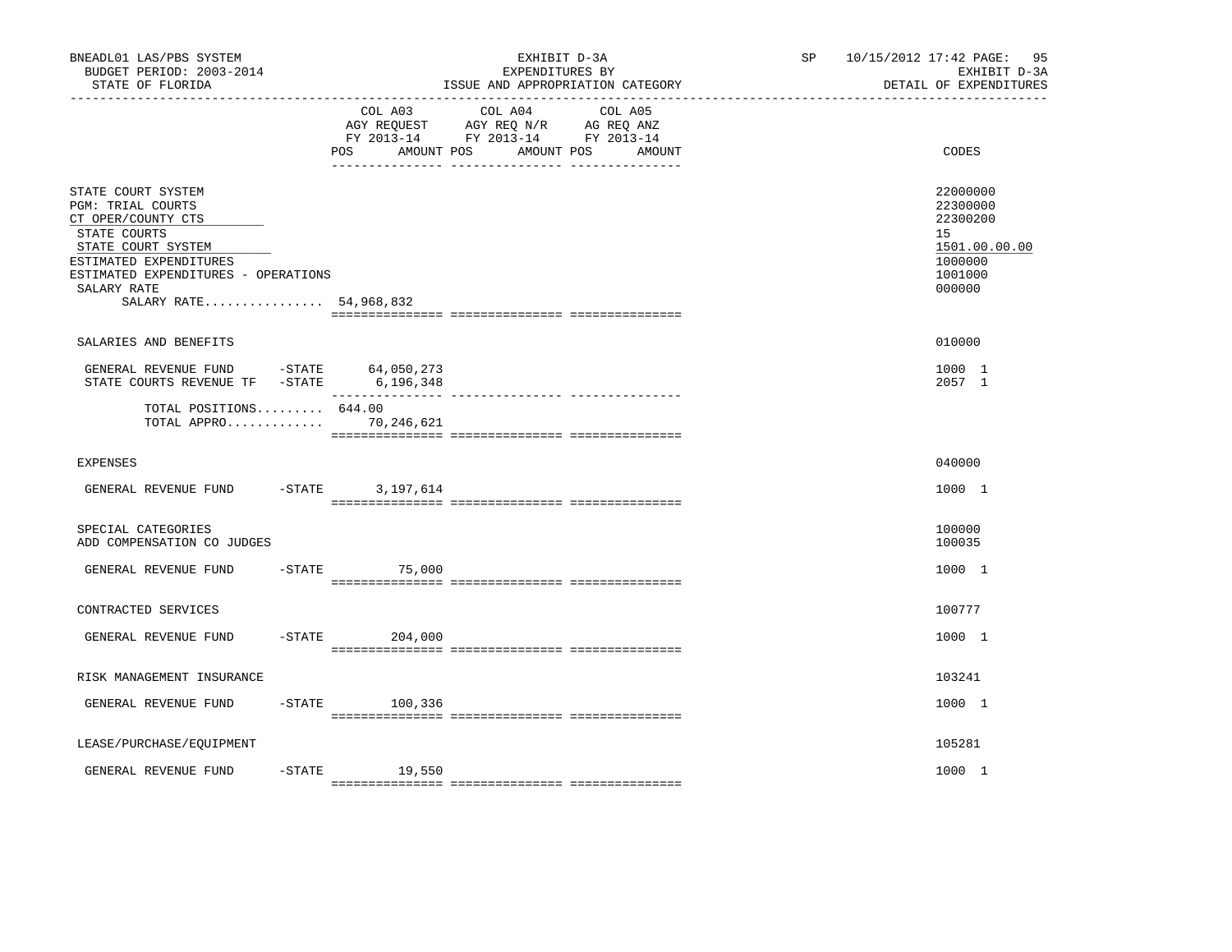| BNEADL01 LAS/PBS SYSTEM<br>BUDGET PERIOD: 2003-2014<br>STATE OF FLORIDA                                                                                                                                              |                              | EXHIBIT D-3A<br>EXPENDITURES BY<br>ISSUE AND APPROPRIATION CATEGORY                                                  | SP | 10/15/2012 17:42 PAGE: 95<br>EXHIBIT D-3A<br>DETAIL OF EXPENDITURES                     |
|----------------------------------------------------------------------------------------------------------------------------------------------------------------------------------------------------------------------|------------------------------|----------------------------------------------------------------------------------------------------------------------|----|-----------------------------------------------------------------------------------------|
|                                                                                                                                                                                                                      | COL A03<br>POS<br>AMOUNT POS | COL A04<br>COL A05<br>AGY REQUEST AGY REQ N/R AG REQ ANZ<br>FY 2013-14 FY 2013-14 FY 2013-14<br>AMOUNT POS<br>AMOUNT |    | CODES                                                                                   |
| STATE COURT SYSTEM<br><b>PGM: TRIAL COURTS</b><br>CT OPER/COUNTY CTS<br>STATE COURTS<br>STATE COURT SYSTEM<br>ESTIMATED EXPENDITURES<br>ESTIMATED EXPENDITURES - OPERATIONS<br>SALARY RATE<br>SALARY RATE 54,968,832 |                              |                                                                                                                      |    | 22000000<br>22300000<br>22300200<br>15<br>1501.00.00.00<br>1000000<br>1001000<br>000000 |
| SALARIES AND BENEFITS                                                                                                                                                                                                |                              |                                                                                                                      |    | 010000                                                                                  |
| GENERAL REVENUE FUND -STATE $64,050,273$<br>STATE COURTS REVENUE TF -STATE $6,196,348$                                                                                                                               |                              |                                                                                                                      |    | 1000 1<br>2057 1                                                                        |
| TOTAL POSITIONS 644.00<br>TOTAL APPRO 70,246,621                                                                                                                                                                     |                              |                                                                                                                      |    |                                                                                         |
| <b>EXPENSES</b>                                                                                                                                                                                                      |                              |                                                                                                                      |    | 040000                                                                                  |
| GENERAL REVENUE FUND -STATE 3,197,614                                                                                                                                                                                |                              |                                                                                                                      |    | 1000 1                                                                                  |
| SPECIAL CATEGORIES<br>ADD COMPENSATION CO JUDGES                                                                                                                                                                     |                              |                                                                                                                      |    | 100000<br>100035                                                                        |
| GENERAL REVENUE FUND                                                                                                                                                                                                 | $-STATE$ 75,000              |                                                                                                                      |    | 1000 1                                                                                  |
| CONTRACTED SERVICES                                                                                                                                                                                                  |                              |                                                                                                                      |    | 100777                                                                                  |
| GENERAL REVENUE FUND                                                                                                                                                                                                 | $-$ STATE<br>204,000         |                                                                                                                      |    | 1000 1                                                                                  |
| RISK MANAGEMENT INSURANCE                                                                                                                                                                                            |                              |                                                                                                                      |    | 103241                                                                                  |
| GENERAL REVENUE FUND                                                                                                                                                                                                 | $-STATE$ 100.336             |                                                                                                                      |    | 1000 1                                                                                  |
| LEASE/PURCHASE/EQUIPMENT                                                                                                                                                                                             |                              |                                                                                                                      |    | 105281                                                                                  |
| $-$ STATE<br>GENERAL REVENUE FUND                                                                                                                                                                                    | 19,550                       |                                                                                                                      |    | 1000 1                                                                                  |
|                                                                                                                                                                                                                      |                              |                                                                                                                      |    |                                                                                         |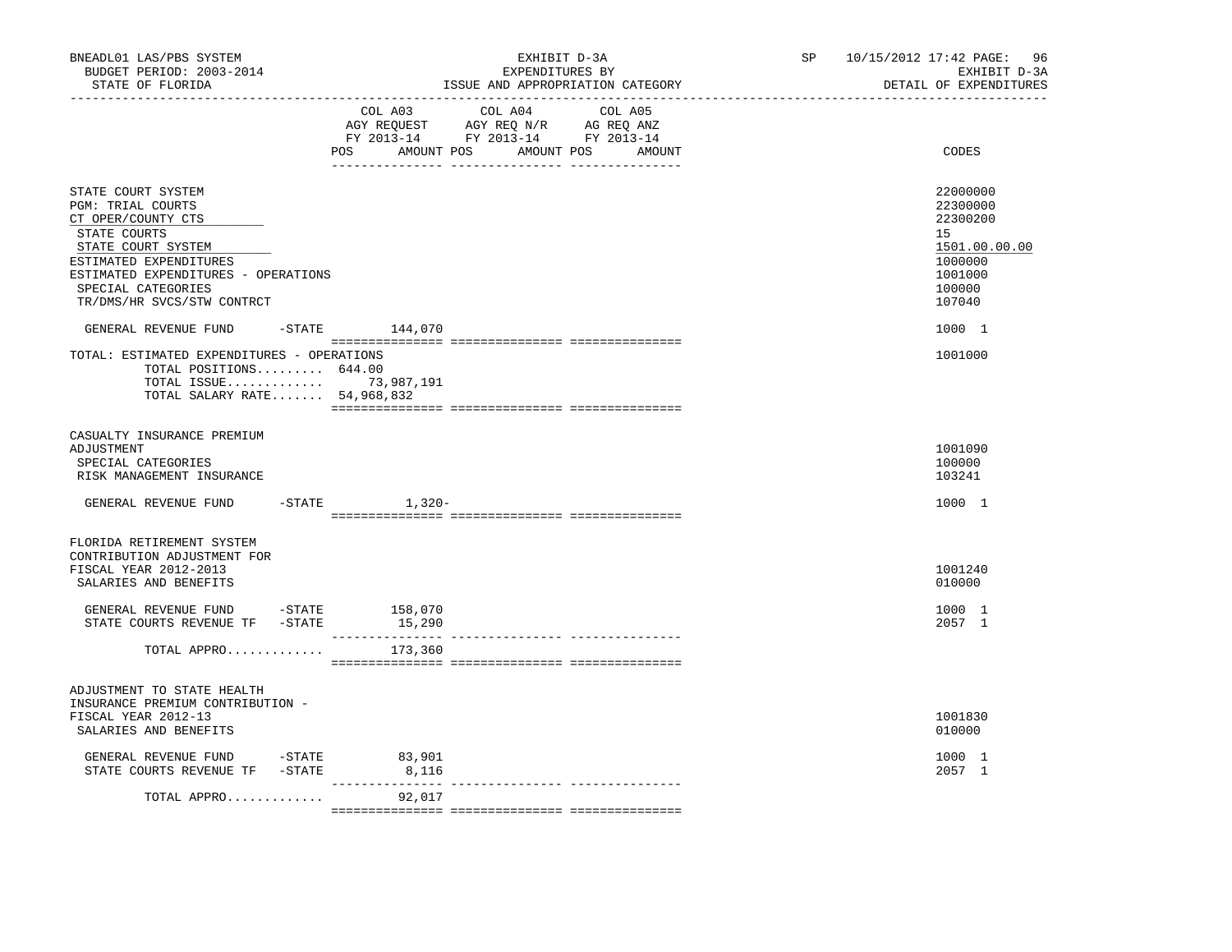| BNEADL01 LAS/PBS SYSTEM<br>BUDGET PERIOD: 2003-2014<br>STATE OF FLORIDA<br>------------------                                                                                                                            |                            | EXHIBIT D-3A<br>EXPENDITURES BY<br>ISSUE AND APPROPRIATION CATEGORY                                                                  | SP and the set of the set of the set of the set of the set of the set of the set of the set of the set of the set of the set of the set of the set of the set of the set of the set of the set of the set of the set of the se | 10/15/2012 17:42 PAGE:<br>96<br>EXHIBIT D-3A<br>DETAIL OF EXPENDITURES                            |
|--------------------------------------------------------------------------------------------------------------------------------------------------------------------------------------------------------------------------|----------------------------|--------------------------------------------------------------------------------------------------------------------------------------|--------------------------------------------------------------------------------------------------------------------------------------------------------------------------------------------------------------------------------|---------------------------------------------------------------------------------------------------|
|                                                                                                                                                                                                                          | POS                        | COL A03 COL A04<br>COL A05<br>AGY REQUEST AGY REQ N/R AG REQ ANZ<br>FY 2013-14 FY 2013-14 FY 2013-14<br>AMOUNT POS AMOUNT POS AMOUNT |                                                                                                                                                                                                                                | CODES                                                                                             |
| STATE COURT SYSTEM<br>PGM: TRIAL COURTS<br>CT OPER/COUNTY CTS<br>STATE COURTS<br>STATE COURT SYSTEM<br>ESTIMATED EXPENDITURES<br>ESTIMATED EXPENDITURES - OPERATIONS<br>SPECIAL CATEGORIES<br>TR/DMS/HR SVCS/STW CONTRCT |                            |                                                                                                                                      |                                                                                                                                                                                                                                | 22000000<br>22300000<br>22300200<br>15<br>1501.00.00.00<br>1000000<br>1001000<br>100000<br>107040 |
| GENERAL REVENUE FUND<br>TOTAL: ESTIMATED EXPENDITURES - OPERATIONS                                                                                                                                                       | $-$ STATE $144,070$        |                                                                                                                                      |                                                                                                                                                                                                                                | 1000 1<br>1001000                                                                                 |
| TOTAL POSITIONS 644.00<br>TOTAL ISSUE 73,987,191<br>TOTAL SALARY RATE 54,968,832                                                                                                                                         |                            |                                                                                                                                      |                                                                                                                                                                                                                                |                                                                                                   |
| CASUALTY INSURANCE PREMIUM<br>ADJUSTMENT<br>SPECIAL CATEGORIES<br>RISK MANAGEMENT INSURANCE                                                                                                                              |                            |                                                                                                                                      |                                                                                                                                                                                                                                | 1001090<br>100000<br>103241                                                                       |
| GENERAL REVENUE FUND                                                                                                                                                                                                     | $-$ STATE $1, 320-$        |                                                                                                                                      |                                                                                                                                                                                                                                | 1000 1                                                                                            |
| FLORIDA RETIREMENT SYSTEM<br>CONTRIBUTION ADJUSTMENT FOR<br>FISCAL YEAR 2012-2013<br>SALARIES AND BENEFITS                                                                                                               |                            |                                                                                                                                      |                                                                                                                                                                                                                                | 1001240<br>010000                                                                                 |
| GENERAL REVENUE FUND -STATE 158,070<br>STATE COURTS REVENUE TF - STATE                                                                                                                                                   | 15,290                     |                                                                                                                                      |                                                                                                                                                                                                                                | 1000 1<br>2057 1                                                                                  |
| TOTAL APPRO                                                                                                                                                                                                              | 173,360                    |                                                                                                                                      |                                                                                                                                                                                                                                |                                                                                                   |
| ADJUSTMENT TO STATE HEALTH<br>INSURANCE PREMIUM CONTRIBUTION -<br>FISCAL YEAR 2012-13<br>SALARIES AND BENEFITS                                                                                                           |                            |                                                                                                                                      |                                                                                                                                                                                                                                | 1001830<br>010000                                                                                 |
| GENERAL REVENUE FUND -STATE 83,901<br>STATE COURTS REVENUE TF - STATE                                                                                                                                                    | 8,116                      |                                                                                                                                      |                                                                                                                                                                                                                                | 1000 1<br>2057 1                                                                                  |
| TOTAL APPRO                                                                                                                                                                                                              | ----------------<br>92,017 |                                                                                                                                      |                                                                                                                                                                                                                                |                                                                                                   |
|                                                                                                                                                                                                                          |                            |                                                                                                                                      |                                                                                                                                                                                                                                |                                                                                                   |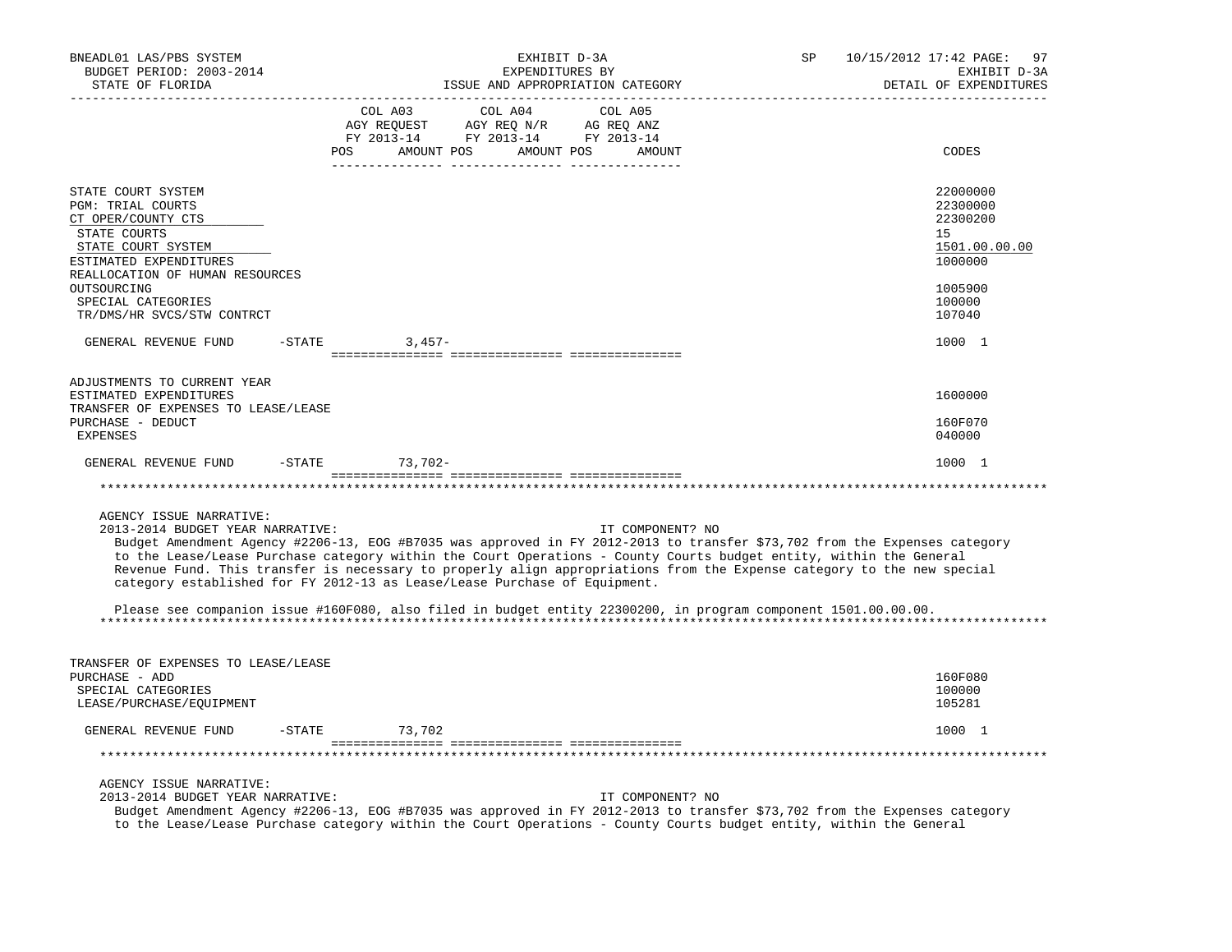| BNEADL01 LAS/PBS SYSTEM<br>BUDGET PERIOD: 2003-2014<br>STATE OF FLORIDA                                                                                                                                                                                                                                                                                                                                                                                                                                               | EXHIBIT D-3A<br>EXPENDITURES BY<br>ISSUE AND APPROPRIATION CATEGORY |                                             |                                                                                   |         | SP               | 10/15/2012 17:42 PAGE:<br>97<br>EXHIBIT D-3A<br>DETAIL OF EXPENDITURES |                                                                                 |
|-----------------------------------------------------------------------------------------------------------------------------------------------------------------------------------------------------------------------------------------------------------------------------------------------------------------------------------------------------------------------------------------------------------------------------------------------------------------------------------------------------------------------|---------------------------------------------------------------------|---------------------------------------------|-----------------------------------------------------------------------------------|---------|------------------|------------------------------------------------------------------------|---------------------------------------------------------------------------------|
|                                                                                                                                                                                                                                                                                                                                                                                                                                                                                                                       |                                                                     | COL A03<br>POS AMOUNT POS AMOUNT POS AMOUNT | COL A04<br>AGY REQUEST AGY REQ N/R AG REQ ANZ<br>FY 2013-14 FY 2013-14 FY 2013-14 | COL A05 |                  |                                                                        | CODES                                                                           |
| STATE COURT SYSTEM<br>PGM: TRIAL COURTS<br>CT OPER/COUNTY CTS<br>STATE COURTS<br>STATE COURT SYSTEM<br>ESTIMATED EXPENDITURES<br>REALLOCATION OF HUMAN RESOURCES                                                                                                                                                                                                                                                                                                                                                      |                                                                     |                                             |                                                                                   |         |                  |                                                                        | 22000000<br>22300000<br>22300200<br>15 <sub>1</sub><br>1501.00.00.00<br>1000000 |
| OUTSOURCING<br>SPECIAL CATEGORIES<br>TR/DMS/HR SVCS/STW CONTRCT                                                                                                                                                                                                                                                                                                                                                                                                                                                       |                                                                     |                                             |                                                                                   |         |                  |                                                                        | 1005900<br>100000<br>107040                                                     |
| GENERAL REVENUE FUND                                                                                                                                                                                                                                                                                                                                                                                                                                                                                                  | $-STATE$                                                            | $3,457-$                                    |                                                                                   |         |                  |                                                                        | 1000 1                                                                          |
|                                                                                                                                                                                                                                                                                                                                                                                                                                                                                                                       |                                                                     |                                             |                                                                                   |         |                  |                                                                        |                                                                                 |
| ADJUSTMENTS TO CURRENT YEAR<br>ESTIMATED EXPENDITURES                                                                                                                                                                                                                                                                                                                                                                                                                                                                 |                                                                     |                                             |                                                                                   |         |                  |                                                                        | 1600000                                                                         |
| TRANSFER OF EXPENSES TO LEASE/LEASE<br>PURCHASE - DEDUCT<br><b>EXPENSES</b>                                                                                                                                                                                                                                                                                                                                                                                                                                           |                                                                     |                                             |                                                                                   |         |                  |                                                                        | 160F070<br>040000                                                               |
| GENERAL REVENUE FUND                                                                                                                                                                                                                                                                                                                                                                                                                                                                                                  |                                                                     | -STATE 73,702-                              |                                                                                   |         |                  |                                                                        | 1000 1                                                                          |
|                                                                                                                                                                                                                                                                                                                                                                                                                                                                                                                       |                                                                     |                                             |                                                                                   |         |                  |                                                                        |                                                                                 |
| AGENCY ISSUE NARRATIVE:<br>2013-2014 BUDGET YEAR NARRATIVE:<br>Budget Amendment Agency #2206-13, EOG #B7035 was approved in FY 2012-2013 to transfer \$73,702 from the Expenses category<br>to the Lease/Lease Purchase category within the Court Operations - County Courts budget entity, within the General<br>Revenue Fund. This transfer is necessary to properly align appropriations from the Expense category to the new special<br>category established for FY 2012-13 as Lease/Lease Purchase of Equipment. |                                                                     |                                             |                                                                                   |         | IT COMPONENT? NO |                                                                        |                                                                                 |
| Please see companion issue #160F080, also filed in budget entity 22300200, in program component 1501.00.00.00.                                                                                                                                                                                                                                                                                                                                                                                                        |                                                                     |                                             |                                                                                   |         |                  |                                                                        |                                                                                 |
| TRANSFER OF EXPENSES TO LEASE/LEASE<br>PURCHASE - ADD<br>SPECIAL CATEGORIES<br>LEASE/PURCHASE/EQUIPMENT                                                                                                                                                                                                                                                                                                                                                                                                               |                                                                     |                                             |                                                                                   |         |                  |                                                                        | 160F080<br>100000<br>105281                                                     |
| GENERAL REVENUE FUND                                                                                                                                                                                                                                                                                                                                                                                                                                                                                                  | $-STATE$                                                            | 73,702                                      |                                                                                   |         |                  |                                                                        | 1000 1                                                                          |
|                                                                                                                                                                                                                                                                                                                                                                                                                                                                                                                       |                                                                     |                                             |                                                                                   |         |                  |                                                                        |                                                                                 |
| AGENCY ISSUE NARRATIVE:<br>2013-2014 BUDGET YEAR NARRATIVE:<br>Budget Amendment Agency #2206-13, EOG #B7035 was approved in FY 2012-2013 to transfer \$73,702 from the Expenses category<br>to the Lease/Lease Purchase category within the Court Operations - County Courts budget entity, within the General                                                                                                                                                                                                        |                                                                     |                                             |                                                                                   |         | IT COMPONENT? NO |                                                                        |                                                                                 |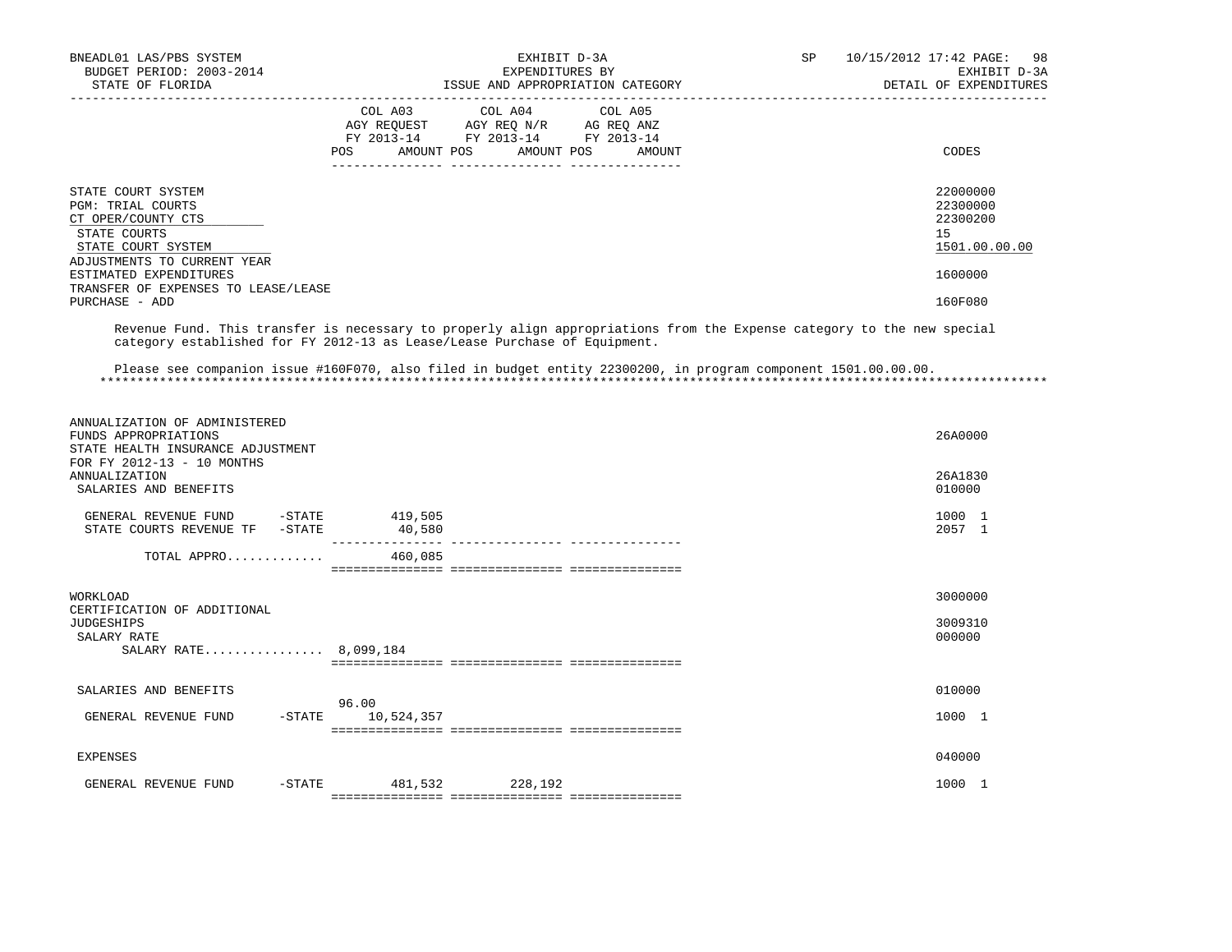| BNEADL01 LAS/PBS SYSTEM<br>BUDGET PERIOD: 2003-2014<br>STATE OF FLORIDA                                                                                      | EXHIBIT D-3A<br>EXPENDITURES BY<br>ISSUE AND APPROPRIATION CATEGORY                                                                                                                                 | 10/15/2012 17:42 PAGE:<br>SP<br>98<br>EXHIBIT D-3A<br>DETAIL OF EXPENDITURES |
|--------------------------------------------------------------------------------------------------------------------------------------------------------------|-----------------------------------------------------------------------------------------------------------------------------------------------------------------------------------------------------|------------------------------------------------------------------------------|
|                                                                                                                                                              | COL A03<br>COL A04<br>COL A05<br>AGY REQUEST AGY REQ N/R AG REQ ANZ<br>FY 2013-14 FY 2013-14 FY 2013-14<br>POS AMOUNT POS AMOUNT POS<br>AMOUNT                                                      | CODES                                                                        |
| STATE COURT SYSTEM<br>PGM: TRIAL COURTS<br>CT OPER/COUNTY CTS<br>STATE COURTS<br>STATE COURT SYSTEM<br>ADJUSTMENTS TO CURRENT YEAR<br>ESTIMATED EXPENDITURES |                                                                                                                                                                                                     | 22000000<br>22300000<br>22300200<br>15<br>1501.00.00.00<br>1600000           |
| TRANSFER OF EXPENSES TO LEASE/LEASE<br>PURCHASE - ADD                                                                                                        |                                                                                                                                                                                                     | 160F080                                                                      |
|                                                                                                                                                              | Revenue Fund. This transfer is necessary to properly align appropriations from the Expense category to the new special<br>category established for FY 2012-13 as Lease/Lease Purchase of Equipment. |                                                                              |
|                                                                                                                                                              | Please see companion issue #160F070, also filed in budget entity 22300200, in program component 1501.00.00.00.                                                                                      |                                                                              |
| ANNUALIZATION OF ADMINISTERED<br>FUNDS APPROPRIATIONS<br>STATE HEALTH INSURANCE ADJUSTMENT<br>FOR FY 2012-13 - 10 MONTHS                                     |                                                                                                                                                                                                     | 26A0000                                                                      |
| <b>ANNUALIZATION</b><br>SALARIES AND BENEFITS                                                                                                                |                                                                                                                                                                                                     | 26A1830<br>010000                                                            |
| GENERAL REVENUE FUND -STATE 419,505<br>STATE COURTS REVENUE TF - STATE                                                                                       | 40,580                                                                                                                                                                                              | 1000 1<br>2057 1                                                             |
| TOTAL APPRO                                                                                                                                                  | 460,085                                                                                                                                                                                             |                                                                              |
| WORKLOAD<br>CERTIFICATION OF ADDITIONAL                                                                                                                      |                                                                                                                                                                                                     | 3000000                                                                      |
| <b>JUDGESHIPS</b><br>SALARY RATE<br>SALARY RATE 8,099,184                                                                                                    |                                                                                                                                                                                                     | 3009310<br>000000                                                            |
| SALARIES AND BENEFITS                                                                                                                                        |                                                                                                                                                                                                     | 010000                                                                       |
| $ STATE$<br>GENERAL REVENUE FUND                                                                                                                             | 96.00<br>10,524,357                                                                                                                                                                                 | 1000 1                                                                       |
| EXPENSES                                                                                                                                                     |                                                                                                                                                                                                     | 040000                                                                       |
| GENERAL REVENUE FUND<br>$-$ STATE                                                                                                                            | 481,532 228,192                                                                                                                                                                                     | 1000 1                                                                       |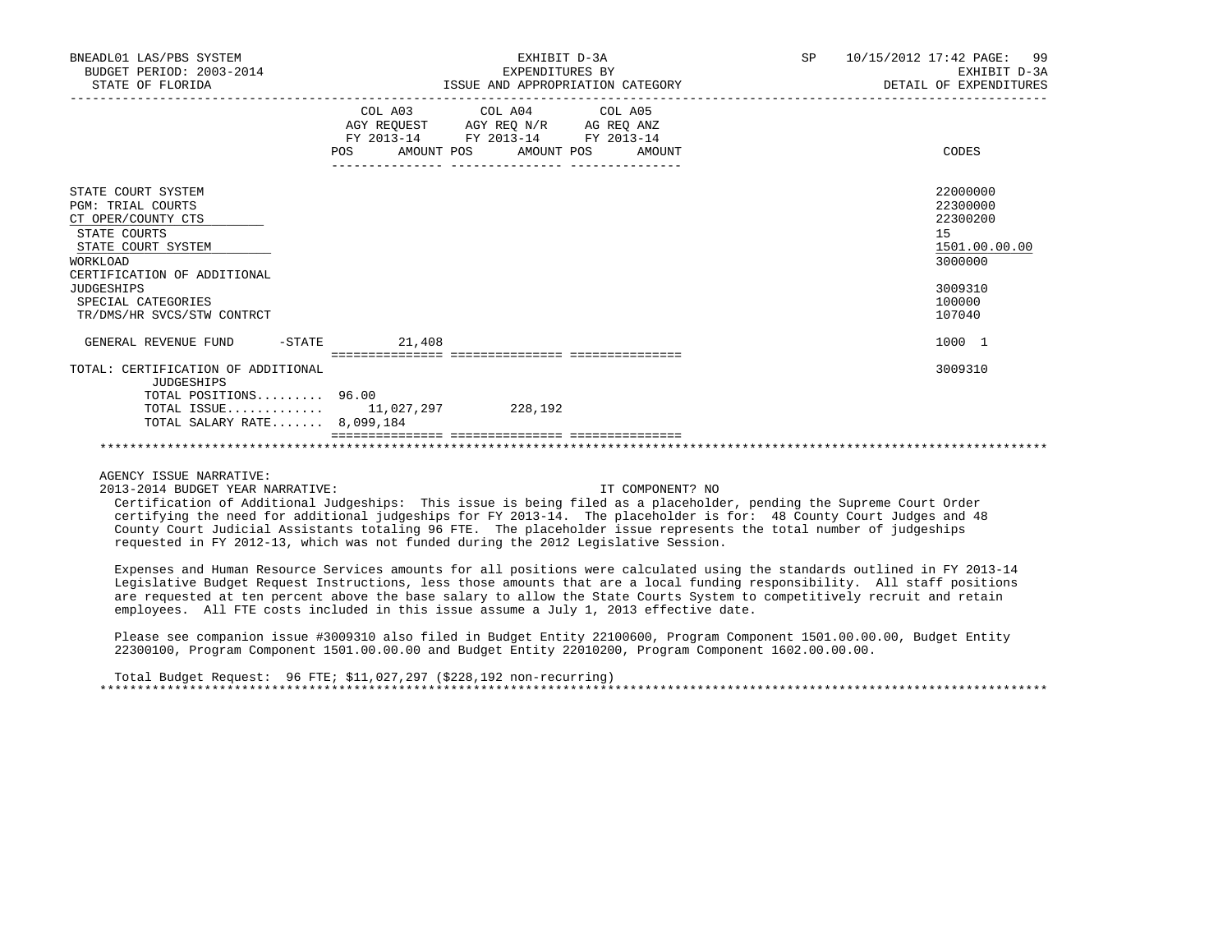| BNEADL01 LAS/PBS SYSTEM<br>BUDGET PERIOD: 2003-2014<br>STATE OF FLORIDA                                                                                                                                                               | EXHIBIT D-3A<br>EXPENDITURES BY<br>ISSUE AND APPROPRIATION CATEGORY                                                                                | 10/15/2012 17:42 PAGE: 99<br><b>SP</b><br>EXHIBIT D-3A<br>DETAIL OF EXPENDITURES                  |
|---------------------------------------------------------------------------------------------------------------------------------------------------------------------------------------------------------------------------------------|----------------------------------------------------------------------------------------------------------------------------------------------------|---------------------------------------------------------------------------------------------------|
|                                                                                                                                                                                                                                       | COL A03 COL A04 COL A05<br>AGY REQUEST AGY REQ N/R AG REQ ANZ<br>FY 2013-14<br>FY 2013-14 FY 2013-14<br>AMOUNT POS AMOUNT POS AMOUNT<br><b>POS</b> | CODES                                                                                             |
| STATE COURT SYSTEM<br><b>PGM: TRIAL COURTS</b><br>CT OPER/COUNTY CTS<br>STATE COURTS<br>STATE COURT SYSTEM<br><b>WORKLOAD</b><br>CERTIFICATION OF ADDITIONAL<br><b>JUDGESHIPS</b><br>SPECIAL CATEGORIES<br>TR/DMS/HR SVCS/STW CONTRCT |                                                                                                                                                    | 22000000<br>22300000<br>22300200<br>15<br>1501.00.00.00<br>3000000<br>3009310<br>100000<br>107040 |
| $-$ STATE<br>GENERAL REVENUE FUND                                                                                                                                                                                                     | 21,408                                                                                                                                             | 1000 1                                                                                            |
| TOTAL: CERTIFICATION OF ADDITIONAL<br><b>JUDGESHIPS</b><br>TOTAL POSITIONS 96.00<br>TOTAL SALARY RATE 8,099,184                                                                                                                       | TOTAL ISSUE 11,027,297 228,192                                                                                                                     | 3009310                                                                                           |
|                                                                                                                                                                                                                                       |                                                                                                                                                    |                                                                                                   |

2013-2014 BUDGET YEAR NARRATIVE: IT COMPONENT? NO

 Certification of Additional Judgeships: This issue is being filed as a placeholder, pending the Supreme Court Order certifying the need for additional judgeships for FY 2013-14. The placeholder is for: 48 County Court Judges and 48 County Court Judicial Assistants totaling 96 FTE. The placeholder issue represents the total number of judgeships requested in FY 2012-13, which was not funded during the 2012 Legislative Session.

 Expenses and Human Resource Services amounts for all positions were calculated using the standards outlined in FY 2013-14 Legislative Budget Request Instructions, less those amounts that are a local funding responsibility. All staff positions are requested at ten percent above the base salary to allow the State Courts System to competitively recruit and retain employees. All FTE costs included in this issue assume a July 1, 2013 effective date.

 Please see companion issue #3009310 also filed in Budget Entity 22100600, Program Component 1501.00.00.00, Budget Entity 22300100, Program Component 1501.00.00.00 and Budget Entity 22010200, Program Component 1602.00.00.00.

 Total Budget Request: 96 FTE; \$11,027,297 (\$228,192 non-recurring) \*\*\*\*\*\*\*\*\*\*\*\*\*\*\*\*\*\*\*\*\*\*\*\*\*\*\*\*\*\*\*\*\*\*\*\*\*\*\*\*\*\*\*\*\*\*\*\*\*\*\*\*\*\*\*\*\*\*\*\*\*\*\*\*\*\*\*\*\*\*\*\*\*\*\*\*\*\*\*\*\*\*\*\*\*\*\*\*\*\*\*\*\*\*\*\*\*\*\*\*\*\*\*\*\*\*\*\*\*\*\*\*\*\*\*\*\*\*\*\*\*\*\*\*\*\*\*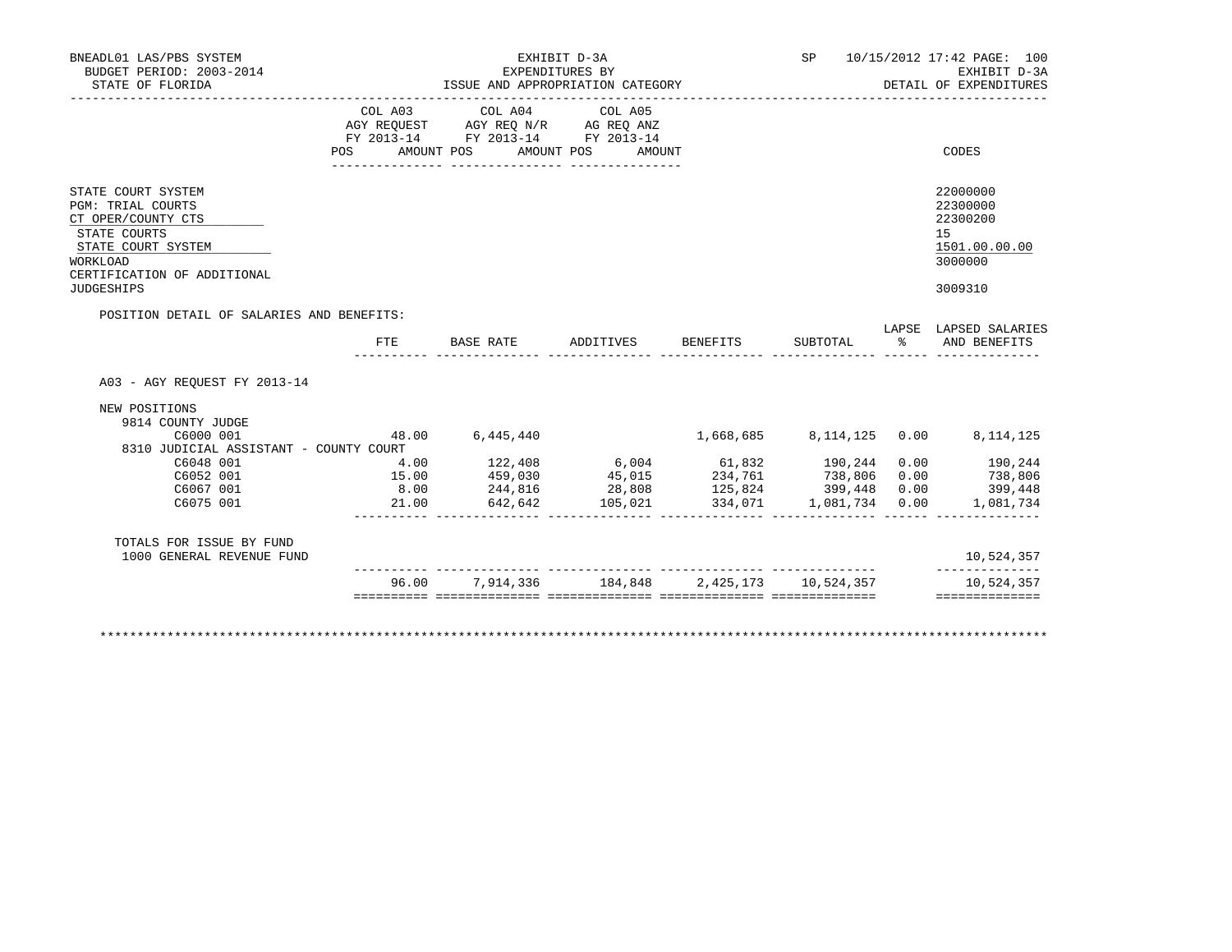| BNEADL01 LAS/PBS SYSTEM<br>BUDGET PERIOD: 2003-2014<br>STATE OF FLORIDA                                                                                                    |                           | EXPENDITURES BY<br>ISSUE AND APPROPRIATION CATEGORY                                       | EXHIBIT D-3A      |                            | ____________________________________ |              | SP 10/15/2012 17:42 PAGE: 100<br>EXHIBIT D-3A<br>DETAIL OF EXPENDITURES       |
|----------------------------------------------------------------------------------------------------------------------------------------------------------------------------|---------------------------|-------------------------------------------------------------------------------------------|-------------------|----------------------------|--------------------------------------|--------------|-------------------------------------------------------------------------------|
|                                                                                                                                                                            | COL A03<br>POS AMOUNT POS | COL A04 COL A05<br>AGY REQUEST AGY REQ N/R AG REQ ANZ<br>FY 2013-14 FY 2013-14 FY 2013-14 | AMOUNT POS AMOUNT |                            |                                      |              | CODES                                                                         |
| STATE COURT SYSTEM<br><b>PGM: TRIAL COURTS</b><br>CT OPER/COUNTY CTS<br>STATE COURTS<br>STATE COURT SYSTEM<br>WORKLOAD<br>CERTIFICATION OF ADDITIONAL<br><b>JUDGESHIPS</b> |                           |                                                                                           |                   |                            |                                      |              | 22000000<br>22300000<br>22300200<br>15<br>1501.00.00.00<br>3000000<br>3009310 |
| POSITION DETAIL OF SALARIES AND BENEFITS:                                                                                                                                  | FTE.                      | BASE RATE                                                                                 | ADDITIVES         | BENEFITS                   | SUBTOTAL                             | $\mathbb{R}$ | LAPSE LAPSED SALARIES<br>AND BENEFITS                                         |
| A03 - AGY REOUEST FY 2013-14                                                                                                                                               |                           |                                                                                           |                   |                            |                                      |              |                                                                               |
| NEW POSITIONS<br>9814 COUNTY JUDGE                                                                                                                                         |                           |                                                                                           |                   |                            |                                      |              |                                                                               |
| C6000 001                                                                                                                                                                  |                           | 48.00 6,445,440                                                                           |                   |                            |                                      |              | 1,668,685 8,114,125 0.00 8,114,125                                            |
| 8310 JUDICIAL ASSISTANT - COUNTY COURT<br>C6048 001                                                                                                                        |                           |                                                                                           |                   |                            |                                      |              |                                                                               |
| C6052 001                                                                                                                                                                  | 4.00<br>15.00             | $122,408$ 6,004 61,832 190,244                                                            |                   |                            |                                      | 0.00<br>0.00 | 190,244<br>738,806                                                            |
| C6067 001                                                                                                                                                                  | 8.00                      | 459,030 45,015<br>244,816                                                                 | 28,808            | 234,761 738,806<br>125,824 | 399,448                              | 0.00         | 399,448                                                                       |
| C6075 001                                                                                                                                                                  | 21.00                     | 642,642                                                                                   | 28,806<br>105,021 | $334,071$ 1,081,734        |                                      | 0.00         | 1,081,734                                                                     |
|                                                                                                                                                                            |                           |                                                                                           |                   |                            |                                      |              | 10,524,357                                                                    |
| TOTALS FOR ISSUE BY FUND<br>1000 GENERAL REVENUE FUND                                                                                                                      |                           |                                                                                           |                   |                            |                                      |              |                                                                               |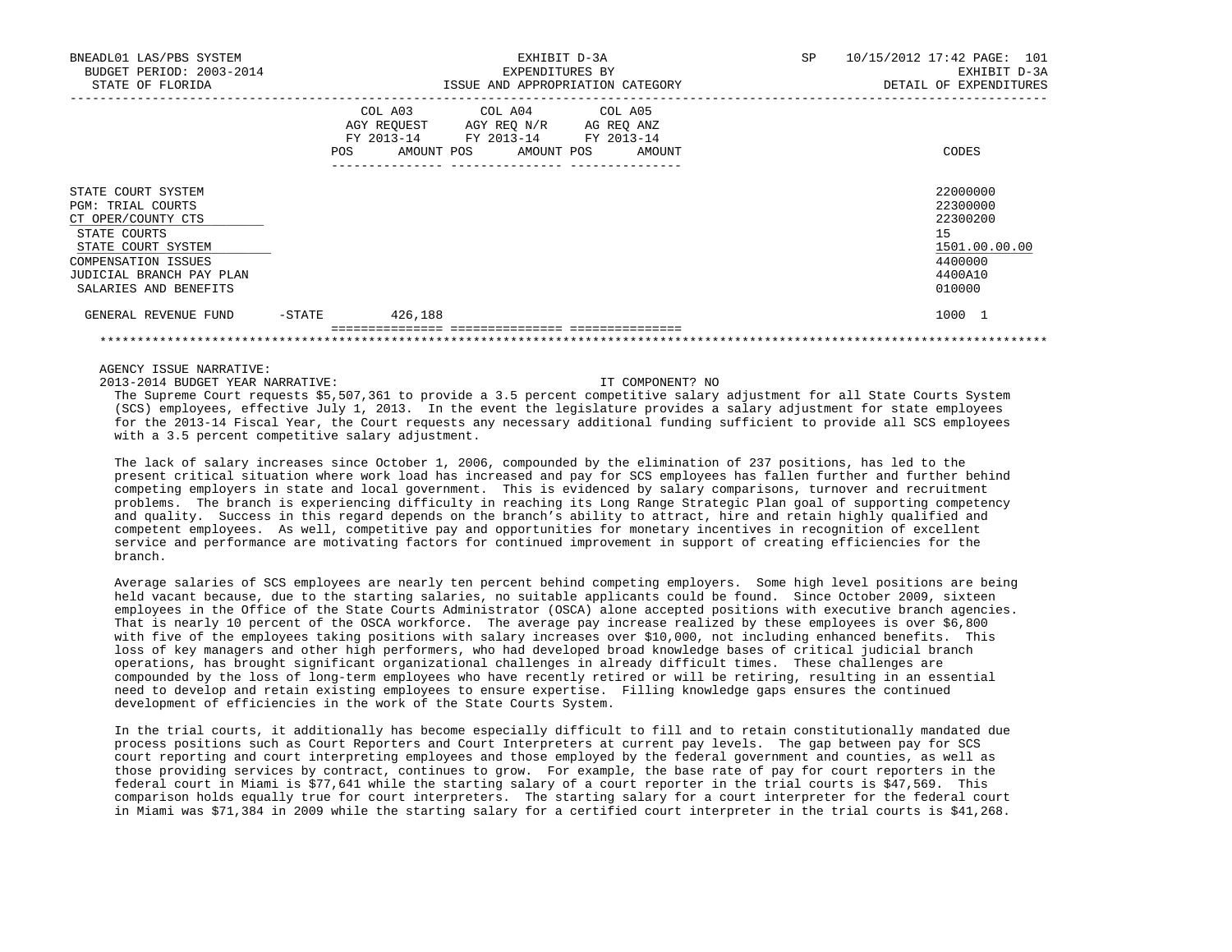| GENERAL REVENUE FUND                                                                                                                                                                          | $-$ STATE | 426,188                                                                     |  |                                                                     |  |           | 1000 1                                                                                  |
|-----------------------------------------------------------------------------------------------------------------------------------------------------------------------------------------------|-----------|-----------------------------------------------------------------------------|--|---------------------------------------------------------------------|--|-----------|-----------------------------------------------------------------------------------------|
| STATE COURT SYSTEM<br><b>PGM: TRIAL COURTS</b><br>CT OPER/COUNTY CTS<br>STATE COURTS<br>STATE COURT SYSTEM<br><b>COMPENSATION ISSUES</b><br>JUDICIAL BRANCH PAY PLAN<br>SALARIES AND BENEFITS |           |                                                                             |  |                                                                     |  |           | 22000000<br>22300000<br>22300200<br>15<br>1501.00.00.00<br>4400000<br>4400A10<br>010000 |
|                                                                                                                                                                                               | POS       | COL A03 COL A04 COL A05<br>AGY REQUEST AGY REQ N/R AG REQ ANZ<br>FY 2013-14 |  | FY 2013-14 FY 2013-14<br>AMOUNT POS AMOUNT POS AMOUNT               |  |           | CODES                                                                                   |
| BNEADL01 LAS/PBS SYSTEM<br>BUDGET PERIOD: 2003-2014<br>STATE OF FLORIDA                                                                                                                       |           |                                                                             |  | EXHIBIT D-3A<br>EXPENDITURES BY<br>ISSUE AND APPROPRIATION CATEGORY |  | <b>SP</b> | 10/15/2012 17:42 PAGE: 101<br>EXHIBIT D-3A<br>DETAIL OF EXPENDITURES                    |

2013-2014 BUDGET YEAR NARRATIVE: IT COMPONENT? NO

 The Supreme Court requests \$5,507,361 to provide a 3.5 percent competitive salary adjustment for all State Courts System (SCS) employees, effective July 1, 2013. In the event the legislature provides a salary adjustment for state employees for the 2013-14 Fiscal Year, the Court requests any necessary additional funding sufficient to provide all SCS employees with a 3.5 percent competitive salary adjustment.

 The lack of salary increases since October 1, 2006, compounded by the elimination of 237 positions, has led to the present critical situation where work load has increased and pay for SCS employees has fallen further and further behind competing employers in state and local government. This is evidenced by salary comparisons, turnover and recruitment problems. The branch is experiencing difficulty in reaching its Long Range Strategic Plan goal of supporting competency and quality. Success in this regard depends on the branch's ability to attract, hire and retain highly qualified and competent employees. As well, competitive pay and opportunities for monetary incentives in recognition of excellent service and performance are motivating factors for continued improvement in support of creating efficiencies for the branch.

 Average salaries of SCS employees are nearly ten percent behind competing employers. Some high level positions are being held vacant because, due to the starting salaries, no suitable applicants could be found. Since October 2009, sixteen employees in the Office of the State Courts Administrator (OSCA) alone accepted positions with executive branch agencies. That is nearly 10 percent of the OSCA workforce. The average pay increase realized by these employees is over \$6,800 with five of the employees taking positions with salary increases over \$10,000, not including enhanced benefits. This loss of key managers and other high performers, who had developed broad knowledge bases of critical judicial branch operations, has brought significant organizational challenges in already difficult times. These challenges are compounded by the loss of long-term employees who have recently retired or will be retiring, resulting in an essential need to develop and retain existing employees to ensure expertise. Filling knowledge gaps ensures the continued development of efficiencies in the work of the State Courts System.

 In the trial courts, it additionally has become especially difficult to fill and to retain constitutionally mandated due process positions such as Court Reporters and Court Interpreters at current pay levels. The gap between pay for SCS court reporting and court interpreting employees and those employed by the federal government and counties, as well as those providing services by contract, continues to grow. For example, the base rate of pay for court reporters in the federal court in Miami is \$77,641 while the starting salary of a court reporter in the trial courts is \$47,569. This comparison holds equally true for court interpreters. The starting salary for a court interpreter for the federal court in Miami was \$71,384 in 2009 while the starting salary for a certified court interpreter in the trial courts is \$41,268.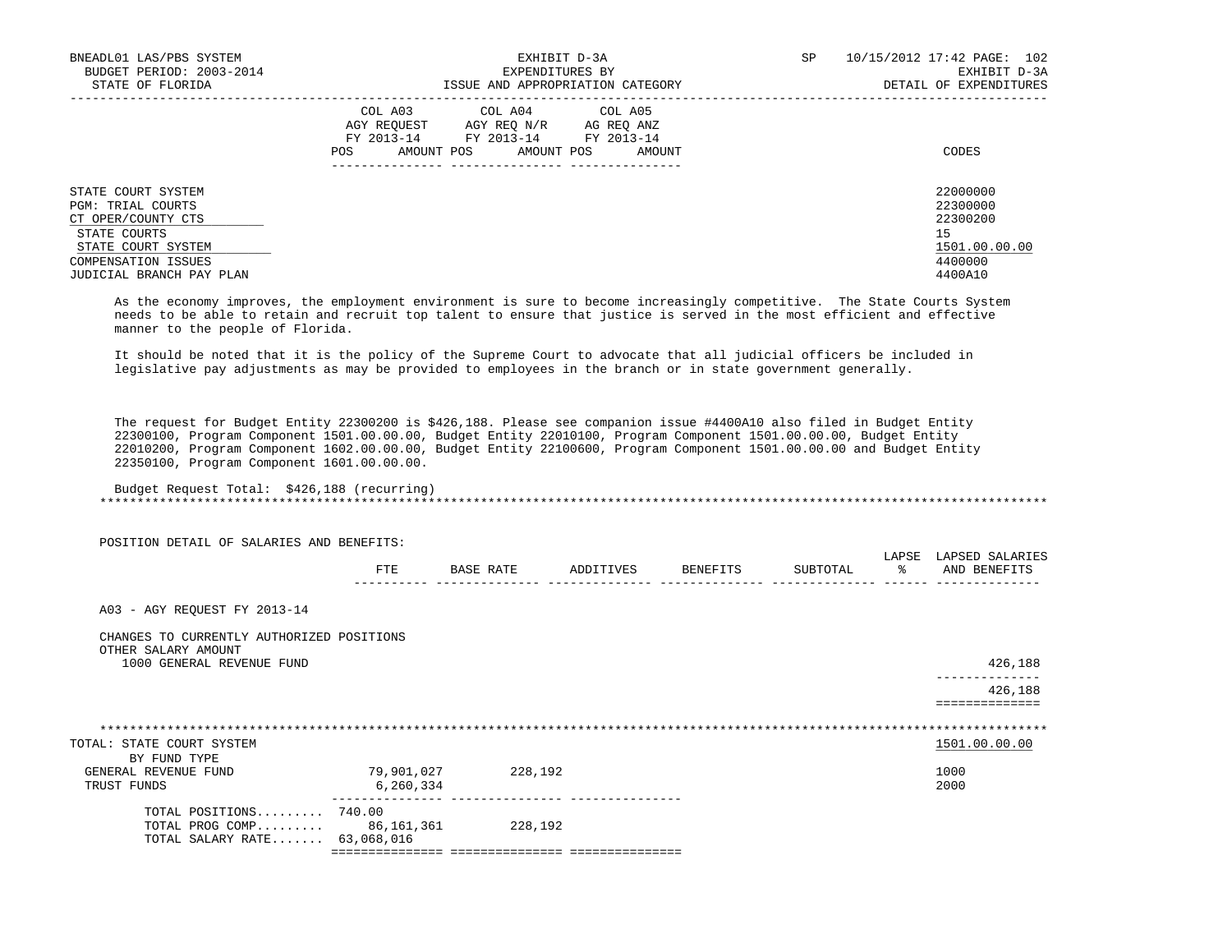| BNEADL01 LAS/PBS SYSTEM<br>BUDGET PERIOD: 2003-2014           | EXHIBIT D-3A<br>EXPENDITURES BY                                                                                                                   | 10/15/2012 17:42 PAGE: 102<br>SP<br>EXHIBIT D-3A |
|---------------------------------------------------------------|---------------------------------------------------------------------------------------------------------------------------------------------------|--------------------------------------------------|
| STATE OF FLORIDA                                              | ISSUE AND APPROPRIATION CATEGORY                                                                                                                  | DETAIL OF EXPENDITURES                           |
|                                                               | COL A03 COL A04 COL A05<br>AGY REOUEST<br>AGY REO N/R AG REO ANZ<br>FY 2013-14 FY 2013-14 FY 2013-14<br>AMOUNT POS<br>AMOUNT POS<br>AMOUNT<br>POS | CODES                                            |
| STATE COURT SYSTEM<br>PGM: TRIAL COURTS<br>CT OPER/COUNTY CTS |                                                                                                                                                   | 22000000<br>22300000<br>22300200                 |
| STATE COURTS<br>STATE COURT SYSTEM                            |                                                                                                                                                   | 15<br>1501.00.00.00                              |
| COMPENSATION ISSUES<br>JUDICIAL BRANCH PAY PLAN               |                                                                                                                                                   | 4400000<br>4400A10                               |

 As the economy improves, the employment environment is sure to become increasingly competitive. The State Courts System needs to be able to retain and recruit top talent to ensure that justice is served in the most efficient and effective manner to the people of Florida.

 It should be noted that it is the policy of the Supreme Court to advocate that all judicial officers be included in legislative pay adjustments as may be provided to employees in the branch or in state government generally.

 The request for Budget Entity 22300200 is \$426,188. Please see companion issue #4400A10 also filed in Budget Entity 22300100, Program Component 1501.00.00.00, Budget Entity 22010100, Program Component 1501.00.00.00, Budget Entity 22010200, Program Component 1602.00.00.00, Budget Entity 22100600, Program Component 1501.00.00.00 and Budget Entity 22350100, Program Component 1601.00.00.00.

```
 Budget Request Total: $426,188 (recurring)
 *******************************************************************************************************************************
```
 POSITION DETAIL OF SALARIES AND BENEFITS: LAPSE LAPSED SALARIES FTE BASE RATE ADDITIVES BENEFITS SUBTOTAL % AND BENEFITS ---------- -------------- -------------- -------------- -------------- ------ -------------- A03 - AGY REQUEST FY 2013-14 CHANGES TO CURRENTLY AUTHORIZED POSITIONS OTHER SALARY AMOUNT 1000 GENERAL REVENUE FUND 426,188 -------------- 426,188 ============== \*\*\*\*\*\*\*\*\*\*\*\*\*\*\*\*\*\*\*\*\*\*\*\*\*\*\*\*\*\*\*\*\*\*\*\*\*\*\*\*\*\*\*\*\*\*\*\*\*\*\*\*\*\*\*\*\*\*\*\*\*\*\*\*\*\*\*\*\*\*\*\*\*\*\*\*\*\*\*\*\*\*\*\*\*\*\*\*\*\*\*\*\*\*\*\*\*\*\*\*\*\*\*\*\*\*\*\*\*\*\*\*\*\*\*\*\*\*\*\*\*\*\*\*\*\*\* TOTAL: STATE COURT SYSTEM BY FUND TYPE GENERAL REVENUE FUND 79,901,027 228,192 228,192 1000 TRUST FUNDS 2000 2000 2000 2000 6,260,334 --------------- --------------- --------------- TOTAL POSITIONS......... 740.00 TOTAL PROG COMP......... 86,161,361 228,192 TOTAL SALARY RATE....... 63,068,016 =============== =============== ===============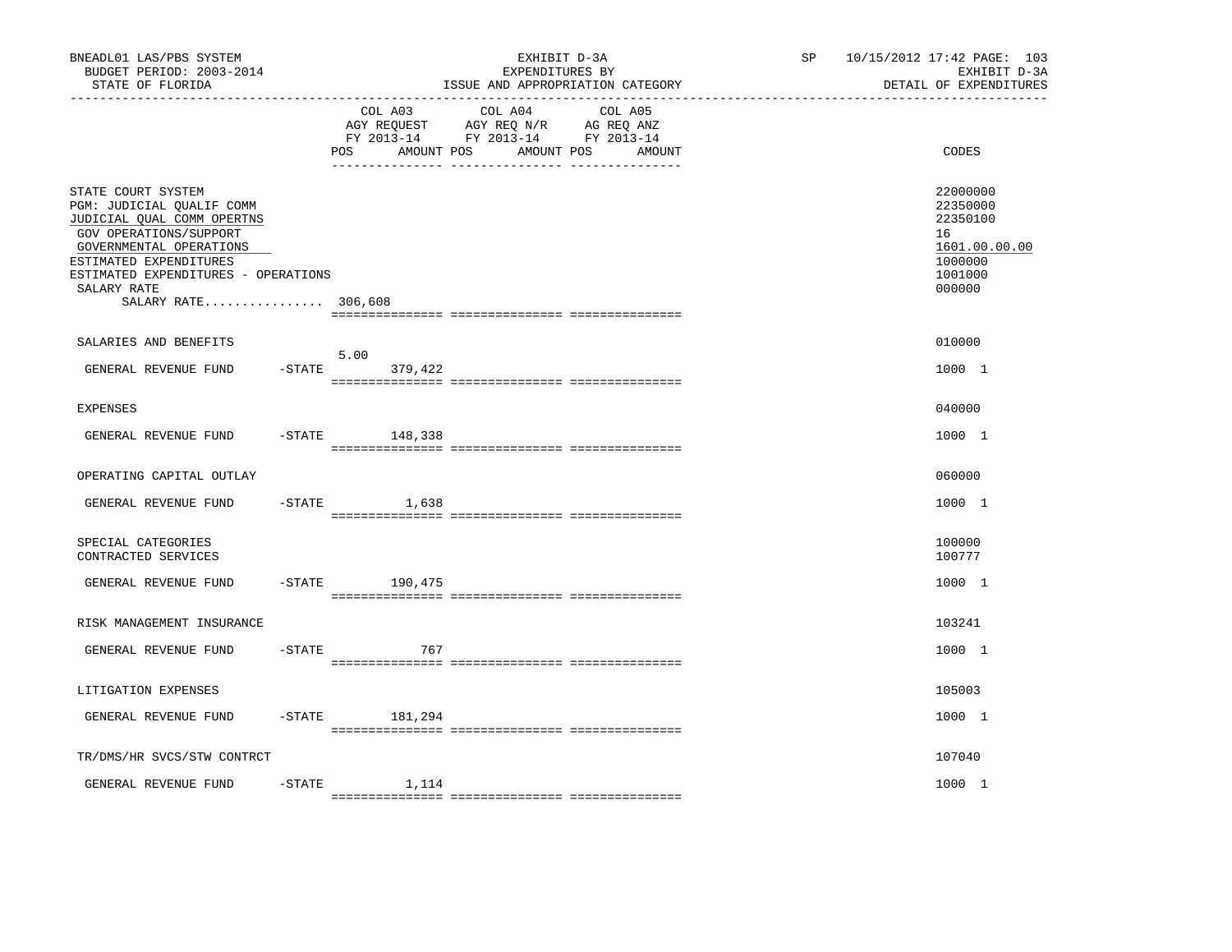| BNEADL01 LAS/PBS SYSTEM<br>BUDGET PERIOD: 2003-2014<br>STATE OF FLORIDA                                                                                                                                                                   |           |                                     | EXHIBIT D-3A<br>EXPENDITURES BY<br>ISSUE AND APPROPRIATION CATEGORY                                                  | SP | 10/15/2012 17:42 PAGE: 103<br>EXHIBIT D-3A<br>DETAIL OF EXPENDITURES                    |
|-------------------------------------------------------------------------------------------------------------------------------------------------------------------------------------------------------------------------------------------|-----------|-------------------------------------|----------------------------------------------------------------------------------------------------------------------|----|-----------------------------------------------------------------------------------------|
|                                                                                                                                                                                                                                           |           | COL A03<br>AMOUNT POS<br><b>POS</b> | COL A04<br>COL A05<br>AGY REQUEST AGY REQ N/R AG REQ ANZ<br>FY 2013-14 FY 2013-14 FY 2013-14<br>AMOUNT POS<br>AMOUNT |    | CODES                                                                                   |
| STATE COURT SYSTEM<br>PGM: JUDICIAL QUALIF COMM<br>JUDICIAL QUAL COMM OPERTNS<br>GOV OPERATIONS/SUPPORT<br>GOVERNMENTAL OPERATIONS<br>ESTIMATED EXPENDITURES<br>ESTIMATED EXPENDITURES - OPERATIONS<br>SALARY RATE<br>SALARY RATE 306,608 |           |                                     |                                                                                                                      |    | 22000000<br>22350000<br>22350100<br>16<br>1601.00.00.00<br>1000000<br>1001000<br>000000 |
| SALARIES AND BENEFITS                                                                                                                                                                                                                     |           |                                     |                                                                                                                      |    | 010000                                                                                  |
| GENERAL REVENUE FUND                                                                                                                                                                                                                      | $-$ STATE | 5.00<br>379,422                     |                                                                                                                      |    | 1000 1                                                                                  |
| <b>EXPENSES</b>                                                                                                                                                                                                                           |           |                                     |                                                                                                                      |    | 040000                                                                                  |
| GENERAL REVENUE FUND                                                                                                                                                                                                                      |           | $-STATE$ 148,338                    |                                                                                                                      |    | 1000 1                                                                                  |
| OPERATING CAPITAL OUTLAY                                                                                                                                                                                                                  |           |                                     |                                                                                                                      |    | 060000                                                                                  |
| GENERAL REVENUE FUND                                                                                                                                                                                                                      | $-$ STATE | 1,638                               |                                                                                                                      |    | 1000 1                                                                                  |
| SPECIAL CATEGORIES<br>CONTRACTED SERVICES                                                                                                                                                                                                 |           |                                     |                                                                                                                      |    | 100000<br>100777                                                                        |
| GENERAL REVENUE FUND                                                                                                                                                                                                                      | $-$ STATE | 190,475                             |                                                                                                                      |    | 1000 1                                                                                  |
| RISK MANAGEMENT INSURANCE                                                                                                                                                                                                                 |           |                                     |                                                                                                                      |    | 103241                                                                                  |
| GENERAL REVENUE FUND                                                                                                                                                                                                                      | -STATE    | 767                                 |                                                                                                                      |    | 1000 1                                                                                  |
| LITIGATION EXPENSES                                                                                                                                                                                                                       |           |                                     |                                                                                                                      |    | 105003                                                                                  |
| GENERAL REVENUE FUND                                                                                                                                                                                                                      |           | $-$ STATE 181, 294                  |                                                                                                                      |    | 1000 1                                                                                  |
| TR/DMS/HR SVCS/STW CONTRCT                                                                                                                                                                                                                |           |                                     |                                                                                                                      |    | 107040                                                                                  |
| GENERAL REVENUE FUND                                                                                                                                                                                                                      | $-STATE$  | 1,114                               |                                                                                                                      |    | 1000 1                                                                                  |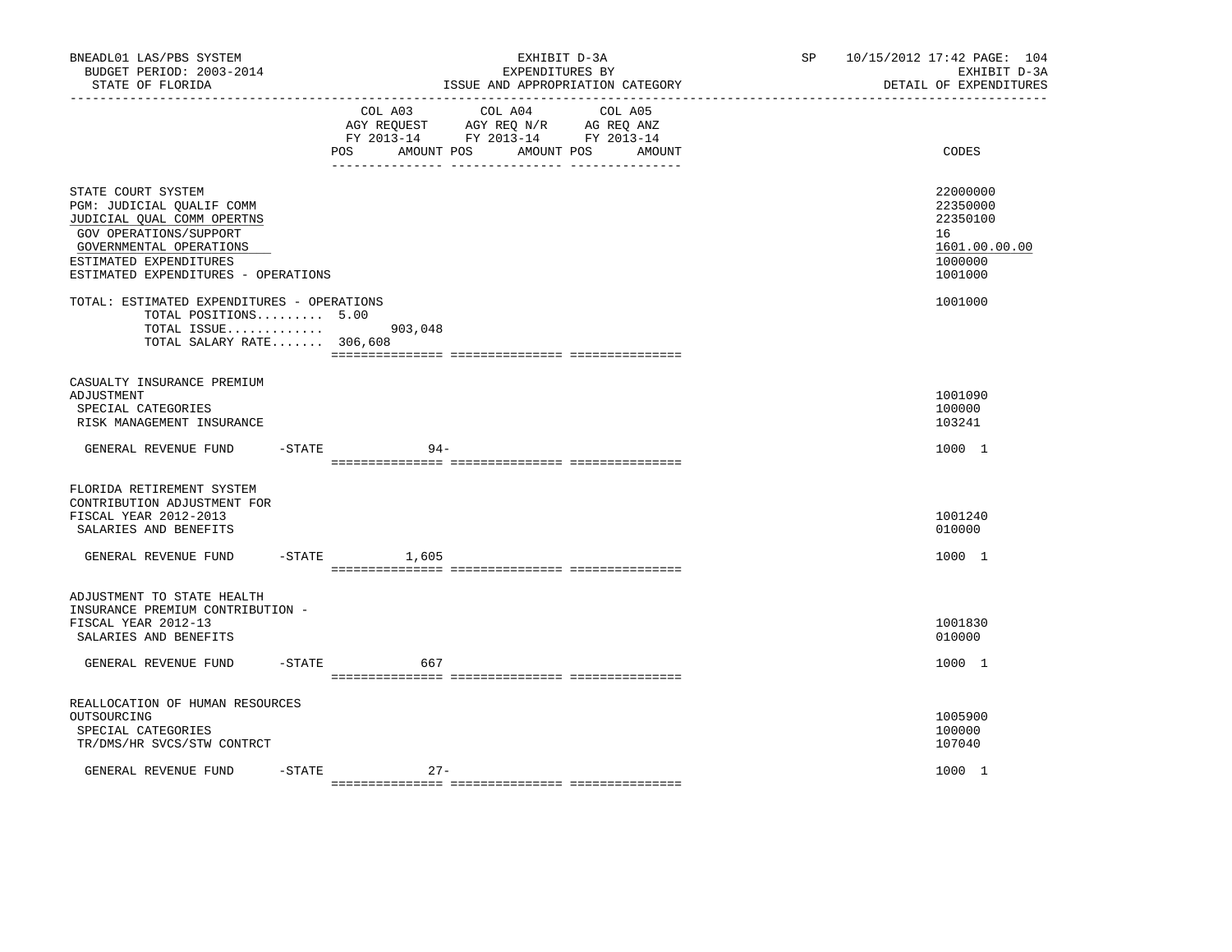| BNEADL01 LAS/PBS SYSTEM<br>BUDGET PERIOD: 2003-2014<br>STATE OF FLORIDA<br>-----------------                                                                                                        |           |                              | EXHIBIT D-3A<br>EXPENDITURES BY<br>ISSUE AND APPROPRIATION CATEGORY                             |                   | SP <sub>2</sub> | 10/15/2012 17:42 PAGE: 104<br>EXHIBIT D-3A<br>DETAIL OF EXPENDITURES          |
|-----------------------------------------------------------------------------------------------------------------------------------------------------------------------------------------------------|-----------|------------------------------|-------------------------------------------------------------------------------------------------|-------------------|-----------------|-------------------------------------------------------------------------------|
|                                                                                                                                                                                                     |           | COL A03<br>POS<br>AMOUNT POS | COL A04<br>AGY REQUEST AGY REQ N/R AG REQ ANZ<br>FY 2013-14 FY 2013-14 FY 2013-14<br>AMOUNT POS | COL A05<br>AMOUNT |                 | CODES                                                                         |
| STATE COURT SYSTEM<br>PGM: JUDICIAL QUALIF COMM<br>JUDICIAL QUAL COMM OPERTNS<br>GOV OPERATIONS/SUPPORT<br>GOVERNMENTAL OPERATIONS<br>ESTIMATED EXPENDITURES<br>ESTIMATED EXPENDITURES - OPERATIONS |           |                              |                                                                                                 |                   |                 | 22000000<br>22350000<br>22350100<br>16<br>1601.00.00.00<br>1000000<br>1001000 |
| TOTAL: ESTIMATED EXPENDITURES - OPERATIONS<br>TOTAL POSITIONS 5.00<br>TOTAL ISSUE<br>TOTAL SALARY RATE 306,608                                                                                      |           | 903,048                      |                                                                                                 |                   |                 | 1001000                                                                       |
| CASUALTY INSURANCE PREMIUM<br>ADJUSTMENT<br>SPECIAL CATEGORIES<br>RISK MANAGEMENT INSURANCE                                                                                                         |           |                              |                                                                                                 |                   |                 | 1001090<br>100000<br>103241                                                   |
| GENERAL REVENUE FUND                                                                                                                                                                                | -STATE    | $94 -$                       |                                                                                                 |                   |                 | 1000 1                                                                        |
| FLORIDA RETIREMENT SYSTEM<br>CONTRIBUTION ADJUSTMENT FOR<br>FISCAL YEAR 2012-2013<br>SALARIES AND BENEFITS<br>GENERAL REVENUE FUND                                                                  | $-$ STATE | 1,605                        |                                                                                                 |                   |                 | 1001240<br>010000<br>1000 1                                                   |
|                                                                                                                                                                                                     |           |                              |                                                                                                 |                   |                 |                                                                               |
| ADJUSTMENT TO STATE HEALTH<br>INSURANCE PREMIUM CONTRIBUTION -<br>FISCAL YEAR 2012-13<br>SALARIES AND BENEFITS                                                                                      |           |                              |                                                                                                 |                   |                 | 1001830<br>010000                                                             |
| GENERAL REVENUE FUND                                                                                                                                                                                | -STATE    | 667                          |                                                                                                 |                   |                 | 1000 1                                                                        |
| REALLOCATION OF HUMAN RESOURCES<br>OUTSOURCING<br>SPECIAL CATEGORIES<br>TR/DMS/HR SVCS/STW CONTRCT                                                                                                  |           |                              |                                                                                                 |                   |                 | 1005900<br>100000<br>107040                                                   |
| GENERAL REVENUE FUND                                                                                                                                                                                | $-STATE$  | $27 -$                       |                                                                                                 |                   |                 | 1000 1                                                                        |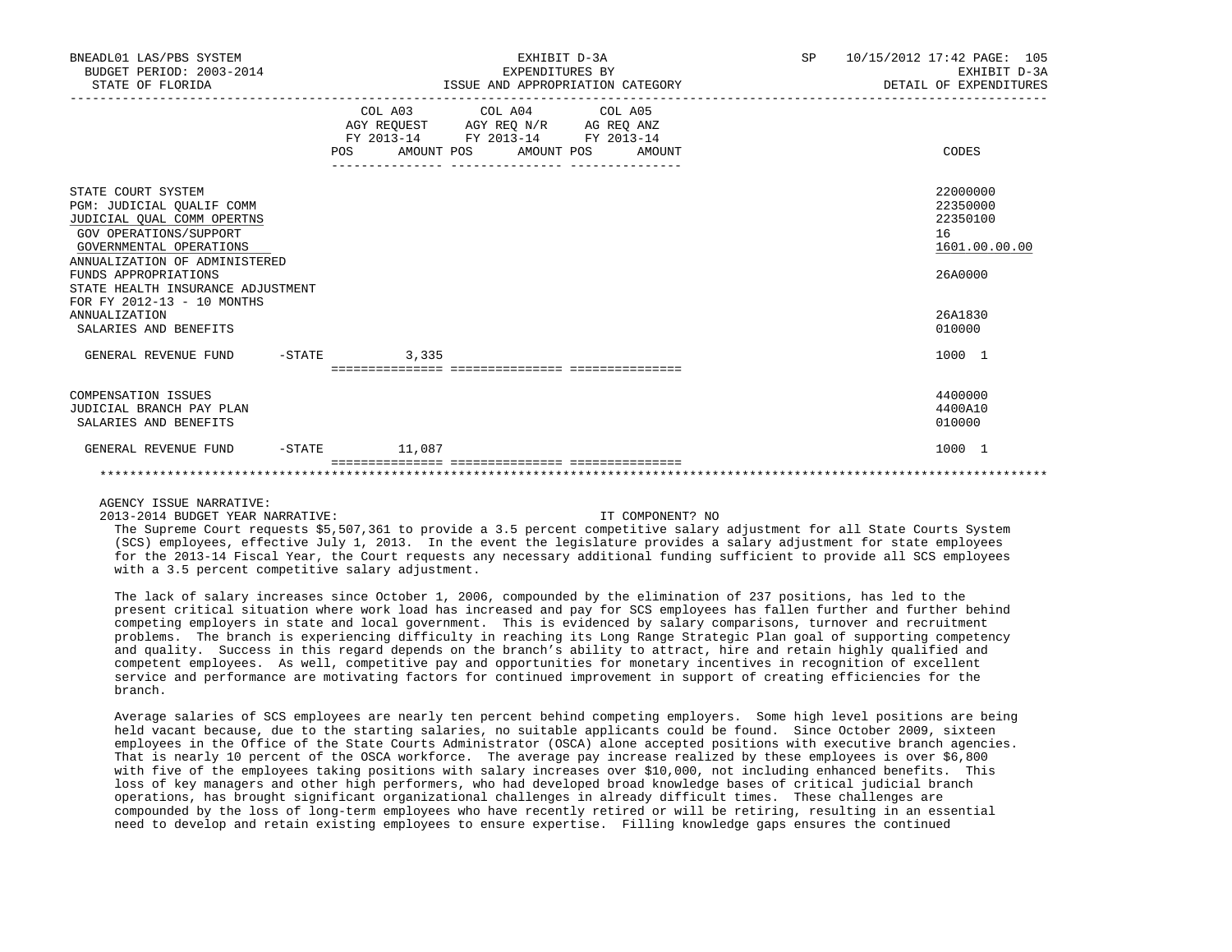| BNEADL01 LAS/PBS SYSTEM<br>BUDGET PERIOD: 2003-2014<br>STATE OF FLORIDA                                                                                                                                                                                                                                                          | EXHIBIT D-3A<br>EXPENDITURES BY<br>ISSUE AND APPROPRIATION CATEGORY |                                                                                                                                                                                                                                            |                                       | SP 10/15/2012 17:42 PAGE: 105<br>EXHIBIT D-3A<br>DETAIL OF EXPENDITURES |  |                                                                                                   |
|----------------------------------------------------------------------------------------------------------------------------------------------------------------------------------------------------------------------------------------------------------------------------------------------------------------------------------|---------------------------------------------------------------------|--------------------------------------------------------------------------------------------------------------------------------------------------------------------------------------------------------------------------------------------|---------------------------------------|-------------------------------------------------------------------------|--|---------------------------------------------------------------------------------------------------|
|                                                                                                                                                                                                                                                                                                                                  | AMOUNT POS<br>POS                                                   | COL A03 COL A04 COL A05<br>$\begin{tabular}{lllllll} \bf AGY \,\, REQUEST \,\, &\bf AGY \,\, REQ \,\, N/R &\bf AG \,\, REQ \,\, ANZ \\ \bf FY \,\, 2013-14 &\bf FY \,\, 2013-14 &\bf FY \,\, 2013-14 \\ \end{tabular}$<br>________________ | AMOUNT POS AMOUNT<br>________________ |                                                                         |  | CODES                                                                                             |
| STATE COURT SYSTEM<br>PGM: JUDICIAL OUALIF COMM<br>JUDICIAL OUAL COMM OPERTNS<br>GOV OPERATIONS/SUPPORT<br>GOVERNMENTAL OPERATIONS<br>ANNUALIZATION OF ADMINISTERED<br>FUNDS APPROPRIATIONS<br>STATE HEALTH INSURANCE ADJUSTMENT<br>FOR FY 2012-13 - 10 MONTHS<br>ANNUALIZATION<br>SALARIES AND BENEFITS<br>GENERAL REVENUE FUND | $-STATE$ 3,335                                                      |                                                                                                                                                                                                                                            |                                       |                                                                         |  | 22000000<br>22350000<br>22350100<br>16<br>1601.00.00.00<br>26A0000<br>26A1830<br>010000<br>1000 1 |
|                                                                                                                                                                                                                                                                                                                                  | ================================                                    |                                                                                                                                                                                                                                            |                                       |                                                                         |  |                                                                                                   |
| <b>COMPENSATION ISSUES</b><br>JUDICIAL BRANCH PAY PLAN<br>SALARIES AND BENEFITS                                                                                                                                                                                                                                                  |                                                                     |                                                                                                                                                                                                                                            |                                       |                                                                         |  | 4400000<br>4400A10<br>010000                                                                      |
| GENERAL REVENUE FUND                                                                                                                                                                                                                                                                                                             | $-STATE$ 11,087                                                     |                                                                                                                                                                                                                                            |                                       |                                                                         |  | 1000 1                                                                                            |
|                                                                                                                                                                                                                                                                                                                                  |                                                                     |                                                                                                                                                                                                                                            |                                       |                                                                         |  |                                                                                                   |

#### 2013-2014 BUDGET YEAR NARRATIVE: IT COMPONENT? NO

 The Supreme Court requests \$5,507,361 to provide a 3.5 percent competitive salary adjustment for all State Courts System (SCS) employees, effective July 1, 2013. In the event the legislature provides a salary adjustment for state employees for the 2013-14 Fiscal Year, the Court requests any necessary additional funding sufficient to provide all SCS employees with a 3.5 percent competitive salary adjustment.

 The lack of salary increases since October 1, 2006, compounded by the elimination of 237 positions, has led to the present critical situation where work load has increased and pay for SCS employees has fallen further and further behind competing employers in state and local government. This is evidenced by salary comparisons, turnover and recruitment problems. The branch is experiencing difficulty in reaching its Long Range Strategic Plan goal of supporting competency and quality. Success in this regard depends on the branch's ability to attract, hire and retain highly qualified and competent employees. As well, competitive pay and opportunities for monetary incentives in recognition of excellent service and performance are motivating factors for continued improvement in support of creating efficiencies for the branch.

 Average salaries of SCS employees are nearly ten percent behind competing employers. Some high level positions are being held vacant because, due to the starting salaries, no suitable applicants could be found. Since October 2009, sixteen employees in the Office of the State Courts Administrator (OSCA) alone accepted positions with executive branch agencies. That is nearly 10 percent of the OSCA workforce. The average pay increase realized by these employees is over \$6,800 with five of the employees taking positions with salary increases over \$10,000, not including enhanced benefits. This loss of key managers and other high performers, who had developed broad knowledge bases of critical judicial branch operations, has brought significant organizational challenges in already difficult times. These challenges are compounded by the loss of long-term employees who have recently retired or will be retiring, resulting in an essential need to develop and retain existing employees to ensure expertise. Filling knowledge gaps ensures the continued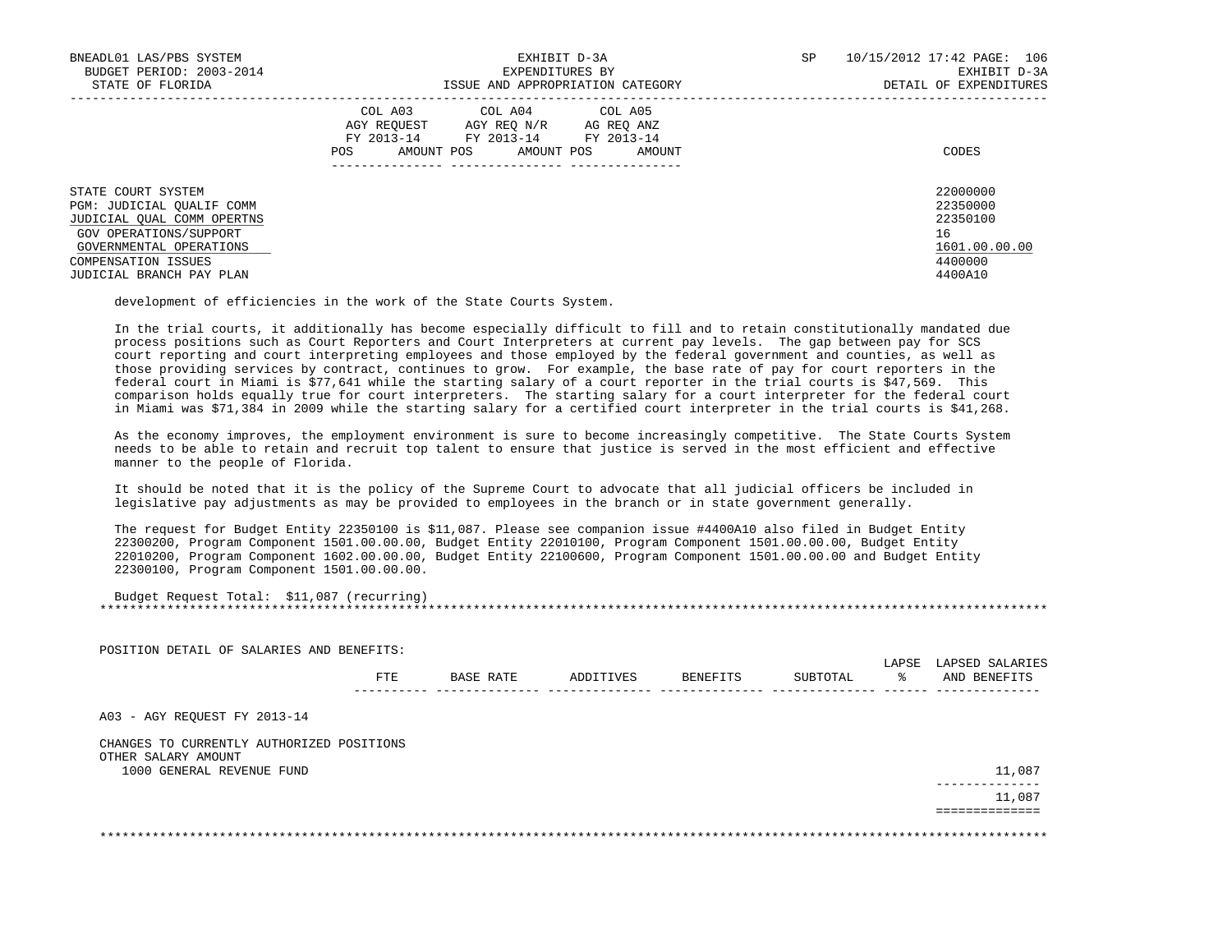| BNEADL01 LAS/PBS SYSTEM<br>BUDGET PERIOD: 2003-2014<br>STATE OF FLORIDA                                                                                                                      | EXHIBIT D-3A<br>EXPENDITURES BY<br>ISSUE AND APPROPRIATION CATEGORY                                                                                  | 10/15/2012 17:42 PAGE: 106<br>SP.<br>EXHIBIT D-3A<br>DETAIL OF EXPENDITURES   |
|----------------------------------------------------------------------------------------------------------------------------------------------------------------------------------------------|------------------------------------------------------------------------------------------------------------------------------------------------------|-------------------------------------------------------------------------------|
|                                                                                                                                                                                              | COL A03 COL A04 COL A05<br>AGY REOUEST<br>AGY REO N/R<br>AG REO ANZ<br>FY 2013-14 FY 2013-14 FY 2013-14<br>AMOUNT POS<br>AMOUNT POS<br>POS<br>AMOUNT | CODES                                                                         |
| STATE COURT SYSTEM<br>PGM: JUDICIAL OUALIF COMM<br>JUDICIAL OUAL COMM OPERTNS<br>GOV OPERATIONS/SUPPORT<br>GOVERNMENTAL OPERATIONS<br><b>COMPENSATION ISSUES</b><br>JUDICIAL BRANCH PAY PLAN |                                                                                                                                                      | 22000000<br>22350000<br>22350100<br>16<br>1601.00.00.00<br>4400000<br>4400A10 |

development of efficiencies in the work of the State Courts System.

 In the trial courts, it additionally has become especially difficult to fill and to retain constitutionally mandated due process positions such as Court Reporters and Court Interpreters at current pay levels. The gap between pay for SCS court reporting and court interpreting employees and those employed by the federal government and counties, as well as those providing services by contract, continues to grow. For example, the base rate of pay for court reporters in the federal court in Miami is \$77,641 while the starting salary of a court reporter in the trial courts is \$47,569. This comparison holds equally true for court interpreters. The starting salary for a court interpreter for the federal court in Miami was \$71,384 in 2009 while the starting salary for a certified court interpreter in the trial courts is \$41,268.

 As the economy improves, the employment environment is sure to become increasingly competitive. The State Courts System needs to be able to retain and recruit top talent to ensure that justice is served in the most efficient and effective manner to the people of Florida.

 It should be noted that it is the policy of the Supreme Court to advocate that all judicial officers be included in legislative pay adjustments as may be provided to employees in the branch or in state government generally.

 The request for Budget Entity 22350100 is \$11,087. Please see companion issue #4400A10 also filed in Budget Entity 22300200, Program Component 1501.00.00.00, Budget Entity 22010100, Program Component 1501.00.00.00, Budget Entity 22010200, Program Component 1602.00.00.00, Budget Entity 22100600, Program Component 1501.00.00.00 and Budget Entity 22300100, Program Component 1501.00.00.00.

| Budget Request Total: \$11,087 (recurring) |  |
|--------------------------------------------|--|
|                                            |  |

|                                           |           |           |          |          | LAPSE | LAPSED SALARIES |
|-------------------------------------------|-----------|-----------|----------|----------|-------|-----------------|
| FTE                                       | BASE RATE | ADDITIVES | BENEFITS | SUBTOTAL | ႜႜ    | AND BENEFITS    |
|                                           |           |           |          |          |       |                 |
| CHANGES TO CURRENTLY AUTHORIZED POSITIONS |           |           |          |          |       |                 |
|                                           |           |           |          |          |       | 11,087          |
|                                           |           |           |          |          |       | 11,087          |
|                                           |           |           |          |          |       |                 |